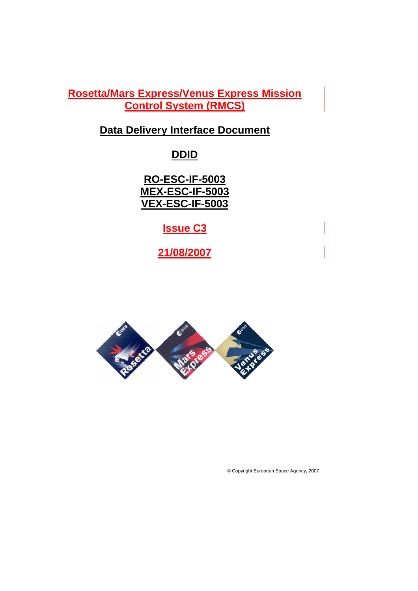**Rosetta/Mars Express/Venus Express Mission Control System (RMCS)**

**Data Delivery Interface Document**

**DDID**

**RO-ESC-IF-5003 MEX-ESC-IF-5003 VEX-ESC-IF-5003**

**Issue C3**

**21/08/2007**

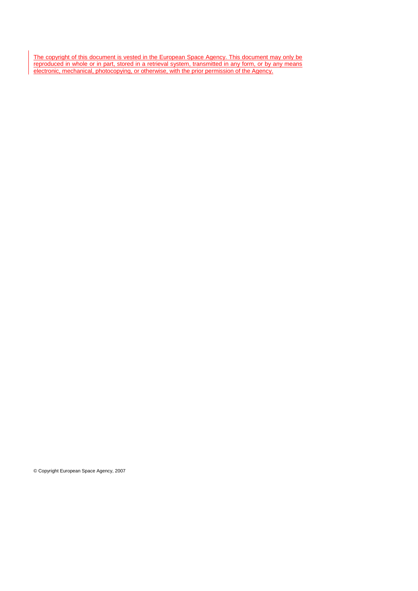The copyright of this document is vested in the European Space Agency. This document may only be reproduced in whole or in part, stored in a retrieval system, transmitted in any form, or by any means electronic, mechanical, photocopying, or otherwise, with the prior permission of the Agency.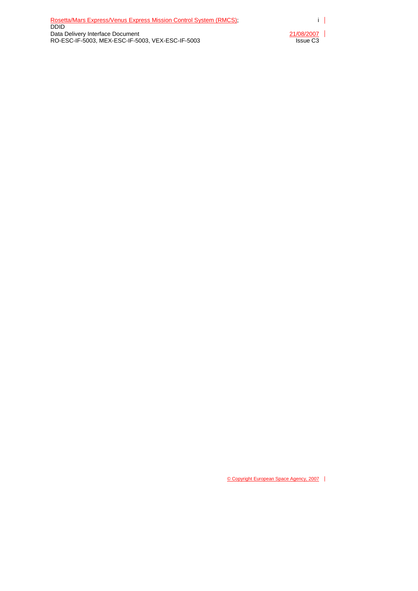i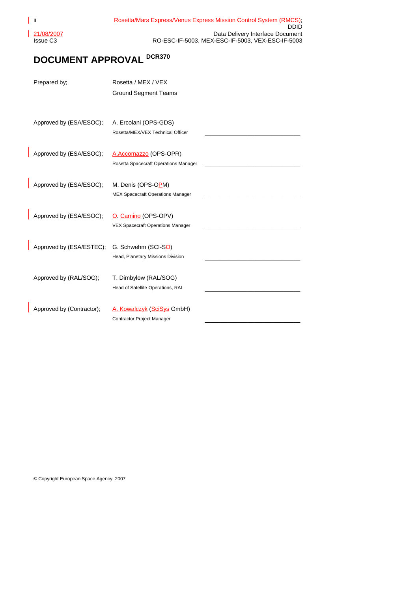

ii Rosetta/Mars Express/Venus Express Mission Control System (RMCS); DDID 21/08/2007 Data Delivery Interface Document Issue C3 RO-ESC-IF-5003, MEX-ESC-IF-5003, VEX-ESC-IF-5003

# **DOCUMENT APPROVAL DCR370**

| Prepared by;              | Rosetta / MEX / VEX<br><b>Ground Segment Teams</b>              |  |
|---------------------------|-----------------------------------------------------------------|--|
| Approved by (ESA/ESOC);   | A. Ercolani (OPS-GDS)<br>Rosetta/MEX/VEX Technical Officer      |  |
| Approved by (ESA/ESOC);   | A.Accomazzo (OPS-OPR)<br>Rosetta Spacecraft Operations Manager  |  |
| Approved by (ESA/ESOC);   | M. Denis (OPS-OPM)<br><b>MEX Spacecraft Operations Manager</b>  |  |
| Approved by (ESA/ESOC);   | O. Camino (OPS-OPV)<br>VEX Spacecraft Operations Manager        |  |
| Approved by (ESA/ESTEC);  | G. Schwehm (SCI-SO)<br>Head, Planetary Missions Division        |  |
| Approved by (RAL/SOG);    | T. Dimbylow (RAL/SOG)<br>Head of Satellite Operations, RAL      |  |
| Approved by (Contractor); | A. Kowalczyk (SciSys GmbH)<br><b>Contractor Project Manager</b> |  |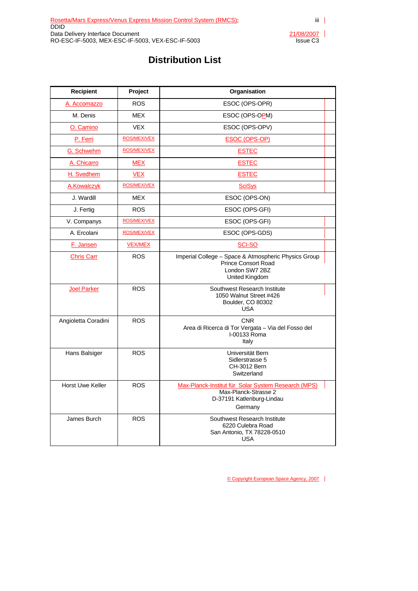

# **Distribution List**

| <b>Recipient</b>        | Project            | Organisation                                                                                                        |  |
|-------------------------|--------------------|---------------------------------------------------------------------------------------------------------------------|--|
| A. Accomazzo            | <b>ROS</b>         | ESOC (OPS-OPR)                                                                                                      |  |
| M. Denis                | <b>MEX</b>         | ESOC (OPS-OPM)                                                                                                      |  |
| O. Camino               | <b>VEX</b>         | ESOC (OPS-OPV)                                                                                                      |  |
| P. Ferri                | <b>ROS/MEX/VEX</b> | ESOC (OPS-OP)                                                                                                       |  |
| G. Schwehm              | <b>ROS/MEX/VEX</b> | <b>ESTEC</b>                                                                                                        |  |
| A. Chicarro             | <b>MEX</b>         | <b>ESTEC</b>                                                                                                        |  |
| H. Svedhem              | <b>VEX</b>         | <b>ESTEC</b>                                                                                                        |  |
| A.Kowalczyk             | <b>ROS/MEX/VEX</b> | <b>SciSys</b>                                                                                                       |  |
| J. Wardill              | <b>MEX</b>         | ESOC (OPS-ON)                                                                                                       |  |
| J. Fertig               | <b>ROS</b>         | ESOC (OPS-GFI)                                                                                                      |  |
| V. Companys             | <b>ROS/MEX/VEX</b> | ESOC (OPS-GFI)                                                                                                      |  |
| A. Ercolani             | <b>ROS/MEX/VEX</b> | ESOC (OPS-GDS)                                                                                                      |  |
| F. Jansen               | <b>VEX/MEX</b>     | SCI-SO                                                                                                              |  |
| <b>Chris Carr</b>       | <b>ROS</b>         | Imperial College - Space & Atmospheric Physics Group<br>Prince Consort Road<br>London SW7 2BZ<br>United Kingdom     |  |
| <b>Joel Parker</b>      | <b>ROS</b>         | Southwest Research Institute<br>1050 Walnut Street #426<br>Boulder, CO 80302<br><b>USA</b>                          |  |
| Angioletta Coradini     | <b>ROS</b>         | <b>CNR</b><br>Area di Ricerca di Tor Vergata - Via del Fosso del<br>I-00133 Roma<br>Italy                           |  |
| Hans Balsiger           | <b>ROS</b>         | Universität Bern<br>Sidlerstrasse 5<br><b>CH-3012 Bern</b><br>Switzerland                                           |  |
| <b>Horst Uwe Keller</b> | <b>ROS</b>         | Max-Planck-Institut für Solar System Research (MPS)<br>Max-Planck-Strasse 2<br>D-37191 Katlenburg-Lindau<br>Germany |  |
| James Burch             | <b>ROS</b>         | Southwest Research Institute<br>6220 Culebra Road<br>San Antonio, TX 78228-0510<br><b>USA</b>                       |  |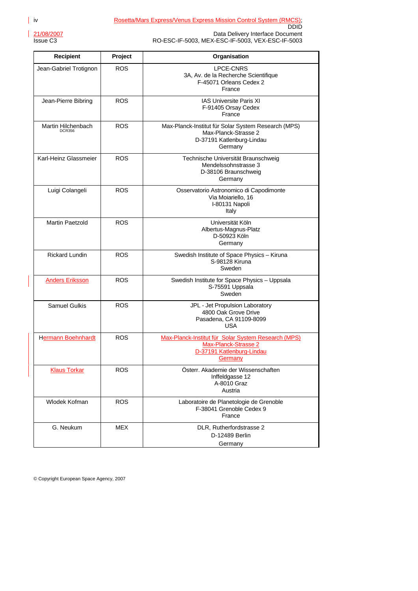| -        |
|----------|
| issue C3 |

#### iv **Rosetta/Mars Express/Venus Express Mission Control System (RMCS);**

DDID

21/08/2007 Data Delivery Interface Document Issue C3 RO-ESC-IF-5003, MEX-ESC-IF-5003, VEX-ESC-IF-5003

| <b>Recipient</b>                    | Project    | Organisation                                                                                                        |
|-------------------------------------|------------|---------------------------------------------------------------------------------------------------------------------|
| Jean-Gabriel Trotignon              | <b>ROS</b> | <b>LPCE-CNRS</b><br>3A, Av. de la Recherche Scientifique<br>F-45071 Orleans Cedex 2<br>France                       |
| Jean-Pierre Bibring                 | <b>ROS</b> | <b>IAS Universite Paris XI</b><br>F-91405 Orsay Cedex<br>France                                                     |
| Martin Hilchenbach<br><b>DCR356</b> | <b>ROS</b> | Max-Planck-Institut für Solar System Research (MPS)<br>Max-Planck-Strasse 2<br>D-37191 Katlenburg-Lindau<br>Germany |
| Karl-Heinz Glassmeier               | <b>ROS</b> | Technische Universität Braunschweig<br>Mendelssohnstrasse 3<br>D-38106 Braunschweig<br>Germany                      |
| Luigi Colangeli                     | <b>ROS</b> | Osservatorio Astronomico di Capodimonte<br>Via Moiariello, 16<br>I-80131 Napoli<br>Italy                            |
| <b>Martin Paetzold</b>              | <b>ROS</b> | Universität Köln<br>Albertus-Magnus-Platz<br>D-50923 Köln<br>Germany                                                |
| <b>Rickard Lundin</b>               | <b>ROS</b> | Swedish Institute of Space Physics - Kiruna<br>S-98128 Kiruna<br>Sweden                                             |
| <b>Anders Eriksson</b>              | <b>ROS</b> | Swedish Institute for Space Physics - Uppsala<br>S-75591 Uppsala<br>Sweden                                          |
| <b>Samuel Gulkis</b>                | ROS        | JPL - Jet Propulsion Laboratory<br>4800 Oak Grove Drive<br>Pasadena, CA 91109-8099<br><b>USA</b>                    |
| <b>Hermann Boehnhardt</b>           | <b>ROS</b> | Max-Planck-Institut für Solar System Research (MPS)<br>Max-Planck-Strasse 2<br>D-37191 Katlenburg-Lindau<br>Germany |
| <b>Klaus Torkar</b>                 | <b>ROS</b> | Österr. Akademie der Wissenschaften<br>Inffeldgasse 12<br>A-8010 Graz<br>Austria                                    |
| Wlodek Kofman                       | <b>ROS</b> | Laboratoire de Planetologie de Grenoble<br>F-38041 Grenoble Cedex 9<br>France                                       |
| G. Neukum                           | <b>MEX</b> | DLR, Rutherfordstrasse 2<br>D-12489 Berlin<br>Germany                                                               |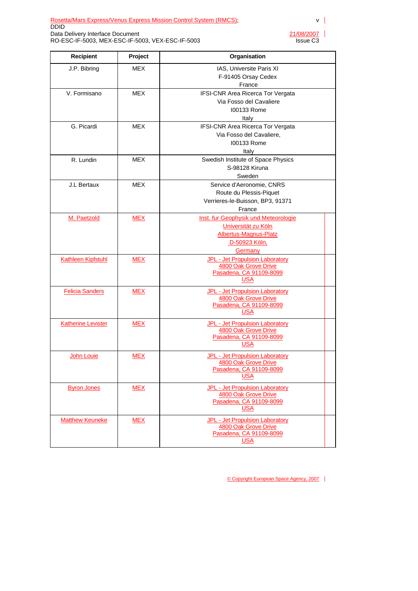Rosetta/Mars Express/Venus Express Mission Control System (RMCS); DDID Data Delivery Interface Document 21/08/2007 RO-ESC-IF-5003, MEX-ESC-IF-5003, VEX-ESC-IF-5003 Issue C3

 $v$ 

| <b>Recipient</b>          | Project    | Organisation                                    |  |
|---------------------------|------------|-------------------------------------------------|--|
| J.P. Bibring              | <b>MEX</b> | IAS, Universite Paris XI                        |  |
|                           |            | F-91405 Orsay Cedex                             |  |
|                           |            | France                                          |  |
| V. Formisano              | MEX        | IFSI-CNR Area Ricerca Tor Vergata               |  |
|                           |            | Via Fosso del Cavaliere                         |  |
|                           |            | 100133 Rome                                     |  |
|                           |            | Italy                                           |  |
| G. Picardi                | <b>MEX</b> | IFSI-CNR Area Ricerca Tor Vergata               |  |
|                           |            | Via Fosso del Cavaliere,                        |  |
|                           |            | 100133 Rome                                     |  |
|                           |            | Italy                                           |  |
| R. Lundin                 | <b>MEX</b> | Swedish Institute of Space Physics              |  |
|                           |            | S-98128 Kiruna                                  |  |
|                           |            | Sweden                                          |  |
| J.L Bertaux               | <b>MEX</b> | Service d'Aeronomie, CNRS                       |  |
|                           |            | Route du Plessis-Piquet                         |  |
|                           |            | Verrieres-le-Buisson, BP3, 91371                |  |
|                           |            | France                                          |  |
| M. Paetzold               | <b>MEX</b> | Inst. fur Geophysik und Meteorologie            |  |
|                           |            | Universität zu Köln                             |  |
|                           |            | Albertus-Magnus-Platz                           |  |
|                           |            | D-50923 Köln,                                   |  |
|                           |            | Germany                                         |  |
| <b>Kathleen Kipfstuhl</b> | <b>MEX</b> | <b>JPL - Jet Propulsion Laboratory</b>          |  |
|                           |            | 4800 Oak Grove Drive                            |  |
|                           |            | Pasadena, CA 91109-8099                         |  |
|                           |            | <b>USA</b>                                      |  |
| <b>Felicia Sanders</b>    | <b>MEX</b> | <b>JPL - Jet Propulsion Laboratory</b>          |  |
|                           |            | <b>4800 Oak Grove Drive</b>                     |  |
|                           |            | Pasadena, CA 91109-8099                         |  |
|                           |            | <b>USA</b>                                      |  |
| <b>Katherine Levister</b> | <b>MEX</b> | <b>JPL - Jet Propulsion Laboratory</b>          |  |
|                           |            | 4800 Oak Grove Drive                            |  |
|                           |            | Pasadena, CA 91109-8099                         |  |
|                           |            | <b>USA</b>                                      |  |
| <b>John Louie</b>         | <b>MEX</b> | <b>JPL - Jet Propulsion Laboratory</b>          |  |
|                           |            | 4800 Oak Grove Drive                            |  |
|                           |            | Pasadena, CA 91109-8099<br><b>USA</b>           |  |
|                           |            |                                                 |  |
| <b>Byron Jones</b>        | <b>MEX</b> | <b>JPL - Jet Propulsion Laboratory</b>          |  |
|                           |            | 4800 Oak Grove Drive                            |  |
|                           |            | Pasadena, CA 91109-8099<br><b>USA</b>           |  |
|                           |            |                                                 |  |
| <b>Matthew Keuneke</b>    | <b>MEX</b> | <b>JPL - Jet Propulsion Laboratory</b>          |  |
|                           |            | 4800 Oak Grove Drive<br>Pasadena, CA 91109-8099 |  |
|                           |            | <b>USA</b>                                      |  |
|                           |            |                                                 |  |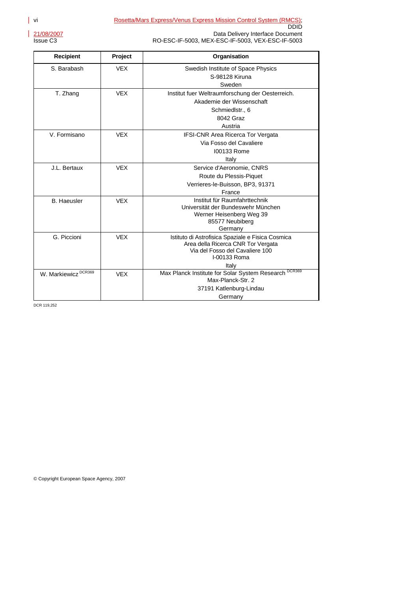| 21/08/2007 |
|------------|
| Issue C3   |

#### vi Rosetta/Mars Express/Venus Express Mission Control System (RMCS);

DDID

21/08/2007 Data Delivery Interface Document Issue C3 RO-ESC-IF-5003, MEX-ESC-IF-5003, VEX-ESC-IF-5003

| <b>Recipient</b>     | Project    | Organisation                                                                            |
|----------------------|------------|-----------------------------------------------------------------------------------------|
| S. Barabash          | <b>VEX</b> | Swedish Institute of Space Physics                                                      |
|                      |            | S-98128 Kiruna                                                                          |
|                      |            | Sweden                                                                                  |
| T. Zhang             | <b>VEX</b> | Institut fuer Weltraumforschung der Oesterreich.                                        |
|                      |            | Akademie der Wissenschaft                                                               |
|                      |            | Schmiedlstr., 6                                                                         |
|                      |            | 8042 Graz                                                                               |
|                      |            | Austria                                                                                 |
| V. Formisano         | <b>VEX</b> | <b>IFSI-CNR Area Ricerca Tor Vergata</b>                                                |
|                      |            | Via Fosso del Cavaliere                                                                 |
|                      |            | 100133 Rome                                                                             |
|                      |            | Italy                                                                                   |
| J.L. Bertaux         | <b>VEX</b> | Service d'Aeronomie, CNRS                                                               |
|                      |            | Route du Plessis-Piquet                                                                 |
|                      |            | Verrieres-le-Buisson, BP3, 91371                                                        |
|                      |            | France                                                                                  |
| <b>B.</b> Haeusler   | <b>VEX</b> | Institut für Raumfahrttechnik                                                           |
|                      |            | Universität der Bundeswehr München                                                      |
|                      |            | Werner Heisenberg Weg 39                                                                |
|                      |            | 85577 Neubiberg                                                                         |
|                      |            | Germany                                                                                 |
| G. Piccioni          | <b>VEX</b> | Istituto di Astrofisica Spaziale e Fisica Cosmica<br>Area della Ricerca CNR Tor Vergata |
|                      |            | Via del Fosso del Cavaliere 100                                                         |
|                      |            | I-00133 Roma                                                                            |
|                      |            | Italy                                                                                   |
| W. Markiewicz DCR369 | <b>VEX</b> | <b>DCR369</b><br>Max Planck Institute for Solar System Research                         |
|                      |            | Max-Planck-Str. 2                                                                       |
|                      |            | 37191 Katlenburg-Lindau                                                                 |
|                      |            | Germany                                                                                 |

DCR 119,252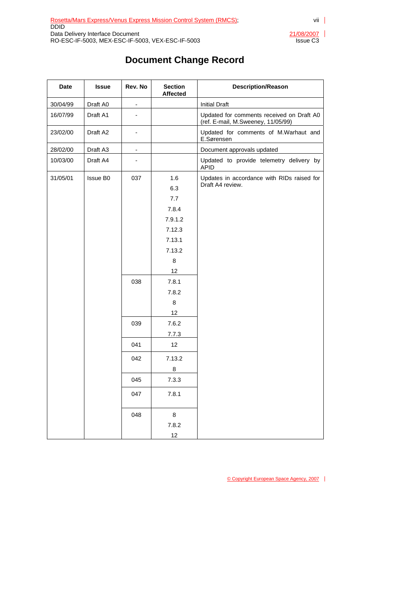# **Document Change Record**

| Date     | <b>Issue</b> | Rev. No                  | <b>Section</b><br>Affected                                                     | <b>Description/Reason</b>                                                       |
|----------|--------------|--------------------------|--------------------------------------------------------------------------------|---------------------------------------------------------------------------------|
| 30/04/99 | Draft A0     | $\overline{a}$           |                                                                                | <b>Initial Draft</b>                                                            |
| 16/07/99 | Draft A1     |                          |                                                                                | Updated for comments received on Draft A0<br>(ref. E-mail, M.Sweeney, 11/05/99) |
| 23/02/00 | Draft A2     | $\overline{\phantom{a}}$ |                                                                                | Updated for comments of M.Warhaut and<br>E.Sørensen                             |
| 28/02/00 | Draft A3     | $\overline{\phantom{a}}$ |                                                                                | Document approvals updated                                                      |
| 10/03/00 | Draft A4     | $\overline{\phantom{0}}$ |                                                                                | Updated to provide telemetry delivery by<br>APID                                |
| 31/05/01 | Issue B0     | 037                      | 1.6<br>6.3<br>7.7<br>7.8.4<br>7.9.1.2<br>7.12.3<br>7.13.1<br>7.13.2<br>8<br>12 | Updates in accordance with RIDs raised for<br>Draft A4 review.                  |
|          |              | 038                      | 7.8.1<br>7.8.2<br>8<br>12                                                      |                                                                                 |
|          |              | 039                      | 7.6.2<br>7.7.3                                                                 |                                                                                 |
|          |              | 041                      | 12                                                                             |                                                                                 |
|          |              | 042                      | 7.13.2<br>8                                                                    |                                                                                 |
|          |              | 045                      | 7.3.3                                                                          |                                                                                 |
|          |              | 047                      | 7.8.1                                                                          |                                                                                 |
|          |              | 048                      | 8<br>7.8.2<br>12                                                               |                                                                                 |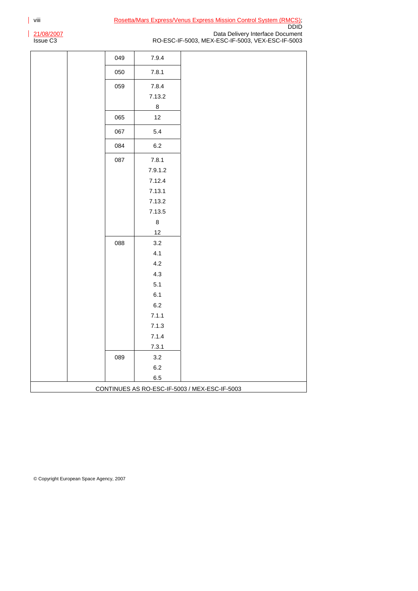#### viii Rosetta/Mars Express/Venus Express Mission Control System (RMCS); DDID 21/08/2007 Data Delivery Interface Document Issue C3 RO-ESC-IF-5003, MEX-ESC-IF-5003, VEX-ESC-IF-5003

| 7.9.4<br>049<br>7.8.1<br>050<br>059<br>7.8.4<br>7.13.2<br>$\overline{8}$<br>12<br>065<br>5.4<br>067<br>$6.2\,$<br>084<br>087<br>7.8.1<br>7.9.1.2<br>7.12.4<br>7.13.1<br>7.13.2<br>7.13.5<br>$\bf 8$<br>$12\,$<br>088<br>3.2<br>4.1<br>4.2<br>$4.3\,$<br>5.1<br>6.1<br>$6.2\,$<br>7.1.1<br>7.1.3<br>7.1.4<br>7.3.1<br>089<br>$3.2\,$<br>$6.2\,$<br>6.5 |  |  |  |
|-------------------------------------------------------------------------------------------------------------------------------------------------------------------------------------------------------------------------------------------------------------------------------------------------------------------------------------------------------|--|--|--|
|                                                                                                                                                                                                                                                                                                                                                       |  |  |  |
|                                                                                                                                                                                                                                                                                                                                                       |  |  |  |
|                                                                                                                                                                                                                                                                                                                                                       |  |  |  |
|                                                                                                                                                                                                                                                                                                                                                       |  |  |  |
|                                                                                                                                                                                                                                                                                                                                                       |  |  |  |
|                                                                                                                                                                                                                                                                                                                                                       |  |  |  |
|                                                                                                                                                                                                                                                                                                                                                       |  |  |  |
|                                                                                                                                                                                                                                                                                                                                                       |  |  |  |
|                                                                                                                                                                                                                                                                                                                                                       |  |  |  |
|                                                                                                                                                                                                                                                                                                                                                       |  |  |  |
|                                                                                                                                                                                                                                                                                                                                                       |  |  |  |
|                                                                                                                                                                                                                                                                                                                                                       |  |  |  |
|                                                                                                                                                                                                                                                                                                                                                       |  |  |  |
|                                                                                                                                                                                                                                                                                                                                                       |  |  |  |
|                                                                                                                                                                                                                                                                                                                                                       |  |  |  |
|                                                                                                                                                                                                                                                                                                                                                       |  |  |  |
|                                                                                                                                                                                                                                                                                                                                                       |  |  |  |
|                                                                                                                                                                                                                                                                                                                                                       |  |  |  |
|                                                                                                                                                                                                                                                                                                                                                       |  |  |  |
|                                                                                                                                                                                                                                                                                                                                                       |  |  |  |
|                                                                                                                                                                                                                                                                                                                                                       |  |  |  |
|                                                                                                                                                                                                                                                                                                                                                       |  |  |  |
|                                                                                                                                                                                                                                                                                                                                                       |  |  |  |
|                                                                                                                                                                                                                                                                                                                                                       |  |  |  |
|                                                                                                                                                                                                                                                                                                                                                       |  |  |  |
|                                                                                                                                                                                                                                                                                                                                                       |  |  |  |
|                                                                                                                                                                                                                                                                                                                                                       |  |  |  |
|                                                                                                                                                                                                                                                                                                                                                       |  |  |  |
|                                                                                                                                                                                                                                                                                                                                                       |  |  |  |
|                                                                                                                                                                                                                                                                                                                                                       |  |  |  |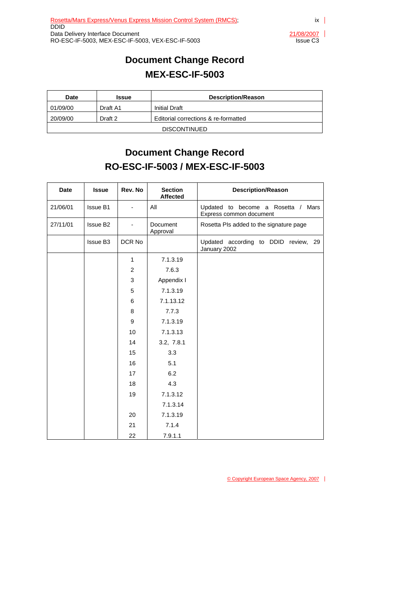# **Document Change Record MEX-ESC-IF-5003**

| Date                | <b>Issue</b> | <b>Description/Reason</b>            |  |  |
|---------------------|--------------|--------------------------------------|--|--|
| 01/09/00            | Draft A1     | <b>Initial Draft</b>                 |  |  |
| 20/09/00            | Draft 2      | Editorial corrections & re-formatted |  |  |
| <b>DISCONTINUED</b> |              |                                      |  |  |

# **Document Change Record RO-ESC-IF-5003 / MEX-ESC-IF-5003**

| <b>Date</b> | <b>Issue</b>    | Rev. No                  | <b>Section</b><br><b>Affected</b> | <b>Description/Reason</b>                                     |
|-------------|-----------------|--------------------------|-----------------------------------|---------------------------------------------------------------|
| 21/06/01    | <b>Issue B1</b> | $\overline{\phantom{a}}$ | All                               | Updated to become a Rosetta / Mars<br>Express common document |
| 27/11/01    | Issue B2        |                          | Document<br>Approval              | Rosetta PIs added to the signature page                       |
|             | Issue B3        | DCR No                   |                                   | Updated according to DDID review, 29<br>January 2002          |
|             |                 | $\mathbf{1}$             | 7.1.3.19                          |                                                               |
|             |                 | $\overline{2}$           | 7.6.3                             |                                                               |
|             |                 | 3                        | Appendix I                        |                                                               |
|             |                 | 5                        | 7.1.3.19                          |                                                               |
|             |                 | 6                        | 7.1.13.12                         |                                                               |
|             |                 | 8                        | 7.7.3                             |                                                               |
|             |                 | $\boldsymbol{9}$         | 7.1.3.19                          |                                                               |
|             |                 | 10                       | 7.1.3.13                          |                                                               |
|             |                 | 14                       | 3.2, 7.8.1                        |                                                               |
|             |                 | 15                       | 3.3                               |                                                               |
|             |                 | 16                       | 5.1                               |                                                               |
|             |                 | 17                       | 6.2                               |                                                               |
|             |                 | 18                       | 4.3                               |                                                               |
|             |                 | 19                       | 7.1.3.12                          |                                                               |
|             |                 |                          | 7.1.3.14                          |                                                               |
|             |                 | 20                       | 7.1.3.19                          |                                                               |
|             |                 | 21                       | 7.1.4                             |                                                               |
|             |                 | 22                       | 7.9.1.1                           |                                                               |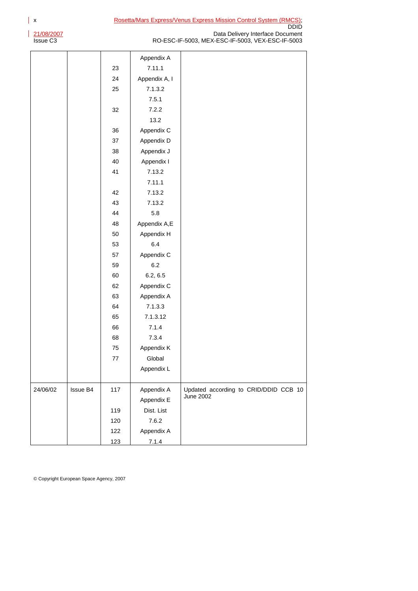#### x Rosetta/Mars Express/Venus Express Mission Control System (RMCS); DDID 21/08/2007 Data Delivery Interface Document Issue C3 RO-ESC-IF-5003, MEX-ESC-IF-5003, VEX-ESC-IF-5003

|          |          |        | Appendix A    |                                       |
|----------|----------|--------|---------------|---------------------------------------|
|          |          | 23     | 7.11.1        |                                       |
|          |          | 24     | Appendix A, I |                                       |
|          |          | 25     | 7.1.3.2       |                                       |
|          |          |        | 7.5.1         |                                       |
|          |          | 32     | 7.2.2         |                                       |
|          |          |        | 13.2          |                                       |
|          |          | 36     | Appendix C    |                                       |
|          |          | 37     | Appendix D    |                                       |
|          |          | 38     | Appendix J    |                                       |
|          |          | 40     | Appendix I    |                                       |
|          |          | 41     | 7.13.2        |                                       |
|          |          |        | 7.11.1        |                                       |
|          |          | 42     | 7.13.2        |                                       |
|          |          | 43     | 7.13.2        |                                       |
|          |          | 44     | 5.8           |                                       |
|          |          | 48     | Appendix A,E  |                                       |
|          |          | 50     | Appendix H    |                                       |
|          |          | 53     | $6.4\,$       |                                       |
|          |          | 57     | Appendix C    |                                       |
|          |          | 59     | $6.2\,$       |                                       |
|          |          | 60     | 6.2, 6.5      |                                       |
|          |          | 62     | Appendix C    |                                       |
|          |          | 63     | Appendix A    |                                       |
|          |          | 64     | 7.1.3.3       |                                       |
|          |          | 65     | 7.1.3.12      |                                       |
|          |          | 66     | 7.1.4         |                                       |
|          |          | 68     | 7.3.4         |                                       |
|          |          | 75     | Appendix K    |                                       |
|          |          | $77\,$ | Global        |                                       |
|          |          |        | Appendix L    |                                       |
|          |          |        |               |                                       |
| 24/06/02 | Issue B4 | 117    | Appendix A    | Updated according to CRID/DDID CCB 10 |
|          |          |        | Appendix E    | <b>June 2002</b>                      |
|          |          | 119    | Dist. List    |                                       |
|          |          | 120    | 7.6.2         |                                       |
|          |          | 122    | Appendix A    |                                       |
|          |          | 123    | 7.1.4         |                                       |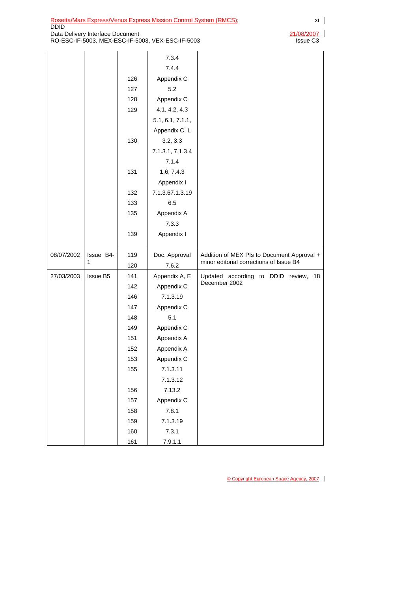RO-ESC-IF-5003, MEX-ESC-IF-5003, VEX-ESC-IF-5003 Issue C3

 $\mathbf{r}$ 

xi

 $\overline{\phantom{0}}$ 

|            |           |     | 7.3.4            |                                            |
|------------|-----------|-----|------------------|--------------------------------------------|
|            |           |     | 7.4.4            |                                            |
|            |           | 126 | Appendix C       |                                            |
|            |           | 127 | 5.2              |                                            |
|            |           | 128 | Appendix C       |                                            |
|            |           | 129 | 4.1, 4.2, 4.3    |                                            |
|            |           |     | 5.1, 6.1, 7.1.1, |                                            |
|            |           |     | Appendix C, L    |                                            |
|            |           | 130 | 3.2, 3.3         |                                            |
|            |           |     | 7.1.3.1, 7.1.3.4 |                                            |
|            |           |     | 7.1.4            |                                            |
|            |           | 131 | 1.6, 7.4.3       |                                            |
|            |           |     | Appendix I       |                                            |
|            |           | 132 | 7.1.3.67.1.3.19  |                                            |
|            |           | 133 | 6.5              |                                            |
|            |           | 135 | Appendix A       |                                            |
|            |           |     | 7.3.3            |                                            |
|            |           | 139 | Appendix I       |                                            |
|            |           |     |                  |                                            |
| 08/07/2002 | Issue B4- | 119 | Doc. Approval    | Addition of MEX PIs to Document Approval + |
|            | 1         | 120 | 7.6.2            | minor editorial corrections of Issue B4    |
| 27/03/2003 | Issue B5  | 141 | Appendix A, E    | Updated according to DDID review,<br>18    |
|            |           | 142 | Appendix C       | December 2002                              |
|            |           | 146 | 7.1.3.19         |                                            |
|            |           | 147 | Appendix C       |                                            |
|            |           | 148 | 5.1              |                                            |
|            |           | 149 | Appendix C       |                                            |
|            |           | 151 | Appendix A       |                                            |
|            |           | 152 | Appendix A       |                                            |
|            |           | 153 | Appendix C       |                                            |
|            |           | 155 | 7.1.3.11         |                                            |
|            |           |     | 7.1.3.12         |                                            |
|            |           | 156 | 7.13.2           |                                            |
|            |           | 157 | Appendix C       |                                            |
|            |           | 158 | 7.8.1            |                                            |
|            |           | 159 | 7.1.3.19         |                                            |
|            |           | 160 | 7.3.1            |                                            |
|            |           | 161 | 7.9.1.1          |                                            |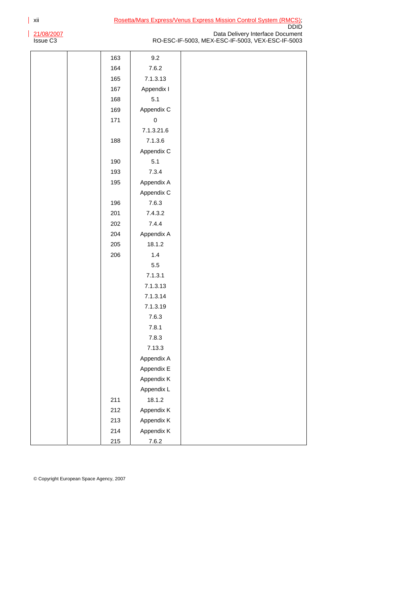$\begin{array}{c} \hline \end{array}$ 

#### xii Rosetta/Mars Express/Venus Express Mission Control System (RMCS); DDID 21/08/2007 Data Delivery Interface Document Issue C3 RO-ESC-IF-5003, MEX-ESC-IF-5003, VEX-ESC-IF-5003

|  | 163 | 9.2        |
|--|-----|------------|
|  | 164 | 7.6.2      |
|  | 165 | 7.1.3.13   |
|  | 167 | Appendix I |
|  | 168 | 5.1        |
|  | 169 | Appendix C |
|  | 171 | $\pmb{0}$  |
|  |     | 7.1.3.21.6 |
|  | 188 | 7.1.3.6    |
|  |     | Appendix C |
|  | 190 | 5.1        |
|  | 193 | 7.3.4      |
|  | 195 | Appendix A |
|  |     | Appendix C |
|  | 196 | 7.6.3      |
|  | 201 | 7.4.3.2    |
|  | 202 | 7.4.4      |
|  | 204 | Appendix A |
|  | 205 | 18.1.2     |
|  | 206 | 1.4        |
|  |     | $5.5\,$    |
|  |     | 7.1.3.1    |
|  |     | 7.1.3.13   |
|  |     | 7.1.3.14   |
|  |     | 7.1.3.19   |
|  |     | 7.6.3      |
|  |     | 7.8.1      |
|  |     | 7.8.3      |
|  |     | 7.13.3     |
|  |     | Appendix A |
|  |     | Appendix E |
|  |     | Appendix K |
|  |     | Appendix L |
|  | 211 | 18.1.2     |
|  | 212 | Appendix K |
|  | 213 | Appendix K |
|  | 214 | Appendix K |
|  | 215 | 7.6.2      |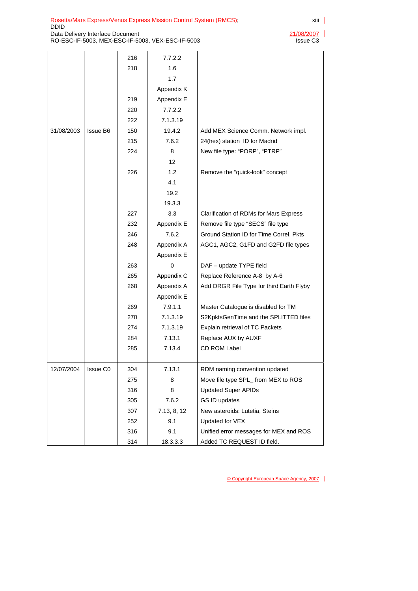RO-ESC-IF-5003, MEX-ESC-IF-5003, VEX-ESC-IF-5003 Issue C3

 $\mathbf{r}$ 

xiii

 $\overline{\phantom{0}}$ 

|            |          | 216 | 7.7.2.2         |                                          |
|------------|----------|-----|-----------------|------------------------------------------|
|            |          | 218 | 1.6             |                                          |
|            |          |     | 1.7             |                                          |
|            |          |     | Appendix K      |                                          |
|            |          | 219 | Appendix E      |                                          |
|            |          | 220 | 7.7.2.2         |                                          |
|            |          | 222 | 7.1.3.19        |                                          |
| 31/08/2003 | Issue B6 | 150 | 19.4.2          | Add MEX Science Comm. Network impl.      |
|            |          | 215 | 7.6.2           | 24(hex) station_ID for Madrid            |
|            |          | 224 | 8               | New file type: "PORP", "PTRP"            |
|            |          |     | 12 <sup>2</sup> |                                          |
|            |          | 226 | 1.2             | Remove the "quick-look" concept          |
|            |          |     | 4.1             |                                          |
|            |          |     | 19.2            |                                          |
|            |          |     | 19.3.3          |                                          |
|            |          | 227 | 3.3             | Clarification of RDMs for Mars Express   |
|            |          | 232 | Appendix E      | Remove file type "SECS" file type        |
|            |          | 246 | 7.6.2           | Ground Station ID for Time Correl. Pkts  |
|            |          | 248 | Appendix A      | AGC1, AGC2, G1FD and G2FD file types     |
|            |          |     | Appendix E      |                                          |
|            |          | 263 | 0               | DAF - update TYPE field                  |
|            |          | 265 | Appendix C      | Replace Reference A-8 by A-6             |
|            |          | 268 | Appendix A      | Add ORGR File Type for third Earth Flyby |
|            |          |     | Appendix E      |                                          |
|            |          | 269 | 7.9.1.1         | Master Catalogue is disabled for TM      |
|            |          | 270 | 7.1.3.19        | S2KpktsGenTime and the SPLITTED files    |
|            |          | 274 | 7.1.3.19        | Explain retrieval of TC Packets          |
|            |          | 284 | 7.13.1          | Replace AUX by AUXF                      |
|            |          | 285 | 7.13.4          | CD ROM Label                             |
|            |          |     |                 |                                          |
| 12/07/2004 | Issue C0 | 304 | 7.13.1          | RDM naming convention updated            |
|            |          | 275 | 8               | Move file type SPL_ from MEX to ROS      |
|            |          | 316 | 8               | <b>Updated Super APIDs</b>               |
|            |          | 305 | 7.6.2           | GS ID updates                            |
|            |          | 307 | 7.13, 8, 12     | New asteroids: Lutetia, Steins           |
|            |          | 252 | 9.1             | Updated for VEX                          |
|            |          | 316 | 9.1             | Unified error messages for MEX and ROS   |
|            |          | 314 | 18.3.3.3        | Added TC REQUEST ID field.               |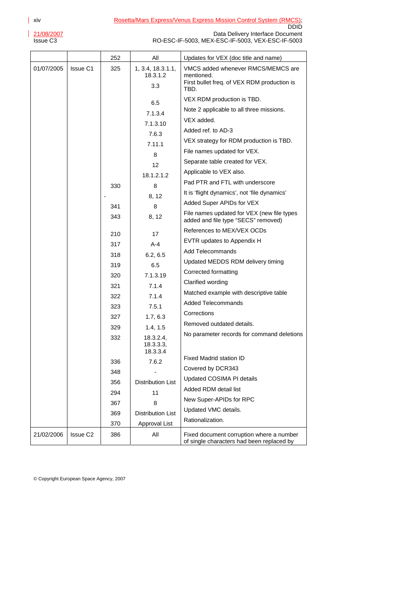1

| フォル以クバ         |
|----------------|
| Issue<br>. . 3 |

xiv Rosetta/Mars Express/Venus Express Mission Control System (RMCS);

DDID

21/08/2007 Data Delivery Interface Document Issue C3 RO-ESC-IF-5003, MEX-ESC-IF-5003, VEX-ESC-IF-5003

|            |                 | 252 | All                                   | Updates for VEX (doc title and name)                                                                    |  |  |  |  |
|------------|-----------------|-----|---------------------------------------|---------------------------------------------------------------------------------------------------------|--|--|--|--|
| 01/07/2005 | <b>Issue C1</b> | 325 | 1, 3.4, 18.3.1.1,<br>18.3.1.2<br>3.3  | VMCS added whenever RMCS/MEMCS are<br>mentioned.<br>First bullet freq. of VEX RDM production is<br>TBD. |  |  |  |  |
|            |                 |     | 6.5                                   | VEX RDM production is TBD.                                                                              |  |  |  |  |
|            |                 |     | 7.1.3.4                               | Note 2 applicable to all three missions.                                                                |  |  |  |  |
|            |                 |     | 7.1.3.10                              | VEX added.                                                                                              |  |  |  |  |
|            |                 |     | 7.6.3                                 | Added ref. to AD-3                                                                                      |  |  |  |  |
|            |                 |     | 7.11.1                                | VEX strategy for RDM production is TBD.                                                                 |  |  |  |  |
|            |                 |     | 8                                     | File names updated for VEX.                                                                             |  |  |  |  |
|            |                 |     | 12                                    | Separate table created for VEX.                                                                         |  |  |  |  |
|            |                 |     | 18.1.2.1.2                            | Applicable to VEX also.                                                                                 |  |  |  |  |
|            |                 | 330 | 8                                     | Pad PTR and FTL with underscore                                                                         |  |  |  |  |
|            |                 |     | 8, 12                                 | It is 'flight dynamics', not 'file dynamics'                                                            |  |  |  |  |
|            |                 | 341 | 8                                     | Added Super APIDs for VEX                                                                               |  |  |  |  |
|            |                 | 343 | 8, 12                                 | File names updated for VEX (new file types<br>added and file type "SECS" removed)                       |  |  |  |  |
|            |                 | 210 | 17                                    | References to MEX/VEX OCDs                                                                              |  |  |  |  |
|            |                 | 317 | $A - 4$                               | EVTR updates to Appendix H                                                                              |  |  |  |  |
|            |                 | 318 | 6.2, 6.5                              | Add Telecommands                                                                                        |  |  |  |  |
|            |                 | 319 | 6.5                                   | Updated MEDDS RDM delivery timing                                                                       |  |  |  |  |
|            |                 | 320 | 7.1.3.19                              | Corrected formatting                                                                                    |  |  |  |  |
|            |                 | 321 | 7.1.4                                 | Clarified wording                                                                                       |  |  |  |  |
|            |                 | 322 | 7.1.4                                 | Matched example with descriptive table                                                                  |  |  |  |  |
|            |                 | 323 | 7.5.1                                 | Added Telecommands                                                                                      |  |  |  |  |
|            |                 | 327 | 1.7, 6.3                              | Corrections                                                                                             |  |  |  |  |
|            |                 | 329 | 1.4, 1.5                              | Removed outdated details.                                                                               |  |  |  |  |
|            |                 | 332 | $18.3.2.4$ ,<br>18.3.3.3,<br>18.3.3.4 | No parameter records for command deletions                                                              |  |  |  |  |
|            |                 | 336 | 7.6.2                                 | <b>Fixed Madrid station ID</b>                                                                          |  |  |  |  |
|            |                 | 348 |                                       | Covered by DCR343                                                                                       |  |  |  |  |
|            |                 | 356 | <b>Distribution List</b>              | Updated COSIMA PI details                                                                               |  |  |  |  |
|            |                 | 294 | 11                                    | Added RDM detail list                                                                                   |  |  |  |  |
|            |                 | 367 | 8                                     | New Super-APIDs for RPC                                                                                 |  |  |  |  |
|            |                 | 369 | <b>Distribution List</b>              | Updated VMC details.                                                                                    |  |  |  |  |
|            |                 | 370 | Approval List                         | Rationalization.                                                                                        |  |  |  |  |
| 21/02/2006 | <b>Issue C2</b> | 386 | All                                   | Fixed document corruption where a number<br>of single characters had been replaced by                   |  |  |  |  |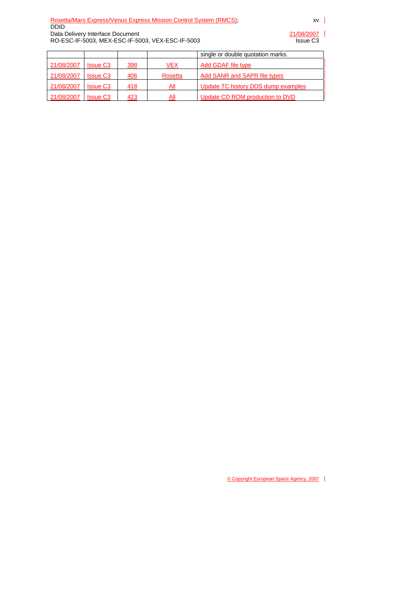Rosetta/Mars Express/Venus Express Mission Control System (RMCS); **DDID** Data Delivery Interface Document 21/08/2007 RO-ESC-IF-5003, MEX-ESC-IF-5003, VEX-ESC-IF-5003 Issue C3

|            |                 |     |         | single or double quotation marks.   |  |  |  |  |
|------------|-----------------|-----|---------|-------------------------------------|--|--|--|--|
| 21/08/2007 | <b>Issue C3</b> | 398 | VEX     | Add GDAF file type                  |  |  |  |  |
| 21/08/2007 | <b>Issue C3</b> | 406 | Rosetta | Add SANR and SAPR file types        |  |  |  |  |
| 21/08/2007 | <b>Issue C3</b> | 418 | ΑIΙ     | Update TC history DDS dump examples |  |  |  |  |
| 21/08/2007 | <b>Issue C3</b> | 423 | Αll     | Update CD ROM production to DVD     |  |  |  |  |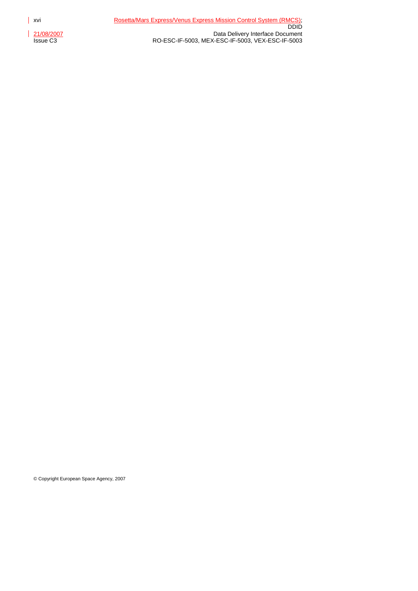

| xvi Rosetta/Mars Express/Venus Express Mission Control System (RMCS); DDID 21/08/2007 Data Delivery Interface Document Issue C3 RO-ESC-IF-5003, MEX-ESC-IF-5003, VEX-ESC-IF-5003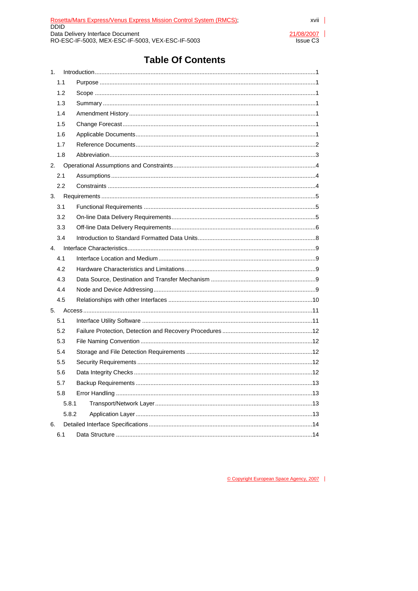xvii |

 $\begin{array}{r} 21/08/2007 \\ \text{issue C3} \end{array}$ 

# **Table Of Contents**

| 1.  |       |  |
|-----|-------|--|
| 1.1 |       |  |
| 1.2 |       |  |
| 1.3 |       |  |
| 1.4 |       |  |
| 1.5 |       |  |
| 1.6 |       |  |
| 1.7 |       |  |
| 1.8 |       |  |
| 2.  |       |  |
| 2.1 |       |  |
| 2.2 |       |  |
| 3.  |       |  |
| 3.1 |       |  |
| 3.2 |       |  |
| 3.3 |       |  |
| 3.4 |       |  |
| 4.  |       |  |
| 4.1 |       |  |
| 4.2 |       |  |
| 4.3 |       |  |
| 4.4 |       |  |
| 4.5 |       |  |
| 5.  |       |  |
| 5.1 |       |  |
| 5.2 |       |  |
| 5.3 |       |  |
| 5.4 |       |  |
| 5.5 |       |  |
| 5.6 |       |  |
| 5.7 |       |  |
| 5.8 |       |  |
|     | 5.8.1 |  |
|     | 5.8.2 |  |
| 6.  |       |  |
| 6.1 |       |  |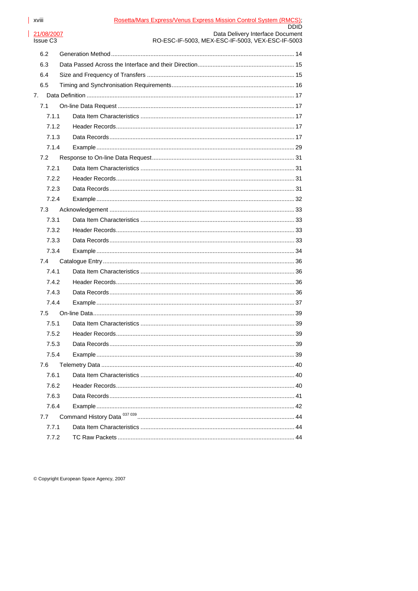| xviii                         | Rosetta/Mars Express/Venus Express Mission Control System (RMCS)                     |             |
|-------------------------------|--------------------------------------------------------------------------------------|-------------|
| 21/08/2007<br><b>Issue C3</b> | Data Delivery Interface Document<br>RO-ESC-IF-5003, MEX-ESC-IF-5003, VEX-ESC-IF-5003 | <b>DDID</b> |
| 6.2                           |                                                                                      |             |
| 6.3                           |                                                                                      |             |
| 6.4                           |                                                                                      |             |
| 6.5                           |                                                                                      |             |
| 7.                            |                                                                                      |             |
| 7.1                           |                                                                                      |             |
| 7.1.1                         |                                                                                      |             |
| 7.1.2                         |                                                                                      |             |
| 7.1.3                         |                                                                                      |             |
| 7.1.4                         |                                                                                      |             |
| 7.2                           |                                                                                      |             |
| 7.2.1                         |                                                                                      |             |
| 7.2.2                         |                                                                                      |             |
| 7.2.3                         |                                                                                      |             |
| 7.2.4                         |                                                                                      |             |
| 7.3                           |                                                                                      |             |
| 7.3.1                         |                                                                                      |             |
| 7.3.2                         |                                                                                      |             |
| 7.3.3                         |                                                                                      |             |
| 7.3.4                         |                                                                                      |             |
| 7.4                           |                                                                                      |             |
| 7.4.1                         |                                                                                      |             |
| 7.4.2                         |                                                                                      |             |
| 7.4.3                         |                                                                                      |             |
| 7.4.4                         |                                                                                      |             |
| 7.5                           |                                                                                      |             |
| 7.5.1                         |                                                                                      |             |
| 7.5.2                         |                                                                                      |             |
| 7.5.3                         |                                                                                      |             |
| 7.5.4                         |                                                                                      |             |
| 7.6                           |                                                                                      |             |
| 7.6.1                         |                                                                                      |             |
| 7.6.2                         |                                                                                      |             |
| 7.6.3                         |                                                                                      |             |
| 7.6.4                         |                                                                                      |             |
| 7.7                           |                                                                                      |             |
| 7.7.1                         |                                                                                      |             |
| 7.7.2                         |                                                                                      |             |

 $\overline{\phantom{a}}$  $\begin{array}{c} \hline \end{array}$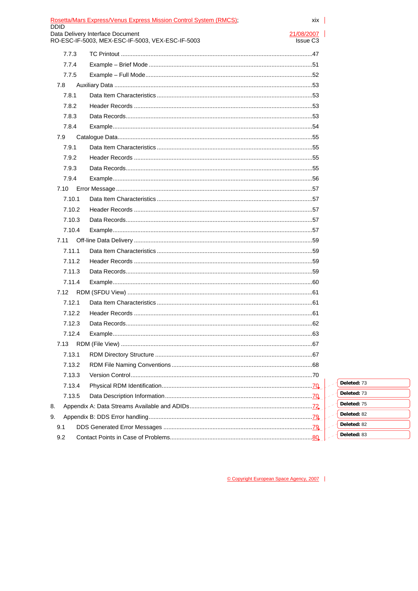| <b>DDID</b> | Rosetta/Mars Express/Venus Express Mission Control System (RMCS);<br>Data Delivery Interface Document |                 |             |
|-------------|-------------------------------------------------------------------------------------------------------|-----------------|-------------|
|             | RO-ESC-IF-5003, MEX-ESC-IF-5003, VEX-ESC-IF-5003                                                      | <b>Issue C3</b> |             |
| 7.7.3       |                                                                                                       |                 |             |
| 7.7.4       |                                                                                                       |                 |             |
| 7.7.5       |                                                                                                       |                 |             |
| 7.8         |                                                                                                       |                 |             |
| 7.8.1       |                                                                                                       |                 |             |
| 7.8.2       |                                                                                                       |                 |             |
| 7.8.3       |                                                                                                       |                 |             |
| 7.8.4       |                                                                                                       |                 |             |
| 7.9         |                                                                                                       |                 |             |
| 7.9.1       |                                                                                                       |                 |             |
| 7.9.2       |                                                                                                       |                 |             |
| 7.9.3       |                                                                                                       |                 |             |
| 7.9.4       |                                                                                                       |                 |             |
| 7.10        |                                                                                                       |                 |             |
| 7.10.1      |                                                                                                       |                 |             |
| 7.10.2      |                                                                                                       |                 |             |
| 7.10.3      |                                                                                                       |                 |             |
| 7.10.4      |                                                                                                       |                 |             |
| 7.11        |                                                                                                       |                 |             |
| 7.11.1      |                                                                                                       |                 |             |
| 7.11.2      |                                                                                                       |                 |             |
| 7.11.3      |                                                                                                       |                 |             |
| 7.11.4      |                                                                                                       |                 |             |
| 7.12        |                                                                                                       |                 |             |
| 7.12.1      |                                                                                                       |                 |             |
| 7.12.2      |                                                                                                       |                 |             |
| 7.12.3      |                                                                                                       |                 |             |
| 7.12.4      |                                                                                                       |                 |             |
| 7.13        |                                                                                                       |                 |             |
| 7.13.1      |                                                                                                       |                 |             |
| 7.13.2      |                                                                                                       |                 |             |
| 7.13.3      |                                                                                                       |                 |             |
| 7.13.4      |                                                                                                       |                 | Deleted: 73 |
| 7.13.5      |                                                                                                       |                 | Deleted: 73 |
| 8.          |                                                                                                       |                 | Deleted: 75 |
| 9.          |                                                                                                       |                 | Deleted: 82 |
| 9.1         |                                                                                                       |                 | Deleted: 82 |
| 9.2         |                                                                                                       |                 | Deleted: 83 |

© Copyright European Space Agency, 2007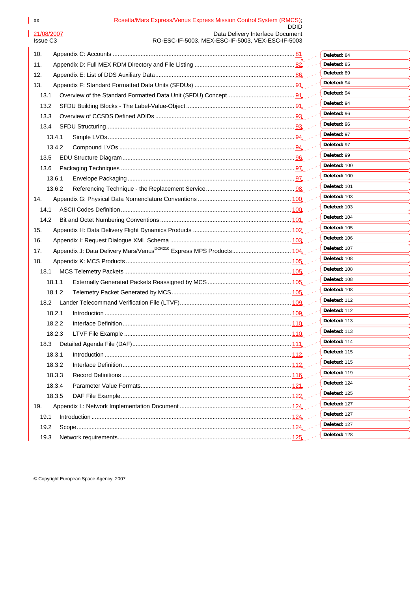| XX                            |        | Rosetta/Mars Express/Venus Express Mission Control System (RMCS);                    |      |              |
|-------------------------------|--------|--------------------------------------------------------------------------------------|------|--------------|
| 21/08/2007<br><b>Issue C3</b> |        | Data Delivery Interface Document<br>RO-ESC-IF-5003, MEX-ESC-IF-5003, VEX-ESC-IF-5003 | DDID |              |
| 10.                           |        |                                                                                      |      | Deleted: 84  |
| 11.                           |        |                                                                                      |      | Deleted: 85  |
| 12.                           |        |                                                                                      |      | Deleted: 89  |
| 13.                           |        |                                                                                      |      | Deleted: 94  |
| 13.1                          |        |                                                                                      |      | Deleted: 94  |
| 13.2                          |        |                                                                                      |      | Deleted: 94  |
| 13.3                          |        |                                                                                      |      | Deleted: 96  |
| 13.4                          |        |                                                                                      |      | Deleted: 96  |
|                               | 13.4.1 |                                                                                      |      | Deleted: 97  |
|                               | 13.4.2 |                                                                                      |      | Deleted: 97  |
| 13.5                          |        |                                                                                      |      | Deleted: 99  |
| 13.6                          |        |                                                                                      |      | Deleted: 100 |
|                               | 13.6.1 |                                                                                      |      | Deleted: 100 |
|                               | 13.6.2 |                                                                                      |      | Deleted: 101 |
| 14.                           |        |                                                                                      |      | Deleted: 103 |
| 14.1                          |        |                                                                                      |      | Deleted: 103 |
| 14.2                          |        |                                                                                      |      | Deleted: 104 |
| 15.                           |        |                                                                                      |      | Deleted: 105 |
| 16.                           |        |                                                                                      |      | Deleted: 106 |
| 17.                           |        | Appendix J: Data Delivery Mars/Venus <sup>DCR210</sup> Express MPS Products 104      |      | Deleted: 107 |
| 18.                           |        |                                                                                      |      | Deleted: 108 |
| 18.1                          |        |                                                                                      |      | Deleted: 108 |
|                               | 18.1.1 |                                                                                      |      | Deleted: 108 |
|                               | 18.1.2 |                                                                                      |      | Deleted: 108 |
| 18.2                          |        |                                                                                      |      | Deleted: 112 |
|                               | 18.2.1 |                                                                                      |      | Deleted: 112 |
|                               | 18.2.2 |                                                                                      |      | Deleted: 113 |
|                               | 18.2.3 |                                                                                      |      | Deleted: 113 |
| 18.3                          |        |                                                                                      |      | Deleted: 114 |
|                               | 18.3.1 | Introduction 112                                                                     |      | Deleted: 115 |
|                               | 18.3.2 |                                                                                      |      | Deleted: 115 |
|                               | 18.3.3 |                                                                                      |      | Deleted: 119 |
|                               | 18.3.4 |                                                                                      |      | Deleted: 124 |
|                               | 18.3.5 |                                                                                      |      | Deleted: 125 |
| 19.                           |        |                                                                                      |      | Deleted: 127 |
| 19.1                          |        |                                                                                      |      | Deleted: 127 |
| 19.2                          |        |                                                                                      |      | Deleted: 127 |

19.3 Network requirements.......................................................................................................... 125 **Deleted:** 128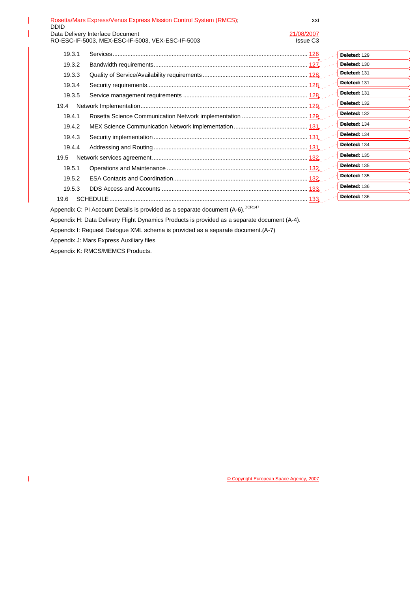| <b>DDID</b> | Rosetta/Mars Express/Venus Express Mission Control System (RMCS);                                          | xxi                                |              |
|-------------|------------------------------------------------------------------------------------------------------------|------------------------------------|--------------|
|             | Data Delivery Interface Document<br>RO-ESC-IF-5003, MEX-ESC-IF-5003, VEX-ESC-IF-5003                       | 21/08/2007<br>Issue C <sub>3</sub> |              |
| 19.3.1      |                                                                                                            |                                    | Deleted: 129 |
| 19.3.2      |                                                                                                            |                                    | Deleted: 130 |
| 19.3.3      |                                                                                                            |                                    | Deleted: 131 |
| 19.3.4      |                                                                                                            |                                    | Deleted: 131 |
| 19.3.5      |                                                                                                            |                                    | Deleted: 131 |
| 19.4        |                                                                                                            |                                    | Deleted: 132 |
| 19.4.1      |                                                                                                            |                                    | Deleted: 132 |
| 19.4.2      |                                                                                                            |                                    | Deleted: 134 |
| 19.4.3      |                                                                                                            |                                    | Deleted: 134 |
| 19.4.4      |                                                                                                            |                                    | Deleted: 134 |
| 19.5        |                                                                                                            |                                    | Deleted: 135 |
| 19.5.1      |                                                                                                            |                                    | Deleted: 135 |
| 19.5.2      |                                                                                                            |                                    | Deleted: 135 |
|             |                                                                                                            |                                    | Deleted: 136 |
| 19.5.3      |                                                                                                            |                                    | Deleted: 136 |
| 19.6        | $\mathbb{R}$ . O. DLA - - - $\mathbb{R}$ . Details is a second starting a separate decompact (A, O) DCR147 |                                    |              |

Appendix C: PI Account Details is provided as a separate document  $(A-6)^D$ 

Appendix H: Data Delivery Flight Dynamics Products is provided as a separate document (A-4).

Appendix I: Request Dialogue XML schema is provided as a separate document.(A-7)

Appendix J: Mars Express Auxiliary files

Appendix K: RMCS/MEMCS Products.

 $\overline{\phantom{a}}$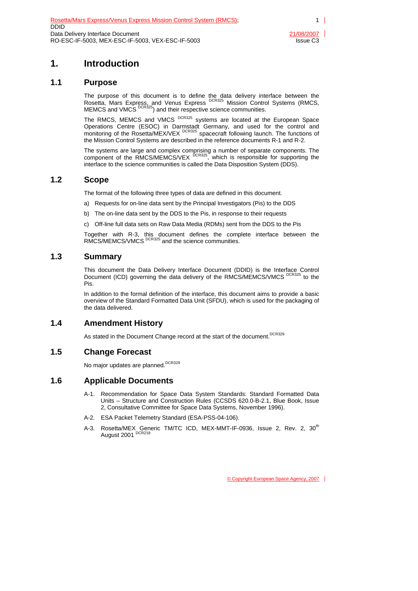# **1. Introduction**

#### **1.1 Purpose**

The purpose of this document is to define the data delivery interface between the<br>Rosetta, Mars Express, and Venus Express <sup>DCR325</sup> Mission Control Systems (RMCS, MEMCS and VMCS <sup>DCR325</sup>) and their respective science communities.

The RMCS, MEMCS and VMCS <sup>DCR325</sup> systems are located at the European Space Operations Centre (ESOC) in Darmstadt Germany, and used for the control and monitoring of the Rosetta/MEX/VEX  $^{DCR325}$  spacecraft following launch. The functions of the Mission Control Systems are described in the reference documents R-1 and R-2.

The systems are large and complex comprising a number of separate components. The<br>component of the RMCS/MEMCS/VEX <sup>DCR325</sup>, which is responsible for supporting the interface to the science communities is called the Data Disposition System (DDS).

### **1.2 Scope**

The format of the following three types of data are defined in this document.

- a) Requests for on-line data sent by the Principal Investigators (Pis) to the DDS
- b) The on-line data sent by the DDS to the Pis, in response to their requests
- c) Off-line full data sets on Raw Data Media (RDMs) sent from the DDS to the Pis

Together with R-3, this document defines the complete interface between the RMCS/VMCS DCR325 and the science communities.

#### **1.3 Summary**

This document the Data Delivery Interface Document (DDID) is the Interface Control Document (ICD) governing the data delivery of the RMCS/MEMCS/VMCS <sup>DCR325</sup> to the Pis.

In addition to the formal definition of the interface, this document aims to provide a basic overview of the Standard Formatted Data Unit (SFDU), which is used for the packaging of the data delivered.

#### **1.4 Amendment History**

As stated in the Document Change record at the start of the document.<sup>DCR329</sup>

### **1.5 Change Forecast**

No major updates are planned.<sup>DCR329</sup>

#### **1.6 Applicable Documents**

- A-1. Recommendation for Space Data System Standards: Standard Formatted Data Units – Structure and Construction Rules (CCSDS 620.0-B-2.1, Blue Book, Issue 2, Consultative Committee for Space Data Systems, November 1996).
- A-2. ESA Packet Telemetry Standard (ESA-PSS-04-106).
- A-3. Rosetta/MEX Generic TM/TC ICD, MEX-MMT-IF-0936, Issue 2, Rev. 2, 30<sup>th</sup> August 2001 DCR218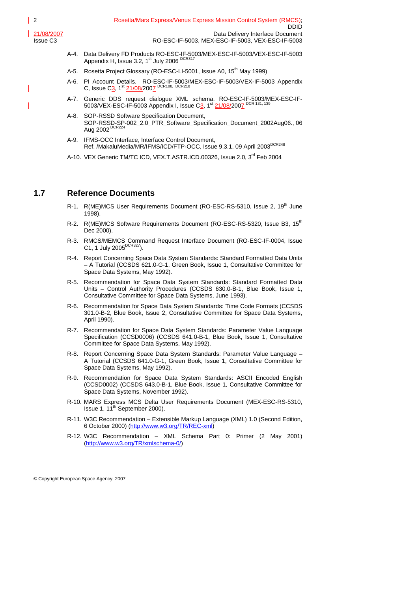- A-4. Data Delivery FD Products RO-ESC-IF-5003/MEX-ESC-IF-5003/VEX-ESC-IF-5003<br>Appendix H, Issue 3.2, 1<sup>st</sup> July 2006 <sup>DCR317</sup>
- A-5. Rosetta Project Glossary (RO-ESC-LI-5001, Issue A0, 15<sup>th</sup> May 1999)
- A-6. PI Account Details. RO-ESC-IF-5003/MEX-ESC-IF-5003/VEX-IF-5003 Appendix C, Issue C3, 1<sup>st</sup> 21/08/2007 DCR188, DCR218
- A-7. Generic DDS request dialogue XML schema. RO-ESC-IF-5003/MEX-ESC-IF-<br>5003/VEX-ESC-IF-5003 Appendix I, Issue C3, 1<sup>st</sup> 21/08/2007 <sup>DCR 131, 139</sup>
- A-8. SOP-RSSD Software Specification Document, SOP-RSSD-SP-002\_2.0\_PTR\_Software\_Specification\_Document\_2002Aug06., 06<br>Aug 2002 <sup>DCR224</sup>
- A-9. IFMS-OCC Interface, Interface Control Document, Ref. /MakaluMedia/MR/IFMS/ICD/FTP-OCC, Issue 9.3.1, 09 April 2003<sup>DCR248</sup>
- A-10. VEX Generic TM/TC ICD, VEX.T.ASTR.ICD.00326, Issue 2.0, 3<sup>rd</sup> Feb 2004

#### **1.7 Reference Documents**

- R-1. R(ME)MCS User Requirements Document (RO-ESC-RS-5310, Issue 2, 19<sup>th</sup> June 1998).
- R-2. R(ME)MCS Software Requirements Document (RO-ESC-RS-5320, Issue B3, 15<sup>th</sup> Dec 2000).
- R-3. RMCS/MEMCS Command Request Interface Document (RO-ESC-IF-0004, Issue C1, 1 July 2005<sup>DCR327</sup>).
- R-4. Report Concerning Space Data System Standards: Standard Formatted Data Units – A Tutorial (CCSDS 621.0-G-1, Green Book, Issue 1, Consultative Committee for Space Data Systems, May 1992).
- R-5. Recommendation for Space Data System Standards: Standard Formatted Data Units – Control Authority Procedures (CCSDS 630.0-B-1, Blue Book, Issue 1, Consultative Committee for Space Data Systems, June 1993).
- R-6. Recommendation for Space Data System Standards: Time Code Formats (CCSDS 301.0-B-2, Blue Book, Issue 2, Consultative Committee for Space Data Systems, April 1990).
- R-7. Recommendation for Space Data System Standards: Parameter Value Language Specification (CCSD0006) (CCSDS 641.0-B-1, Blue Book, Issue 1, Consultative Committee for Space Data Systems, May 1992).
- R-8. Report Concerning Space Data System Standards: Parameter Value Language A Tutorial (CCSDS 641.0-G-1, Green Book, Issue 1, Consultative Committee for Space Data Systems, May 1992).
- R-9. Recommendation for Space Data System Standards: ASCII Encoded English (CCSD0002) (CCSDS 643.0-B-1, Blue Book, Issue 1, Consultative Committee for Space Data Systems, November 1992).
- R-10. MARS Express MCS Delta User Requirements Document (MEX-ESC-RS-5310, Issue 1,  $11^{th}$  September 2000).
- R-11. W3C Recommendation Extensible Markup Language (XML) 1.0 (Second Edition, 6 October 2000) (http://www.w3.org/TR/REC-xml)
- R-12. W3C Recommendation XML Schema Part 0: Primer (2 May 2001) (http://www.w3.org/TR/xmlschema-0/)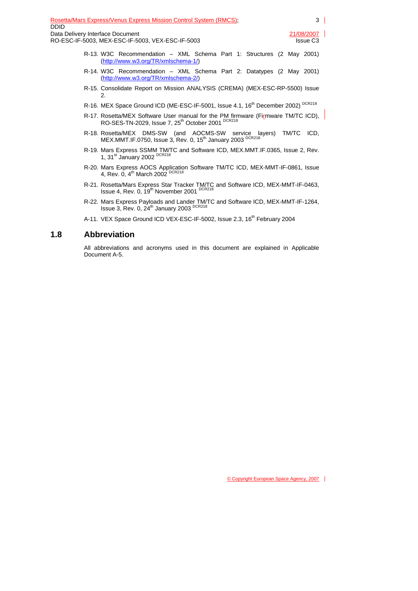3

- R-13. W3C Recommendation XML Schema Part 1: Structures (2 May 2001) (http://www.w3.org/TR/xmlschema-1/)
- R-14. W3C Recommendation XML Schema Part 2: Datatypes (2 May 2001) (http://www.w3.org/TR/xmlschema-2/)
- R-15. Consolidate Report on Mission ANALYSIS (CREMA) (MEX-ESC-RP-5500) Issue 2.
- R-16. MEX Space Ground ICD (ME-ESC-IF-5001, Issue 4.1, 16<sup>th</sup> December 2002)<sup>DCR218</sup>
- R-17. Rosetta/MEX Software User manual for the PM firmware (Firmware TM/TC ICD),<br>RO-SES-TN-2029, Issue 7, 25<sup>th</sup> October 2001 <sup>DCR218</sup>
- R-18. Rosetta/MEX DMS-SW (and AOCMS-SW service layers) TM/TC ICD,<br>MEX.MMT.IF.0750, Issue 3, Rev. 0, 15<sup>th</sup> January 2003<sup>DCR218</sup>
- R-19. Mars Express SSMM TM/TC and Software ICD, MEX.MMT.IF.0365, Issue 2, Rev.<br>1, 31<sup>st</sup> January 2002 <sup>DCR218</sup>
- R-20. Mars Express AOCS Application Software TM/TC ICD, MEX-MMT-IF-0861, Issue<br>4, Rev. 0, 4<sup>th</sup> March 2002<sup>DCR218</sup>
- R-21. Rosetta/Mars Express Star Tracker TM/TC and Software ICD, MEX-MMT-IF-0463,<br>Issue 4, Rev. 0, 19<sup>th</sup> November 2001 <sup>DCR218</sup>
- R-22. Mars Express Payloads and Lander TM/TC and Software ICD, MEX-MMT-IF-1264, Issue 3, Rev. 0, 24<sup>th</sup> January 2003 <sup>DCR218</sup>
- A-11. VEX Space Ground ICD VEX-ESC-IF-5002, Issue 2.3, 16<sup>th</sup> February 2004

#### **1.8 Abbreviation**

All abbreviations and acronyms used in this document are explained in Applicable Document A-5.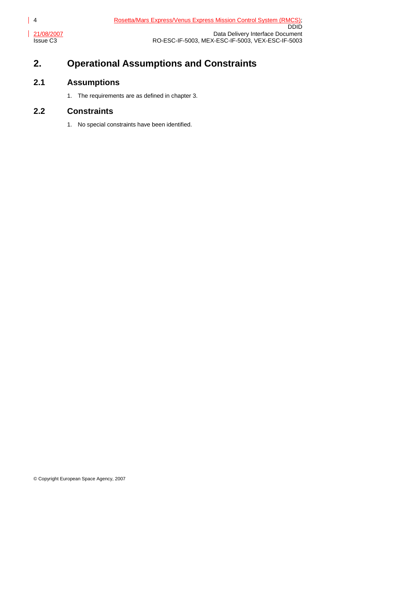

# **2. Operational Assumptions and Constraints**

# **2.1 Assumptions**

1. The requirements are as defined in chapter 3.

# **2.2 Constraints**

1. No special constraints have been identified.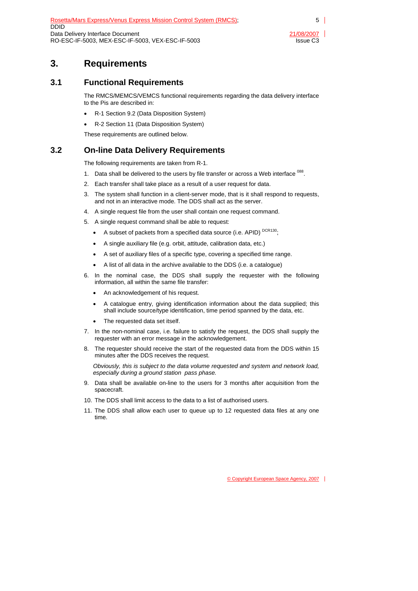# **3. Requirements**

# **3.1 Functional Requirements**

The RMCS/MEMCS/VEMCS functional requirements regarding the data delivery interface to the Pis are described in:

- R-1 Section 9.2 (Data Disposition System)
- R-2 Section 11 (Data Disposition System)

These requirements are outlined below.

# **3.2 On-line Data Delivery Requirements**

The following requirements are taken from R-1.

- 1. Data shall be delivered to the users by file transfer or across a Web interface 088.
- 2. Each transfer shall take place as a result of a user request for data.
- 3. The system shall function in a client-server mode, that is it shall respond to requests, and not in an interactive mode. The DDS shall act as the server.
- 4. A single request file from the user shall contain one request command.
- 5. A single request command shall be able to request:
	- A subset of packets from a specified data source (i.e. APID)  $DCR130$ ;
	- A single auxiliary file (e.g. orbit, attitude, calibration data, etc.)
	- A set of auxiliary files of a specific type, covering a specified time range.
	- A list of all data in the archive available to the DDS (i.e. a catalogue)
- 6. In the nominal case, the DDS shall supply the requester with the following information, all within the same file transfer:
	- An acknowledgement of his request.
	- A catalogue entry, giving identification information about the data supplied; this shall include source/type identification, time period spanned by the data, etc.
	- The requested data set itself.
- 7. In the non-nominal case, i.e. failure to satisfy the request, the DDS shall supply the requester with an error message in the acknowledgement.
- 8. The requester should receive the start of the requested data from the DDS within 15 minutes after the DDS receives the request.

*Obviously, this is subject to the data volume requested and system and network load, especially during a ground station pass phase.* 

- 9. Data shall be available on-line to the users for 3 months after acquisition from the spacecraft.
- 10. The DDS shall limit access to the data to a list of authorised users.
- 11. The DDS shall allow each user to queue up to 12 requested data files at any one time.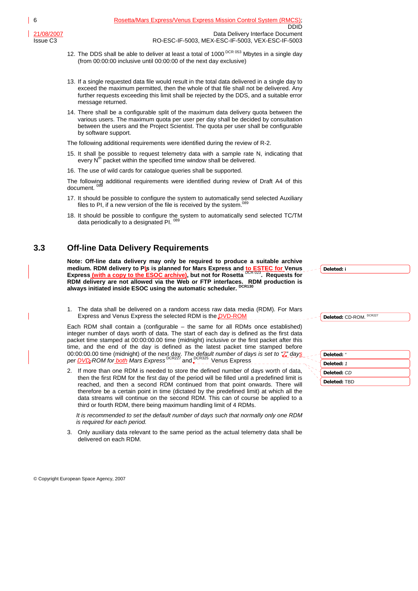- 12. The DDS shall be able to deliver at least a total of 1000<sup>DCR 053</sup> Mbytes in a single day (from 00:00:00 inclusive until 00:00:00 of the next day exclusive)
- 13. If a single requested data file would result in the total data delivered in a single day to exceed the maximum permitted, then the whole of that file shall not be delivered. Any further requests exceeding this limit shall be rejected by the DDS, and a suitable error message returned.
- 14. There shall be a configurable split of the maximum data delivery quota between the various users. The maximum quota per user per day shall be decided by consultation between the users and the Project Scientist. The quota per user shall be configurable by software support.

The following additional requirements were identified during the review of R-2.

- 15. It shall be possible to request telemetry data with a sample rate N, indicating that every  $N<sup>th</sup>$  packet within the specified time window shall be delivered.
- 16. The use of wild cards for catalogue queries shall be supported.

The following additional requirements were identified during review of Draft A4 of this document.<sup>08</sup>

- 17. It should be possible to configure the system to automatically send selected Auxiliary files to PI, if a new version of the file is received by the system. $\frac{1}{2}$
- 18. It should be possible to configure the system to automatically send selected TC/TM data periodically to a designated PI. 089

# **3.3 Off-line Data Delivery Requirements**

**Note: Off-line data delivery may only be required to produce a suitable archive medium. RDM delivery to PIs is planned for Mars Express and to ESTEC for Venus Express (with a copy to the ESOC archive), but not for Rosetta** DCR 023**. Requests for RDM delivery are not allowed via the Web or FTP interfaces. RDM production is always initiated inside ESOC using the automatic scheduler. DCR130** 

1. The data shall be delivered on a random access raw data media (RDM). For Mars Express and Venus Express the selected RDM is the DVD-ROM

Each RDM shall contain a (configurable – the same for all RDMs once established) integer number of days worth of data. The start of each day is defined as the first data packet time stamped at 00:00:00.00 time (midnight) inclusive or the first packet after this time, and the end of the day is defined as the latest packet time stamped before 00:00:00.00 time (midnight) of the next day. *The default number of days is set to "<u>Z"</u> day<u>s</u><br><i>per <u>DVD</u>-ROM for <u>both</u> Mars Express<sup>DCR227</sup> and P<sup>CR325</sup> Venus Express* 

2. If more than one RDM is needed to store the defined number of days worth of data, then the first RDM for the first day of the period will be filled until a predefined limit is reached, and then a second RDM continued from that point onwards. There will therefore be a certain point in time (dictated by the predefined limit) at which all the data streams will continue on the second RDM. This can of course be applied to a third or fourth RDM, there being maximum handling limit of 4 RDMs.

*It is recommended to set the default number of days such that normally only one RDM is required for each period.* 

3. Only auxiliary data relevant to the same period as the actual telemetry data shall be delivered on each RDM.

**Deleted: i**

Deleted: CD-ROM. DCR227

| Deleted: "   |
|--------------|
| Deleted: 1   |
| Deleted: CD  |
| Deleted: TBD |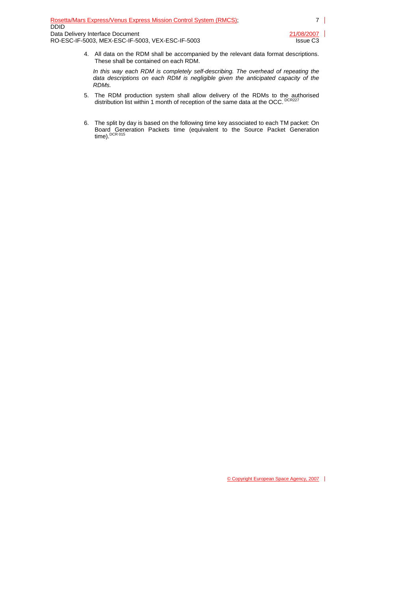7

4. All data on the RDM shall be accompanied by the relevant data format descriptions. These shall be contained on each RDM.

*In this way each RDM is completely self-describing. The overhead of repeating the data descriptions on each RDM is negligible given the anticipated capacity of the RDMs.* 

- 5. The RDM production system shall allow delivery of the RDMs to the authorised distribution list within 1 month of reception of the same data at the OCC. DCR227
- 6. The split by day is based on the following time key associated to each TM packet: On Board Generation Packets time (equivalent to the Source Packet Generation<br>time).<sup>DCR 015</sup>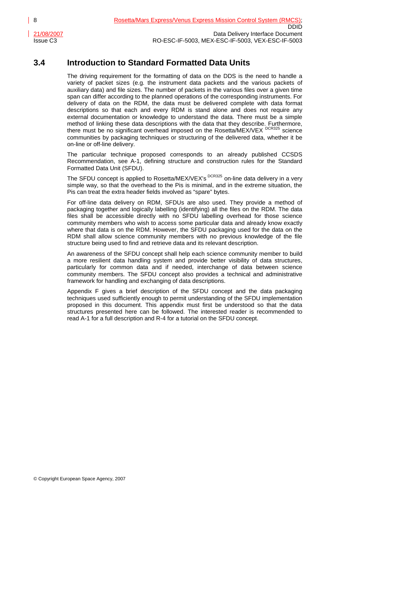# **3.4 Introduction to Standard Formatted Data Units**

The driving requirement for the formatting of data on the DDS is the need to handle a variety of packet sizes (e.g. the instrument data packets and the various packets of auxiliary data) and file sizes. The number of packets in the various files over a given time span can differ according to the planned operations of the corresponding instruments. For delivery of data on the RDM, the data must be delivered complete with data format descriptions so that each and every RDM is stand alone and does not require any external documentation or knowledge to understand the data. There must be a simple method of linking these data descriptions with the data that they describe. Furthermore, there must be no significant overhead imposed on the Rosetta/MEX/VEX <sup>DCR325</sup> science communities by packaging techniques or structuring of the delivered data, whether it be on-line or off-line delivery.

The particular technique proposed corresponds to an already published CCSDS Recommendation, see A-1, defining structure and construction rules for the Standard Formatted Data Unit (SFDU).

The SFDU concept is applied to Rosetta/MEX/VEX's <sup>DCR325</sup> on-line data delivery in a very simple way, so that the overhead to the Pis is minimal, and in the extreme situation, the Pis can treat the extra header fields involved as "spare" bytes.

For off-line data delivery on RDM, SFDUs are also used. They provide a method of packaging together and logically labelling (identifying) all the files on the RDM. The data files shall be accessible directly with no SFDU labelling overhead for those science community members who wish to access some particular data and already know exactly where that data is on the RDM. However, the SFDU packaging used for the data on the RDM shall allow science community members with no previous knowledge of the file structure being used to find and retrieve data and its relevant description.

An awareness of the SFDU concept shall help each science community member to build a more resilient data handling system and provide better visibility of data structures, particularly for common data and if needed, interchange of data between science community members. The SFDU concept also provides a technical and administrative framework for handling and exchanging of data descriptions.

Appendix F gives a brief description of the SFDU concept and the data packaging techniques used sufficiently enough to permit understanding of the SFDU implementation proposed in this document. This appendix must first be understood so that the data structures presented here can be followed. The interested reader is recommended to read A-1 for a full description and R-4 for a tutorial on the SFDU concept.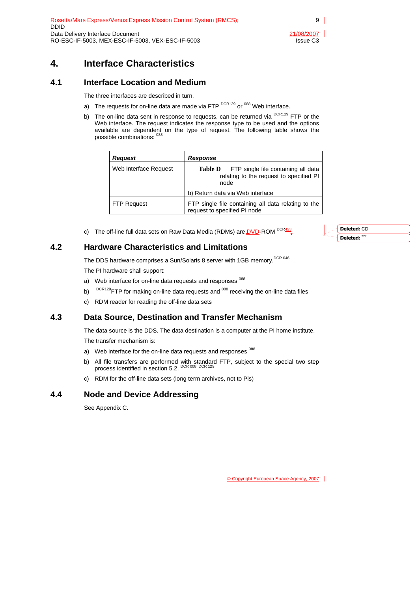# **4. Interface Characteristics**

DDID

# **4.1 Interface Location and Medium**

The three interfaces are described in turn.

- a) The requests for on-line data are made via FTP <sup>DCR129</sup> or <sup>088</sup> Web interface.
- b) The on-line data sent in response to requests, can be returned via  $DCR129$  FTP or the Web interface. The request indicates the response type to be used and the options available are dependent on the type of request. The following table shows the possible combinations: 088

| <b>Request</b>        | <b>Response</b>                                                                                          |
|-----------------------|----------------------------------------------------------------------------------------------------------|
| Web Interface Request | FTP single file containing all data<br><b>Table D</b><br>relating to the request to specified PI<br>node |
|                       | b) Return data via Web interface                                                                         |
| <b>FTP Request</b>    | FTP single file containing all data relating to the<br>request to specified PI node                      |

c) The off-line full data sets on Raw Data Media (RDMs) are DVD-ROM DCR423

# **4.2 Hardware Characteristics and Limitations**

The DDS hardware comprises a Sun/Solaris 8 server with 1GB memory.<sup>DCR 046</sup>

The PI hardware shall support:

- a) Web interface for on-line data requests and responses 088
- b)  $DCR129$  FTP for making on-line data requests and  $088$  receiving the on-line data files
- c) RDM reader for reading the off-line data sets

# **4.3 Data Source, Destination and Transfer Mechanism**

The data source is the DDS. The data destination is a computer at the PI home institute.

The transfer mechanism is:

- a) Web interface for the on-line data requests and responses  $088$
- b) All file transfers are performed with standard FTP, subject to the special two step process identified in section 5.2.  $^{DCR 008}$   $^{DCR 129}$
- c) RDM for the off-line data sets (long term archives, not to Pis)

# **4.4 Node and Device Addressing**

See Appendix C.

9

**Deleted:** CD **Deleted:** <sup>227</sup>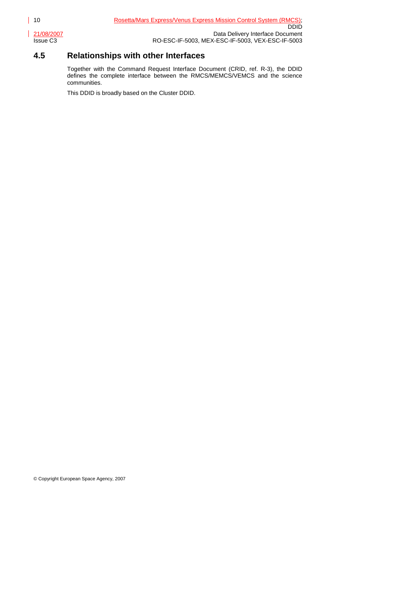# **4.5 Relationships with other Interfaces**

Together with the Command Request Interface Document (CRID, ref. R-3), the DDID defines the complete interface between the RMCS/MEMCS/VEMCS and the science communities.

This DDID is broadly based on the Cluster DDID.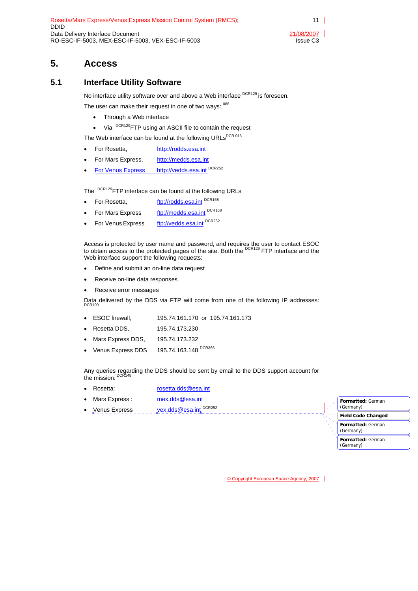# **5. Access**

# **5.1 Interface Utility Software**

No interface utility software over and above a Web interface <sup>DCR129</sup> is foreseen. The user can make their request in one of two ways: 088

- Through a Web interface
- Via <sup>DCR129</sup>FTP using an ASCII file to contain the request

The Web interface can be found at the following URLs<sup>DCR 016</sup>

- For Rosetta, http://rodds.esa.int
- For Mars Express, http://medds.esa.int
- For Venus Express http://vedds.esa.int DCR252

The DCR129FTP interface can be found at the following URLs

- For Rosetta, ftp://rodds.esa.int DCR168
- For Mars Express ftp://medds.esa.int DCR168
- For Venus Express ftp://vedds.esa.int DCR252

Access is protected by user name and password, and requires the user to contact ESOC<br>to obtain access to the protected pages of the site. Both the <sup>DCR129</sup> FTP interface and the Web interface support the following requests:

- Define and submit an on-line data request
- Receive on-line data responses
- Receive error messages

Data delivered by the DDS via FTP will come from one of the following IP addresses:<br><sup>DCR190</sup>

- ESOC firewall, 195.74.161.170 or 195.74.161.173
- Rosetta DDS, 195.74.173.230
- Mars Express DDS, 195.74.173.232
- Venus Express DDS 195.74.163.148 DCR366

Any queries regarding the DDS should be sent by email to the DDS support account for<br>the mission: <sup>DCR148</sup>

- Rosetta: rosetta.dds@esa.int
- Mars Express : mex.dds@esa.int
- Venus Express \_ \_ \_ \_ vex.dds@esa.int DCR252

© Copyright European Space Agency, 2007

11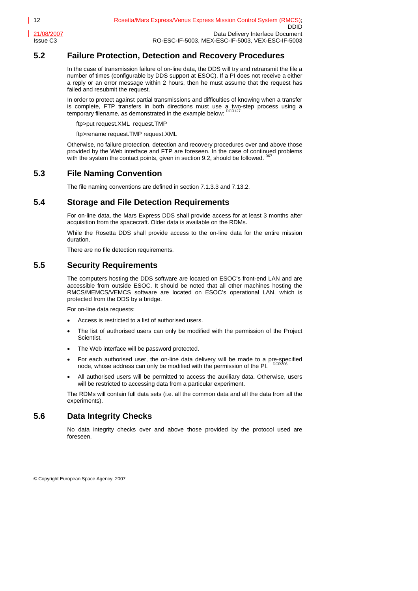# **5.2 Failure Protection, Detection and Recovery Procedures**

In the case of transmission failure of on-line data, the DDS will try and retransmit the file a number of times (configurable by DDS support at ESOC). If a PI does not receive a either a reply or an error message within 2 hours, then he must assume that the request has failed and resubmit the request.

In order to protect against partial transmissions and difficulties of knowing when a transfer is complete, FTP transfers in both directions must use a two-step process using a<br>terms of the system of the complete process using a<br>terms of the system in the system bolow<sup>, DCR127</sup> temporary filename, as demonstrated in the example below:

ftp>put request.XML request.TMP

ftp>rename request.TMP request.XML

Otherwise, no failure protection, detection and recovery procedures over and above those provided by the Web interface and FTP are foreseen. In the case of continued problems with the system the contact points, given in section 9.2, should be followed.

### **5.3 File Naming Convention**

The file naming conventions are defined in section 7.1.3.3 and 7.13.2.

# **5.4 Storage and File Detection Requirements**

For on-line data, the Mars Express DDS shall provide access for at least 3 months after acquisition from the spacecraft. Older data is available on the RDMs.

While the Rosetta DDS shall provide access to the on-line data for the entire mission duration.

There are no file detection requirements.

# **5.5 Security Requirements**

The computers hosting the DDS software are located on ESOC's front-end LAN and are accessible from outside ESOC. It should be noted that all other machines hosting the RMCS/MEMCS/VEMCS software are located on ESOC's operational LAN, which is protected from the DDS by a bridge.

For on-line data requests:

- Access is restricted to a list of authorised users.
- The list of authorised users can only be modified with the permission of the Project Scientist.
- The Web interface will be password protected.
- For each authorised user, the on-line data delivery will be made to a pre-specified node, whose address can only be modified with the permission of the PI.
- All authorised users will be permitted to access the auxiliary data. Otherwise, users will be restricted to accessing data from a particular experiment.

The RDMs will contain full data sets (i.e. all the common data and all the data from all the experiments).

# **5.6 Data Integrity Checks**

No data integrity checks over and above those provided by the protocol used are foreseen.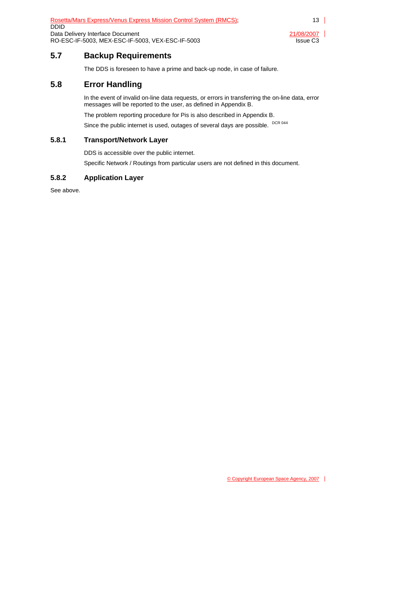### **5.7 Backup Requirements**

The DDS is foreseen to have a prime and back-up node, in case of failure.

### **5.8 Error Handling**

In the event of invalid on-line data requests, or errors in transferring the on-line data, error messages will be reported to the user, as defined in Appendix B.

The problem reporting procedure for Pis is also described in Appendix B.

Since the public internet is used, outages of several days are possible. DCR 044

#### **5.8.1 Transport/Network Layer**

DDS is accessible over the public internet.

Specific Network / Routings from particular users are not defined in this document.

### **5.8.2 Application Layer**

See above.

13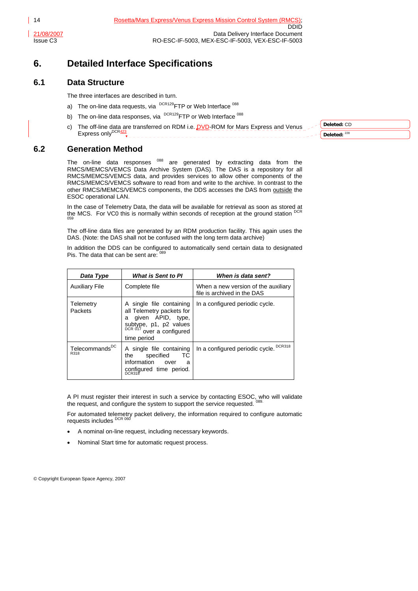# **6. Detailed Interface Specifications**

### **6.1 Data Structure**

The three interfaces are described in turn.

- a) The on-line data requests, via  $DCR129$ FTP or Web Interface  $088$
- b) The on-line data responses, via <sup>DCR129</sup>FTP or Web Interface 088
- c) The off-line data are transferred on RDM i.e. DVD-ROM for Mars Express and Venus Express only<sup>DCR423</sup>

### **6.2 Generation Method**

The on-line data responses <sup>088</sup> are generated by extracting data from the RMCS/MEMCS/VEMCS Data Archive System (DAS). The DAS is a repository for all RMCS/MEMCS/VEMCS data, and provides services to allow other components of the RMCS/MEMCS/VEMCS software to read from and write to the archive. In contrast to the other RMCS/MEMCS/VEMCS components, the DDS accesses the DAS from outside the ESOC operational LAN.

In the case of Telemetry Data, the data will be available for retrieval as soon as stored at the MCS. For VC0 this is normally within seconds of reception at the ground station <sup>DCR</sup>

The off-line data files are generated by an RDM production facility. This again uses the DAS. (Note: the DAS shall not be confused with the long term data archive)

In addition the DDS can be configured to automatically send certain data to designated Pis. The data that can be sent are: 089

| Data Type                          | <b>What is Sent to PI</b>                                                                                                                                        | When is data sent?                                                 |
|------------------------------------|------------------------------------------------------------------------------------------------------------------------------------------------------------------|--------------------------------------------------------------------|
| <b>Auxiliary File</b>              | Complete file                                                                                                                                                    | When a new version of the auxiliary<br>file is archived in the DAS |
| Telemetry<br>Packets               | A single file containing<br>all Telemetry packets for<br>given APID, type,<br>a<br>subtype, p1, p2 values<br><sup>DCR 017</sup> over a configured<br>time period | In a configured periodic cycle.                                    |
| Telecommands <sup>DC</sup><br>R318 | A single file containing<br>ТC<br>specified<br>the<br>information over<br>a<br>configured time period.<br>DCR318                                                 | <b>DCR318</b><br>In a configured periodic cycle.                   |

A PI must register their interest in such a service by contacting ESOC, who will validate the request, and configure the system to support the service requested. <sup>089</sup>

For automated telemetry packet delivery, the information required to configure automatic<br>requests includes <sup>DCR 060</sup>

- A nominal on-line request, including necessary keywords.
- Nominal Start time for automatic request process.

| Deleted: CD                 |
|-----------------------------|
| $\textsf{Pelered: } ^{228}$ |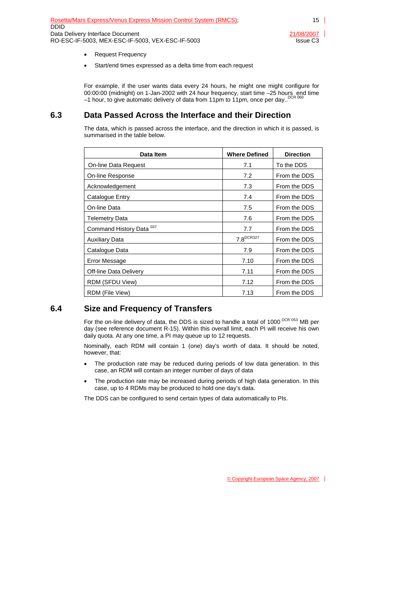15

- Request Frequency
- Start/end times expressed as a delta time from each request

For example, if the user wants data every 24 hours, he might one might configure for 00:00:00 (midnight) on 1-Jan-2002 with 24 hour frequency, start time –25 hours end time<br>–1 hour, to give automatic delivery of data from 11pm to 11pm, once per day..<sup>DCR 060</sup>

### **6.3 Data Passed Across the Interface and their Direction**

The data, which is passed across the interface, and the direction in which it is passed, is summarised in the table below.

| Data Item                           | <b>Where Defined</b> | <b>Direction</b> |
|-------------------------------------|----------------------|------------------|
| On-line Data Request                | 7.1                  | To the DDS       |
| On-line Response                    | 7.2                  | From the DDS     |
| Acknowledgement                     | 7.3                  | From the DDS     |
| Catalogue Entry                     | 7.4                  | From the DDS     |
| On-line Data                        | 7.5                  | From the DDS     |
| Telemetry Data                      | 7.6                  | From the DDS     |
| Command History Data <sup>037</sup> | 7.7                  | From the DDS     |
| <b>Auxiliary Data</b>               | $7.8^{DCR327}$       | From the DDS     |
| Catalogue Data                      | 7.9                  | From the DDS     |
| Error Message                       | 7.10                 | From the DDS     |
| Off-line Data Delivery              | 7.11                 | From the DDS     |
| RDM (SFDU View)                     | 7.12                 | From the DDS     |
| RDM (File View)                     | 7.13                 | From the DDS     |

### **6.4 Size and Frequency of Transfers**

For the on-line delivery of data, the DDS is sized to handle a total of 1000  $^{DCR}$  053 MB per day (see reference document R-15). Within this overall limit, each PI will receive his own daily quota. At any one time, a PI may queue up to 12 requests.

Nominally, each RDM will contain 1 (one) day's worth of data. It should be noted, however, that:

- The production rate may be reduced during periods of low data generation. In this case, an RDM will contain an integer number of days of data
- The production rate may be increased during periods of high data generation. In this case, up to 4 RDMs may be produced to hold one day's data.

The DDS can be configured to send certain types of data automatically to PIs.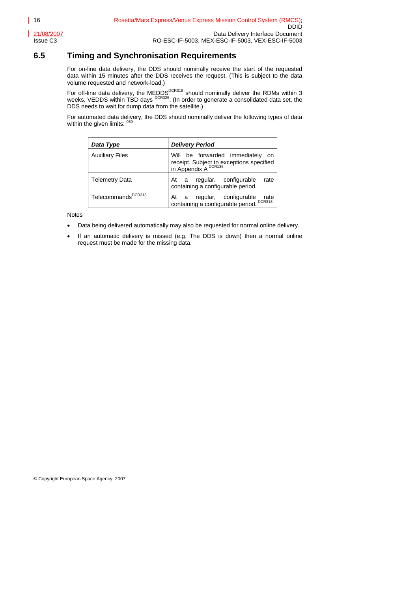

## **6.5 Timing and Synchronisation Requirements**

For on-line data delivery, the DDS should nominally receive the start of the requested data within 15 minutes after the DDS receives the request. (This is subject to the data volume requested and network-load.)

For off-line data delivery, the MEDDS<sup>DCR319</sup> should nominally deliver the RDMs within 3 weeks, VEDDS within TBD days <sup>DCR325</sup>. (In order to generate a consolidated data set, the DDS needs to wait for dump data from the satellite.)

For automated data delivery, the DDS should nominally deliver the following types of data within the given limits: <sup>089</sup>

| Data Type                      | <b>Delivery Period</b>                                                                                             |
|--------------------------------|--------------------------------------------------------------------------------------------------------------------|
| <b>Auxiliary Files</b>         | Will be forwarded immediately<br>on<br>receipt. Subject to exceptions specified<br>in Appendix A <sup>DCR135</sup> |
| <b>Telemetry Data</b>          | At a regular, configurable<br>rate<br>containing a configurable period.                                            |
| Telecommands <sup>DCR318</sup> | At a regular, configurable rate<br>containing a configurable period. <sup>DCR318</sup><br>rate                     |

Notes

- Data being delivered automatically may also be requested for normal online delivery.
- If an automatic delivery is missed (e.g. The DDS is down) then a normal online request must be made for the missing data.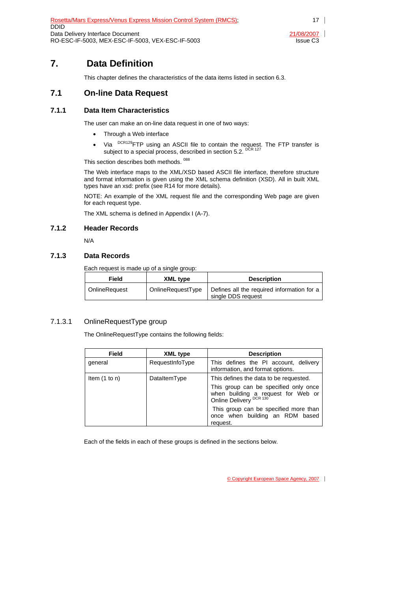Rosetta/Mars Express/Venus Express Mission Control System (RMCS); DDID Data Delivery Interface Document 21/08/2007 RO-ESC-IF-5003, MEX-ESC-IF-5003, VEX-ESC-IF-5003

# **7. Data Definition**

This chapter defines the characteristics of the data items listed in section 6.3.

### **7.1 On-line Data Request**

#### **7.1.1 Data Item Characteristics**

The user can make an on-line data request in one of two ways:

- Through a Web interface
- Via  $^{DCR129}$ FTP using an ASCII file to contain the request. The FTP transfer is subject to a special process, described in section 5.2. DCR 127

This section describes both methods. 088

The Web interface maps to the XML/XSD based ASCII file interface, therefore structure and format information is given using the XML schema definition (XSD). All in built XML types have an xsd: prefix (see R14 for more details).

NOTE: An example of the XML request file and the corresponding Web page are given for each request type.

The XML schema is defined in Appendix I (A-7).

### **7.1.2 Header Records**

N/A

### **7.1.3 Data Records**

Each request is made up of a single group:

| Field         | <b>XML type</b>   | <b>Description</b>                                               |
|---------------|-------------------|------------------------------------------------------------------|
| OnlineRequest | OnlineRequestType | Defines all the required information for a<br>single DDS request |

### 7.1.3.1 OnlineRequestType group

The OnlineRequestType contains the following fields:

| <b>Field</b>    | <b>XML type</b> | <b>Description</b>                                                                                                                                                                                                                       |
|-----------------|-----------------|------------------------------------------------------------------------------------------------------------------------------------------------------------------------------------------------------------------------------------------|
| general         | RequestInfoType | This defines the PI account, delivery<br>information, and format options.                                                                                                                                                                |
| Item $(1 to n)$ | DataItemType    | This defines the data to be requested.<br>This group can be specified only once<br>when building a request for Web or<br>Online Delivery DCR 130<br>This group can be specified more than<br>once when building an RDM based<br>request. |

Each of the fields in each of these groups is defined in the sections below.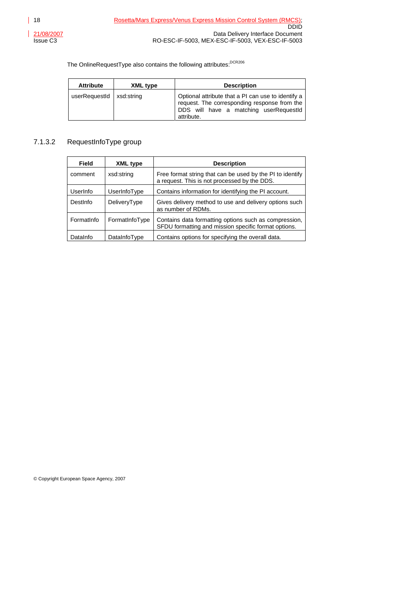

The OnlineRequestType also contains the following attributes: $DCR206$ 

| <b>Attribute</b>           | <b>XML type</b> | <b>Description</b>                                                                                                                                         |
|----------------------------|-----------------|------------------------------------------------------------------------------------------------------------------------------------------------------------|
| userRequestId   xsd:string |                 | Optional attribute that a PI can use to identify a<br>request. The corresponding response from the<br>DDS will have a matching userRequestId<br>attribute. |

### 7.1.3.2 RequestInfoType group

| <b>Field</b> | XML type       | <b>Description</b>                                                                                            |
|--------------|----------------|---------------------------------------------------------------------------------------------------------------|
| comment      | xsd:string     | Free format string that can be used by the PI to identify<br>a request. This is not processed by the DDS.     |
| UserInfo     | UserInfoType   | Contains information for identifying the PI account.                                                          |
| DestInfo     | DeliveryType   | Gives delivery method to use and delivery options such<br>as number of RDMs.                                  |
| Formatinfo   | FormatInfoType | Contains data formatting options such as compression,<br>SFDU formatting and mission specific format options. |
| DataInfo     | DataInfoType   | Contains options for specifying the overall data.                                                             |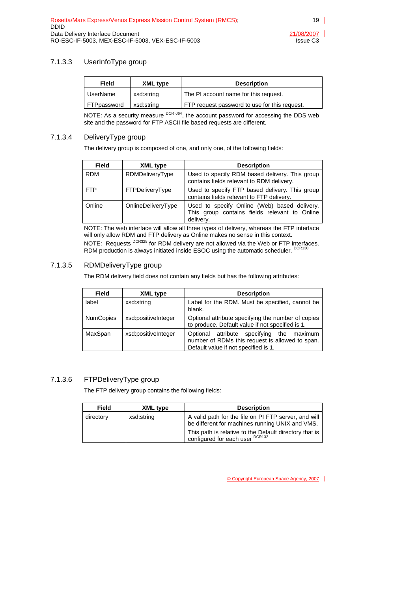### 7.1.3.3 UserInfoType group

| Field           | <b>XML type</b> | <b>Description</b>                            |
|-----------------|-----------------|-----------------------------------------------|
| <b>UserName</b> | xsd:string      | The PI account name for this request.         |
| FTPpassword     | xsd:string      | FTP request password to use for this request. |

NOTE: As a security measure <sup>DCR 064</sup>, the account password for accessing the DDS web site and the password for FTP ASCII file based requests are different.

### 7.1.3.4 DeliveryType group

The delivery group is composed of one, and only one, of the following fields:

| Field      | XML type               | <b>Description</b>                                                                                         |
|------------|------------------------|------------------------------------------------------------------------------------------------------------|
| <b>RDM</b> | <b>RDMDeliveryType</b> | Used to specify RDM based delivery. This group<br>contains fields relevant to RDM delivery.                |
| <b>FTP</b> | FTPDeliveryType        | Used to specify FTP based delivery. This group<br>contains fields relevant to FTP delivery.                |
| Online     | OnlineDeliveryType     | Used to specify Online (Web) based delivery.<br>This group contains fields relevant to Online<br>delivery. |

NOTE: The web interface will allow all three types of delivery, whereas the FTP interface will only allow RDM and FTP delivery as Online makes no sense in this context. NOTE: Requests <sup>DCR325</sup> for RDM delivery are not allowed via the Web or FTP interfaces. RDM production is always initiated inside ESOC using the automatic scheduler. DCR13

### 7.1.3.5 RDMDeliveryType group

The RDM delivery field does not contain any fields but has the following attributes:

| <b>Field</b>     | <b>XML type</b>     | <b>Description</b>                                                                                                                            |
|------------------|---------------------|-----------------------------------------------------------------------------------------------------------------------------------------------|
| label            | xsd:string          | Label for the RDM. Must be specified, cannot be<br>blank.                                                                                     |
| <b>NumCopies</b> | xsd:positiveInteger | Optional attribute specifying the number of copies<br>to produce. Default value if not specified is 1.                                        |
| MaxSpan          | xsd:positiveInteger | attribute specifying<br>Optional<br>maximum<br>the<br>number of RDMs this request is allowed to span.<br>Default value if not specified is 1. |

### 7.1.3.6 FTPDeliveryType group

The FTP delivery group contains the following fields:

| <b>Field</b> | XML type   | <b>Description</b>                                                                                      |
|--------------|------------|---------------------------------------------------------------------------------------------------------|
| directory    | xsd:string | A valid path for the file on PI FTP server, and will<br>be different for machines running UNIX and VMS. |
|              |            | This path is relative to the Default directory that is<br>configured for each user DCR132               |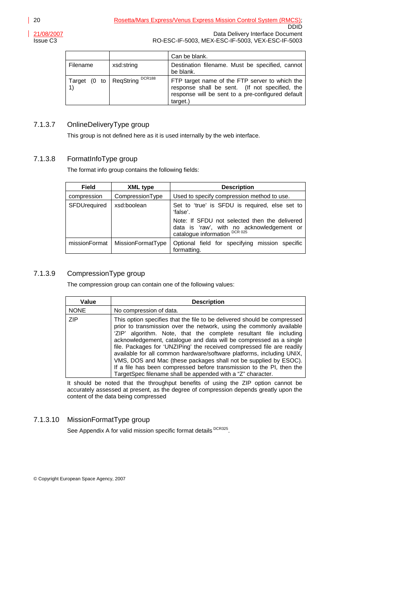| 21/08/20 |
|----------|
| Issue C3 |

20 Rosetta/Mars Express/Venus Express Mission Control System (RMCS); DDID Data Delivery Interface Document

RO-ESC-IF-5003, MEX-ESC-IF-5003, VEX-ESC-IF-5003

|          |                                 | Can be blank.                                                                                                                                                     |
|----------|---------------------------------|-------------------------------------------------------------------------------------------------------------------------------------------------------------------|
| Filename | xsd:string                      | Destination filename. Must be specified, cannot<br>be blank.                                                                                                      |
| 1)       | Target (0 to   ReqString DCR188 | FTP target name of the FTP server to which the<br>response shall be sent. (If not specified, the<br>response will be sent to a pre-configured default<br>target.) |

### 7.1.3.7 OnlineDeliveryType group

This group is not defined here as it is used internally by the web interface.

### 7.1.3.8 FormatInfoType group

The format info group contains the following fields:

| <b>Field</b>  | XML type          | <b>Description</b>                                                                                          |
|---------------|-------------------|-------------------------------------------------------------------------------------------------------------|
| compression   | CompressionType   | Used to specify compression method to use.                                                                  |
| SFDUrequired  | xsd:boolean       | Set to 'true' is SFDU is required, else set to<br>'false'.<br>Note: If SFDU not selected then the delivered |
|               |                   | data is 'raw', with no acknowledgement or<br>catalogue information <sup>DCR 025</sup>                       |
| missionFormat | MissionFormatType | Optional field for specifying mission specific<br>formatting.                                               |

### 7.1.3.9 CompressionType group

The compression group can contain one of the following values:

| Value       | <b>Description</b>                                                                                                                                                                                                                                                                                                                                                                                                                                                                                                                                                                                                                                         |
|-------------|------------------------------------------------------------------------------------------------------------------------------------------------------------------------------------------------------------------------------------------------------------------------------------------------------------------------------------------------------------------------------------------------------------------------------------------------------------------------------------------------------------------------------------------------------------------------------------------------------------------------------------------------------------|
| <b>NONE</b> | No compression of data.                                                                                                                                                                                                                                                                                                                                                                                                                                                                                                                                                                                                                                    |
| <b>ZIP</b>  | This option specifies that the file to be delivered should be compressed<br>prior to transmission over the network, using the commonly available<br>'ZIP' algorithm. Note, that the complete resultant file including<br>acknowledgement, catalogue and data will be compressed as a single<br>file. Packages for 'UNZIPing' the received compressed file are readily<br>available for all common hardware/software platforms, including UNIX,<br>VMS, DOS and Mac (these packages shall not be supplied by ESOC).<br>If a file has been compressed before transmission to the PI, then the<br>TargetSpec filename shall be appended with a "Z" character. |

It should be noted that the throughput benefits of using the ZIP option cannot be accurately assessed at present, as the degree of compression depends greatly upon the content of the data being compressed

### 7.1.3.10 MissionFormatType group

See Appendix A for valid mission specific format details <sup>DCR325</sup>.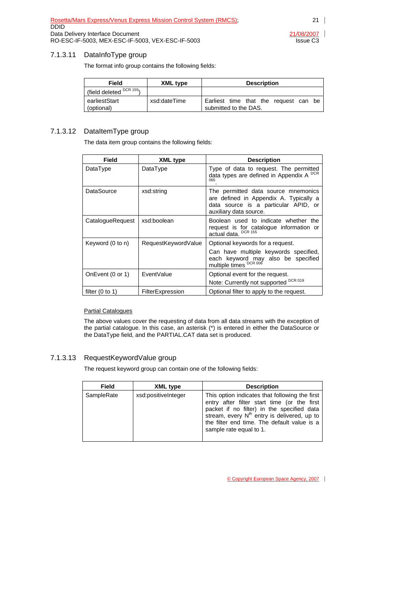### 7.1.3.11 DataInfoType group

The format info group contains the following fields:

| Field                               | <b>XML type</b> | <b>Description</b>                                             |
|-------------------------------------|-----------------|----------------------------------------------------------------|
| (field deleted <sup>DCR 155</sup> ) |                 |                                                                |
| earliestStart<br>(optional)         | xsd:dateTime    | Earliest time that the request can be<br>submitted to the DAS. |

### 7.1.3.12 DataItemType group

The data item group contains the following fields:

| Field             | <b>XML type</b>     | <b>Description</b>                                                                                                                                   |
|-------------------|---------------------|------------------------------------------------------------------------------------------------------------------------------------------------------|
| DataType          | DataType            | Type of data to request. The permitted<br>DCR<br>data types are defined in Appendix A<br>065                                                         |
| DataSource        | xsd:string          | The permitted data source mnemonics<br>are defined in Appendix A. Typically a<br>data source is a particular APID, or<br>auxiliary data source.      |
| CatalogueRequest  | xsd:boolean         | Boolean used to indicate whether the<br>request is for catalogue information or<br>actual data. DCR 155                                              |
| Keyword (0 to n)  | RequestKeywordValue | Optional keywords for a request.<br>Can have multiple keywords specified,<br>each keyword may also be specified<br>multiple times <sup>DCR 006</sup> |
|                   |                     |                                                                                                                                                      |
| OnEvent (0 or 1)  | EventValue          | Optional event for the request.                                                                                                                      |
|                   |                     | Note: Currently not supported DCR 019                                                                                                                |
| filter $(0 to 1)$ | FilterExpression    | Optional filter to apply to the request.                                                                                                             |

#### Partial Catalogues

The above values cover the requesting of data from all data streams with the exception of the partial catalogue. In this case, an asterisk (\*) is entered in either the DataSource or the DataType field, and the PARTIAL.CAT data set is produced.

### 7.1.3.13 RequestKeywordValue group

The request keyword group can contain one of the following fields:

| <b>Field</b> | XML type            | <b>Description</b>                                                                                                                                                                                                                                                        |
|--------------|---------------------|---------------------------------------------------------------------------------------------------------------------------------------------------------------------------------------------------------------------------------------------------------------------------|
| SampleRate   | xsd:positiveInteger | This option indicates that following the first<br>entry after filter start time (or the first<br>packet if no filter) in the specified data<br>stream, every $N^{th}$ entry is delivered, up to<br>the filter end time. The default value is a<br>sample rate equal to 1. |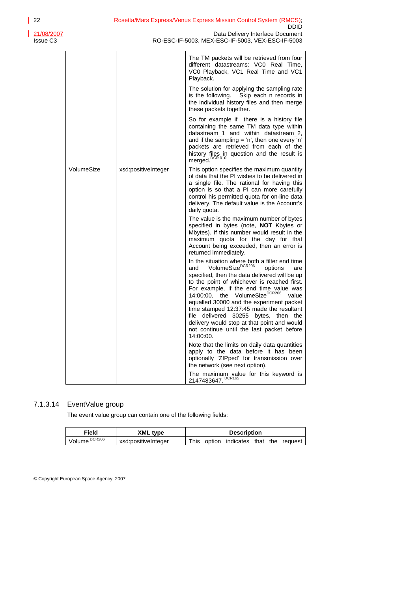| 21/08/2007<br>Issue C3 |            |                     | DDID<br>Data Delivery Interface Document<br>RO-ESC-IF-5003, MEX-ESC-IF-5003, VEX-ESC-IF-5003                                                                                                                                                                                                                                                                                                                                                                                                                                                           |
|------------------------|------------|---------------------|--------------------------------------------------------------------------------------------------------------------------------------------------------------------------------------------------------------------------------------------------------------------------------------------------------------------------------------------------------------------------------------------------------------------------------------------------------------------------------------------------------------------------------------------------------|
|                        |            |                     | The TM packets will be retrieved from four<br>different datastreams: VC0 Real Time,<br>VC0 Playback, VC1 Real Time and VC1<br>Playback.                                                                                                                                                                                                                                                                                                                                                                                                                |
|                        |            |                     | The solution for applying the sampling rate<br>is the following.<br>Skip each n records in<br>the individual history files and then merge<br>these packets together.                                                                                                                                                                                                                                                                                                                                                                                   |
|                        |            |                     | So for example if there is a history file<br>containing the same TM data type within<br>datastream_1 and within datastream_2,<br>and if the sampling $=$ 'n', then one every 'n'<br>packets are retrieved from each of the<br>history files in question and the result is<br>merged. <sup>DCR 010</sup>                                                                                                                                                                                                                                                |
|                        | VolumeSize | xsd:positiveInteger | This option specifies the maximum quantity<br>of data that the PI wishes to be delivered in<br>a single file. The rational for having this<br>option is so that a PI can more carefully<br>control his permitted quota for on-line data<br>delivery. The default value is the Account's<br>daily quota.                                                                                                                                                                                                                                                |
|                        |            |                     | The value is the maximum number of bytes<br>specified in bytes (note, NOT Kbytes or<br>Mbytes). If this number would result in the<br>maximum quota for the day for that<br>Account being exceeded, then an error is<br>returned immediately.                                                                                                                                                                                                                                                                                                          |
|                        |            |                     | In the situation where both a filter end time<br>VolumeSize <sup>DCR206</sup><br>and<br>options<br>are<br>specified, then the data delivered will be up<br>to the point of whichever is reached first.<br>For example, if the end time value was<br>14:00:00, the VolumeSize <sup>DCR206</sup><br>value<br>equalled 30000 and the experiment packet<br>time stamped 12:37:45 made the resultant<br>delivered 30255 bytes,<br>file<br>then the<br>delivery would stop at that point and would<br>not continue until the last packet before<br>14:00:00. |
|                        |            |                     | Note that the limits on daily data quantities<br>apply to the data before it has been<br>optionally 'ZIPped' for transmission over<br>the network (see next option).                                                                                                                                                                                                                                                                                                                                                                                   |
|                        |            |                     | The maximum value for this keyword is 2147483647. <sup>DCR165</sup>                                                                                                                                                                                                                                                                                                                                                                                                                                                                                    |

### 7.1.3.14 EventValue group

The event value group can contain one of the following fields:

| Field         | <b>XML type</b>     |      | <b>Description</b>        |  |         |
|---------------|---------------------|------|---------------------------|--|---------|
| Volume DCR206 | xsd:positiveInteger | This | option indicates that the |  | reauest |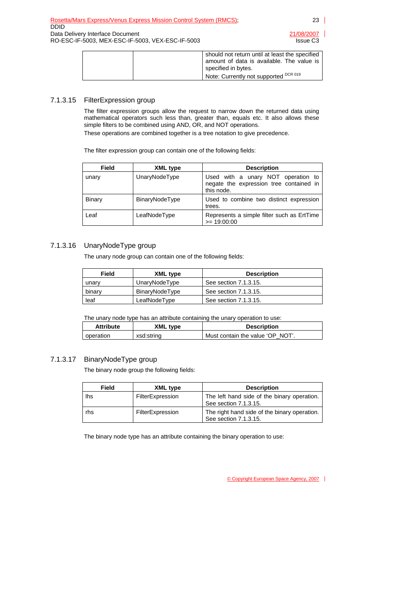RO-ESC-IF-5003, MEX-ESC-IF-5003, VEX-ESC-IF-5003

|  | should not return until at least the specified<br>amount of data is available. The value is<br>specified in bytes.<br>Note: Currently not supported DCR 019 |
|--|-------------------------------------------------------------------------------------------------------------------------------------------------------------|
|--|-------------------------------------------------------------------------------------------------------------------------------------------------------------|

### 7.1.3.15 FilterExpression group

The filter expression groups allow the request to narrow down the returned data using mathematical operators such less than, greater than, equals etc. It also allows these simple filters to be combined using AND, OR, and NOT operations.

These operations are combined together is a tree notation to give precedence.

The filter expression group can contain one of the following fields:

| <b>Field</b> | XML type       | <b>Description</b>                                                                          |
|--------------|----------------|---------------------------------------------------------------------------------------------|
| unary        | UnaryNodeType  | Used with a unary NOT operation to<br>negate the expression tree contained in<br>this node. |
| Binary       | BinaryNodeType | Used to combine two distinct expression<br>trees.                                           |
| Leaf         | LeafNodeType   | Represents a simple filter such as ErtTime<br>$>= 19:00:00$                                 |

### 7.1.3.16 UnaryNodeType group

The unary node group can contain one of the following fields:

| Field  | XML type       | <b>Description</b>    |
|--------|----------------|-----------------------|
| unary  | UnaryNodeType  | See section 7.1.3.15. |
| binarv | BinaryNodeType | See section 7.1.3.15. |
| leaf   | LeafNodeType   | See section 7.1.3.15. |

The unary node type has an attribute containing the unary operation to use:

| <b>Attribute</b> | XML type   | <b>Description</b>               |
|------------------|------------|----------------------------------|
| operation        | xsd:string | Must contain the value 'OP NOT'. |

### 7.1.3.17 BinaryNodeType group

The binary node group the following fields:

| Field | <b>XML type</b>  | <b>Description</b>                                                    |
|-------|------------------|-----------------------------------------------------------------------|
| lhs   | FilterExpression | The left hand side of the binary operation.<br>See section 7.1.3.15.  |
| rhs   | FilterExpression | The right hand side of the binary operation.<br>See section 7.1.3.15. |

The binary node type has an attribute containing the binary operation to use: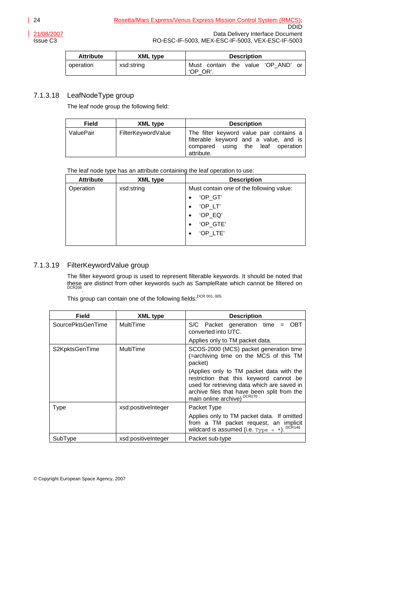24 Rosetta/Mars Express/Venus Express Mission Control System (RMCS); DDID 21/08/2007 Data Delivery Interface Document ISSUE C3 RO-ESC-IF-5003, MEX-ESC-IF-5003, VEX-ESC-IF-5003

| <b>Attribute</b> | XML type   |          |  | <b>Description</b> |                                 |    |
|------------------|------------|----------|--|--------------------|---------------------------------|----|
| operation        | xsd:string | 'OP OR'. |  |                    | Must contain the value 'OP AND' | or |

#### 7.1.3.18 LeafNodeType group

The leaf node group the following field:

| Field     | XML type           | <b>Description</b>                                                                                                                       |
|-----------|--------------------|------------------------------------------------------------------------------------------------------------------------------------------|
| ValuePair | FilterKeywordValue | The filter keyword value pair contains a<br>filterable keyword and a value, and is<br>using the leaf operation<br>compared<br>attribute. |

The leaf node type has an attribute containing the leaf operation to use:

| <b>Attribute</b> | <b>XML type</b> | <b>Description</b>                       |
|------------------|-----------------|------------------------------------------|
| Operation        | xsd:string      | Must contain one of the following value: |
|                  |                 | 'OP_GT'<br>٠                             |
|                  |                 | 'OP LT'<br>$\bullet$                     |
|                  |                 | 'OP_EQ'                                  |
|                  |                 | 'OP GTE'                                 |
|                  |                 | 'OP LTE'<br>٠                            |
|                  |                 |                                          |

#### 7.1.3.19 FilterKeywordValue group

The filter keyword group is used to represent filterable keywords. It should be noted that these are distinct from other keywords such as SampleRate which cannot be filtered on<br><sup>DCR206</sup>.

This group can contain one of the following fields: $DCR$  001, 005.

| Field             | <b>XML type</b>     | <b>Description</b>                                                                                                                                                                                               |
|-------------------|---------------------|------------------------------------------------------------------------------------------------------------------------------------------------------------------------------------------------------------------|
| SourcePktsGenTime | MultiTime           | $S/C$ Packet generation time = OBT<br>converted into UTC.                                                                                                                                                        |
|                   |                     | Applies only to TM packet data.                                                                                                                                                                                  |
| S2KpktsGenTime    | MultiTime           | SCOS-2000 (MCS) packet generation time<br>(=archiving time on the MCS of this TM<br>packet)                                                                                                                      |
|                   |                     | (Applies only to TM packet data with the<br>restriction that this keyword cannot be<br>used for retrieving data which are saved in<br>archive files that have been split from the<br>main online archive) DCR270 |
| Type              | xsd:positiveInteger | Packet Type                                                                                                                                                                                                      |
|                   |                     | Applies only to TM packet data. If omitted<br>from a TM packet request, an implicit<br><b>DCR146</b><br>wildcard is assumed (i.e. $Type = *$ ).                                                                  |
| SubType           | xsd:positiveInteger | Packet sub-type                                                                                                                                                                                                  |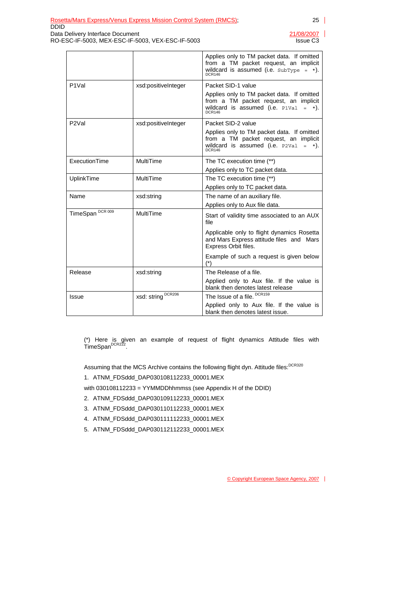|                            |                     | Applies only to TM packet data. If omitted<br>from a TM packet request, an implicit<br>wildcard is assumed (i.e. $\text{SubType} = *$ ).<br><b>DCR146</b> |
|----------------------------|---------------------|-----------------------------------------------------------------------------------------------------------------------------------------------------------|
| P <sub>1Val</sub>          | xsd:positiveInteger | Packet SID-1 value                                                                                                                                        |
|                            |                     | Applies only to TM packet data. If omitted<br>from a TM packet request, an implicit<br>wildcard is assumed (i.e. $P1Val =$<br>$\star$ ).<br><b>DCR146</b> |
| P <sub>2Val</sub>          | xsd:positiveInteger | Packet SID-2 value                                                                                                                                        |
|                            |                     | Applies only to TM packet data. If omitted<br>from a TM packet request, an implicit<br>wildcard is assumed (i.e. $P2Val =$<br>$\star$ ).<br><b>DCR146</b> |
| ExecutionTime              | <b>MultiTime</b>    | The TC execution time (**)                                                                                                                                |
|                            |                     | Applies only to TC packet data.                                                                                                                           |
| UplinkTime                 | MultiTime           | The TC execution time (**)                                                                                                                                |
|                            |                     | Applies only to TC packet data.                                                                                                                           |
| Name                       | xsd:string          | The name of an auxiliary file.                                                                                                                            |
|                            |                     | Applies only to Aux file data.                                                                                                                            |
| TimeSpan <sup>DCR009</sup> | MultiTime           | Start of validity time associated to an AUX<br>file                                                                                                       |
|                            |                     | Applicable only to flight dynamics Rosetta<br>and Mars Express attitude files and Mars<br>Express Orbit files.                                            |
|                            |                     | Example of such a request is given below                                                                                                                  |
| Release                    | xsd:string          | The Release of a file.                                                                                                                                    |
|                            |                     | Applied only to Aux file. If the value is<br>blank then denotes latest release                                                                            |
| Issue                      | xsd: string DCR206  | The Issue of a file. DCR159                                                                                                                               |
|                            |                     | Applied only to Aux file. If the value is<br>blank then denotes latest issue.                                                                             |

(\*) Here is given an example of request of flight dynamics Attitude files with<br>TimeSpan<sup>DCR222</sup>.

Assuming that the MCS Archive contains the following flight dyn. Attitude files:<sup>DCR320</sup>

1. ATNM\_FDSddd\_DAP030108112233\_00001.MEX

with 030108112233 = YYMMDDhhmmss (see Appendix H of the DDID)

- 2. ATNM\_FDSddd\_DAP030109112233\_00001.MEX
- 3. ATNM\_FDSddd\_DAP030110112233\_00001.MEX
- 4. ATNM\_FDSddd\_DAP030111112233\_00001.MEX
- 5. ATNM\_FDSddd\_DAP030112112233\_00001.MEX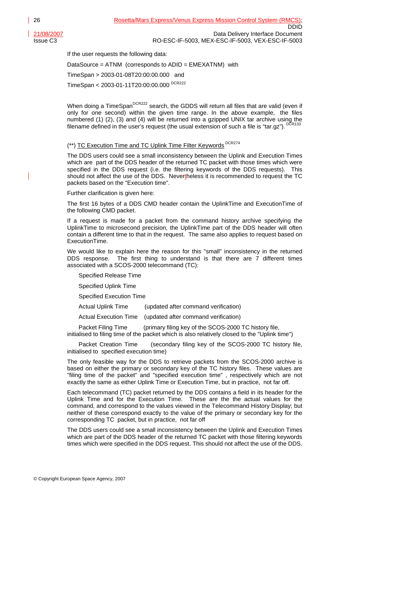If the user requests the following data:

DataSource = ATNM (corresponds to ADID = EMEXATNM) with

TimeSpan > 2003-01-08T20:00:00.000 and

TimeSpan < 2003-01-11T20:00:00.000 DCR222

When doing a TimeSpan<sup>DCR222</sup> search, the GDDS will return all files that are valid (even if only for one second) within the given time range. In the above example, the files numbered (1) (2), (3) and (4) will be returned into a gzipped UNIX tar archive using the filename defined in the user's request (the usual extension of such a file is "tar.gz").

### (\*\*) TC Execution Time and TC Uplink Time Filter Keywords DCR274

The DDS users could see a small inconsistency between the Uplink and Execution Times which are part of the DDS header of the returned TC packet with those times which were specified in the DDS request (i.e. the filtering keywords of the DDS requests). This should not affect the use of the DDS. Nevertheless it is recommended to request the TC packets based on the "Execution time".

Further clarification is given here:

The first 16 bytes of a DDS CMD header contain the UplinkTime and ExecutionTime of the following CMD packet.

If a request is made for a packet from the command history archive specifying the UplinkTime to microsecond precision, the UplinkTime part of the DDS header will often contain a different time to that in the request. The same also applies to request based on ExecutionTime.

We would like to explain here the reason for this "small" inconsistency in the returned DDS response. The first thing to understand is that there are  $\overline{7}$  different times associated with a SCOS-2000 telecommand (TC):

Specified Release Time

Specified Uplink Time

Specified Execution Time

Actual Uplink Time (updated after command verification)

Actual Execution Time (updated after command verification)

Packet Filing Time (primary filing key of the SCOS-2000 TC history file,

initialised to filing time of the packet which is also relatively closed to the "Uplink time")

 Packet Creation Time (secondary filing key of the SCOS-2000 TC history file, initialised to specified execution time)

The only feasible way for the DDS to retrieve packets from the SCOS-2000 archive is based on either the primary or secondary key of the TC history files. These values are "filing time of the packet" and "specified execution time" , respectively which are not exactly the same as either Uplink Time or Execution Time, but in practice, not far off.

Each telecommand (TC) packet returned by the DDS contains a field in its header for the Uplink Time and for the Execution Time. These are the the actual values for the command, and correspond to the values viewed in the Telecommand History Display; but neither of these correspond exactly to the value of the primary or secondary key for the corresponding TC packet, but in practice, not far off

The DDS users could see a small inconsistency between the Uplink and Execution Times which are part of the DDS header of the returned TC packet with those filtering keywords times which were specified in the DDS request. This should not affect the use of the DDS.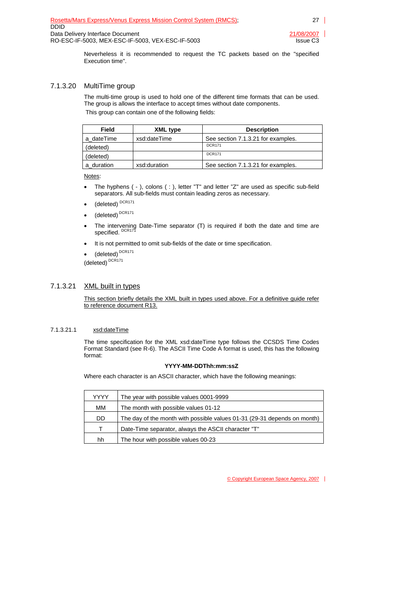27

Neverheless it is recommended to request the TC packets based on the "specified Execution time".

#### 7.1.3.20 MultiTime group

The multi-time group is used to hold one of the different time formats that can be used. The group is allows the interface to accept times without date components. This group can contain one of the following fields:

| Field      | XML type     | <b>Description</b>                 |
|------------|--------------|------------------------------------|
| a dateTime | xsd:dateTime | See section 7.1.3.21 for examples. |
| (deleted)  |              | <b>DCR171</b>                      |
| (deleted)  |              | <b>DCR171</b>                      |
| a duration | xsd:duration | See section 7.1.3.21 for examples. |

Notes:

- The hyphens ( ), colons ( : ), letter "T" and letter "Z" are used as specific sub-field separators. All sub-fields must contain leading zeros as necessary.
- (deleted)<sup>DCR171</sup>
- (deleted)<sup>DCR171</sup>
- The intervening Date-Time separator (T) is required if both the date and time are specified. <sup>DCR171</sup>
- It is not permitted to omit sub-fields of the date or time specification.
- (deleted)<sup>DCR171</sup>
- (deleted)<sup>DCR171</sup>

### 7.1.3.21 XML built in types

This section briefly details the XML built in types used above. For a definitive guide refer to reference document R13.

#### 7.1.3.21.1 xsd:dateTime

The time specification for the XML xsd:dateTime type follows the CCSDS Time Codes Format Standard (see R-6). The ASCII Time Code A format is used, this has the following format:

#### **YYYY-MM-DDThh:mm:ssZ**

Where each character is an ASCII character, which have the following meanings:

| YYYY | The year with possible values 0001-9999                                  |
|------|--------------------------------------------------------------------------|
| MМ   | The month with possible values 01-12                                     |
| DD.  | The day of the month with possible values 01-31 (29-31 depends on month) |
| т    | Date-Time separator, always the ASCII character "T"                      |
| hh   | The hour with possible values 00-23                                      |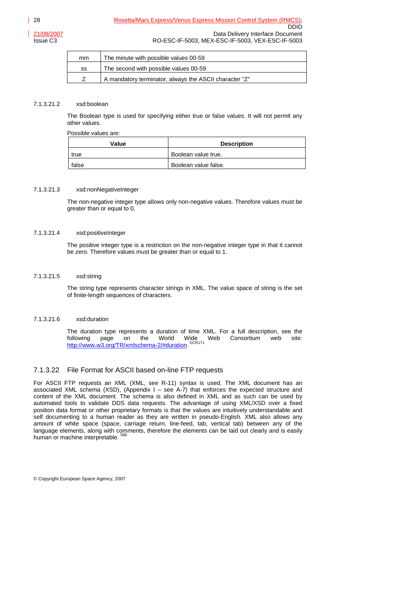#### 28 **Rosetta/Mars Express/Venus Express Mission Control System (RMC**) DDID 21/08/2007 Data Delivery Interface Document

Issue C3 RO-ESC-IF-5003, MEX-ESC-IF-5003, VEX-ESC-IF-5003

| mm | The minute with possible values 00-59                  |
|----|--------------------------------------------------------|
| SS | The second with possible values 00-59                  |
|    | A mandatory terminator, always the ASCII character "Z" |

#### 7.1.3.21.2 xsd:boolean

The Boolean type is used for specifying either true or false values. It will not permit any other values.

Possible values are:

| Value | <b>Description</b>   |
|-------|----------------------|
| true  | Boolean value true.  |
| false | Boolean value false. |

#### 7.1.3.21.3 xsd:nonNegativeInteger

The non-negative integer type allows only non-negative values. Therefore values must be greater than or equal to 0.

#### 7.1.3.21.4 xsd:positiveInteger

The positive integer type is a restriction on the non-negative integer type in that it cannot be zero. Therefore values must be greater than or equal to 1.

#### 7.1.3.21.5 xsd:string

The string type represents character strings in XML. The value space of string is the set of finite-length sequences of characters.

#### 7.1.3.21.6 xsd:duration

The duration type represents a duration of time XML. For a full description, see the following page on the World Wide Web Consortium web site:<br>http://www.w?.org/TB/ymlophome.2/#duration.<sup>DCR171</sup> http://www.w3.org/TR/xmlschema-2/#duration.

#### 7.1.3.22 File Format for ASCII based on-line FTP requests

For ASCII FTP requests an XML (XML, see R-11) syntax is used. The XML document has an associated XML schema (XSD), (Appendix  $I -$  see A-7) that enforces the expected structure and content of the XML document. The schema is also defined in XML and as such can be used by automated tools to validate DDS data requests. The advantage of using XML/XSD over a fixed position data format or other proprietary formats is that the values are intuitively understandable and self documenting to a human reader as they are written in pseudo-English. XML also allows any amount of white space (space, carriage return, line-feed, tab, vertical tab) between any of the language elements, along with comments, therefore the elements can be laid out clearly and is easily human or machine interpretable.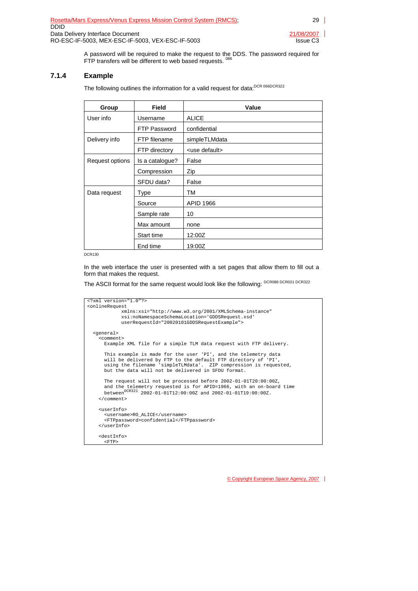A password will be required to make the request to the DDS. The password required for FTP transfers will be different to web based requests.

#### **7.1.4 Example**

The following outlines the information for a valid request for data:<sup>DCR 066DCR322</sup>

| Group           | <b>Field</b>    | Value                  |
|-----------------|-----------------|------------------------|
| User info       | Username        | <b>ALICE</b>           |
|                 | FTP Password    | confidential           |
| Delivery info   | FTP filename    | simpleTLMdata          |
|                 | FTP directory   | <use default=""></use> |
| Request options | Is a catalogue? | False                  |
|                 | Compression     | Zip                    |
|                 | SFDU data?      | False                  |
| Data request    | Type            | TM                     |
|                 | Source          | <b>APID 1966</b>       |
|                 | Sample rate     | 10                     |
|                 | Max amount      | none                   |
|                 | Start time      | 12:00Z                 |
|                 | End time        | 19:00Z                 |

DCR130

In the web interface the user is presented with a set pages that allow them to fill out a form that makes the request.

The ASCII format for the same request would look like the following: DCR088 DCR021 DCR322

```
<?xml version="1.0"?> 
<onlineRequest 
                xmlns:xsi="http://www.w3.org/2001/XMLSchema-instance" 
                xsi:noNamespaceSchemaLocation='GDDSRequest.xsd' 
                userRequestId="20020101GDDSRequestExample"> 
   <general> 
      <comment> 
        Example XML file for a simple TLM data request with FTP delivery. 
        This example is made for the user 'PI', and the telemetry data 
 will be delivered by FTP to the default FTP directory of 'PI', 
 using the filename 'simpleTLMdata'. ZIP compression is requested, 
 but the data will not be delivered in SFDU format. 
        The request will not be processed before 2002-01-01T20:00:00Z, 
and the telemetry requested is for APID=1966, with an on-board time<br>between<sup>DCR321</sup> 2002-01-01T12:00:00Z and 2002-01-01T19:00:00Z.
      </comment> 
      <userInfo> 
         <username>RO_ALICE</username> 
         <FTPpassword>confidential</FTPpassword> 
      </userInfo> 
      <destInfo> 
         <FTP>
```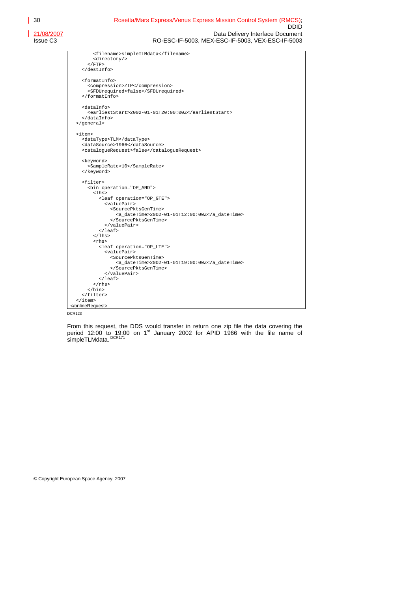#### 30 Rosetta/Mars Express/Venus Express Mission Control System (RMCS); DDID 21/08/2007 Data Delivery Interface Document Issue C3 RO-ESC-IF-5003, MEX-ESC-IF-5003, VEX-ESC-IF-5003

| <directory></directory><br>$<$ / $FTP$ ><br><br><formatinfo><br/><compression>ZIP</compression><br/><sfdurequired>false</sfdurequired><br/></formatinfo><br><datainfo><br/><earlieststart>2002-01-01T20:00:00Z</earlieststart><br/></datainfo><br><br><item><br/><datatype>TLM</datatype><br/><datasource>1966</datasource><br/><cataloquerequest>false</cataloquerequest><br/><keyword><br/><samplerate>10</samplerate><br/></keyword><br/><filter><br/><bin operation="OP_AND"><br/><math>&lt;</math>lhs&gt;<br/><leaf operation="OP_GTE"><br/><valuepair><br/><sourcepktsgentime><br/><a datetime="">2002-01-01T12:00:00Z</a><br/></sourcepktsgentime><br/></valuepair><br/><math>\langle</math>leaf&gt;<br/><math>\langle</math>/lhs&gt;<br/><math>&lt;</math>rhs<math>&gt;</math><br/><leaf operation="OP_LTE"><br/><valuepair><br/><sourcepktsgentime><br/><a datetime="">2002-01-01T19:00:00Z</a><br/></sourcepktsgentime><br/></valuepair><br/><math>\langle</math>leaf&gt;<br/><math>\langle</math> /rhs&gt;<br/><math>\langle</math>bin&gt;<br/></leaf></leaf></bin></filter><br/><math>\langle</math>item&gt;<br/></item> | <filename>simpleTLMdata</filename> |
|--------------------------------------------------------------------------------------------------------------------------------------------------------------------------------------------------------------------------------------------------------------------------------------------------------------------------------------------------------------------------------------------------------------------------------------------------------------------------------------------------------------------------------------------------------------------------------------------------------------------------------------------------------------------------------------------------------------------------------------------------------------------------------------------------------------------------------------------------------------------------------------------------------------------------------------------------------------------------------------------------------------------------------------------------------------------------------------------------------------------------------------|------------------------------------|
|                                                                                                                                                                                                                                                                                                                                                                                                                                                                                                                                                                                                                                                                                                                                                                                                                                                                                                                                                                                                                                                                                                                                      |                                    |
|                                                                                                                                                                                                                                                                                                                                                                                                                                                                                                                                                                                                                                                                                                                                                                                                                                                                                                                                                                                                                                                                                                                                      |                                    |
|                                                                                                                                                                                                                                                                                                                                                                                                                                                                                                                                                                                                                                                                                                                                                                                                                                                                                                                                                                                                                                                                                                                                      |                                    |
|                                                                                                                                                                                                                                                                                                                                                                                                                                                                                                                                                                                                                                                                                                                                                                                                                                                                                                                                                                                                                                                                                                                                      |                                    |
|                                                                                                                                                                                                                                                                                                                                                                                                                                                                                                                                                                                                                                                                                                                                                                                                                                                                                                                                                                                                                                                                                                                                      |                                    |
|                                                                                                                                                                                                                                                                                                                                                                                                                                                                                                                                                                                                                                                                                                                                                                                                                                                                                                                                                                                                                                                                                                                                      |                                    |
|                                                                                                                                                                                                                                                                                                                                                                                                                                                                                                                                                                                                                                                                                                                                                                                                                                                                                                                                                                                                                                                                                                                                      |                                    |
|                                                                                                                                                                                                                                                                                                                                                                                                                                                                                                                                                                                                                                                                                                                                                                                                                                                                                                                                                                                                                                                                                                                                      |                                    |
|                                                                                                                                                                                                                                                                                                                                                                                                                                                                                                                                                                                                                                                                                                                                                                                                                                                                                                                                                                                                                                                                                                                                      |                                    |
|                                                                                                                                                                                                                                                                                                                                                                                                                                                                                                                                                                                                                                                                                                                                                                                                                                                                                                                                                                                                                                                                                                                                      |                                    |
|                                                                                                                                                                                                                                                                                                                                                                                                                                                                                                                                                                                                                                                                                                                                                                                                                                                                                                                                                                                                                                                                                                                                      |                                    |
|                                                                                                                                                                                                                                                                                                                                                                                                                                                                                                                                                                                                                                                                                                                                                                                                                                                                                                                                                                                                                                                                                                                                      |                                    |
|                                                                                                                                                                                                                                                                                                                                                                                                                                                                                                                                                                                                                                                                                                                                                                                                                                                                                                                                                                                                                                                                                                                                      |                                    |
|                                                                                                                                                                                                                                                                                                                                                                                                                                                                                                                                                                                                                                                                                                                                                                                                                                                                                                                                                                                                                                                                                                                                      |                                    |
|                                                                                                                                                                                                                                                                                                                                                                                                                                                                                                                                                                                                                                                                                                                                                                                                                                                                                                                                                                                                                                                                                                                                      |                                    |
|                                                                                                                                                                                                                                                                                                                                                                                                                                                                                                                                                                                                                                                                                                                                                                                                                                                                                                                                                                                                                                                                                                                                      |                                    |
|                                                                                                                                                                                                                                                                                                                                                                                                                                                                                                                                                                                                                                                                                                                                                                                                                                                                                                                                                                                                                                                                                                                                      |                                    |
|                                                                                                                                                                                                                                                                                                                                                                                                                                                                                                                                                                                                                                                                                                                                                                                                                                                                                                                                                                                                                                                                                                                                      |                                    |
|                                                                                                                                                                                                                                                                                                                                                                                                                                                                                                                                                                                                                                                                                                                                                                                                                                                                                                                                                                                                                                                                                                                                      |                                    |
|                                                                                                                                                                                                                                                                                                                                                                                                                                                                                                                                                                                                                                                                                                                                                                                                                                                                                                                                                                                                                                                                                                                                      |                                    |
|                                                                                                                                                                                                                                                                                                                                                                                                                                                                                                                                                                                                                                                                                                                                                                                                                                                                                                                                                                                                                                                                                                                                      |                                    |
|                                                                                                                                                                                                                                                                                                                                                                                                                                                                                                                                                                                                                                                                                                                                                                                                                                                                                                                                                                                                                                                                                                                                      |                                    |
|                                                                                                                                                                                                                                                                                                                                                                                                                                                                                                                                                                                                                                                                                                                                                                                                                                                                                                                                                                                                                                                                                                                                      |                                    |
|                                                                                                                                                                                                                                                                                                                                                                                                                                                                                                                                                                                                                                                                                                                                                                                                                                                                                                                                                                                                                                                                                                                                      |                                    |
|                                                                                                                                                                                                                                                                                                                                                                                                                                                                                                                                                                                                                                                                                                                                                                                                                                                                                                                                                                                                                                                                                                                                      |                                    |
|                                                                                                                                                                                                                                                                                                                                                                                                                                                                                                                                                                                                                                                                                                                                                                                                                                                                                                                                                                                                                                                                                                                                      |                                    |
|                                                                                                                                                                                                                                                                                                                                                                                                                                                                                                                                                                                                                                                                                                                                                                                                                                                                                                                                                                                                                                                                                                                                      |                                    |
|                                                                                                                                                                                                                                                                                                                                                                                                                                                                                                                                                                                                                                                                                                                                                                                                                                                                                                                                                                                                                                                                                                                                      |                                    |
|                                                                                                                                                                                                                                                                                                                                                                                                                                                                                                                                                                                                                                                                                                                                                                                                                                                                                                                                                                                                                                                                                                                                      |                                    |
|                                                                                                                                                                                                                                                                                                                                                                                                                                                                                                                                                                                                                                                                                                                                                                                                                                                                                                                                                                                                                                                                                                                                      |                                    |
|                                                                                                                                                                                                                                                                                                                                                                                                                                                                                                                                                                                                                                                                                                                                                                                                                                                                                                                                                                                                                                                                                                                                      |                                    |
|                                                                                                                                                                                                                                                                                                                                                                                                                                                                                                                                                                                                                                                                                                                                                                                                                                                                                                                                                                                                                                                                                                                                      |                                    |
|                                                                                                                                                                                                                                                                                                                                                                                                                                                                                                                                                                                                                                                                                                                                                                                                                                                                                                                                                                                                                                                                                                                                      |                                    |
|                                                                                                                                                                                                                                                                                                                                                                                                                                                                                                                                                                                                                                                                                                                                                                                                                                                                                                                                                                                                                                                                                                                                      |                                    |
|                                                                                                                                                                                                                                                                                                                                                                                                                                                                                                                                                                                                                                                                                                                                                                                                                                                                                                                                                                                                                                                                                                                                      |                                    |
|                                                                                                                                                                                                                                                                                                                                                                                                                                                                                                                                                                                                                                                                                                                                                                                                                                                                                                                                                                                                                                                                                                                                      |                                    |
|                                                                                                                                                                                                                                                                                                                                                                                                                                                                                                                                                                                                                                                                                                                                                                                                                                                                                                                                                                                                                                                                                                                                      |                                    |
|                                                                                                                                                                                                                                                                                                                                                                                                                                                                                                                                                                                                                                                                                                                                                                                                                                                                                                                                                                                                                                                                                                                                      |                                    |
|                                                                                                                                                                                                                                                                                                                                                                                                                                                                                                                                                                                                                                                                                                                                                                                                                                                                                                                                                                                                                                                                                                                                      |                                    |
|                                                                                                                                                                                                                                                                                                                                                                                                                                                                                                                                                                                                                                                                                                                                                                                                                                                                                                                                                                                                                                                                                                                                      |                                    |
|                                                                                                                                                                                                                                                                                                                                                                                                                                                                                                                                                                                                                                                                                                                                                                                                                                                                                                                                                                                                                                                                                                                                      |                                    |
|                                                                                                                                                                                                                                                                                                                                                                                                                                                                                                                                                                                                                                                                                                                                                                                                                                                                                                                                                                                                                                                                                                                                      |                                    |
|                                                                                                                                                                                                                                                                                                                                                                                                                                                                                                                                                                                                                                                                                                                                                                                                                                                                                                                                                                                                                                                                                                                                      |                                    |
|                                                                                                                                                                                                                                                                                                                                                                                                                                                                                                                                                                                                                                                                                                                                                                                                                                                                                                                                                                                                                                                                                                                                      |                                    |
|                                                                                                                                                                                                                                                                                                                                                                                                                                                                                                                                                                                                                                                                                                                                                                                                                                                                                                                                                                                                                                                                                                                                      |                                    |
|                                                                                                                                                                                                                                                                                                                                                                                                                                                                                                                                                                                                                                                                                                                                                                                                                                                                                                                                                                                                                                                                                                                                      |                                    |

DCR123

From this request, the DDS would transfer in return one zip file the data covering the period 12:00 to 19:00 on 1<sup>st</sup> January 2002 for APID 1966 with the file name of .<br>simpleTLMdata. <sup>DCR171</sup>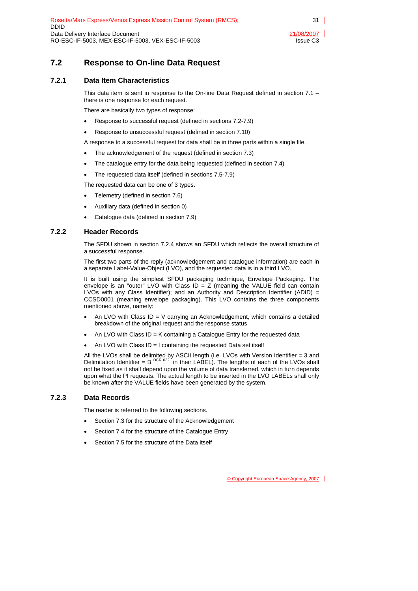### **7.2 Response to On-line Data Request**

### **7.2.1 Data Item Characteristics**

This data item is sent in response to the On-line Data Request defined in section 7.1 – there is one response for each request.

There are basically two types of response:

- Response to successful request (defined in sections 7.2-7.9)
- Response to unsuccessful request (defined in section 7.10)

A response to a successful request for data shall be in three parts within a single file.

- The acknowledgement of the request (defined in section 7.3)
- The catalogue entry for the data being requested (defined in section 7.4)
- The requested data itself (defined in sections 7.5-7.9)

The requested data can be one of 3 types.

- Telemetry (defined in section 7.6)
- Auxiliary data (defined in section 0)
- Catalogue data (defined in section 7.9)

#### **7.2.2 Header Records**

The SFDU shown in section 7.2.4 shows an SFDU which reflects the overall structure of a successful response.

The first two parts of the reply (acknowledgement and catalogue information) are each in a separate Label-Value-Object (LVO), and the requested data is in a third LVO.

It is built using the simplest SFDU packaging technique, Envelope Packaging. The envelope is an "outer" LVO with Class  $ID = Z$  (meaning the VALUE field can contain LVOs with any Class Identifier); and an Authority and Description Identifier (ADID) = CCSD0001 (meaning envelope packaging). This LVO contains the three components mentioned above, namely:

- An LVO with Class  $ID = V$  carrying an Acknowledgement, which contains a detailed breakdown of the original request and the response status
- An LVO with Class ID = K containing a Catalogue Entry for the requested data
- An LVO with Class  $ID = I$  containing the requested Data set itself

All the LVOs shall be delimited by ASCII length (i.e. LVOs with Version Identifier = 3 and<br>Delimitation Identifier = B <sup>DCR 032</sup> in their LABEL). The lengths of each of the LVOs shall not be fixed as it shall depend upon the volume of data transferred, which in turn depends upon what the PI requests. The actual length to be inserted in the LVO LABELs shall only be known after the VALUE fields have been generated by the system.

### **7.2.3 Data Records**

The reader is referred to the following sections.

- Section 7.3 for the structure of the Acknowledgement
- Section 7.4 for the structure of the Catalogue Entry
- Section 7.5 for the structure of the Data itself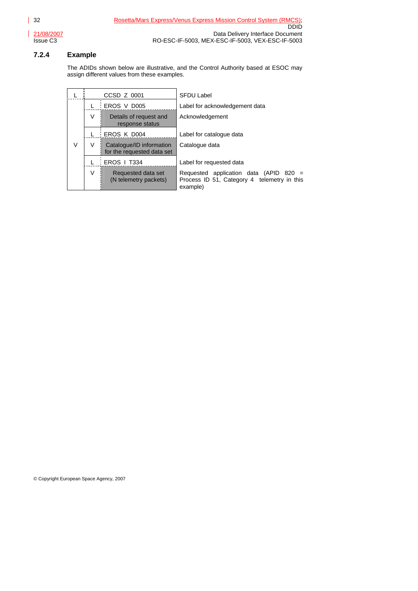#### 32 Rosetta/Mars Express/Venus Express Mission Control System (RMCS); **DDID** 21/08/2007 Data Delivery Interface Document Issue C3 RO-ESC-IF-5003, MEX-ESC-IF-5003, VEX-ESC-IF-5003

### **7.2.4 Example**

The ADIDs shown below are illustrative, and the Control Authority based at ESOC may assign different values from these examples.

|                                                                                    | CCSD Z 0001 |                                             | <b>SFDU Label</b>                                                                                 |
|------------------------------------------------------------------------------------|-------------|---------------------------------------------|---------------------------------------------------------------------------------------------------|
|                                                                                    |             | EROS V D005                                 | Label for acknowledgement data                                                                    |
|                                                                                    | V           | Details of request and<br>response status   | Acknowledgement                                                                                   |
|                                                                                    |             | EROS K D004                                 | Label for catalogue data                                                                          |
| V<br>V<br>Catalogue/ID information<br>Catalogue data<br>for the requested data set |             |                                             |                                                                                                   |
|                                                                                    |             | <b>EROS   T334</b>                          | Label for requested data                                                                          |
|                                                                                    | V           | Requested data set<br>(N telemetry packets) | Requested application data (APID 820 =<br>Process ID 51, Category 4 telemetry in this<br>example) |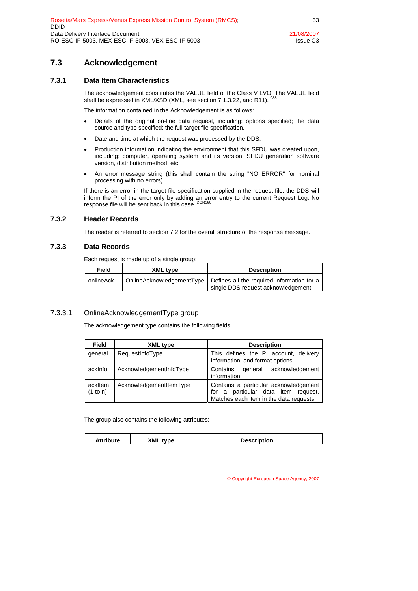# **7.3 Acknowledgement**

### **7.3.1 Data Item Characteristics**

The acknowledgement constitutes the VALUE field of the Class V LVO. The VALUE field shall be expressed in XML/XSD (XML, see section 7.1.3.22, and R11).

The information contained in the Acknowledgement is as follows:

- Details of the original on-line data request, including: options specified; the data source and type specified; the full target file specification.
- Date and time at which the request was processed by the DDS.
- Production information indicating the environment that this SFDU was created upon, including: computer, operating system and its version, SFDU generation software version, distribution method, etc;
- An error message string (this shall contain the string "NO ERROR" for nominal processing with no errors).

If there is an error in the target file specification supplied in the request file, the DDS will inform the PI of the error only by adding an error entry to the current Request Log. No<br>response file will be sent back in this case  ${}^{DCR+60}$ response file will be sent back in this case.

### **7.3.2 Header Records**

The reader is referred to section 7.2 for the overall structure of the response message.

### **7.3.3 Data Records**

Each request is made up of a single group:

| Field     | XML type | <b>Description</b>                                                                                            |
|-----------|----------|---------------------------------------------------------------------------------------------------------------|
| onlineAck |          | OnlineAcknowledgementType   Defines all the required information for a<br>single DDS request acknowledgement. |

### 7.3.3.1 OnlineAcknowledgementType group

The acknowledgement type contains the following fields:

| <b>Field</b>        | <b>XML type</b>         | <b>Description</b>                                                                                                         |
|---------------------|-------------------------|----------------------------------------------------------------------------------------------------------------------------|
| general             | RequestInfoType         | This defines the PI account, delivery<br>information, and format options.                                                  |
| ackInfo             | AcknowledgementInfoType | acknowledgement<br>Contains<br>general<br>information.                                                                     |
| ackItem<br>(1 to n) | AcknowledgementItemType | Contains a particular acknowledgement<br>particular data item request.<br>for a<br>Matches each item in the data requests. |

The group also contains the following attributes:

|  | <b>Attribute</b> | XML tvpe | <b>Description</b> |
|--|------------------|----------|--------------------|
|--|------------------|----------|--------------------|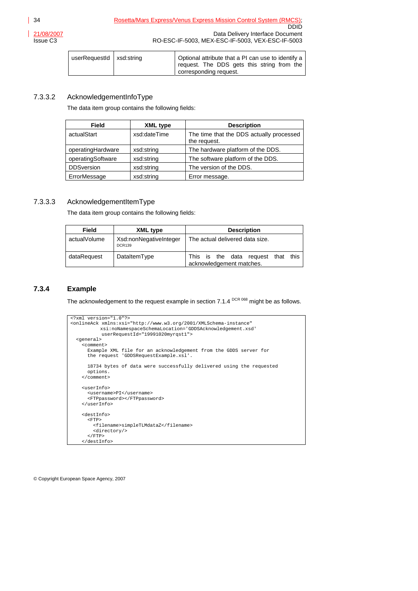34 Rosetta/Mars Express/Venus Express Mission Control System (RMCS); DDID 21/08/2007 Data Delivery Interface Document<br>RO-ESC-IF-5003, MEX-ESC-IF-5003, VEX-ESC-IF-5003 RO-ESC-IF-5003, MEX-ESC-IF-5003, VEX-ESC-IF-5003

|  | userRequestId   xsd:string |  | Optional attribute that a PI can use to identify a<br>request. The DDS gets this string from the<br>corresponding request. |
|--|----------------------------|--|----------------------------------------------------------------------------------------------------------------------------|
|--|----------------------------|--|----------------------------------------------------------------------------------------------------------------------------|

### 7.3.3.2 AcknowledgementInfoType

The data item group contains the following fields:

| <b>Field</b>      | XML type     | <b>Description</b>                                       |
|-------------------|--------------|----------------------------------------------------------|
| actualStart       | xsd:dateTime | The time that the DDS actually processed<br>the request. |
| operatingHardware | xsd:string   | The hardware platform of the DDS.                        |
| operatingSoftware | xsd:string   | The software platform of the DDS.                        |
| <b>DDSversion</b> | xsd:string   | The version of the DDS.                                  |
| ErrorMessage      | xsd:string   | Error message.                                           |

### 7.3.3.3 AcknowledgementItemType

The data item group contains the following fields:

| Field        | <b>XML type</b>                         | <b>Description</b>                                                   |  |
|--------------|-----------------------------------------|----------------------------------------------------------------------|--|
| actualVolume | Xsd:nonNegativeInteger<br><b>DCR139</b> | The actual delivered data size.                                      |  |
| dataRequest  | DataItemType                            | this<br>This is the data request<br>that<br>acknowledgement matches. |  |

### **7.3.4 Example**

The acknowledgement to the request example in section 7.1.4<sup>DCR 068</sup> might be as follows.

```
<?xml version="1.0"?> 
<onlineAck xmlns:xsi="http://www.w3.org/2001/XMLSchema-instance" 
           xsi:noNamespaceSchemaLocation='GDDSAcknowledgement.xsd' 
            userRequestId="19991020myrqst1"> 
   <general> 
     <comment> 
       Example XML file for an acknowledgement from the GDDS server for 
       the request 'GDDSRequestExample.xsl'. 
       18734 bytes of data were successfully delivered using the requested 
       options. 
     </comment> 
     <userInfo> 
       <username>PI</username> 
       <FTPpassword></FTPpassword> 
     </userInfo> 
     <destInfo> 
       <FTP> 
         <filename>simpleTLMdataZ</filename> 
         <directory/> 
      \langle / FTP>
     </destInfo>
```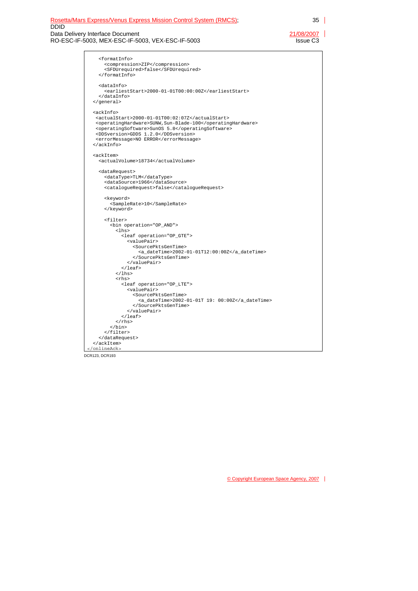#### Rosetta/Mars Express/Venus Express Mission Control System (RMCS); DDID Data Delivery Interface Document 21/08/2007 RO-ESC-IF-5003, MEX-ESC-IF-5003, VEX-ESC-IF-5003 Issue C3

| <formatinfo></formatinfo>                                 |
|-----------------------------------------------------------|
| <compression>ZIP</compression>                            |
| <sfdurequired>false</sfdurequired><br>                    |
|                                                           |
| <datainfo></datainfo>                                     |
| <earlieststart>2000-01-01T00:00:00Z</earlieststart>       |
|                                                           |
|                                                           |
|                                                           |
| <ackinfo></ackinfo>                                       |
| <actualstart>2000-01-01T00:02:07Z</actualstart>           |
| <operatinghardware>SUNW,Sun-Blade-100</operatinghardware> |
| <operatingsoftware>SunOS 5.8</operatingsoftware>          |
| <ddsversion>GDDS 1.2.0</ddsversion>                       |
| <errormessage>NO ERROR</errormessage>                     |
|                                                           |
| <ackitem></ackitem>                                       |
| <actualvolume>18734</actualvolume>                        |
|                                                           |
| <datarequest></datarequest>                               |
| <datatype>TLM</datatype>                                  |
| <datasource>1966</datasource>                             |
| <cataloguerequest>false</cataloguerequest>                |
|                                                           |
| <keyword></keyword>                                       |
| <samplerate>10</samplerate>                               |
|                                                           |
| <filter></filter>                                         |
| <bin operation="OP_AND"></bin>                            |
| $<$ lhs>                                                  |
| <leaf operation="OP GTE"></leaf>                          |
| <valuepair></valuepair>                                   |
| <sourcepktsgentime></sourcepktsgentime>                   |
| <a_datetime>2002-01-01T12:00:00Z</a_datetime>             |
|                                                           |
|                                                           |
| $\langle$ leaf>                                           |
| $\langle$ /lhs>                                           |
| <rhs><br/><leaf operation="OP_LTE"></leaf></rhs>          |
| <valuepair></valuepair>                                   |
| <sourcepktsgentime></sourcepktsgentime>                   |
| <a_datetime>2002-01-01T 19: 00:00Z</a_datetime>           |
|                                                           |
|                                                           |
| $\langle$ leaf>                                           |
| $\langle$ /rhs>                                           |
|                                                           |
|                                                           |
|                                                           |
|                                                           |
|                                                           |
| DCR123, DCR193                                            |

 $35$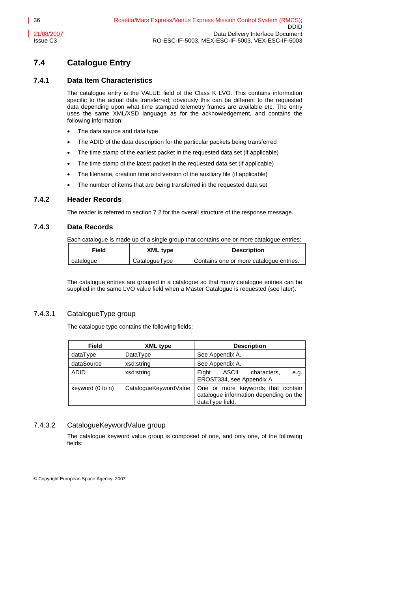

# **7.4 Catalogue Entry**

### **7.4.1 Data Item Characteristics**

The catalogue entry is the VALUE field of the Class K LVO. This contains information specific to the actual data transferred; obviously this can be different to the requested data depending upon what time stamped telemetry frames are available etc. The entry uses the same XML/XSD language as for the acknowledgement, and contains the following information:

- The data source and data type
- The ADID of the data description for the particular packets being transferred
- The time stamp of the earliest packet in the requested data set (if applicable)
- The time stamp of the latest packet in the requested data set (if applicable)
- The filename, creation time and version of the auxiliary file (if applicable)
- The number of items that are being transferred in the requested data set

### **7.4.2 Header Records**

The reader is referred to section 7.2 for the overall structure of the response message.

### **7.4.3 Data Records**

Each catalogue is made up of a single group that contains one or more catalogue entries:

| Field     | XML type      | <b>Description</b>                      |  |
|-----------|---------------|-----------------------------------------|--|
| catalogue | CatalogueType | Contains one or more catalogue entries. |  |

The catalogue entries are grouped in a catalogue so that many catalogue entries can be supplied in the same LVO value field when a Master Catalogue is requested (see later).

### 7.4.3.1 CatalogueType group

The catalogue type contains the following fields:

| <b>Field</b>     | <b>XML type</b>       | <b>Description</b>                                                                             |  |  |
|------------------|-----------------------|------------------------------------------------------------------------------------------------|--|--|
| dataType         | DataType              | See Appendix A.                                                                                |  |  |
| dataSource       | xsd:string            | See Appendix A.                                                                                |  |  |
| ADID             | xsd:string            | Eight<br>ASCII<br>characters,<br>e.g.<br>EROST334, see Appendix A                              |  |  |
| keyword (0 to n) | CatalogueKeywordValue | One or more keywords that contain<br>catalogue information depending on the<br>dataType field. |  |  |

### 7.4.3.2 CatalogueKeywordValue group

The catalogue keyword value group is composed of one, and only one, of the following fields: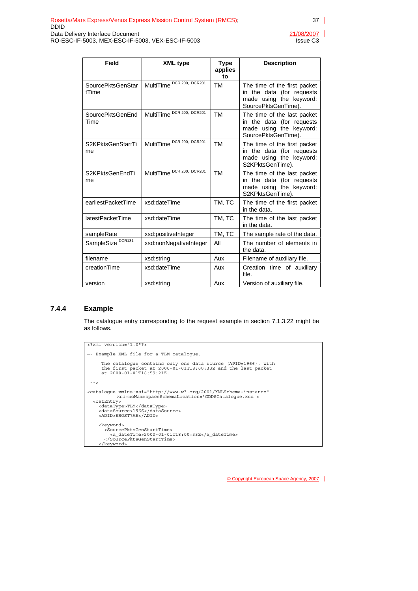#### Rosetta/Mars Express/Venus Express Mission Control System (RMCS); DDID Data Delivery Interface Document<br>RO-ESC-IF-5003, MEX-ESC-IF-5003, VEX-ESC-IF-5003<br>Issue C3 RO-ESC-IF-5003, MEX-ESC-IF-5003, VEX-ESC-IF-5003

| Field                             | <b>XML type</b>           | <b>Type</b><br>applies<br>to | <b>Description</b>                                                                                          |
|-----------------------------------|---------------------------|------------------------------|-------------------------------------------------------------------------------------------------------------|
| <b>SourcePktsGenStar</b><br>tTime | MultiTime DCR 200, DCR201 | <b>TM</b>                    | The time of the first packet<br>in the data (for requests<br>made using the keyword:<br>SourcePktsGenTime). |
| <b>SourcePktsGenEnd</b><br>Time   | MultiTime DCR 200, DCR201 | <b>TM</b>                    | The time of the last packet<br>in the data (for requests<br>made using the keyword:<br>SourcePktsGenTime).  |
| S2KPktsGenStartTi<br>me           | MultiTime DCR 200, DCR201 | <b>TM</b>                    | The time of the first packet<br>in the data (for requests<br>made using the keyword:<br>S2KPktsGenTime).    |
| S2KPktsGenEndTi<br>me             | MultiTime DCR 200, DCR201 | <b>TM</b>                    | The time of the last packet<br>in the data (for requests<br>made using the keyword:<br>S2KPktsGenTime).     |
| earliestPacketTime                | xsd:dateTime              | TM, TC                       | The time of the first packet<br>in the data.                                                                |
| latestPacketTime                  | xsd:dateTime              | TM, TC                       | The time of the last packet<br>in the data.                                                                 |
| sampleRate                        | xsd:positiveInteger       | TM, TC                       | The sample rate of the data.                                                                                |
| SampleSize <sup>DCR131</sup>      | xsd:nonNegativeInteger    | All                          | The number of elements in<br>the data.                                                                      |
| filename                          | xsd:string                | Aux                          | Filename of auxiliary file.                                                                                 |
| creationTime                      | xsd:dateTime              | Aux                          | Creation time of auxiliary<br>file.                                                                         |
| version                           | xsd:string                | Aux                          | Version of auxiliary file.                                                                                  |

### **7.4.4 Example**

The catalogue entry corresponding to the request example in section 7.1.3.22 might be as follows.

```
<?xml version="1.0"?> 
—- Example XML file for a TLM catalogue. 
  The catalogue contains only one data source (APID=1966), with 
 the first packet at 2000-01-01T18:00:33Z and the last packet 
 at 2000-01-01T18:59:21Z. 
   --> 
 <catalogue xmlns:xsi="http://www.w3.org/2001/XMLSchema-instance" 
 xsi:noNamespaceSchemaLocation='GDDSCatalogue.xsd'> 
 <catEntry><br><dataType>TLM</dataType><br><dataSource>1966</dataSource><br><ADID>EROST7AE</ADID>
 <keyword><br><SourcePktsGenStartTime><br><> <a_dateTime>2000-01-01T18:00:33Z</a_dateTime><br></SourcePktsGenStartTime>
        </keyword>
```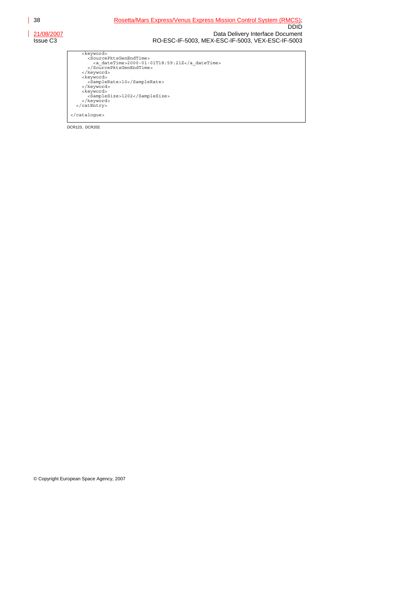| <keyword></keyword>                           |
|-----------------------------------------------|
| <sourcepktsgenendtime></sourcepktsgenendtime> |
| <a datetime="">2000-01-01T18:59:21Z</a>       |
|                                               |
|                                               |
| <keyword></keyword>                           |
| <samplerate>10</samplerate>                   |
|                                               |
| <keyword></keyword>                           |
| <samplesize>1202</samplesize>                 |
|                                               |
|                                               |
|                                               |

DCR123, DCR202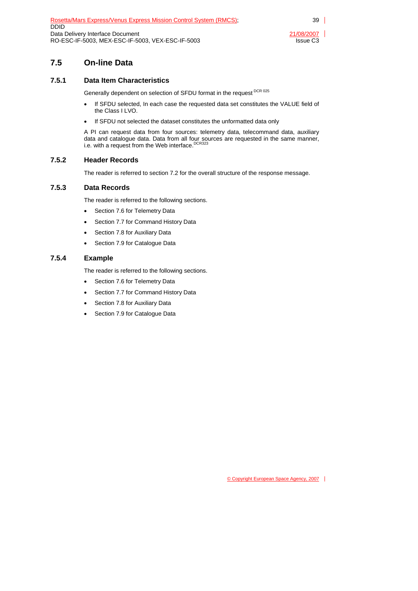# **7.5 On-line Data**

### **7.5.1 Data Item Characteristics**

Generally dependent on selection of SFDU format in the request DCR 025

- If SFDU selected, In each case the requested data set constitutes the VALUE field of the Class I LVO.
- If SFDU not selected the dataset constitutes the unformatted data only

A PI can request data from four sources: telemetry data, telecommand data, auxiliary data and catalogue data. Data from all four sources are requested in the same manner,<br>i.e. with a request from the Web interface.<sup>DCR323</sup>

#### **7.5.2 Header Records**

The reader is referred to section 7.2 for the overall structure of the response message.

#### **7.5.3 Data Records**

The reader is referred to the following sections.

- Section 7.6 for Telemetry Data
- Section 7.7 for Command History Data
- Section 7.8 for Auxiliary Data
- Section 7.9 for Catalogue Data

#### **7.5.4 Example**

The reader is referred to the following sections.

- Section 7.6 for Telemetry Data
- Section 7.7 for Command History Data
- Section 7.8 for Auxiliary Data
- Section 7.9 for Catalogue Data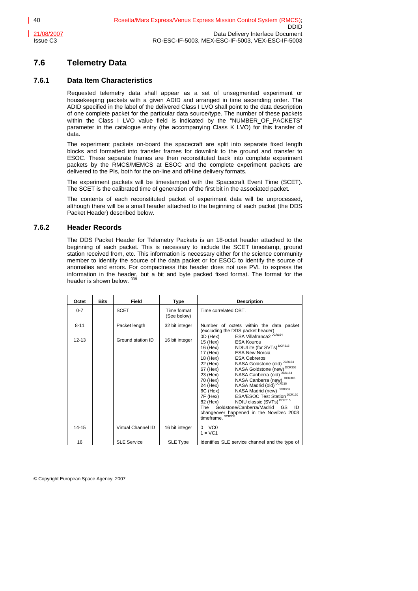



## **7.6 Telemetry Data**

#### **7.6.1 Data Item Characteristics**

Requested telemetry data shall appear as a set of unsegmented experiment or housekeeping packets with a given ADID and arranged in time ascending order. The ADID specified in the label of the delivered Class I LVO shall point to the data description of one complete packet for the particular data source/type. The number of these packets within the Class I LVO value field is indicated by the "NUMBER OF PACKETS" parameter in the catalogue entry (the accompanying Class K LVO) for this transfer of data.

The experiment packets on-board the spacecraft are split into separate fixed length blocks and formatted into transfer frames for downlink to the ground and transfer to ESOC. These separate frames are then reconstituted back into complete experiment packets by the RMCS/MEMCS at ESOC and the complete experiment packets are delivered to the PIs, both for the on-line and off-line delivery formats.

The experiment packets will be timestamped with the Spacecraft Event Time (SCET). The SCET is the calibrated time of generation of the first bit in the associated packet.

The contents of each reconstituted packet of experiment data will be unprocessed, although there will be a small header attached to the beginning of each packet (the DDS Packet Header) described below.

### **7.6.2 Header Records**

The DDS Packet Header for Telemetry Packets is an 18-octet header attached to the beginning of each packet. This is necessary to include the SCET timestamp, ground station received from, etc. This information is necessary either for the science community member to identify the source of the data packet or for ESOC to identify the source of anomalies and errors. For compactness this header does not use PVL to express the information in the header, but a bit and byte packed fixed format. The format for the header is shown below. 039

| Octet     | <b>Bits</b> | Field              | Type                       | <b>Description</b>                                                                                                                                                                                                                                                                                                                                                                                                                                                                                                                                                                                                                                                                                                                            |
|-----------|-------------|--------------------|----------------------------|-----------------------------------------------------------------------------------------------------------------------------------------------------------------------------------------------------------------------------------------------------------------------------------------------------------------------------------------------------------------------------------------------------------------------------------------------------------------------------------------------------------------------------------------------------------------------------------------------------------------------------------------------------------------------------------------------------------------------------------------------|
| $0 - 7$   |             | <b>SCET</b>        | Time format<br>(See below) | Time correlated OBT.                                                                                                                                                                                                                                                                                                                                                                                                                                                                                                                                                                                                                                                                                                                          |
| $8 - 11$  |             | Packet length      | 32 bit integer             | Number of octets within the data packet<br>(excluding the DDS packet header)                                                                                                                                                                                                                                                                                                                                                                                                                                                                                                                                                                                                                                                                  |
| $12 - 13$ |             | Ground station ID  | 16 bit integer             | ESA Villafranca2 <sup>DCR164</sup><br>0D (Hex)<br>15 (Hex)<br><b>ESA Kourou</b><br>NDIULite (for SVTs) <sup>DCR215</sup><br>16 (Hex)<br><b>ESA New Norcia</b><br>17 (Hex)<br>18 (Hex)<br><b>ESA Cebreros</b><br><b>DCR164</b><br>22 (Hex)<br>NASA Goldstone (old)<br>NASA Goldstone (new) <sup>DCR305</sup><br>67 (Hex)<br>NASA Canberra (old) <sup>DCR164</sup><br>23 (Hex)<br>NASA Canberra (new) DCR305<br>70 (Hex)<br>NASA Madrid (old) <sup>DCR215</sup><br>24 (Hex)<br>NASA Madrid (new) DCR336<br>6C (Hex)<br>ESA/ESOC Test Station DCR120<br>7F (Hex)<br>NDIU classic (SVTs) <sup>DCR215</sup><br>82 (Hex)<br>Goldstone/Canberra/Madrid<br>The<br>ID<br>GS<br>changeover happened in the Nov/Dec 2003<br>timeframe. <sup>DCR305</sup> |
| $14 - 15$ |             | Virtual Channel ID | 16 bit integer             | $0 = VCO$<br>$1 = VC1$                                                                                                                                                                                                                                                                                                                                                                                                                                                                                                                                                                                                                                                                                                                        |
| 16        |             | <b>SLE Service</b> | <b>SLE Type</b>            | Identifies SLE service channel and the type of                                                                                                                                                                                                                                                                                                                                                                                                                                                                                                                                                                                                                                                                                                |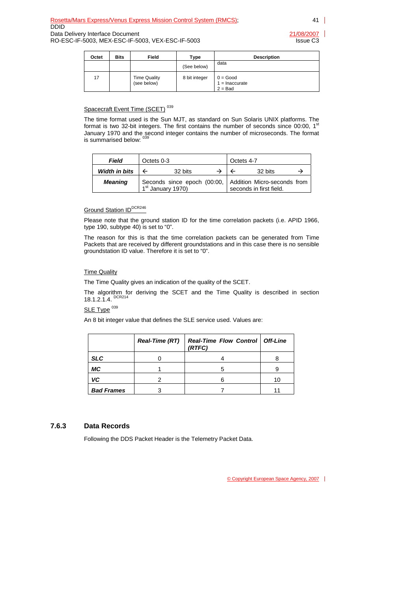| Octet | <b>Bits</b> | Field                              | Type          | <b>Description</b>                          |
|-------|-------------|------------------------------------|---------------|---------------------------------------------|
|       |             |                                    | (See below)   | data                                        |
| 17    |             | <b>Time Quality</b><br>(see below) | 8 bit integer | $0 = Good$<br>$1 = Inaccurate$<br>$2 =$ Bad |

### Spacecraft Event Time (SCET)<sup>039</sup>

The time format used is the Sun MJT, as standard on Sun Solaris UNIX platforms. The format is two 32-bit integers. The first contains the number of seconds since 00:00,  $1<sup>s</sup>$ January 1970 and the second integer contains the number of microseconds. The format<br>is summarised below: <sup>039</sup>

| <b>Field</b>   | Octets 0-3                                                                               |         |  | Octets 4-7 |                         |  |
|----------------|------------------------------------------------------------------------------------------|---------|--|------------|-------------------------|--|
| Width in bits  |                                                                                          | 32 bits |  |            | 32 bits                 |  |
| <b>Meaning</b> | Seconds since epoch (00:00, Addition Micro-seconds from<br>1 <sup>st</sup> January 1970) |         |  |            | seconds in first field. |  |

### Ground Station IDDCR246

Please note that the ground station ID for the time correlation packets (i.e. APID 1966, type 190, subtype 40) is set to "0".

The reason for this is that the time correlation packets can be generated from Time Packets that are received by different groundstations and in this case there is no sensible groundstation ID value. Therefore it is set to "0".

#### **Time Quality**

The Time Quality gives an indication of the quality of the SCET.

The algorithm for deriving the SCET and the Time Quality is described in section<br>18.1.2.1.4. <sup>DCR214</sup>

### SLE Type 039

An 8 bit integer value that defines the SLE service used. Values are:

|                   | <b>Real-Time (RT)</b> | Real-Time Flow Control   Off-Line<br>(RTFC) |    |
|-------------------|-----------------------|---------------------------------------------|----|
| <b>SLC</b>        |                       |                                             |    |
| <b>MC</b>         |                       | 5                                           |    |
| VC                |                       |                                             | 10 |
| <b>Bad Frames</b> |                       |                                             |    |

#### **7.6.3 Data Records**

Following the DDS Packet Header is the Telemetry Packet Data.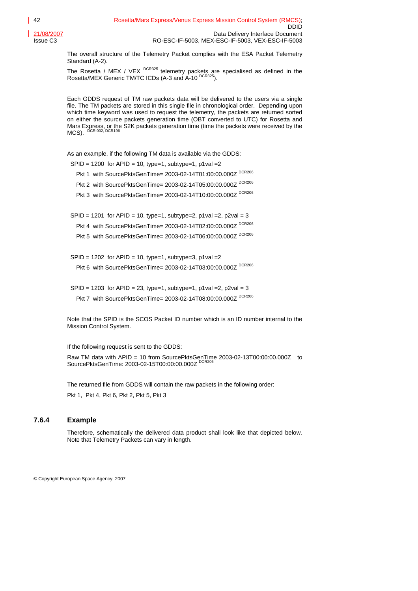The overall structure of the Telemetry Packet complies with the ESA Packet Telemetry Standard (A-2).

The Rosetta / MEX / VEX  $PCR325$  telemetry packets are specialised as defined in the Rosetta/MEX Generic TM/TC ICDs (A-3 and A-10<sup>DCR325</sup>).

Each GDDS request of TM raw packets data will be delivered to the users via a single file. The TM packets are stored in this single file in chronological order. Depending upon which time keyword was used to request the telemetry, the packets are returned sorted on either the source packets generation time (OBT converted to UTC) for Rosetta and Mars Express, or the S2K packets generation time (time the packets were received by the<br>MCS). <sup>DCR 002, DCR196</sup>

As an example, if the following TM data is available via the GDDS:

 $SPID = 1200$  for  $APID = 10$ , type=1, subtype=1, p1val =2

Pkt 1 with SourcePktsGenTime= 2003-02-14T01:00:00.000Z DCR206

Pkt 2 with SourcePktsGenTime= 2003-02-14T05:00:00.000Z <sup>DCR206</sup>

Pkt 3 with SourcePktsGenTime= 2003-02-14T10:00:00.000Z DCR206

- $SPID = 1201$  for  $APID = 10$ , type=1, subtype=2, p1val =2, p2val = 3 Pkt 4 with SourcePktsGenTime= 2003-02-14T02:00:00.000Z <sup>DCR206</sup> Pkt 5 with SourcePktsGenTime= 2003-02-14T06:00:00.000Z DCR206
- $SPID = 1202$  for  $APID = 10$ , type=1, subtype=3, p1val =2 Pkt 6 with SourcePktsGenTime= 2003-02-14T03:00:00.000Z DCR206
- $SPID = 1203$  for  $APID = 23$ , type=1, subtype=1, p1val =2, p2val = 3 Pkt 7 with SourcePktsGenTime= 2003-02-14T08:00:00.000Z DCR206

Note that the SPID is the SCOS Packet ID number which is an ID number internal to the Mission Control System.

If the following request is sent to the GDDS:

Raw TM data with APID = 10 from SourcePktsGenTime 2003-02-13T00:00:00.000Z to SourcePktsGenTime: 2003-02-15T00:00:00.000Z<sup>DO</sup>

The returned file from GDDS will contain the raw packets in the following order: Pkt 1, Pkt 4, Pkt 6, Pkt 2, Pkt 5, Pkt 3

#### **7.6.4 Example**

Therefore, schematically the delivered data product shall look like that depicted below. Note that Telemetry Packets can vary in length.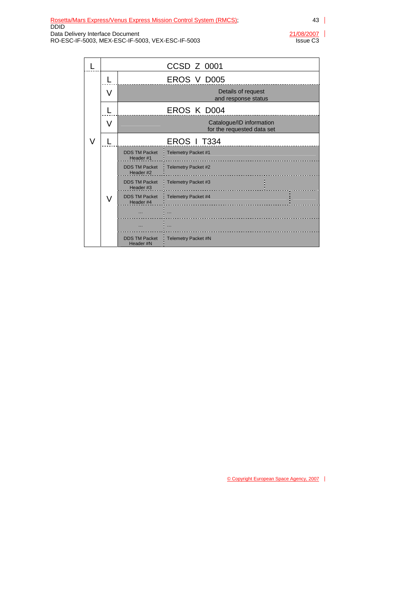#### Rosetta/Mars Express/Venus Express Mission Control System (RMCS); **DDID** Data Delivery Interface Document 21/08/2007 RO-ESC-IF-5003, MEX-ESC-IF-5003, VEX-ESC-IF-5003 Issue C3

43

|        |   |                                   | CCSD Z 0001                                            |  |  |  |  |
|--------|---|-----------------------------------|--------------------------------------------------------|--|--|--|--|
|        |   |                                   | EROS V D005                                            |  |  |  |  |
|        | V |                                   | Details of request<br>and response status              |  |  |  |  |
|        |   |                                   | EROS K D004                                            |  |  |  |  |
|        | V |                                   | Catalogue/ID information<br>for the requested data set |  |  |  |  |
| $\vee$ |   |                                   | <b>EROS   T334</b>                                     |  |  |  |  |
|        |   | <b>DDS TM Packet</b><br>Header #1 | Telemetry Packet #1                                    |  |  |  |  |
|        | v | <b>DDS TM Packet</b><br>Header #2 | <b>Telemetry Packet #2</b>                             |  |  |  |  |
|        |   | <b>DDS TM Packet</b><br>Header #3 | Telemetry Packet #3                                    |  |  |  |  |
|        |   | <b>DDS TM Packet</b><br>Header #4 | <b>Telemetry Packet #4</b>                             |  |  |  |  |
|        |   |                                   |                                                        |  |  |  |  |
|        |   | .                                 | .                                                      |  |  |  |  |
|        |   | <b>DDS TM Packet</b><br>Header #N | <b>Telemetry Packet #N</b>                             |  |  |  |  |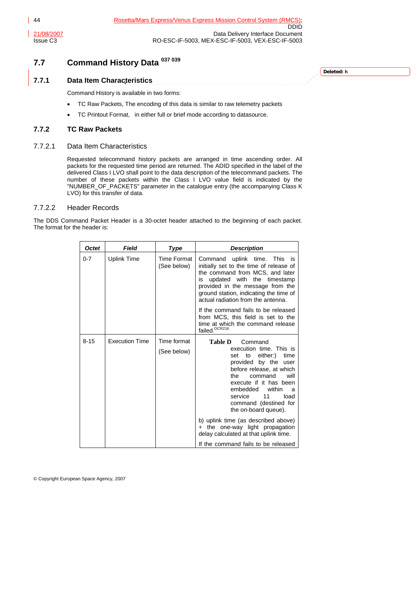# **7.7 Command History Data 037 039**

### **7.7.1 Data Item Characteristics**

Command History is available in two forms:

- TC Raw Packets, The encoding of this data is similar to raw telemetry packets
- TC Printout Format, in either full or brief mode according to datasource.

### **7.7.2 TC Raw Packets**

### 7.7.2.1 Data Item Characteristics

Requested telecommand history packets are arranged in time ascending order. All packets for the requested time period are returned. The ADID specified in the label of the delivered Class I LVO shall point to the data description of the telecommand packets. The number of these packets within the Class I LVO value field is indicated by the "NUMBER\_OF\_PACKETS" parameter in the catalogue entry (the accompanying Class K LVO) for this transfer of data.

### 7.7.2.2 Header Records

The DDS Command Packet Header is a 30-octet header attached to the beginning of each packet. The format for the header is:

| <b>Octet</b> | <b>Field</b>                                           | Type                       | <b>Description</b>                                                                                                                                                                                                                                                                                                                                                                             |
|--------------|--------------------------------------------------------|----------------------------|------------------------------------------------------------------------------------------------------------------------------------------------------------------------------------------------------------------------------------------------------------------------------------------------------------------------------------------------------------------------------------------------|
| $0 - 7$      | <b>Uplink Time</b>                                     | Time Format<br>(See below) | Command uplink time. This<br>is<br>initially set to the time of release of<br>the command from MCS, and later<br>updated with the timestamp<br>İS.<br>provided in the message from the<br>ground station, indicating the time of<br>actual radiation from the antenna.                                                                                                                         |
|              |                                                        |                            | If the command fails to be released<br>from MCS, this field is set to the<br>time at which the command release<br>failed. <sup>DCR216</sup>                                                                                                                                                                                                                                                    |
| $8 - 15$     | Time format<br><b>Execution Time</b><br><b>Table D</b> |                            | Command                                                                                                                                                                                                                                                                                                                                                                                        |
|              |                                                        | (See below)                | execution time. This is<br>either:)<br>time<br>to<br>set<br>by the<br>provided<br>user<br>before release, at which<br>will<br>the<br>command<br>execute if it has been<br>within<br>embedded<br>a<br>11<br>service<br>load<br>command (destined for<br>the on-board queue).<br>b) uplink time (as described above)<br>+ the one-way light propagation<br>delay calculated at that uplink time. |
|              |                                                        |                            | If the command fails to be released                                                                                                                                                                                                                                                                                                                                                            |

**Deleted: h**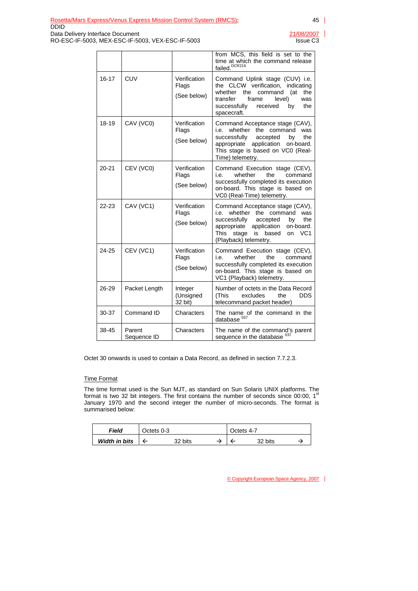#### Rosetta/Mars Express/Venus Express Mission Control System (RMCS); DDID Data Delivery Interface Document<br>
RO-ESC-IF-5003, MEX-ESC-IF-5003, VEX-ESC-IF-5003<br>
Issue C3 RO-ESC-IF-5003, MEX-ESC-IF-5003, VEX-ESC-IF-5003

|           |            |                                      | from MCS, this field is set to the<br>time at which the command release<br>failed. <sup>DCR216</sup>                                                                                     |
|-----------|------------|--------------------------------------|------------------------------------------------------------------------------------------------------------------------------------------------------------------------------------------|
| $16 - 17$ | <b>CUV</b> | Verification<br>Flags<br>(See below) | Command Uplink stage (CUV) i.e.<br>the CLCW verification, indicating<br>whether the command (at<br>the<br>transfer frame level)<br>was<br>successfully received<br>by the<br>spacecraft. |
| $18 - 19$ | CAV (VC0)  | Verification<br>Flags<br>(See below) | Command Acceptance stage (CAV),<br>i.e. whether the command<br>was<br>successfully accepted by the<br>appropriate application on-board.                                                  |

| spacecraft.                                                                                                                                                                                                                                                                    |                               |
|--------------------------------------------------------------------------------------------------------------------------------------------------------------------------------------------------------------------------------------------------------------------------------|-------------------------------|
| CAV (VC0)<br>18-19<br>Verification<br>Command Acceptance stage (CAV),<br>whether<br>the command<br>i.e.<br>Flags<br>successfullv<br>accepted<br>bv<br>(See below)<br>appropriate application on-board.<br>This stage is based on VC0 (Real-<br>Time) telemetry.                | was<br>the                    |
| CEV (VC0)<br>Verification<br>20-21<br>Command Execution stage (CEV),<br>whether<br>i.e.<br>the<br>command<br>Flags<br>successfully completed its execution<br>(See below)<br>on-board. This stage is based on<br>VC0 (Real-Time) telemetry.                                    |                               |
| CAV (VC1)<br>22-23<br>Verification<br>Command Acceptance stage (CAV),<br>whether<br>the<br>Flags<br>command<br>i.e.<br>successfully<br>accepted<br>by<br>(See below)<br>application<br>appropriate<br>on-board.<br>This<br>stage<br>is<br>based<br>on<br>(Playback) telemetry. | was<br>the<br>VC <sub>1</sub> |
| CEV (VC1)<br>24-25<br>Verification<br>Command Execution stage (CEV),<br>whether<br>Flags<br>the<br>i.e.<br>command<br>successfully completed its execution<br>(See below)<br>on-board. This stage is based on<br>VC1 (Playback) telemetry.                                     |                               |
| Number of octets in the Data Record<br>26-29<br>Packet Length<br>Integer<br>(Unsigned<br>(This<br>excludes<br>the<br>32 bit)<br>telecommand packet header)                                                                                                                     | <b>DDS</b>                    |
| 30-37<br>Command ID<br>Characters<br>The name of the command in the<br>database <sup>037</sup>                                                                                                                                                                                 |                               |
| 38-45<br>Parent<br>Characters<br>The name of the command's parent<br>sequence in the database 037<br>Sequence ID                                                                                                                                                               |                               |

Octet 30 onwards is used to contain a Data Record, as defined in section 7.7.2.3.

#### Time Format

The time format used is the Sun MJT, as standard on Sun Solaris UNIX platforms. The format is two 32 bit integers. The first contains the number of seconds since 00:00,  $1<sup>st</sup>$ January 1970 and the second integer the number of micro-seconds. The format is summarised below:

| Field                | Octets 0-3 |         |  | Octets 4-7 |         |  |
|----------------------|------------|---------|--|------------|---------|--|
| <b>Width in bits</b> |            | 32 bits |  |            | 32 bits |  |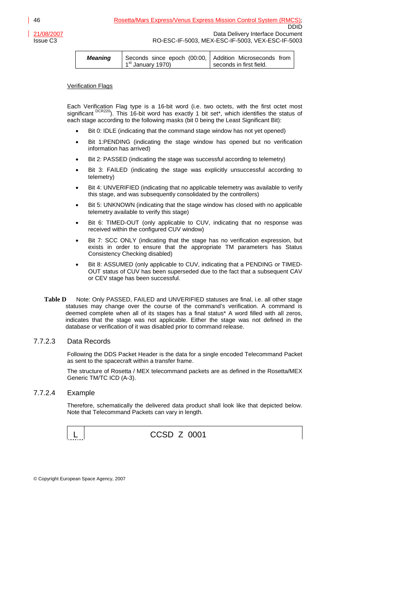| <b>Meaning</b> | Seconds since epoch (00:00, Addition Microseconds from<br>1 <sup>st</sup> January 1970) | seconds in first field. |
|----------------|-----------------------------------------------------------------------------------------|-------------------------|
|----------------|-----------------------------------------------------------------------------------------|-------------------------|

#### Verification Flags

Each Verification Flag type is a 16-bit word (i.e. two octets, with the first octet most<br>significant <sup>DCR220</sup>). This 16-bit word has exactly 1 bit set\*, which identifies the status of each stage according to the following masks (bit 0 being the Least Significant Bit):

- Bit 0: IDLE (indicating that the command stage window has not yet opened)
- Bit 1:PENDING (indicating the stage window has opened but no verification information has arrived)
- Bit 2: PASSED (indicating the stage was successful according to telemetry)
- Bit 3: FAILED (indicating the stage was explicitly unsuccessful according to telemetry)
- Bit 4: UNVERIFIED (indicating that no applicable telemetry was available to verify this stage, and was subsequently consolidated by the controllers)
- Bit 5: UNKNOWN (indicating that the stage window has closed with no applicable telemetry available to verify this stage)
- Bit 6: TIMED-OUT (only applicable to CUV, indicating that no response was received within the configured CUV window)
- Bit 7: SCC ONLY (indicating that the stage has no verification expression, but exists in order to ensure that the appropriate TM parameters has Status Consistency Checking disabled)
- Bit 8: ASSUMED (only applicable to CUV, indicating that a PENDING or TIMED-OUT status of CUV has been superseded due to the fact that a subsequent CAV or CEV stage has been successful.
- **Table D** Note: Only PASSED, FAILED and UNVERIFIED statuses are final, i.e. all other stage statuses may change over the course of the command's verification. A command is deemed complete when all of its stages has a final status\* A word filled with all zeros, indicates that the stage was not applicable. Either the stage was not defined in the database or verification of it was disabled prior to command release.

#### 7.7.2.3 Data Records

Following the DDS Packet Header is the data for a single encoded Telecommand Packet as sent to the spacecraft within a transfer frame.

The structure of Rosetta / MEX telecommand packets are as defined in the Rosetta/MEX Generic TM/TC ICD (A-3).

#### 7.7.2.4 Example

Therefore, schematically the delivered data product shall look like that depicted below. Note that Telecommand Packets can vary in length.



CCSD Z 0001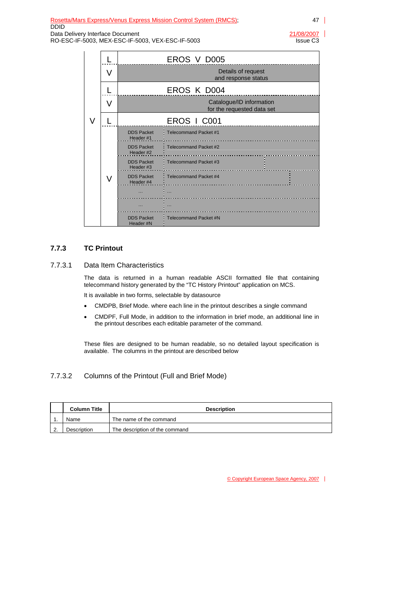#### Rosetta/Mars Express/Venus Express Mission Control System (RMCS); DDID Data Delivery Interface Document 21/08/2007

RO-ESC-IF-5003, MEX-ESC-IF-5003, VEX-ESC-IF-5003

|   |   |                                           | EROS V D005                                            |  |  |  |  |
|---|---|-------------------------------------------|--------------------------------------------------------|--|--|--|--|
|   | V | Details of request<br>and response status |                                                        |  |  |  |  |
|   |   |                                           | EROS K D004                                            |  |  |  |  |
|   | V |                                           | Catalogue/ID information<br>for the requested data set |  |  |  |  |
| V |   | <b>EROS   C001</b>                        |                                                        |  |  |  |  |
|   |   | <b>DDS Packet</b><br>Header #1            | Telecommand Packet #1                                  |  |  |  |  |
|   |   | <b>DDS Packet</b><br>Header #2            | Telecommand Packet #2<br>.                             |  |  |  |  |
|   |   | <b>DDS Packet</b><br>Header #3            | Telecommand Packet #3                                  |  |  |  |  |
|   | V | <b>DDS Packet</b><br>Header #4            | Telecommand Packet #4                                  |  |  |  |  |
|   |   | $\cdots$                                  |                                                        |  |  |  |  |
|   |   | $\cdots$                                  | $\sim$ $\sim$                                          |  |  |  |  |
|   |   | <b>DDS Packet</b><br>Header #N            | <b>Telecommand Packet #N</b>                           |  |  |  |  |

### **7.7.3 TC Printout**

### 7.7.3.1 Data Item Characteristics

The data is returned in a human readable ASCII formatted file that containing telecommand history generated by the "TC History Printout" application on MCS.

It is available in two forms, selectable by datasource

- CMDPB, Brief Mode. where each line in the printout describes a single command
- CMDPF, Full Mode, in addition to the information in brief mode, an additional line in the printout describes each editable parameter of the command.

These files are designed to be human readable, so no detailed layout specification is available. The columns in the printout are described below

### 7.7.3.2 Columns of the Printout (Full and Brief Mode)

|          | <b>Column Title</b> | <b>Description</b>             |  |
|----------|---------------------|--------------------------------|--|
|          | Name                | The name of the command        |  |
| <u>.</u> | Description         | The description of the command |  |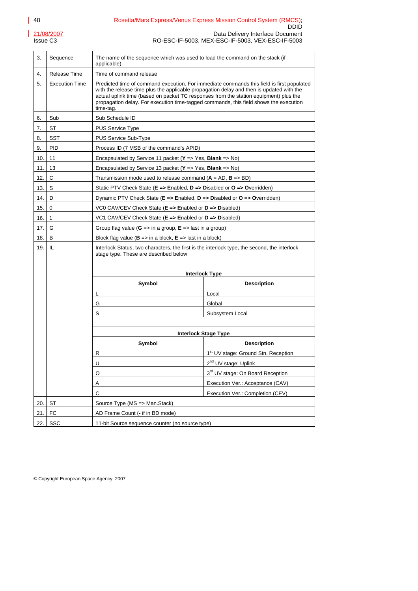$\overline{\phantom{a}}$ 

| 21/08/2007 |
|------------|
| Issue C3   |

#### 48 Rosetta/Mars Express/Venus Express Mission Control System (RMCS); DDID

21/08/2007 Data Delivery Interface Document Issue C3 RO-ESC-IF-5003, MEX-ESC-IF-5003, VEX-ESC-IF-5003

| 3.  | Sequence              | The name of the sequence which was used to load the command on the stack (if<br>applicable)                                                                                                                                                                                                                                                                                          |                                     |  |
|-----|-----------------------|--------------------------------------------------------------------------------------------------------------------------------------------------------------------------------------------------------------------------------------------------------------------------------------------------------------------------------------------------------------------------------------|-------------------------------------|--|
| 4.  | <b>Release Time</b>   | Time of command release                                                                                                                                                                                                                                                                                                                                                              |                                     |  |
| 5.  | <b>Execution Time</b> | Predicted time of command execution. For immediate commands this field is first populated<br>with the release time plus the applicable propagation delay and then is updated with the<br>actual uplink time (based on packet TC responses from the station equipment) plus the<br>propagation delay. For execution time-tagged commands, this field shows the execution<br>time-tag. |                                     |  |
| 6.  | Sub                   | Sub Schedule ID                                                                                                                                                                                                                                                                                                                                                                      |                                     |  |
| 7.  | ST                    | <b>PUS Service Type</b>                                                                                                                                                                                                                                                                                                                                                              |                                     |  |
| 8.  | <b>SST</b>            | PUS Service Sub-Type                                                                                                                                                                                                                                                                                                                                                                 |                                     |  |
| 9.  | <b>PID</b>            | Process ID (7 MSB of the command's APID)                                                                                                                                                                                                                                                                                                                                             |                                     |  |
| 10. | 11                    | Encapsulated by Service 11 packet ( $Y \Rightarrow Yes$ , Blank => No)                                                                                                                                                                                                                                                                                                               |                                     |  |
| 11. | 13                    | Encapsulated by Service 13 packet ( $Y \Rightarrow Yes$ , Blank => No)                                                                                                                                                                                                                                                                                                               |                                     |  |
| 12. | C                     | Transmission mode used to release command $(A = AD, B => BD)$                                                                                                                                                                                                                                                                                                                        |                                     |  |
| 13. | S                     | Static PTV Check State ( $E \Rightarrow$ Enabled, $D \Rightarrow$ Disabled or $O \Rightarrow$ Overridden)                                                                                                                                                                                                                                                                            |                                     |  |
| 14. | D                     | Dynamic PTV Check State ( $E \Rightarrow$ Enabled, $D \Rightarrow$ Disabled or $O \Rightarrow$ Overridden)                                                                                                                                                                                                                                                                           |                                     |  |
| 15. | 0                     | VC0 CAV/CEV Check State ( $E \Rightarrow$ Enabled or $D \Rightarrow$ Disabled)                                                                                                                                                                                                                                                                                                       |                                     |  |
| 16. | 1                     | VC1 CAV/CEV Check State ( $E \Rightarrow$ Enabled or $D \Rightarrow$ Disabled)                                                                                                                                                                                                                                                                                                       |                                     |  |
| 17. | G                     | Group flag value ( $G \Rightarrow$ in a group, $E \Rightarrow$ last in a group)                                                                                                                                                                                                                                                                                                      |                                     |  |
| 18. | B                     | Block flag value ( $B \Rightarrow$ in a block, $E \Rightarrow$ last in a block)                                                                                                                                                                                                                                                                                                      |                                     |  |
| 19. | IL                    | Interlock Status, two characters, the first is the interlock type, the second, the interlock<br>stage type. These are described below                                                                                                                                                                                                                                                |                                     |  |
|     |                       | <b>Interlock Type</b>                                                                                                                                                                                                                                                                                                                                                                |                                     |  |
|     |                       | Symbol                                                                                                                                                                                                                                                                                                                                                                               | <b>Description</b>                  |  |
|     |                       | L                                                                                                                                                                                                                                                                                                                                                                                    | Local                               |  |
|     |                       | G                                                                                                                                                                                                                                                                                                                                                                                    | Global                              |  |
|     |                       | S                                                                                                                                                                                                                                                                                                                                                                                    | Subsystem Local                     |  |
|     |                       |                                                                                                                                                                                                                                                                                                                                                                                      |                                     |  |
|     |                       | <b>Interlock Stage Type</b>                                                                                                                                                                                                                                                                                                                                                          |                                     |  |
|     |                       | Symbol                                                                                                                                                                                                                                                                                                                                                                               | <b>Description</b>                  |  |
|     |                       | R                                                                                                                                                                                                                                                                                                                                                                                    | 1st UV stage: Ground Stn. Reception |  |
|     |                       | Ù                                                                                                                                                                                                                                                                                                                                                                                    | 2 <sup>nd</sup> UV stage: Uplink    |  |
|     |                       | O                                                                                                                                                                                                                                                                                                                                                                                    | 3rd UV stage: On Board Reception    |  |
|     |                       | Α                                                                                                                                                                                                                                                                                                                                                                                    | Execution Ver.: Acceptance (CAV)    |  |
|     |                       | C                                                                                                                                                                                                                                                                                                                                                                                    | Execution Ver.: Completion (CEV)    |  |
| 20. | ST                    | Source Type (MS => Man.Stack)                                                                                                                                                                                                                                                                                                                                                        |                                     |  |
| 21. | FC                    | AD Frame Count (- if in BD mode)                                                                                                                                                                                                                                                                                                                                                     |                                     |  |
| 22. | SSC                   | 11-bit Source sequence counter (no source type)                                                                                                                                                                                                                                                                                                                                      |                                     |  |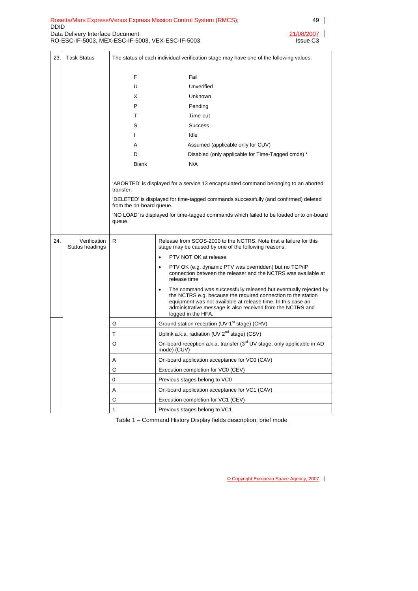**DDID** Data Delivery Interface Document 21/08/2007 RO-ESC-IF-5003, MEX-ESC-IF-5003, VEX-ESC-IF-5003 Issue C3

Rosetta/Mars Express/Venus Express Mission Control System (RMCS);

49 |

| 23. | <b>Task Status</b>              | The status of each individual verification stage may have one of the following values: |                                                                                                                                                                                                                                                                                                    |  |  |  |  |  |
|-----|---------------------------------|----------------------------------------------------------------------------------------|----------------------------------------------------------------------------------------------------------------------------------------------------------------------------------------------------------------------------------------------------------------------------------------------------|--|--|--|--|--|
|     |                                 | F                                                                                      | Fail                                                                                                                                                                                                                                                                                               |  |  |  |  |  |
|     |                                 | U                                                                                      | Unverified                                                                                                                                                                                                                                                                                         |  |  |  |  |  |
|     |                                 | X                                                                                      | Unknown                                                                                                                                                                                                                                                                                            |  |  |  |  |  |
|     |                                 | P                                                                                      | Pending                                                                                                                                                                                                                                                                                            |  |  |  |  |  |
|     |                                 | T                                                                                      | Time-out                                                                                                                                                                                                                                                                                           |  |  |  |  |  |
|     |                                 | S                                                                                      | <b>Success</b>                                                                                                                                                                                                                                                                                     |  |  |  |  |  |
|     |                                 | T                                                                                      | Idle                                                                                                                                                                                                                                                                                               |  |  |  |  |  |
|     |                                 | Α                                                                                      | Assumed (applicable only for CUV)                                                                                                                                                                                                                                                                  |  |  |  |  |  |
|     |                                 | D                                                                                      | Disabled (only applicable for Time-Tagged cmds) *                                                                                                                                                                                                                                                  |  |  |  |  |  |
|     |                                 | <b>Blank</b>                                                                           | N/A                                                                                                                                                                                                                                                                                                |  |  |  |  |  |
|     |                                 | transfer.                                                                              | 'ABORTED' is displayed for a service 13 encapsulated command belonging to an aborted                                                                                                                                                                                                               |  |  |  |  |  |
|     |                                 | from the on-board queue.                                                               | 'DELETED' is displayed for time-tagged commands successfully (and confirmed) deleted                                                                                                                                                                                                               |  |  |  |  |  |
|     |                                 | queue.                                                                                 | 'NO LOAD' is displayed for time-tagged commands which failed to be loaded onto on-board                                                                                                                                                                                                            |  |  |  |  |  |
| 24. | Verification<br>Status headings | R                                                                                      | Release from SCOS-2000 to the NCTRS. Note that a failure for this<br>stage may be caused by one of the following reasons:                                                                                                                                                                          |  |  |  |  |  |
|     |                                 |                                                                                        | PTV NOT OK at release                                                                                                                                                                                                                                                                              |  |  |  |  |  |
|     |                                 |                                                                                        | PTV OK (e.g. dynamic PTV was overridden) but no TCP/IP<br>$\bullet$<br>connection between the releaser and the NCTRS was available at<br>release time                                                                                                                                              |  |  |  |  |  |
|     |                                 |                                                                                        | The command was successfully released but eventually rejected by<br>$\bullet$<br>the NCTRS e.g. because the required connection to the station<br>equipment was not available at release time. In this case an<br>administrative message is also received from the NCTRS and<br>logged in the HFA. |  |  |  |  |  |
|     |                                 | G                                                                                      | Ground station reception (UV 1 <sup>st</sup> stage) (CRV)                                                                                                                                                                                                                                          |  |  |  |  |  |
|     |                                 | т                                                                                      | Uplink a.k.a. radiation (UV 2 <sup>nd</sup> stage) (CSV)                                                                                                                                                                                                                                           |  |  |  |  |  |
|     |                                 | $\Omega$                                                                               | On-board reception a.k.a. transfer (3 <sup>rd</sup> UV stage, only applicable in AD<br>mode) (CUV)                                                                                                                                                                                                 |  |  |  |  |  |
|     |                                 | Α                                                                                      | On-board application acceptance for VC0 (CAV)                                                                                                                                                                                                                                                      |  |  |  |  |  |
|     |                                 | C                                                                                      | Execution completion for VC0 (CEV)                                                                                                                                                                                                                                                                 |  |  |  |  |  |
|     |                                 | 0                                                                                      | Previous stages belong to VC0                                                                                                                                                                                                                                                                      |  |  |  |  |  |
|     |                                 | Α                                                                                      | On-board application acceptance for VC1 (CAV)                                                                                                                                                                                                                                                      |  |  |  |  |  |
|     |                                 | C                                                                                      | Execution completion for VC1 (CEV)                                                                                                                                                                                                                                                                 |  |  |  |  |  |
|     |                                 | 1                                                                                      | Previous stages belong to VC1                                                                                                                                                                                                                                                                      |  |  |  |  |  |

Table 1 – Command History Display fields description; brief mode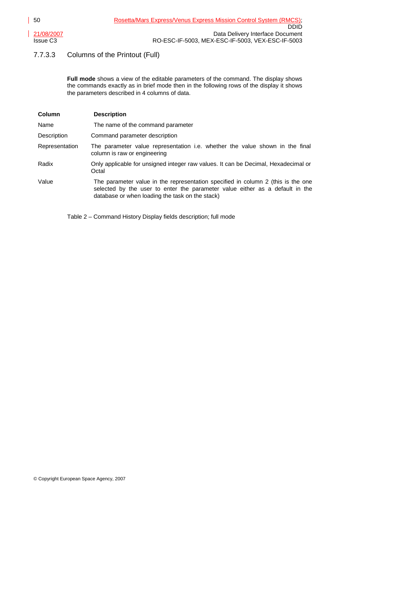

## 7.7.3.3 Columns of the Printout (Full)

**Full mode** shows a view of the editable parameters of the command. The display shows the commands exactly as in brief mode then in the following rows of the display it shows the parameters described in 4 columns of data.

| Column         | <b>Description</b>                                                                                                                                                                                                  |
|----------------|---------------------------------------------------------------------------------------------------------------------------------------------------------------------------------------------------------------------|
| Name           | The name of the command parameter                                                                                                                                                                                   |
| Description    | Command parameter description                                                                                                                                                                                       |
| Representation | The parameter value representation i.e. whether the value shown in the final<br>column is raw or engineering                                                                                                        |
| Radix          | Only applicable for unsigned integer raw values. It can be Decimal, Hexadecimal or<br>Octal                                                                                                                         |
| Value          | The parameter value in the representation specified in column 2 (this is the one<br>selected by the user to enter the parameter value either as a default in the<br>database or when loading the task on the stack) |

Table 2 – Command History Display fields description; full mode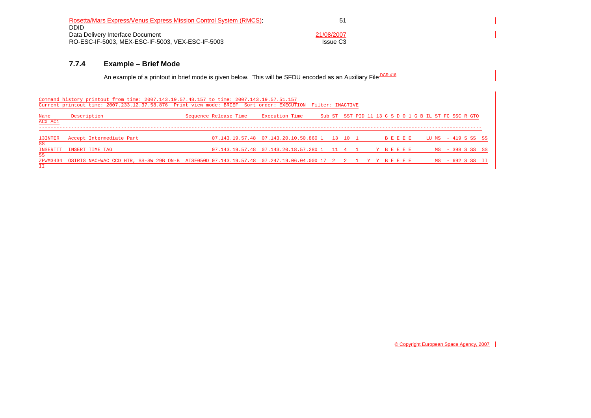| Rosetta/Mars Express/Venus Express Mission Control System (RMCS): | 51              |
|-------------------------------------------------------------------|-----------------|
| חוחח                                                              |                 |
| Data Delivery Interface Document                                  | 21/08/2007      |
| RO-ESC-IF-5003, MEX-ESC-IF-5003, VEX-ESC-IF-5003                  | <b>Issue C3</b> |

## **7.7.4 Example – Brief Mode**

An example of a printout in brief mode is given below. This will be SFDU encoded as an Auxiliary File<sup>DCR 418</sup>

Command history printout from time: 2007.143.19.57.48.157 to time: 2007.143.19.57.51.157 Current printout time: 2007.233.12.37.58.876 Print view mode: BRIEF Sort order: EXECUTION Filter: INACTIVE

| Name                      | Description                                                                                                | Sequence Release Time | Execution Time                                                 | Sub ST SST PID 11 13 C S D 0 1 G B IL ST FC SSC R GTO |  |  |              |                     |                  |  |
|---------------------------|------------------------------------------------------------------------------------------------------------|-----------------------|----------------------------------------------------------------|-------------------------------------------------------|--|--|--------------|---------------------|------------------|--|
| ACO AC1                   |                                                                                                            |                       |                                                                |                                                       |  |  |              |                     |                  |  |
|                           |                                                                                                            |                       |                                                                |                                                       |  |  |              |                     |                  |  |
| 13INTER                   | Accept Intermediate Part                                                                                   |                       | 07.143.19.57.48  07.143.20.10.50.860  1  13  10  1             |                                                       |  |  | <b>BEEEE</b> | LUMS $-419$ S SS SS |                  |  |
| $\underline{\mathbf{SS}}$ |                                                                                                            |                       |                                                                |                                                       |  |  |              |                     |                  |  |
| <b>INSERTTT</b>           | INSERT TIME TAG                                                                                            |                       | 07.143.19.57.48  07.143.20.18.57.280  1  11  4  1  Y B E E E E |                                                       |  |  |              |                     | MS - 398 S SS SS |  |
| SS                        |                                                                                                            |                       |                                                                |                                                       |  |  |              |                     |                  |  |
| ZPWM3434                  | OSIRIS NAC+WAC CCD HTR, SS-SW 29B ON-B ATSF050D 07.143.19.57.48 07.247.19.06.04.000 17 2 2 1 Y Y B E E E E |                       |                                                                |                                                       |  |  |              |                     | MS - 692 S SS II |  |
| IJ                        |                                                                                                            |                       |                                                                |                                                       |  |  |              |                     |                  |  |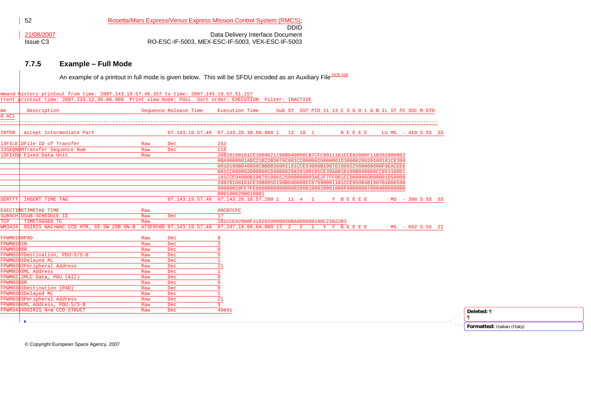| - 52                 | Rosetta/Mars Express/Venus Express Mission Control System (RMCS); |
|----------------------|-------------------------------------------------------------------|
|                      | חוחח                                                              |
| 21/08/2007           | Data Delivery Interface Document                                  |
| Issue C <sub>3</sub> | RO-ESC-IF-5003, MEX-ESC-IF-5003, VEX-ESC-IF-5003                  |
|                      |                                                                   |

## **7.7.5 Example – Full Mode**

An example of a printout in full mode is given below. This will be SFDU encoded as an Auxiliary File<sup>DCR 418</sup>

|  |  |  |  |  |  |  | mmand history printout from time: 2007.143.19.57.48.157 to time: 2007.143.19.57.51.157                  |  |
|--|--|--|--|--|--|--|---------------------------------------------------------------------------------------------------------|--|
|  |  |  |  |  |  |  | rrent printout time: 2007.233.12.36.08.909 Print view mode: FULL Sort order: EXECUTION Filter: INACTIVE |  |

| me            | Description                    |     | Sequence Release Time | Execution Time<br>Sub ST SST PID 11 13 C S D 0 1 G B IL ST FC SSC R GTO                                                               |
|---------------|--------------------------------|-----|-----------------------|---------------------------------------------------------------------------------------------------------------------------------------|
| $0$ AC1       |                                |     |                       |                                                                                                                                       |
|               |                                |     |                       |                                                                                                                                       |
|               | Accept Intermediate Part       |     |                       |                                                                                                                                       |
| <b>INTER</b>  |                                |     |                       | 07.143.19.57.48    07.143.20.10.50.860    1    13    10    1<br><b>BEEEE</b><br>LU MS - 419 S SS SS                                   |
|               | 13FILE DFile ID of Transfer    | Raw | <b>Dec</b>            | 253                                                                                                                                   |
|               | 13SEQNUMTransfer Sequence Num  | Raw | Dec                   | $\overline{116}$                                                                                                                      |
|               | 13FIXDV Fixed Data Unit        | Raw |                       | 20820100181CE3980021190B040008CB7CFC0011181CCE92000F110202000002                                                                      |
|               |                                |     |                       | 0BA9000801ADC21B22B3076C081CC000002D000001D3000020820100181CE399                                                                      |
|               |                                |     |                       | 001D190B040008CBB0B30001181CCE93000B19070100652500000000F0EACEE6                                                                      |
|               |                                |     |                       | 081CC000002D000001D4000020820100181CE39A001D190B040008CC85310001                                                                      |
|               |                                |     |                       | 181CCE94000B190701006525000000003AE2F7FF081CC000006D000001D50000                                                                      |
|               |                                |     |                       | 20820100181CE39B005D190B040008CC87890001181CCE95004B190701006590                                                                      |
|               |                                |     |                       | 00000020FF7FE800000000000002000100020001000F00090007000400000000                                                                      |
|               |                                |     |                       | 0001000200010001                                                                                                                      |
| <b>SERTTT</b> | INSERT TIME TAG                |     |                       | 07.143.19.57.48  07.143.20.18.57.280  1  11  4  1<br>Y BEEEE<br>MS - 398 S SS SS                                                      |
|               |                                |     |                       |                                                                                                                                       |
|               | EXECTIMETIMETAG TIME           | Raw |                       | 08CB7CFC                                                                                                                              |
|               | SUBSCHIDSUB-SCHEDULE ID        | Raw | <b>Dec</b>            | 17                                                                                                                                    |
| TCP           | TIMETAGGED TC                  | Raw |                       | 181CCE92000F1102020000020BA9000801ADC21B22B3                                                                                          |
|               |                                |     |                       | WM3434 OSIRIS NAC+WAC CCD HTR, SS-SW 29B ON-B ATSF050D 07.143.19.57.48 07.247.19.06.04.000 17 2 2 1 Y Y B E E E E<br>MS - 692 S SS II |
| FPWM0100PAD   |                                | Raw | Dec                   | $\mathbf 0$                                                                                                                           |
| FPWM0101N     |                                | Raw | Dec                   | $\overline{a}$                                                                                                                        |
| FPWM0200R     |                                | Raw | <b>Dec</b>            | $\Omega$                                                                                                                              |
|               | FPWM0207Destination, PDU-S/S-B | Raw | Dec                   |                                                                                                                                       |
|               | FPWM0201Delayed ML             | Raw | <b>Dec</b>            |                                                                                                                                       |
|               | FPWM0202Peripheral Address     | Raw | <b>Dec</b>            | 21                                                                                                                                    |
|               | FPWM0203ML Address             | Raw | Dec                   | $\mathbf{1}$                                                                                                                          |
|               | FPWM0212MLC Data, PDU (All)    | Raw | Dec                   | $\overline{8}$                                                                                                                        |
| FPWM0300R     |                                | Raw | Dec                   | $\mathbf 0$                                                                                                                           |
|               | FPWM0301Destination (PAD)      | Raw | Dec                   | $\mathbf{0}$                                                                                                                          |
|               | FPWM0302Delayed ML             | Raw | Dec                   | $\mathbf{1}$                                                                                                                          |
|               | FPWM0303Peripheral Address     | Raw | <b>Dec</b>            |                                                                                                                                       |
|               | FPWM0306ML Address, PDU-S/S-B  | Raw | <b>Dec</b>            | $\frac{21}{5}$                                                                                                                        |
|               | FPWM34\$40SIRIS N+W CCD STRUCT | Raw | <b>Dec</b>            | 49691                                                                                                                                 |

**Formatted:** Italian (Italy) **Deleted:** ¶ ¶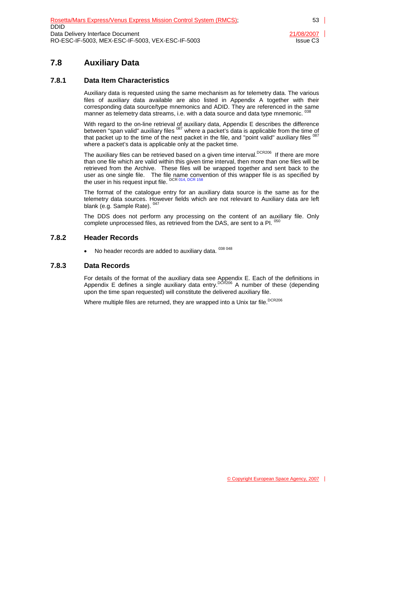# **7.8 Auxiliary Data**

### **7.8.1 Data Item Characteristics**

Auxiliary data is requested using the same mechanism as for telemetry data. The various files of auxiliary data available are also listed in Appendix A together with their corresponding data source/type mnemonics and ADID. They are referenced in the same manner as telemetry data streams, i.e. with a data source and data type mnemonic.

With regard to the on-line retrieval of auxiliary data, Appendix E describes the difference<br>between "span valid" auxiliary files <sup>087</sup> where a packet's data is applicable from the time of that packet up to the time of the next packet in the file, and "point valid" auxiliary files 087 where a packet's data is applicable only at the packet time.

The auxiliary files can be retrieved based on a given time interval.<sup>DCR206</sup> If there are more than one file which are valid within this given time interval, then more than one files will be retrieved from the Archive. These files will be wrapped together and sent back to the user as one single file. The file name convention of this wrapper file is as specified by the user in his request input file. DCR 014, DCR 158

The format of the catalogue entry for an auxiliary data source is the same as for the telemetry data sources. However fields which are not relevant to Auxiliary data are left blank (e.g. Sample Rate). 047

The DDS does not perform any processing on the content of an auxiliary file. Only complete unprocessed files, as retrieved from the DAS, are sent to a PI.  $^{05}$ 

#### **7.8.2 Header Records**

• No header records are added to auxiliary data.  $038048$ 

### **7.8.3 Data Records**

For details of the format of the auxiliary data see Appendix E. Each of the definitions in<br>Appendix E defines a single auxiliary data entry.<sup>DCR206</sup> A number of these (depending upon the time span requested) will constitute the delivered auxiliary file.

Where multiple files are returned, they are wrapped into a Unix tar file.<sup>DCR206</sup>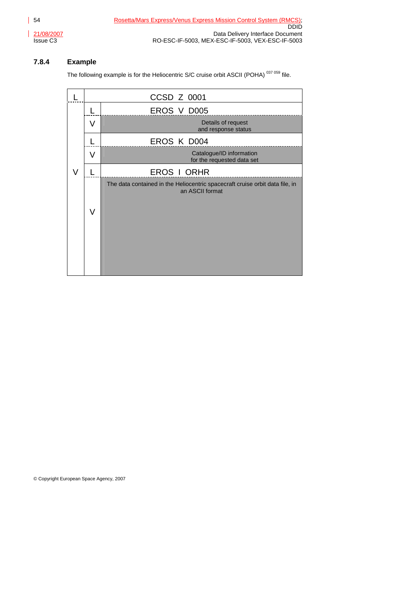## **7.8.4 Example**

The following example is for the Heliocentric S/C cruise orbit ASCII (POHA)<sup>037 059</sup> file.

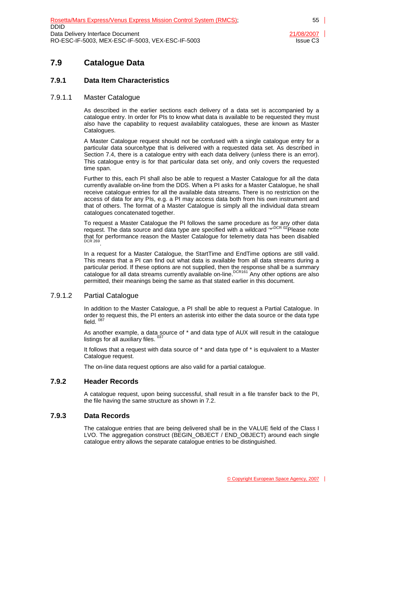## **7.9 Catalogue Data**

#### **7.9.1 Data Item Characteristics**

#### 7.9.1.1 Master Catalogue

As described in the earlier sections each delivery of a data set is accompanied by a catalogue entry. In order for PIs to know what data is available to be requested they must also have the capability to request availability catalogues, these are known as Master Catalogues.

A Master Catalogue request should not be confused with a single catalogue entry for a particular data source/type that is delivered with a requested data set. As described in Section 7.4, there is a catalogue entry with each data delivery (unless there is an error). This catalogue entry is for that particular data set only, and only covers the requested time span.

Further to this, each PI shall also be able to request a Master Catalogue for all the data currently available on-line from the DDS. When a PI asks for a Master Catalogue, he shall receive catalogue entries for all the available data streams. There is no restriction on the access of data for any PIs, e.g. a PI may access data both from his own instrument and that of others. The format of a Master Catalogue is simply all the individual data stream catalogues concatenated together.

To request a Master Catalogue the PI follows the same procedure as for any other data<br>request. The data source and data type are specified with a wildcard '\*'<sup>DCR 02</sup>Please note that for performance reason the Master Catalogue for telemetry data has been disabled<br><sup>DCR 269</sup>.

In a request for a Master Catalogue, the StartTime and EndTime options are still valid. This means that a PI can find out what data is available from all data streams during a particular period. If these options are not supplied, then the response shall be a summary<br>catalogue for all data streams currently available on-line.<sup>DCR161</sup> Any other options are also permitted, their meanings being the same as that stated earlier in this document.

#### 7.9.1.2 Partial Catalogue

In addition to the Master Catalogue, a PI shall be able to request a Partial Catalogue. In order to request this, the PI enters an asterisk into either the data source or the data type field.  $08$ 

As another example, a data source of \* and data type of AUX will result in the catalogue listings for all auxiliary files.

It follows that a request with data source of \* and data type of \* is equivalent to a Master Catalogue request.

The on-line data request options are also valid for a partial catalogue.

#### **7.9.2 Header Records**

A catalogue request, upon being successful, shall result in a file transfer back to the PI, the file having the same structure as shown in 7.2.

#### **7.9.3 Data Records**

The catalogue entries that are being delivered shall be in the VALUE field of the Class I LVO. The aggregation construct (BEGIN\_OBJECT / END\_OBJECT) around each single catalogue entry allows the separate catalogue entries to be distinguished.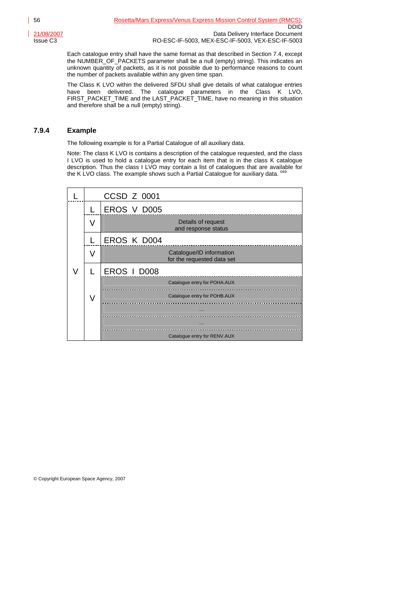156 **Rosetta/Mars Express/Venus Express Mission Control System (RMC**) **Rosetta**/Mars Express/Venus Express Mission Control System (RMC DDID 21/08/2007 **Data Delivery Interface Document** Data Delivery Interface Document Issue C3 RO-ESC-IF-5003, MEX-ESC-IF-5003, VEX-ESC-IF-5003

> Each catalogue entry shall have the same format as that described in Section 7.4, except the NUMBER\_OF\_PACKETS parameter shall be a null (empty) string). This indicates an unknown quantity of packets, as it is not possible due to performance reasons to count the number of packets available within any given time span.

> The Class K LVO within the delivered SFDU shall give details of what catalogue entries have been delivered. The catalogue parameters in the Class K LVO, FIRST\_PACKET\_TIME and the LAST\_PACKET\_TIME, have no meaning in this situation and therefore shall be a null (empty) string).

### **7.9.4 Example**

The following example is for a Partial Catalogue of all auxiliary data.

Note: The class K LVO is contains a description of the catalogue requested, and the class I LVO is used to hold a catalogue entry for each item that is in the class K catalogue description. Thus the class I LVO may contain a list of catalogues that are available for the K LVO class. The example shows such a Partial Catalogue for auxiliary data.

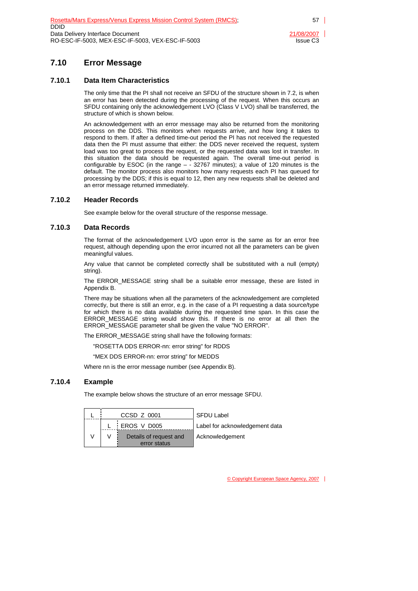# **7.10 Error Message**

## **7.10.1 Data Item Characteristics**

The only time that the PI shall not receive an SFDU of the structure shown in 7.2, is when an error has been detected during the processing of the request. When this occurs an SFDU containing only the acknowledgement LVO (Class V LVO) shall be transferred, the structure of which is shown below.

An acknowledgement with an error message may also be returned from the monitoring process on the DDS. This monitors when requests arrive, and how long it takes to respond to them. If after a defined time-out period the PI has not received the requested data then the PI must assume that either: the DDS never received the request, system load was too great to process the request, or the requested data was lost in transfer. In this situation the data should be requested again. The overall time-out period is configurable by ESOC (in the range  $-$  - 32767 minutes); a value of 120 minutes is the default. The monitor process also monitors how many requests each PI has queued for processing by the DDS; if this is equal to 12, then any new requests shall be deleted and an error message returned immediately.

## **7.10.2 Header Records**

See example below for the overall structure of the response message.

## **7.10.3 Data Records**

The format of the acknowledgement LVO upon error is the same as for an error free request, although depending upon the error incurred not all the parameters can be given meaningful values.

Any value that cannot be completed correctly shall be substituted with a null (empty) string).

The ERROR\_MESSAGE string shall be a suitable error message, these are listed in Appendix B.

There may be situations when all the parameters of the acknowledgement are completed correctly, but there is still an error, e.g. in the case of a PI requesting a data source/type for which there is no data available during the requested time span. In this case the ERROR\_MESSAGE string would show this. If there is no error at all then the ERROR\_MESSAGE parameter shall be given the value "NO ERROR".

The ERROR\_MESSAGE string shall have the following formats:

"ROSETTA DDS ERROR-nn: error string" for RDDS

"MEX DDS ERROR-nn: error string" for MEDDS

Where nn is the error message number (see Appendix B).

## **7.10.4 Example**

The example below shows the structure of an error message SFDU.

|  | $CCSD$ $Z$ 0001                        | SFDU Label                     |
|--|----------------------------------------|--------------------------------|
|  | EROS V D005                            | Label for acknowledgement data |
|  | Details of request and<br>error status | Acknowledgement                |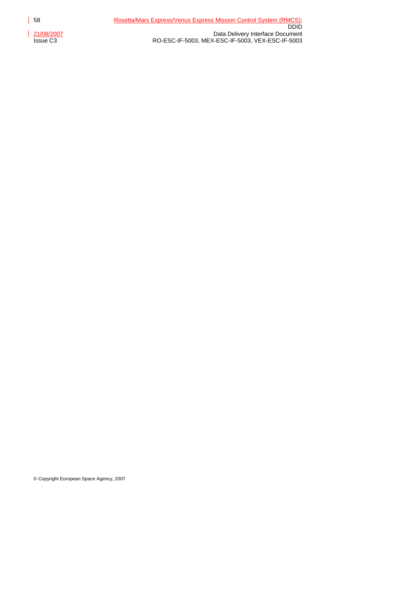58 Rosetta/Mars Express/Venus Express Mission Control System (RMCS); DDID 21/08/2007 Data Delivery Interface Document Issue C3 RO-ESC-IF-5003, MEX-ESC-IF-5003, VEX-ESC-IF-5003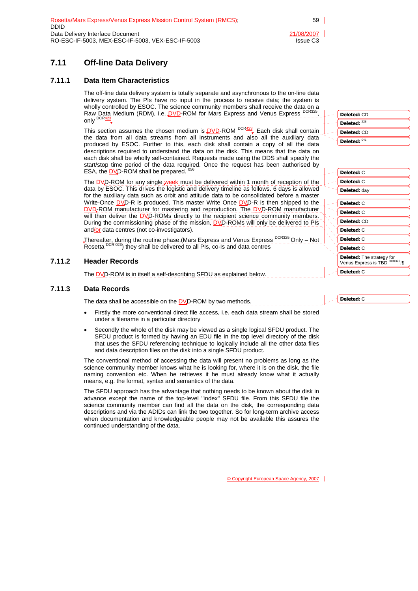# **7.11 Off-line Data Delivery**

### **7.11.1 Data Item Characteristics**

The off-line data delivery system is totally separate and asynchronous to the on-line data delivery system. The PIs have no input in the process to receive data; the system is wholly controlled by ESOC. The science community members shall receive the data on a Raw Data Medium (RDM), i.e. DVD-ROM for Mars Express and Venus Express DCR325 only  $\frac{DCR423}{7}$ This section assumes the chosen medium is  $DVD$ -ROM  $DCR_{23}$  Each disk shall contain the data from all data streams from all instruments and also all the auxiliary data produced by ESOC. Further to this, each disk shall contain a copy of all the data descriptions required to understand the data on the disk. This means that the data on each disk shall be wholly self-contained. Requests made using the DDS shall specify the start/stop time period of the data required. Once the request has been authorised by<br>ESA, the DVD-ROM shall be prepared. <sup>056</sup> The DVD-ROM for any single week must be delivered within 1 month of reception of the data by ESOC. This drives the logistic and delivery timeline as follows. 6 days is allowed for the auxiliary data such as orbit and attitude data to be consolidated before a master Write-Once DVD-R is produced. This master Write Once DVD-R is then shipped to the DVD-ROM manufacturer for mastering and reproduction. The DVD-ROM manufacturer **Deleted:** CD **Deleted:** <sup>228</sup> **Deleted:** CD **Deleted:** <sup>041</sup> **Deleted:** C **Deleted:** C **Deleted:** day

will then deliver the DVD-ROMs directly to the recipient science community members. During the commissioning phase of the mission, DVD-ROMs will only be delivered to PIs and/or data centres (not co-investigators).

Thereafter, during the routine phase,(Mars Express and Venus Express <sup>DCR325</sup> Only – Not Rosetta  $pck 023$  they shall be delivered to all PIs, co-Is and data centres

#### **7.11.2 Header Records**

The DVD-ROM is in itself a self-describing SFDU as explained below.

### **7.11.3 Data Records**

The data shall be accessible on the **DVD-ROM** by two methods.

- Firstly the more conventional direct file access, i.e. each data stream shall be stored under a filename in a particular directory
- Secondly the whole of the disk may be viewed as a single logical SFDU product. The SFDU product is formed by having an EDU file in the top level directory of the disk that uses the SFDU referencing technique to logically include all the other data files and data description files on the disk into a single SFDU product.

The conventional method of accessing the data will present no problems as long as the science community member knows what he is looking for, where it is on the disk, the file naming convention etc. When he retrieves it he must already know what it actually means, e.g. the format, syntax and semantics of the data.

The SFDU approach has the advantage that nothing needs to be known about the disk in advance except the name of the top-level "index" SFDU file. From this SFDU file the science community member can find all the data on the disk, the corresponding data descriptions and via the ADIDs can link the two together. So for long-term archive access when documentation and knowledgeable people may not be available this assures the continued understanding of the data.

© Copyright European Space Agency, 2007

**Deleted:** C **Deleted:** C

**Deleted:** CD **Deleted:** C

- **Deleted:** C
- **Deleted:** C

**Deleted:** The strategy for<br>Venus Express is TBD <sup>DCR325</sup>.¶

**Deleted:** C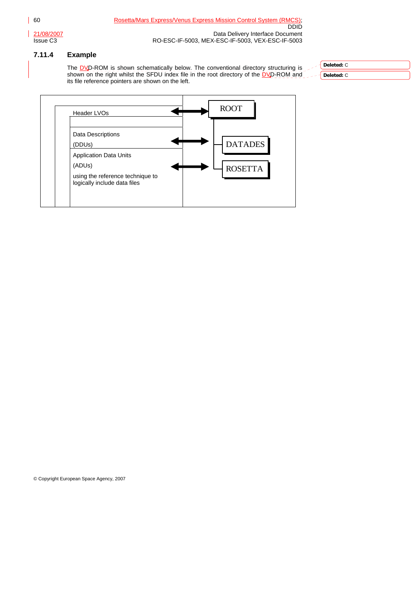## **7.11.4 Example**

The DVD-ROM is shown schematically below. The conventional directory structuring is shown on the right whilst the SFDU index file in the root directory of the DVD-ROM and its file reference pointers are shown on the left.

**Deleted:** C

**Deleted:** C

DDID

| Header LVOs                                                                                                                                                    | <b>ROOT</b>                      |
|----------------------------------------------------------------------------------------------------------------------------------------------------------------|----------------------------------|
| <b>Data Descriptions</b><br>(DDUs)<br><b>Application Data Units</b><br>(ADU <sub>s</sub> )<br>using the reference technique to<br>logically include data files | <b>DATADES</b><br><b>ROSETTA</b> |
|                                                                                                                                                                |                                  |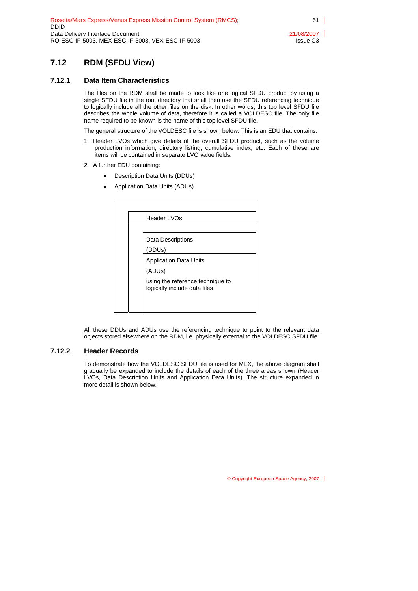# **7.12 RDM (SFDU View)**

### **7.12.1 Data Item Characteristics**

The files on the RDM shall be made to look like one logical SFDU product by using a single SFDU file in the root directory that shall then use the SFDU referencing technique to logically include all the other files on the disk. In other words, this top level SFDU file describes the whole volume of data, therefore it is called a VOLDESC file. The only file name required to be known is the name of this top level SFDU file.

The general structure of the VOLDESC file is shown below. This is an EDU that contains:

- 1. Header LVOs which give details of the overall SFDU product, such as the volume production information, directory listing, cumulative index, etc. Each of these are items will be contained in separate LVO value fields.
- 2. A further EDU containing:
	- Description Data Units (DDUs)
	- Application Data Units (ADUs)

| Header LVOs                                                      |
|------------------------------------------------------------------|
| Data Descriptions<br>(DDU <sub>S</sub> )                         |
| <b>Application Data Units</b><br>(ADU <sub>s</sub> )             |
| using the reference technique to<br>logically include data files |
|                                                                  |

All these DDUs and ADUs use the referencing technique to point to the relevant data objects stored elsewhere on the RDM, i.e. physically external to the VOLDESC SFDU file.

### **7.12.2 Header Records**

To demonstrate how the VOLDESC SFDU file is used for MEX, the above diagram shall gradually be expanded to include the details of each of the three areas shown (Header LVOs, Data Description Units and Application Data Units). The structure expanded in more detail is shown below.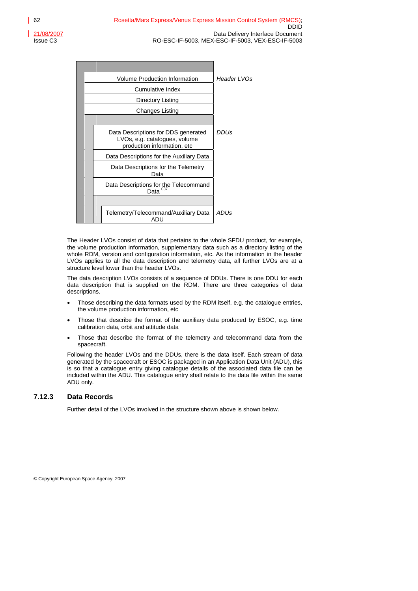**Follow Express** Assetta/Mars Express/Venus Express Mission Control System (RMC DDID 21/08/2007 **Data Delivery Interface Document** Data Delivery Interface Document Issue C3 RO-ESC-IF-5003, MEX-ESC-IF-5003, VEX-ESC-IF-5003

| <b>Volume Production Information</b>                                                                | Header LVOs      |
|-----------------------------------------------------------------------------------------------------|------------------|
| Cumulative Index                                                                                    |                  |
| Directory Listing                                                                                   |                  |
| Changes Listing                                                                                     |                  |
|                                                                                                     |                  |
| Data Descriptions for DDS generated<br>LVOs, e.g. catalogues, volume<br>production information, etc | DDUs             |
| Data Descriptions for the Auxiliary Data                                                            |                  |
| Data Descriptions for the Telemetry<br>Data                                                         |                  |
| Data Descriptions for the Telecommand<br>Data                                                       |                  |
|                                                                                                     |                  |
| Telemetry/Telecommand/Auxiliary Data<br>ADU                                                         | ADU <sub>s</sub> |

The Header LVOs consist of data that pertains to the whole SFDU product, for example, the volume production information, supplementary data such as a directory listing of the whole RDM, version and configuration information, etc. As the information in the header LVOs applies to all the data description and telemetry data, all further LVOs are at a structure level lower than the header LVOs.

The data description LVOs consists of a sequence of DDUs. There is one DDU for each data description that is supplied on the RDM. There are three categories of data descriptions.

- Those describing the data formats used by the RDM itself, e.g. the catalogue entries, the volume production information, etc
- Those that describe the format of the auxiliary data produced by ESOC, e.g. time calibration data, orbit and attitude data
- Those that describe the format of the telemetry and telecommand data from the spacecraft.

Following the header LVOs and the DDUs, there is the data itself. Each stream of data generated by the spacecraft or ESOC is packaged in an Application Data Unit (ADU), this is so that a catalogue entry giving catalogue details of the associated data file can be included within the ADU. This catalogue entry shall relate to the data file within the same ADU only.

## **7.12.3 Data Records**

Further detail of the LVOs involved in the structure shown above is shown below.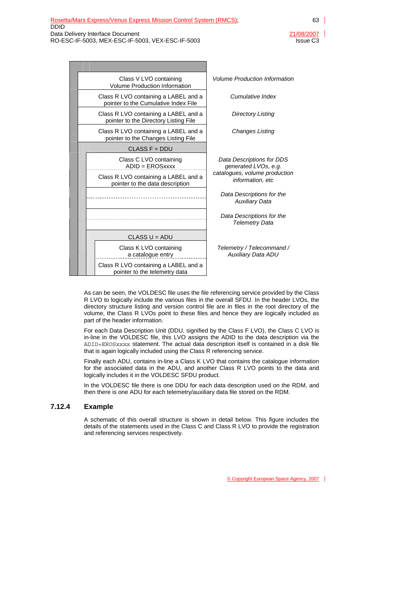#### Rosetta/Mars Express/Venus Express Mission Control System (RMCS); DDID Data Delivery Interface Document 21/08/2007 RO-ESC-IF-5003, MEX-ESC-IF-5003, VEX-ESC-IF-5003

| Class V LVO containing<br><b>Volume Production Information</b>                | <b>Volume Production Information</b>                   |
|-------------------------------------------------------------------------------|--------------------------------------------------------|
| Class R LVO containing a LABEL and a<br>pointer to the Cumulative Index File  | Cumulative Index                                       |
| Class R LVO containing a LABEL and a<br>pointer to the Directory Listing File | <b>Directory Listing</b>                               |
| Class R LVO containing a LABEL and a<br>pointer to the Changes Listing File   | <b>Changes Listing</b>                                 |
| $CLASS F = DDU$                                                               |                                                        |
| Class C LVO containing<br>$ADID = EROSxxxx$                                   | Data Descriptions for DDS<br>generated LVOs, e.g.      |
| Class R LVO containing a LABEL and a<br>pointer to the data description       | catalogues, volume production<br>information, etc      |
|                                                                               | Data Descriptions for the<br><b>Auxiliary Data</b>     |
|                                                                               | Data Descriptions for the<br><b>Telemetry Data</b>     |
| $CLASS U = ADU$                                                               |                                                        |
| Class K LVO containing<br>a catalogue entry                                   | Telemetry / Telecommand /<br><b>Auxiliary Data ADU</b> |
| Class R LVO containing a LABEL and a<br>pointer to the telemetry data         |                                                        |

As can be seen, the VOLDESC file uses the file referencing service provided by the Class R LVO to logically include the various files in the overall SFDU. In the header LVOs, the directory structure listing and version control file are in files in the root directory of the volume, the Class R LVOs point to these files and hence they are logically included as part of the header information.

For each Data Description Unit (DDU, signified by the Class F LVO), the Class C LVO is in-line in the VOLDESC file, this LVO assigns the ADID to the data description via the ADID=EROSxxxx statement. The actual data description itself is contained in a disk file that is again logically included using the Class R referencing service.

Finally each ADU, contains in-line a Class K LVO that contains the catalogue information for the associated data in the ADU, and another Class R LVO points to the data and logically includes it in the VOLDESC SFDU product.

In the VOLDESC file there is one DDU for each data description used on the RDM, and then there is one ADU for each telemetry/auxiliary data file stored on the RDM.

#### **7.12.4 Example**

A schematic of this overall structure is shown in detail below. This figure includes the details of the statements used in the Class C and Class R LVO to provide the registration and referencing services respectively.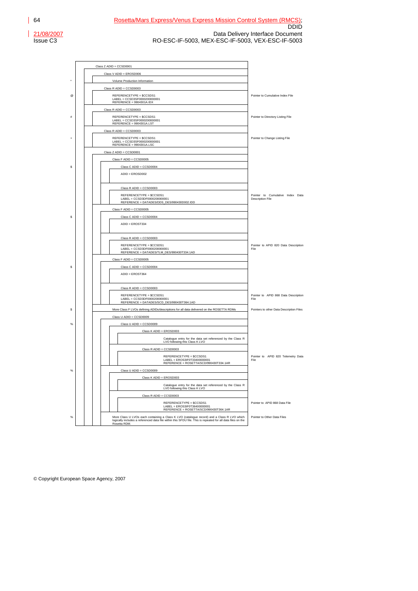#### 64 Rosetta/Mars Express/Venus Express Mission Control System (RMCS); DDID 21/08/2007 Data Delivery Interface Document Issue C3 RO-ESC-IF-5003, MEX-ESC-IF-5003, VEX-ESC-IF-5003

|            | Class Z ADID = CCSD0001                                                                                                                                                                                                   |                                                             |
|------------|---------------------------------------------------------------------------------------------------------------------------------------------------------------------------------------------------------------------------|-------------------------------------------------------------|
|            | Class V ADID = EROSD006                                                                                                                                                                                                   |                                                             |
|            | Volume Production Information                                                                                                                                                                                             |                                                             |
|            | Class R ADID = CCSD0003                                                                                                                                                                                                   |                                                             |
| $^{\circ}$ | REFERENCETYPE = \$CCSDS1<br>LABEL = CCSD3SE0000200000001<br>REFERENCE = 9904301A.IDX                                                                                                                                      | Pointer to Cumulative Index File                            |
|            | Class R ADID = CCSD0003                                                                                                                                                                                                   |                                                             |
| #          | REFERENCETYPE = \$CCSDS1<br>LABEL = CCSD3SF0000200000001<br>REFERENCE = 9904301A.LST                                                                                                                                      | Pointer to Directory Listing File                           |
|            | Class R ADID = CCSD0003                                                                                                                                                                                                   |                                                             |
| $\ddot{}$  | REFERENCETYPE = \$CCSDS1<br>LABEL = CCSD3SF0000200000001<br>REFERENCE = 9904301A.LSC                                                                                                                                      | Pointer to Change Listing File                              |
|            | Class Z ADID = CCSD0001                                                                                                                                                                                                   |                                                             |
|            | Class F ADID = CCSD0005                                                                                                                                                                                                   |                                                             |
| \$         | Class C ADID = CCSD0004                                                                                                                                                                                                   |                                                             |
|            | ADID = EROSD002                                                                                                                                                                                                           |                                                             |
|            | Class R ADID = CCSD0003                                                                                                                                                                                                   |                                                             |
|            | REFERENCETYPE = \$CCSDS1<br>LABEL = CCSD3DF0000200000001<br>REFERENCE = DATADES/DDS_DES/990430D002.IDD                                                                                                                    | Pointer to Cumulative Index Data<br><b>Description File</b> |
|            | Class F ADID = CCSD0005                                                                                                                                                                                                   |                                                             |
| s          | Class C ADID = CCSD0004                                                                                                                                                                                                   |                                                             |
|            | ADID = EROST334                                                                                                                                                                                                           |                                                             |
|            | Class R ADID = CCSD0003                                                                                                                                                                                                   |                                                             |
|            | REFERENCETYPE = \$CCSDS1<br>LABEL = CCSD3DF0000200000001<br>REFERENCE = DATADES/TLM_DES/990430T334.1AD                                                                                                                    | Pointer to APID 820 Data Description<br>File                |
|            | Class F ADID = CCSD0005                                                                                                                                                                                                   |                                                             |
| s          | Class C ADID = CCSD0004                                                                                                                                                                                                   |                                                             |
|            | ADID = EROST364                                                                                                                                                                                                           |                                                             |
|            | Class R ADID = CCSD0003                                                                                                                                                                                                   |                                                             |
|            | REFERENCETYPE = \$CCSDS1<br>LABEL = CCSD3DF0000200000001<br>REFERENCE = DATADES/SCD_DES/990430T364.1AD                                                                                                                    | Pointer to APID 868 Data Description<br>File                |
| \$         | More Class F LVOs defining ADIDs/descriptions for all data delivered on the ROSETTA RDMs                                                                                                                                  | Pointers to other Data Description Files                    |
|            | Class U ADID = CCSD0009                                                                                                                                                                                                   |                                                             |
| %          | Class U ADID = CCSD0009                                                                                                                                                                                                   |                                                             |
|            | Class K ADID = EROSD003                                                                                                                                                                                                   |                                                             |
|            | Catalogue entry for the data set referenced by the Class R<br>LVO following this Class K LVO                                                                                                                              |                                                             |
|            | Class R ADID = CCSD0003                                                                                                                                                                                                   |                                                             |
|            | REFERENCETYPE = \$CCSDS1<br>LABEL = EROS3IF0T33400000001<br>REFERENCE = ROSETTA/SCD/990430T334.1AR                                                                                                                        | Pointer to APID 820 Telemetry Data<br>File                  |
| %          | Class U ADID = CCSD0009                                                                                                                                                                                                   |                                                             |
|            | Class K ADID = EROSD003                                                                                                                                                                                                   |                                                             |
|            | Catalogue entry for the data set referenced by the Class R<br>LVO following this Class K LVO                                                                                                                              |                                                             |
|            | $Class R ADID = CCSD0003$                                                                                                                                                                                                 |                                                             |
|            | REFERENCETYPE = \$CCSDS1<br>LABEL = EROS3IF0T36400000001<br>REFERENCE = ROSETTA/SCD/990430T364.1AR                                                                                                                        | Pointer to APID 868 Data File                               |
| $\%$       | More Class U LVOs each containing a Class K LVO (catalogue record) and a Class R LVO which<br>logically includes a referenced data file within this SFDU file. This is repeated for all data files on the<br>Rosetta RDM. | Pointer to Other Data Files                                 |
|            |                                                                                                                                                                                                                           |                                                             |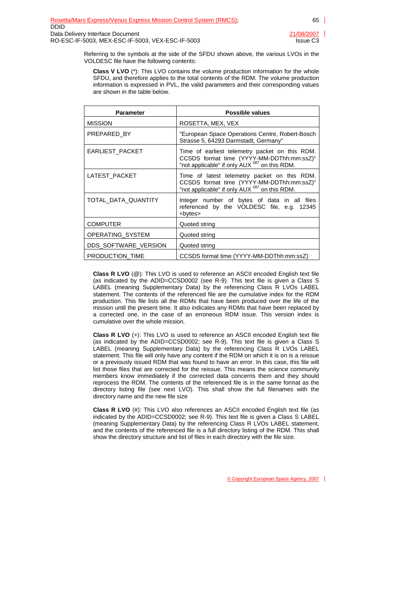Referring to the symbols at the side of the SFDU shown above, the various LVOs in the VOLDESC file have the following contents:

**Class V LVO** (\*): This LVO contains the volume production information for the whole SFDU, and therefore applies to the total contents of the RDM. The volume production information is expressed in PVL, the valid parameters and their corresponding values are shown in the table below.

| <b>Parameter</b>     | <b>Possible values</b>                                                                                                                                  |
|----------------------|---------------------------------------------------------------------------------------------------------------------------------------------------------|
| <b>MISSION</b>       | ROSETTA, MEX, VEX                                                                                                                                       |
| PREPARED BY          | "European Space Operations Centre, Robert-Bosch<br>Strasse 5, 64293 Darmstadt, Germany"                                                                 |
| EARLIEST PACKET      | Time of earliest telemetry packet on this RDM.<br>CCSDS format time (YYYY-MM-DDThh:mm:ssZ)"<br>"not applicable" if only AUX <sup>087</sup> on this RDM. |
| LATEST PACKET        | Time of latest telemetry packet on this RDM.<br>CCSDS format time (YYYY-MM-DDThh:mm:ssZ)"<br>"not applicable" if only AUX 087 on this RDM.              |
| TOTAL DATA QUANTITY  | Integer number of bytes of data in all files<br>referenced by the VOLDESC file, e.g. 12345<br><bvtes></bvtes>                                           |
| <b>COMPUTER</b>      | Quoted string                                                                                                                                           |
| OPERATING SYSTEM     | Quoted string                                                                                                                                           |
| DDS_SOFTWARE_VERSION | Quoted string                                                                                                                                           |
| PRODUCTION TIME      | CCSDS format time (YYYY-MM-DDThh:mm:ssZ)                                                                                                                |

**Class R LVO** (@): This LVO is used to reference an ASCII encoded English text file (as indicated by the ADID=CCSD0002 (see R-9). This text file is given a Class S LABEL (meaning Supplementary Data) by the referencing Class R LVOs LABEL statement. The contents of the referenced file are the cumulative index for the RDM production. This file lists all the RDMs that have been produced over the life of the mission until the present time. It also indicates any RDMs that have been replaced by a corrected one, in the case of an erroneous RDM issue. This version index is cumulative over the whole mission.

**Class R LVO** (+): This LVO is used to reference an ASCII encoded English text file (as indicated by the ADID=CCSD0002; see R-9). This text file is given a Class S LABEL (meaning Supplementary Data) by the referencing Class R LVOs LABEL statement. This file will only have any content if the RDM on which it is on is a reissue or a previously issued RDM that was found to have an error. In this case, this file will list those files that are corrected for the reissue. This means the science community members know immediately if the corrected data concerns them and they should reprocess the RDM. The contents of the referenced file is in the same format as the directory listing file (see next LVO). This shall show the full filenames with the directory name and the new file size

**Class R LVO** (#): This LVO also references an ASCII encoded English text file (as indicated by the ADID=CCSD0002; see R-9). This text file is given a Class S LABEL (meaning Supplementary Data) by the referencing Class R LVOs LABEL statement, and the contents of the referenced file is a full directory listing of the RDM. This shall show the directory structure and list of files in each directory with the file size.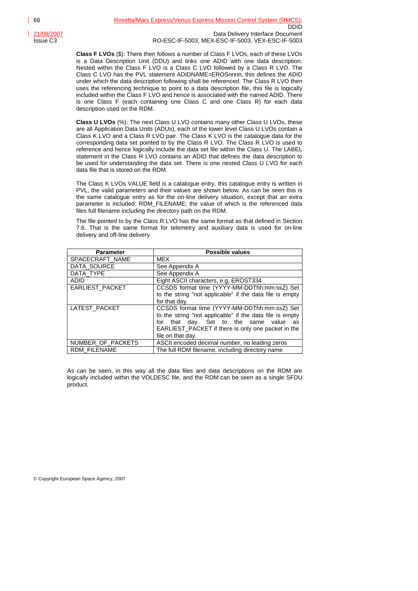© Copyright European Space Agency, 2007

| 66 **Rosetta/Mars Express/Venus Express Mission Control System (RMC** DDID 21/08/2007 **Data Delivery Interface Document** Data Delivery Interface Document Issue C3 RO-ESC-IF-5003, MEX-ESC-IF-5003, VEX-ESC-IF-5003

> **Class F LVOs** (\$): There then follows a number of Class F LVOs, each of these LVOs is a Data Description Unit (DDU) and links one ADID with one data description. Nested within the Class F LVO is a Class C LVO followed by a Class R LVO. The Class C LVO has the PVL statement ADIDNAME=EROSnnnn, this defines the ADID under which the data description following shall be referenced. The Class R LVO then uses the referencing technique to point to a data description file, this file is logically included within the Class F LVO and hence is associated with the named ADID. There is one Class F (each containing one Class C and one Class R) for each data description used on the RDM.

> **Class U LVOs** (%): The next Class U LVO contains many other Class U LVOs, these are all Application Data Units (ADUs), each of the lower level Class U LVOs contain a Class K LVO and a Class R LVO pair. The Class K LVO is the catalogue data for the corresponding data set pointed to by the Class R LVO. The Class R LVO is used to reference and hence logically include the data set file within the Class U. The LABEL statement in the Class R LVO contains an ADID that defines the data description to be used for understanding the data set. There is one nested Class U LVO for each data file that is stored on the RDM.

> The Class K LVOs VALUE field is a catalogue entry, this catalogue entry is written in PVL, the valid parameters and their values are shown below. As can be seen this is the same catalogue entry as for the on-line delivery situation, except that an extra parameter is included: RDM\_FILENAME; the value of which is the referenced data files full filename including the directory path on the RDM.

> The file pointed to by the Class R LVO has the same format as that defined in Section 7.6. That is the same format for telemetry and auxiliary data is used for on-line delivery and off-line delivery.

| <b>Parameter</b>                                                | <b>Possible values</b>                                   |
|-----------------------------------------------------------------|----------------------------------------------------------|
| SPACECRAFT NAME                                                 | <b>MEX</b>                                               |
| <b>DATA SOURCE</b>                                              | See Appendix A                                           |
| DATA_TYPE                                                       | See Appendix A                                           |
| Eight ASCII characters, e.g, EROST334<br><b>ADID</b>            |                                                          |
| CCSDS format time (YYYY-MM-DDThh:mm:ssZ) Set<br>EARLIEST_PACKET |                                                          |
|                                                                 | to the string "not applicable" if the data file is empty |
|                                                                 | for that day.                                            |
| LATEST_PACKET                                                   | CCSDS format time (YYYY-MM-DDThh:mm:ssZ) Set             |
|                                                                 | to the string "not applicable" if the data file is empty |
|                                                                 | for that day. Set to the same value<br>as                |
|                                                                 | EARLIEST_PACKET if there is only one packet in the       |
|                                                                 | file on that day.                                        |
| NUMBER OF PACKETS                                               | ASCII encoded decimal number, no leading zeros           |
| <b>RDM FILENAME</b>                                             | The full RDM filename, including directory name          |

As can be seen, in this way all the data files and data descriptions on the RDM are logically included within the VOLDESC file, and the RDM can be seen as a single SFDU product.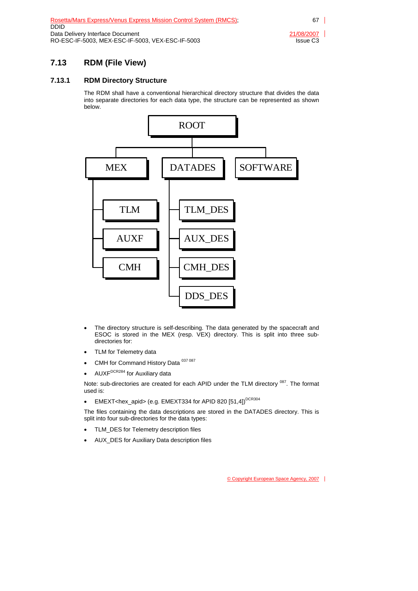## **7.13 RDM (File View)**

### **7.13.1 RDM Directory Structure**

The RDM shall have a conventional hierarchical directory structure that divides the data into separate directories for each data type, the structure can be represented as shown below.



- The directory structure is self-describing. The data generated by the spacecraft and ESOC is stored in the MEX (resp. VEX) directory. This is split into three subdirectories for:
- TLM for Telemetry data
- CMH for Command History Data<sup>037 087</sup>
- AUXFDCR284 for Auxiliary data

Note: sub-directories are created for each APID under the TLM directory<sup>087</sup>. The format used is:

• EMEXT<hex\_apid> (e.g. EMEXT334 for APID 820  $[51,4]$ <sup>DCR304</sup>

The files containing the data descriptions are stored in the DATADES directory. This is split into four sub-directories for the data types:

- TLM\_DES for Telemetry description files
- AUX\_DES for Auxiliary Data description files

© Copyright European Space Agency, 2007

67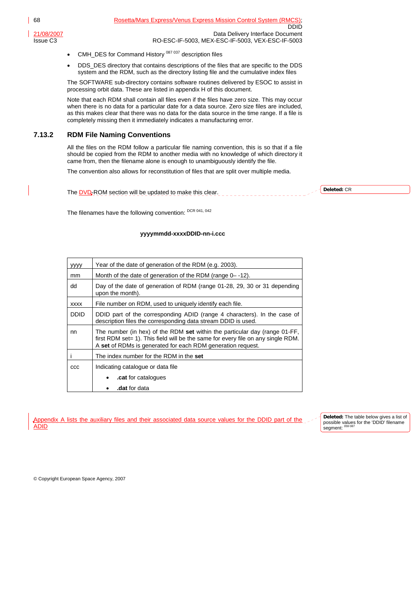

168 Rosetta/Mars Express/Venus Express Mission Control System DDID 21/08/2007 Data Delivery Interface Document Issue C3 RO-ESC-IF-5003, MEX-ESC-IF-5003, VEX-ESC-IF-5003

<u> Liberal Liberal</u>

- CMH\_DES for Command History<sup>087037</sup> description files
- DDS\_DES directory that contains descriptions of the files that are specific to the DDS system and the RDM, such as the directory listing file and the cumulative index files

The SOFTWARE sub-directory contains software routines delivered by ESOC to assist in processing orbit data. These are listed in appendix H of this document.

Note that each RDM shall contain all files even if the files have zero size. This may occur when there is no data for a particular date for a data source. Zero size files are included, as this makes clear that there was no data for the data source in the time range. If a file is completely missing then it immediately indicates a manufacturing error.

### **7.13.2 RDM File Naming Conventions**

All the files on the RDM follow a particular file naming convention, this is so that if a file should be copied from the RDM to another media with no knowledge of which directory it came from, then the filename alone is enough to unambiguously identify the file.

The convention also allows for reconstitution of files that are split over multiple media.

The **DVD-ROM** section will be updated to make this clear.

**Deleted:** CR

The filenames have the following convention: DCR 041, 042

#### **yyyymmdd-xxxxDDID-nn-i.ccc**

| уууу        | Year of the date of generation of the RDM (e.g. 2003).                                                                                                                                                                         |  |  |
|-------------|--------------------------------------------------------------------------------------------------------------------------------------------------------------------------------------------------------------------------------|--|--|
| mm          | Month of the date of generation of the RDM (range 0–-12).                                                                                                                                                                      |  |  |
| dd          | Day of the date of generation of RDM (range 01-28, 29, 30 or 31 depending<br>upon the month).                                                                                                                                  |  |  |
| <b>XXXX</b> | File number on RDM, used to uniquely identify each file.                                                                                                                                                                       |  |  |
| <b>DDID</b> | DDID part of the corresponding ADID (range 4 characters). In the case of<br>description files the corresponding data stream DDID is used.                                                                                      |  |  |
| nn          | The number (in hex) of the RDM set within the particular day (range 01-FF,<br>first RDM set = 1). This field will be the same for every file on any single RDM.<br>A set of RDMs is generated for each RDM generation request. |  |  |
|             | The index number for the RDM in the set                                                                                                                                                                                        |  |  |
| CCC         | Indicating catalogue or data file                                                                                                                                                                                              |  |  |
|             | .cat for catalogues                                                                                                                                                                                                            |  |  |
|             | dat for data.                                                                                                                                                                                                                  |  |  |

Appendix A lists the auxiliary files and their associated data source values for the DDID part of the ADID

**Deleted:** The table below gives a list of possible values for the 'DDID' filename<br>segment: <sup>059 087</sup>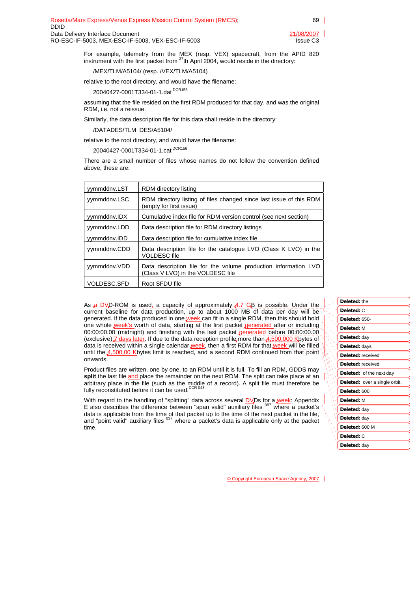For example, telemetry from the MEX (resp. VEX) spacecraft, from the APID 820 instrument with the first packet from <sup>27</sup>th April 2004, would reside in the directory:

/MEX/TLM/A5104/ (resp. /VEX/TLM/A5104)

relative to the root directory, and would have the filename:

20040427-0001T334-01-1.dat<sup>DCR156</sup>

assuming that the file resided on the first RDM produced for that day, and was the original RDM, i.e. not a reissue.

Similarly, the data description file for this data shall reside in the directory:

/DATADES/TLM\_DES/A5104/

relative to the root directory, and would have the filename:

20040427-0001T334-01-1.cat DCR156

There are a small number of files whose names do not follow the convention defined above, these are:

| yymmddny.LST | RDM directory listing                                                                                |
|--------------|------------------------------------------------------------------------------------------------------|
| yymmddny.LSC | RDM directory listing of files changed since last issue of this RDM<br>(empty for first issue)       |
| yymmddny.IDX | Cumulative index file for RDM version control (see next section)                                     |
| yymmddny.LDD | Data description file for RDM directory listings                                                     |
| yymmddny.IDD | Data description file for cumulative index file                                                      |
| yymmddny.CDD | Data description file for the catalogue LVO (Class K LVO) in the<br><b>VOLDESC</b> file              |
| yymmddny.VDD | Data description file for the volume production information LVO<br>(Class V LVO) in the VOLDESC file |
| VOLDESC.SFD  | Root SFDU file                                                                                       |

As a DVD-ROM is used, a capacity of approximately 4.7 GB is possible. Under the current baseline for data production, up to about 1000 MB of data per day will be generated. If the data produced in one week can fit in a single RDM, then this should hold one whole week's worth of data, starting at the first packet generated after or including 00:00:00.00 (midnight) and finishing with the last packet **generated** before 00:00:00.00 (exclusive) 7 days later. If due to the data reception profile more than 4,500,000 Kbytes of data is received within a single calendar week, then a first RDM for that week will be filled until the 4,500,00 Kbytes limit is reached, and a second RDM continued from that point onwards.

Product files are written, one by one, to an RDM until it is full. To fill an RDM, GDDS may split the last file and place the remainder on the next RDM. The split can take place at an arbitrary place in the file (such as the middle of a record). A split file must therefore be<br>fully reconstituted before it can be used.<sup>DCR 043</sup>

With regard to the handling of "splitting" data across several <u>DVDs</u> for a <u>week: Appendix (</u><br>E also describes the difference between "span valid" auxiliary files <sup>087</sup> where a packet's data is applicable from the time of that packet up to the time of the next packet in the file,<br>and "point valid" auxiliary files <sup>037</sup> where a packet's data is applicable only at the packet time.

| Deleted: the                  |
|-------------------------------|
| Deleted: C                    |
| Deleted: 650-                 |
| Deleted: M                    |
| Deleted: day                  |
| Deleted: days                 |
| Deleted: received             |
| Deleted: received             |
| Deleted: of the next day      |
| Deleted: over a single orbit, |
| Deleted: 600                  |
| Deleted: M                    |
| Deleted: day                  |
| Deleted: day                  |
| Deleted: 600 M                |
| Deleted: C                    |
| Deleted: day                  |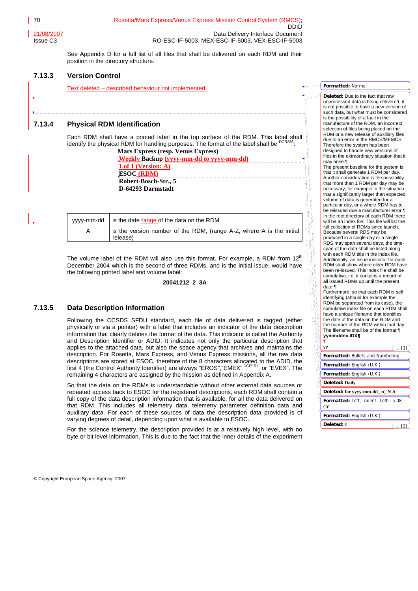| 70                     | Rosetta/Mars Express/Venus Express Mission Control System (RMCS):<br>חוחח                                                         |
|------------------------|-----------------------------------------------------------------------------------------------------------------------------------|
| 21/08/2007<br>Issue C3 | Data Delivery Interface Document<br>RO-ESC-IF-5003, MEX-ESC-IF-5003, VEX-ESC-IF-5003                                              |
|                        | See Appendix D for a full list of all files that shall be delivered on each RDM and their<br>position in the directory structure. |
| 7.13.3                 | <b>Version Control</b>                                                                                                            |
|                        | Text deleted – described behaviour not implemented.                                                                               |
|                        |                                                                                                                                   |

#### **7.13.4 Physical RDM Identification**

Each RDM shall have a printed label in the top surface of the RDM. This label shall<br>identify the physical RDM for handling purposes. The format of the label shall be <sup>DCR285</sup>: **Mars Express (resp. Venus Express)** 

**Weekly Backup (yyyy-mm-dd to yyyy-mm-dd) 1 of 1 (Version: A) ESOC (RDM) Robert-Bosch-Str., 5 D-64293 Darmstadt** 

|  | yyyy-mm-dd $\parallel$ is the date range of the data on the RDM                    |  |
|--|------------------------------------------------------------------------------------|--|
|  | is the version number of the RDM, (range A-Z, where A is the initial  <br>release) |  |

The volume label of the RDM will also use this format. For example, a RDM from  $12<sup>th</sup>$ December 2004 which is the second of three RDMs, and is the initial issue, would have the following printed label and volume label:

#### **20041212\_2\_3A**

#### **7.13.5 Data Description Information**

Following the CCSDS SFDU standard, each file of data delivered is tagged (either physically or via a pointer) with a label that includes an indicator of the data description information that clearly defines the format of the data. This indicator is called the Authority and Description Identifier or ADID. It indicates not only the particular description that applies to the attached data, but also the space agency that archives and maintains the description. For Rosetta, Mars Express, and Venus Express missions, all the raw data descriptions are stored at ESOC, therefore of the 8 characters allocated to the ADID, the first 4 (the Control Authority Identifier) are always "EROS","EMEX" DCR151, or "EVEX". The remaining 4 characters are assigned by the mission as defined in Appendix A.

So that the data on the RDMs is understandable without other external data sources or repeated access back to ESOC for the registered descriptions, each RDM shall contain a full copy of the data description information that is available, for all the data delivered on that RDM. This includes all telemetry data, telemetry parameter definition data and auxiliary data. For each of these sources of data the description data provided is of varying degrees of detail, depending upon what is available to ESOC.

For the science telemetry, the description provided is at a relatively high level, with no byte or bit level information. This is due to the fact that the inner details of the experiment **Formatted:** Bullets and Numbering **Formatted:** English (U.K.) **Formatted:** English (U.K.) **Formatted:** English (U.K.) **Formatted:** Left, Indent: Left: 5.08 cm due to an error in the RMCS/MEMCS. Therefore the system has been designed to handle new versions of files in the extraordinary situation that it may arise.¶ The present baseline for the system is that it shall generate 1 RDM per day. Another consideration is the possibility that more than 1 RDM per day may be necessary, for example in the situation that a significantly larger than expected volume of data is generated for a particular day, or a whole RDM has to be reissued due a manufacturer error.¶ In the root directory of each RDM there will be an index file. This file will list the full collection of RDMs since launch. Because several RDS may be produced in a single day or a single RDS may span several days, the timespan of the data shall be listed along with each RDM title in the index file. Additionally, an issue indicator for each RDM shall show where older RDM have been re-issued. This index file shall be cumulative, i.e. it contains a record of all issued RDMs up until the present date.¶ Furthermore, so that each RDM is self identifying (should for example the RDM be separated from its case), the cumulative index file on each RDM shall have a unique filename that identifies the date of the data on the RDM and the number of the RDM within that day. The filename shall be of the format:¶ **yymmddnv.IDX¶ Deleted: Daily Deleted: for yyyy-mm-dd\_ n\_ N A**  $.11$ 

**Formatted:** Normal

**Deleted:** Due to the fact that raw unprocessed data is being delivered, it is not possible to have a new version of such data, but what must be considered is the possibility of a fault in the manufacture of the RDM, an incorrect selection of files being placed on the RDM or a new release of auxiliary files

**Deleted:** n

... [2]

¶ yy

© Copyright European Space Agency, 2007

 $\mathbf{v}$  .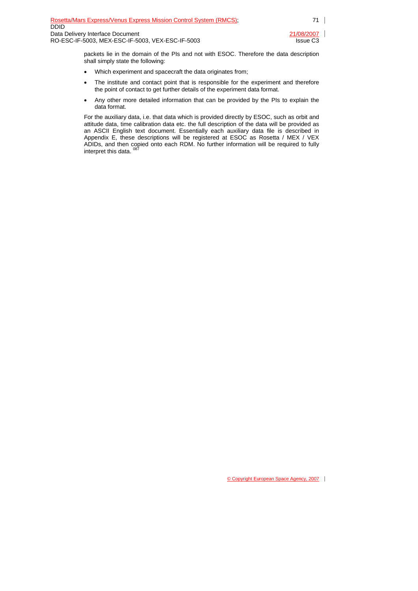71

packets lie in the domain of the PIs and not with ESOC. Therefore the data description shall simply state the following:

- Which experiment and spacecraft the data originates from;
- The institute and contact point that is responsible for the experiment and therefore the point of contact to get further details of the experiment data format.
- Any other more detailed information that can be provided by the PIs to explain the data format.

For the auxiliary data, i.e. that data which is provided directly by ESOC, such as orbit and attitude data, time calibration data etc. the full description of the data will be provided as an ASCII English text document. Essentially each auxiliary data file is described in Appendix E, these descriptions will be registered at ESOC as Rosetta / MEX / VEX ADIDs, and then copied onto each RDM. No further information will be required to fully interpret this data. 087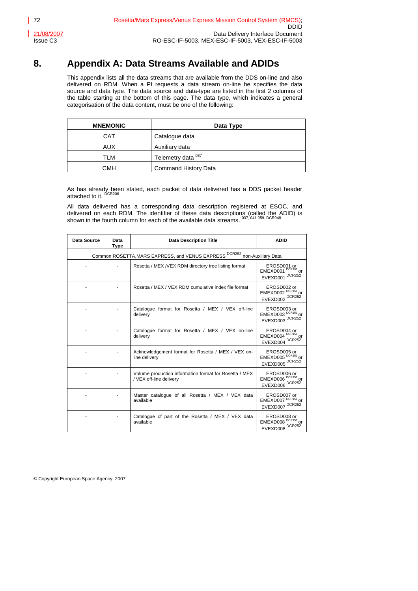# **8. Appendix A: Data Streams Available and ADIDs**

This appendix lists all the data streams that are available from the DDS on-line and also delivered on RDM. When a PI requests a data stream on-line he specifies the data source and data type. The data source and data-type are listed in the first 2 columns of the table starting at the bottom of this page. The data type, which indicates a general categorisation of the data content, must be one of the following:

| <b>MNEMONIC</b> | Data Type            |
|-----------------|----------------------|
| CAT             | Catalogue data       |
| AUX             | Auxiliary data       |
| TLM             | Telemetry data 087   |
| СМН             | Command History Data |

As has already been stated, each packet of data delivered has a DDS packet header attached to it.

All data delivered has a corresponding data description registered at ESOC, and delivered on each RDM. The identifier of these data descriptions (called the ADID) is<br>shown in the fourth column for each of the available data streams. <sup>037, 041 059, DCR048</sup>

| Data Source | Data<br>Type | <b>Data Description Title</b>                                                        | <b>ADID</b>                                                        |
|-------------|--------------|--------------------------------------------------------------------------------------|--------------------------------------------------------------------|
|             |              | Common ROSETTA, MARS EXPRESS, and VENUS EXPRESS <sup>DCR252</sup> non-Auxiliary Data |                                                                    |
|             |              | Rosetta / MEX / VEX RDM directory tree listing format                                | EROSD001 or<br>EMEXD001 <sup>DCR151</sup> or<br>DCR252<br>EVEXD001 |
|             |              | Rosetta / MEX / VEX RDM cumulative index file format                                 | EROSD002 or<br>EMEXD002 <sup>DCR151</sup> or<br>EVEXD002 DCR252    |
|             |              | Catalogue format for Rosetta / MEX / VEX off-line<br>delivery                        | EROSD003 or<br>EMEXD003 <sup>DCR151</sup> or<br>EVEXD003 DCR252    |
|             |              | Catalogue format for Rosetta / MEX / VEX on-line<br>delivery                         | EROSD004 or<br>EMEXD004 <sup>DCR151</sup> or<br>EVEXD004 DCR252    |
|             |              | Acknowledgement format for Rosetta / MEX / VEX on-<br>line delivery                  | EROSD005 or<br>EMEXD005 <sup>DCR151</sup> or<br>EVEXD005 DCR252    |
|             |              | Volume production information format for Rosetta / MEX<br>/ VEX off-line delivery    | EROSD006 or<br>EMEXD006 <sup>DCR151</sup> or<br>EVEXD006 DCR252    |
|             |              | Master catalogue of all Rosetta / MEX / VEX data<br>available                        | EROSD007 or<br>EMEXD007 <sup>DCR151</sup> or<br>EVEXD007 DCR252    |
|             |              | Catalogue of part of the Rosetta / MEX / VEX data<br>available                       | EROSD008 or<br>EMEXD008 <sup>DCR151</sup> or<br>EVEXD008 DCR252    |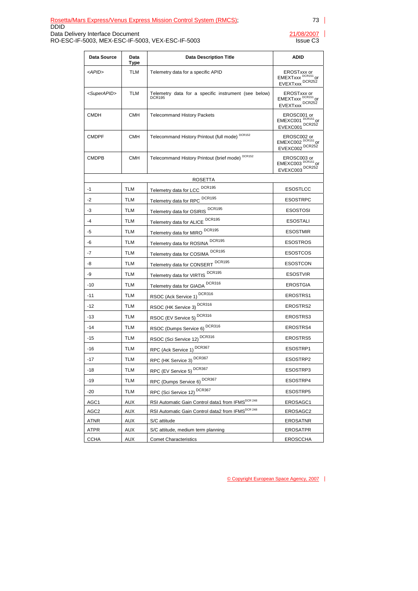#### Rosetta/Mars Express/Venus Express Mission Control System (RMCS); DDID Data Delivery Interface Document 21/08/2007 RO-ESC-IF-5003, MEX-ESC-IF-5003, VEX-ESC-IF-5003 Issue C3

| Data Source             | Data<br>Type | <b>Data Description Title</b>                                         | ADID                                                                         |
|-------------------------|--------------|-----------------------------------------------------------------------|------------------------------------------------------------------------------|
| <apid></apid>           | <b>TLM</b>   | Telemetry data for a specific APID                                    | EROSTxxx or<br>EMEXTxxx <sup>DCR151</sup> or<br>EVEXTxxx <sup>DCR252</sup>   |
| <superapid></superapid> | TLM          | Telemetry data for a specific instrument (see below)<br><b>DCR195</b> | EROSTxxx or<br>$EMEXTxxx$ <sup>DCR151</sup> or<br>EVEXTxxx <sup>DCR252</sup> |
| <b>CMDH</b>             | <b>CMH</b>   | <b>Telecommand History Packets</b>                                    | EROSC001 or<br>EMEXC001 <sup>DCR151</sup> or<br>EVEXC001 <sup>DCR252</sup>   |
| <b>CMDPF</b>            | <b>CMH</b>   | Telecommand History Printout (full mode) DCR152                       | EROSC002 or<br>EMEXC002 <sup>DCR151</sup> or<br>EVEXC002 DCR252              |
| <b>CMDPB</b>            | <b>CMH</b>   | Telecommand History Printout (brief mode) DCR152                      | EROSC003 or<br>EMEXC003 DCR <sub>151</sub> or<br>EVEXC003 DCR <sub>252</sub> |
|                         |              | <b>ROSETTA</b>                                                        |                                                                              |
| $-1$                    | <b>TLM</b>   | Telemetry data for LCC DCR195                                         | <b>ESOSTLCC</b>                                                              |
| -2                      | TLM          | Telemetry data for RPC DCR195                                         | ESOSTRPC                                                                     |
| -3                      | <b>TLM</b>   | Telemetry data for OSIRIS DCR195                                      | ESOSTOSI                                                                     |
| $-4$                    | TLM          | Telemetry data for ALICE DCR195                                       | <b>ESOSTALI</b>                                                              |
| -5                      | TLM          | Telemetry data for MIRO DCR195                                        | <b>ESOSTMIR</b>                                                              |
| -6                      | TLM          | Telemetry data for ROSINA DCR195                                      | <b>ESOSTROS</b>                                                              |
| $-7$                    | <b>TLM</b>   | Telemetry data for COSIMA <sup>DCR195</sup>                           | <b>ESOSTCOS</b>                                                              |
| -8                      | TLM          | Telemetry data for CONSERT DCR195                                     | ESOSTCON                                                                     |
| -9                      | TLM          | Telemetry data for VIRTIS DCR195                                      | <b>ESOSTVIR</b>                                                              |
| $-10$                   | TLM          | Telemetry data for GIADA <sup>DCR316</sup>                            | EROSTGIA                                                                     |
| $-11$                   | TLM          | RSOC (Ack Service 1) DCR316                                           | EROSTRS1                                                                     |
| $-12$                   | TLM          | RSOC (HK Service 3) DCR316                                            | EROSTRS2                                                                     |
| -13                     | TLM          | RSOC (EV Service 5) DCR316                                            | EROSTRS3                                                                     |
| $-14$                   | TLM          | RSOC (Dumps Service 6) DCR316                                         | EROSTRS4                                                                     |
| $-15$                   | TLM          | RSOC (Sci Service 12) DCR316                                          | EROSTRS5                                                                     |
| $-16$                   | <b>TLM</b>   | DCR367<br>RPC (Ack Service 1)                                         | ESOSTRP1                                                                     |
| $-17$                   | TLM          | RPC (HK Service 3) DCR367                                             | ESOSTRP2                                                                     |
| $-18$                   | TLM          | RPC (EV Service 5) DCR367                                             | ESOSTRP3                                                                     |
| $-19$                   | TLM          | RPC (Dumps Service 6) DCR367                                          | ESOSTRP4                                                                     |
| $-20$                   | TLM          | RPC (Sci Service 12) DCR367                                           | ESOSTRP5                                                                     |
| AGC1                    | <b>AUX</b>   | RSI Automatic Gain Control data1 from IFMS <sup>DCR 248</sup>         | EROSAGC1                                                                     |
| AGC <sub>2</sub>        | <b>AUX</b>   | RSI Automatic Gain Control data2 from IFMS <sup>DCR 248</sup>         | EROSAGC2                                                                     |
| <b>ATNR</b>             | <b>AUX</b>   | S/C attitude                                                          | <b>EROSATNR</b>                                                              |
| <b>ATPR</b>             | AUX          | S/C attitude, medium term planning                                    | <b>EROSATPR</b>                                                              |

CCHA AUX Comet Characteristics EROSCCHA

© Copyright European Space Agency, 2007

73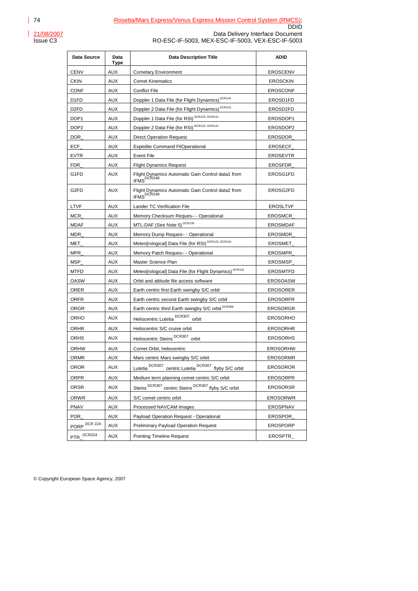| 21/08/2007 |
|------------|
| Issue C3   |

#### 74 Rosetta/Mars Express/Venus Express Mission Control System (RMCS); DDID Data Delivery Interface Document RO-ESC-IF-5003, MEX-ESC-IF-5003, VEX-ESC-IF-5003

**Data Source Data Type Data Description Title**  ADID CENV | AUX | Cometary Environment | EROSCENV CKIN AUX Comet Kinematics EROSCKIN CONF AUX Conflict File **CONF AUX** Conflict File D1FD AUX Doppler 1 Data File (for Flight Dynamics)<sup>DCR141</sup> EROSD1FD D2FD AUX Doppler 2 Data File (for Flight Dynamics)<sup>DCR141</sup> EROSD2FD DOP1 AUX Doppler 1 Data File (for RSI)<sup>DCR122, DCR141</sup> EROSDOP1 EROSDOP1 DOP2 AUX Doppler 2 Data File (for RSI)<sup>DCR122, DCR141</sup> EROSDOP2 DOR\_ AUX Direct Operation Request EROSDOR\_ ECF\_ AUX Expedite Command FilOperational EROSECF\_ EVTR AUX Event File **EROSEVTR** AUX FDR\_ AUX Flight Dynamics Request FIRM EROSFDR G1FD AUX Flight Dynamics Automatic Gain Control data1 from **FROSG1FD**<br>
IFMS<sup>DCR248</sup> G2FD AUX Flight Dynamics Automatic Gain Control data2 from **FROSG2FD**<br>
IFMS<sup>DCR248</sup> LTVF AUX Lander TC Verification File **EROSLTVF** EROSLTVF MCR\_ AUX Memory Checksum Reques– - Operational FROSMCR\_ MDAF AUX MTL-DAF (See Note 5) <sup>DCR135</sup> EROSMDAF MDR\_ AUX Memory Dump Reques- - Operational FROSMDR\_ MET\_ AUX Meteo[rological] Data File (for RSI) DCR122, DCR141 EROSMET\_ MPR\_ AUX Memory Patch Reques– - Operational EROSMPR\_ MSP\_ AUX Master Science Plan Australian EROSMSP\_ MTFD AUX Meteo[rological] Data File (for Flight Dynamics)<sup>DCR141</sup> EROSMTFD OASW AUX Orbit and attitude file access software **EROSOASW** ORER AUX Earth centric first Earth swingby S/C orbit EROSORER ORFR AUX Earth centric second Earth swingby S/C orbit EROSORFR ORGR AUX Earth centric third Earth swingby S/C orbit DCR268 EROSORGR ORHO AUX Heliocentric Lutetia <sup>DCR307</sup> orbit EROSORHO ORHR AUX Heliocentric S/C cruise orbit EROSORHR ORHS AUX Heliocentric Steins DCR307 orbit EROSORHS ORHW AUX Comet Orbit, heliocentric EROSORHW ORMR AUX Mars centric Mars swingby S/C orbit EROSORMR OROR AUX Lutetia <sup>DCR307</sup> centric Lutetia <sup>DCR307</sup> flyby S/C orbit **EROSOROR** ORPR AUX Medium term planning comet centric S/C orbit EROSORPR ORSR AUX Steins DCR307 centric Steins DCR307 flyby S/C orbit EROSORSR ORWR AUX S/C comet centric orbit EROSORWR PNAV AUX Processed NAVCAM Images FROSPNAV POR\_ AUX Payload Operation Request - Operational EROSPOR PORP <sup>DCR 224</sup> AUX Preliminary Payload Operation Request **EROSPORP** PTR\_DCR224 AUX Pointing Timeline Request EROSPTR\_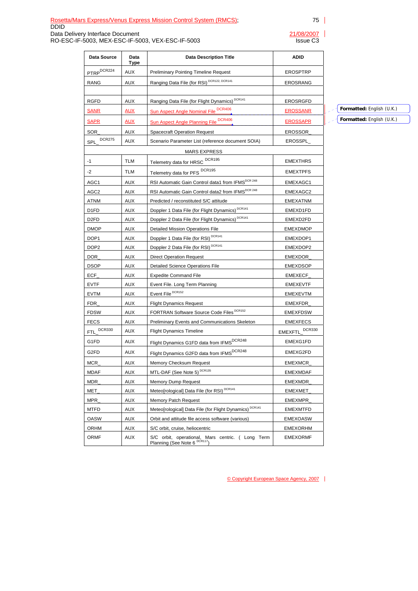#### Rosetta/Mars Express/Venus Express Mission Control System (RMCS); **DDID** Data Delivery Interface Document 21/08/2007

RO-ESC-IF-5003, MEX-ESC-IF-5003, VEX-ESC-IF-5003 Issue C3

| Data Source            | Data<br>Type | <b>Data Description Title</b>                                                                 | ADID            |
|------------------------|--------------|-----------------------------------------------------------------------------------------------|-----------------|
| PTRP <sup>DCR224</sup> | <b>AUX</b>   | <b>Preliminary Pointing Timeline Request</b>                                                  | <b>EROSPTRP</b> |
| <b>RANG</b>            | <b>AUX</b>   | Ranging Data File (for RSI) <sup>DCR122, DCR141</sup>                                         | <b>EROSRANG</b> |
|                        |              |                                                                                               |                 |
| <b>RGFD</b>            | <b>AUX</b>   | Ranging Data File (for Flight Dynamics) <sup>DCR141</sup>                                     | <b>EROSRGFD</b> |
| <b>SANR</b>            | <b>AUX</b>   | Sun Aspect Angle Nominal File DCR406                                                          | <b>EROSSANR</b> |
| <b>SAPR</b>            | <b>AUX</b>   | Sun Aspect Angle Planning File DCR406                                                         | <b>EROSSAPR</b> |
| SOR                    | <b>AUX</b>   | <b>Spacecraft Operation Request</b>                                                           | EROSSOR         |
| SPL DCR275             | <b>AUX</b>   | Scenario Parameter List (reference document SOIA)                                             | EROSSPL_        |
|                        |              | <b>MARS EXPRESS</b>                                                                           |                 |
| $-1$                   | TLM          | Telemetry data for HRSC DCR195                                                                | <b>EMEXTHRS</b> |
| $-2$                   | <b>TLM</b>   | Telemetry data for PFS DCR195                                                                 | <b>EMEXTPFS</b> |
| AGC1                   | <b>AUX</b>   | RSI Automatic Gain Control data1 from IFMS <sup>DCR 248</sup>                                 | EMEXAGC1        |
| AGC <sub>2</sub>       | <b>AUX</b>   | RSI Automatic Gain Control data2 from IFMS <sup>DCR 248</sup>                                 | EMEXAGC2        |
| ATNM                   | <b>AUX</b>   | Predicted / reconstituted S/C attitude                                                        | <b>EMEXATNM</b> |
| D1FD                   | <b>AUX</b>   | Doppler 1 Data File (for Flight Dynamics) <sup>DCR141</sup>                                   | EMEXD1FD        |
| D <sub>2</sub> FD      | <b>AUX</b>   | Doppler 2 Data File (for Flight Dynamics) <sup>DCR141</sup>                                   | EMEXD2FD        |
| <b>DMOP</b>            | <b>AUX</b>   | <b>Detailed Mission Operations File</b>                                                       | <b>EMEXDMOP</b> |
| DOP <sub>1</sub>       | <b>AUX</b>   | Doppler 1 Data File (for RSI) <sup>DCR141</sup>                                               | EMEXDOP1        |
| DOP <sub>2</sub>       | <b>AUX</b>   | Doppler 2 Data File (for RSI) <sup>DCR141</sup>                                               | EMEXDOP2        |
| DOR                    | <b>AUX</b>   | <b>Direct Operation Request</b>                                                               | EMEXDOR         |
| <b>DSOP</b>            | <b>AUX</b>   | <b>Detailed Science Operations File</b>                                                       | <b>EMEXDSOP</b> |
| ECF                    | <b>AUX</b>   | <b>Expedite Command File</b>                                                                  | EMEXECF         |
| <b>EVTF</b>            | <b>AUX</b>   | Event File. Long Term Planning                                                                | <b>EMEXEVTF</b> |
| <b>EVTM</b>            | <b>AUX</b>   | Event File DCR152                                                                             | <b>EMEXEVTM</b> |
| FDR                    | <b>AUX</b>   | <b>Flight Dynamics Request</b>                                                                | EMEXFDR         |
| <b>FDSW</b>            | <b>AUX</b>   | FORTRAN Software Source Code Files DCR152                                                     | <b>EMEXFDSW</b> |
| <b>FECS</b>            | <b>AUX</b>   | Preliminary Events and Communications Skeleton                                                | <b>EMEXFECS</b> |
| FTL DCR330             | <b>AUX</b>   | <b>Flight Dynamics Timeline</b>                                                               | EMEXFTL_DCR330  |
| G1FD                   | <b>AUX</b>   | Flight Dynamics G1FD data from IFMSDCR248                                                     | EMEXG1FD        |
| G <sub>2</sub> FD      | <b>AUX</b>   | Flight Dynamics G2FD data from IFMSDCR248                                                     | EMEXG2FD        |
| <b>MCR</b>             | <b>AUX</b>   | <b>Memory Checksum Request</b>                                                                | <b>EMEXMCR</b>  |
| MDAF                   | AUX          | MTL-DAF (See Note 5) <sup>DCR135</sup>                                                        | <b>EMEXMDAF</b> |
| MDR.                   | AUX          | <b>Memory Dump Request</b>                                                                    | EMEXMDR         |
| MET.                   | <b>AUX</b>   | Meteo[rological] Data File (for RSI) <sup>DCR141</sup>                                        | EMEXMET_        |
| MPR                    | AUX          | <b>Memory Patch Request</b>                                                                   | EMEXMPR         |
| <b>MTFD</b>            | <b>AUX</b>   | Meteo[rological] Data File (for Flight Dynamics) <sup>DCR141</sup>                            | <b>EMEXMTFD</b> |
| <b>OASW</b>            | AUX          | Orbit and attitude file access software (various)                                             | <b>EMEXOASW</b> |
| <b>ORHM</b>            | AUX          | S/C orbit, cruise, heliocentric                                                               | EMEXORHM        |
| <b>ORMF</b>            | AUX          | S/C orbit, operational, Mars centric. ( Long Term<br>Planning (See Note 6 <sup>DCR117</sup> ) | <b>EMEXORMF</b> |

**Formatted:** English (U.K.)

**Formatted:** English (U.K.)

© Copyright European Space Agency, 2007

 $\sim$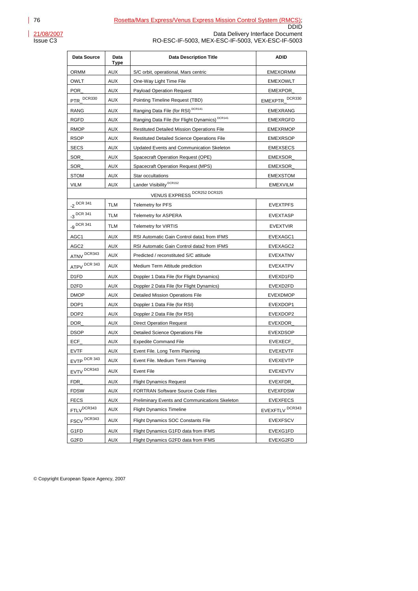$\overline{\phantom{a}}$ 

| 21/08/2007 |
|------------|
| Issue C3   |

#### 76 Rosetta/Mars Express/Venus Express Mission Control System (RMCS); DDID 21/08/2007 Data Delivery Interface Document

Issue C3 RO-ESC-IF-5003, MEX-ESC-IF-5003, VEX-ESC-IF-5003

| Data Source            | Data<br>Type | <b>Data Description Title</b>                             | ADID            |
|------------------------|--------------|-----------------------------------------------------------|-----------------|
| <b>ORMM</b>            | <b>AUX</b>   | S/C orbit, operational, Mars centric                      | <b>EMEXORMM</b> |
| OWLT                   | <b>AUX</b>   | One-Way Light Time File                                   | <b>EMEXOWLT</b> |
| <b>POR</b>             | AUX          | <b>Payload Operation Request</b>                          | EMEXPOR         |
| PTR DCR330             | <b>AUX</b>   | Pointing Timeline Request (TBD)                           | EMEXPTR_DCR330  |
| RANG                   | <b>AUX</b>   | Ranging Data File (for RSI) <sup>DCR141</sup>             | <b>EMEXRANG</b> |
| <b>RGFD</b>            | <b>AUX</b>   | Ranging Data File (for Flight Dynamics) <sup>DCR141</sup> | <b>EMEXRGFD</b> |
| <b>RMOP</b>            | <b>AUX</b>   | <b>Restituted Detailed Mission Operations File</b>        | <b>EMEXRMOP</b> |
| <b>RSOP</b>            | <b>AUX</b>   | <b>Restituted Detailed Science Operations File</b>        | <b>EMEXRSOP</b> |
| <b>SECS</b>            | <b>AUX</b>   | <b>Updated Events and Communication Skeleton</b>          | <b>EMEXSECS</b> |
| SOR                    | <b>AUX</b>   | Spacecraft Operation Request (OPE)                        | EMEXSOR         |
| SOR                    | <b>AUX</b>   | Spacecraft Operation Request (MPS)                        | EMEXSOR         |
| <b>STOM</b>            | <b>AUX</b>   | Star occultations                                         | <b>EMEXSTOM</b> |
| <b>VILM</b>            | <b>AUX</b>   | Lander Visibility <sup>DCR152</sup>                       | <b>EMEXVILM</b> |
|                        |              | VENUS EXPRESS DCR252 DCR325                               |                 |
| $-2$ DCR 341           | <b>TLM</b>   | <b>Telemetry for PFS</b>                                  | <b>EVEXTPFS</b> |
| $-3$ DCR 341           | <b>TLM</b>   | <b>Telemetry for ASPERA</b>                               | <b>EVEXTASP</b> |
| -9 DCR 341             | TLM          | <b>Telemetry for VIRTIS</b>                               | <b>EVEXTVIR</b> |
| AGC1                   | <b>AUX</b>   | RSI Automatic Gain Control data1 from IFMS                | EVEXAGC1        |
| AGC <sub>2</sub>       | <b>AUX</b>   | RSI Automatic Gain Control data2 from IFMS                | EVEXAGC2        |
| ATNV DCR343            | <b>AUX</b>   | Predicted / reconstituted S/C attitude                    | <b>EVEXATNV</b> |
| ATPV DCR 343           | <b>AUX</b>   | Medium Term Attitude prediction                           | <b>EVEXATPV</b> |
| D <sub>1FD</sub>       | <b>AUX</b>   | Doppler 1 Data File (for Flight Dynamics)                 | EVEXD1FD        |
| D <sub>2</sub> FD      | <b>AUX</b>   | Doppler 2 Data File (for Flight Dynamics)                 | EVEXD2FD        |
| <b>DMOP</b>            | <b>AUX</b>   | <b>Detailed Mission Operations File</b>                   | <b>EVEXDMOP</b> |
| DOP1                   | <b>AUX</b>   | Doppler 1 Data File (for RSI)                             | EVEXDOP1        |
| DOP <sub>2</sub>       | <b>AUX</b>   | Doppler 2 Data File (for RSI)                             | EVEXDOP2        |
| <b>DOR</b>             | <b>AUX</b>   | <b>Direct Operation Request</b>                           | EVEXDOR         |
| <b>DSOP</b>            | <b>AUX</b>   | <b>Detailed Science Operations File</b>                   | <b>EVEXDSOP</b> |
| ECF.                   | <b>AUX</b>   | <b>Expedite Command File</b>                              | EVEXECF         |
| <b>EVTF</b>            | <b>AUX</b>   | Event File. Long Term Planning                            | EVEXEVTF        |
| EVTP DCR 343           | <b>AUX</b>   | Event File. Medium Term Planning                          | <b>EVEXEVTP</b> |
| EVTV DCR343            | <b>AUX</b>   | <b>Event File</b>                                         | <b>EVEXEVTV</b> |
| FDR                    | <b>AUX</b>   | <b>Flight Dynamics Request</b>                            | EVEXFDR         |
| <b>FDSW</b>            | AUX          | <b>FORTRAN Software Source Code Files</b>                 | <b>EVEXFDSW</b> |
| <b>FECS</b>            | <b>AUX</b>   | Preliminary Events and Communications Skeleton            | <b>EVEXFECS</b> |
| FTLV <sup>DCR343</sup> | AUX          | <b>Flight Dynamics Timeline</b>                           | EVEXFTLV DCR343 |
| <b>FSCV</b> DCR343     | <b>AUX</b>   | Flight Dynamics SOC Constants File                        | <b>EVEXFSCV</b> |
| G1FD                   | <b>AUX</b>   | Flight Dynamics G1FD data from IFMS                       | EVEXG1FD        |
| G2FD                   | <b>AUX</b>   | Flight Dynamics G2FD data from IFMS                       | EVEXG2FD        |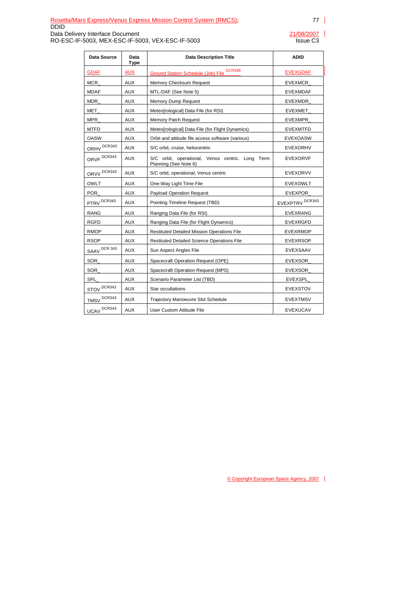#### Rosetta/Mars Express/Venus Express Mission Control System (RMCS); **DDID** Data Delivery Interface Document 21/08/2007

RO-ESC-IF-5003, MEX-ESC-IF-5003, VEX-ESC-IF-5003 Issue C3

77

| Data Source            | Data<br><b>Type</b> | <b>Data Description Title</b>                                                | <b>ADID</b>                |
|------------------------|---------------------|------------------------------------------------------------------------------|----------------------------|
| GDAF                   | <b>AUX</b>          | <b>DCR398</b><br><b>Ground Station Schedule (Job) File</b>                   | <b>EVEXGDAF</b>            |
| <b>MCR</b>             | <b>AUX</b>          | <b>Memory Checksum Request</b>                                               | <b>EVEXMCR</b>             |
| MDAF                   | AUX                 | MTL-DAF (See Note 5)                                                         | <b>EVEXMDAF</b>            |
| MDR                    | <b>AUX</b>          | <b>Memory Dump Request</b>                                                   | EVEXMDR                    |
| MET                    | <b>AUX</b>          | Meteo[rological] Data File (for RSI)                                         | <b>EVEXMET</b>             |
| <b>MPR</b>             | <b>AUX</b>          | <b>Memory Patch Request</b>                                                  | <b>EVEXMPR</b>             |
| MTFD                   | <b>AUX</b>          | Meteo[rological] Data File (for Flight Dynamics)                             | <b>EVEXMTFD</b>            |
| <b>OASW</b>            | <b>AUX</b>          | Orbit and attitude file access software (various)                            | <b>EVEXOASW</b>            |
| ORHV <sup>DCR343</sup> | <b>AUX</b>          | S/C orbit, cruise, heliocentric                                              | <b>EVEXORHV</b>            |
| ORVF <sup>DCR343</sup> | <b>AUX</b>          | S/C orbit, operational, Venus centric. Long<br>Term<br>Planning (See Note 6) | <b>EVEXORVF</b>            |
| ORVV <sup>DCR343</sup> | <b>AUX</b>          | S/C orbit, operational, Venus centric                                        | <b>EVEXORVV</b>            |
| OWLT                   | <b>AUX</b>          | One-Way Light Time File                                                      | <b>EVEXOWLT</b>            |
| <b>POR</b>             | <b>AUX</b>          | Payload Operation Request                                                    | EVEXPOR                    |
| PTRV DCR343            | <b>AUX</b>          | Pointing Timeline Request (TBD)                                              | EVEXPTRV <sup>DCR343</sup> |
| <b>RANG</b>            | <b>AUX</b>          | Ranging Data File (for RSI)                                                  | EVEXRANG                   |
| <b>RGFD</b>            | <b>AUX</b>          | Ranging Data File (for Flight Dynamics)                                      | <b>EVEXRGFD</b>            |
| RMOP                   | <b>AUX</b>          | <b>Restituted Detailed Mission Operations File</b>                           | <b>EVEXRMOP</b>            |
| <b>RSOP</b>            | <b>AUX</b>          | <b>Restituted Detailed Science Operations File</b>                           | <b>EVEXRSOP</b>            |
| SAAV DCR 343           | <b>AUX</b>          | Sun Aspect Angles File                                                       | EVEXSAAV                   |
| SOR                    | <b>AUX</b>          | Spacecraft Operation Request (OPE)                                           | EVEXSOR                    |
| SOR                    | <b>AUX</b>          | Spacecraft Operation Request (MPS)                                           | EVEXSOR                    |
| SPL                    | <b>AUX</b>          | Scenario Parameter List (TBD)                                                | <b>EVEXSPL</b>             |
| STOV DCR343            | <b>AUX</b>          | <b>Star occultations</b>                                                     | <b>EVEXSTOV</b>            |
| <b>TMSV</b> DCR343     | <b>AUX</b>          | <b>Trajectory Manoeuvre Slot Schedule</b>                                    | <b>EVEXTMSV</b>            |
| UCAV DCR343            | <b>AUX</b>          | User Custom Attitude File                                                    | <b>EVEXUCAV</b>            |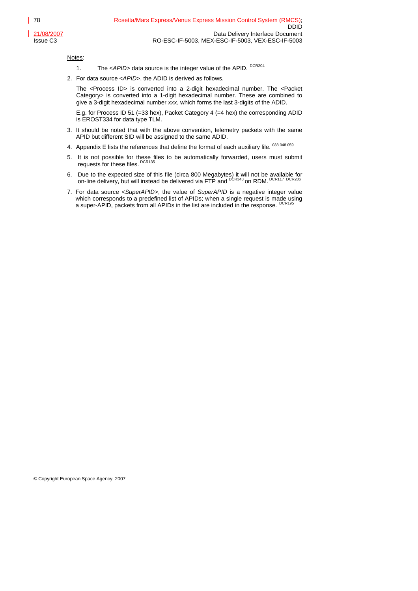Notes:

- 1. The <*APID*> data source is the integer value of the APID. <sup>DCR204</sup>
- 2. For data source <*APID*>, the ADID is derived as follows.

The <Process ID> is converted into a 2-digit hexadecimal number. The <Packet Category> is converted into a 1-digit hexadecimal number. These are combined to give a 3-digit hexadecimal number *xxx*, which forms the last 3-digits of the ADID.

E.g. for Process ID 51 (=33 hex), Packet Category 4 (=4 hex) the corresponding ADID is EROST334 for data type TLM.

- 3. It should be noted that with the above convention, telemetry packets with the same APID but different SID will be assigned to the same ADID.
- 4. Appendix E lists the references that define the format of each auxiliary file.  $038\,048\,059$
- 5. It is not possible for these files to be automatically forwarded, users must submit requests for these files.  $DCR135$
- 6. Due to the expected size of this file (circa 800 Megabytes) it will not be available for on-line delivery, but will instead be delivered via FTP and  $^{DCR343}$  on RDM.  $^{DCR206}$  on-line delivery, but will instead be del
- 7. For data source <*SuperAPID*>, the value of *SuperAPID* is a negative integer value which corresponds to a predefined list of APIDs; when a single request is made using a super-APID, packets from all APIDs in the list are included in the response. DCR195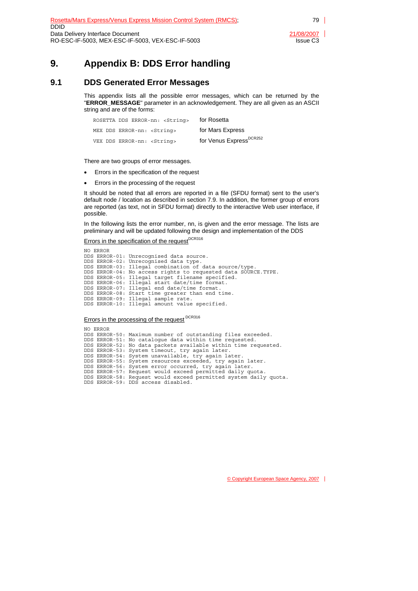# **9. Appendix B: DDS Error handling**

## **9.1 DDS Generated Error Messages**

This appendix lists all the possible error messages, which can be returned by the "**ERROR\_MESSAGE**" parameter in an acknowledgement. They are all given as an ASCII string and are of the forms:

| ROSETTA DDS ERROR-nn: <string></string> | for Rosetta                         |
|-----------------------------------------|-------------------------------------|
| MEX DDS ERROR-nn: <string></string>     | for Mars Express                    |
| VEX DDS ERROR-nn: <string></string>     | for Venus Express <sup>DCR252</sup> |

There are two groups of error messages.

- Errors in the specification of the request
- Errors in the processing of the request

It should be noted that all errors are reported in a file (SFDU format) sent to the user's default node / location as described in section 7.9. In addition, the former group of errors are reported (as text, not in SFDU format) directly to the interactive Web user interface, if possible.

In the following lists the error number, nn, is given and the error message. The lists are preliminary and will be updated following the design and implementation of the DDS

Errors in the specification of the request<sup>DCR316</sup>

NO ERROR DDS ERROR-01: Unrecognised data source. DDS ERROR-02: Unrecognised data type.<br>DDS ERROR-03: Illegal combination of data source/type.<br>DDS ERROR-04: No access rights to requested data SOURCE.TYPE.<br>DDS ERROR-05: Illegal target filename specified.<br>DDS ERROR-06: Ille DDS ERROR-07: Illegal end date/time format. DDS ERROR-08: Start time greater than end time. DDS ERROR-09: Illegal sample rate. DDS ERROR-10: Illegal amount value specified.

### Errors in the processing of the request DCR316

NO ERROR DDS ERROR-50: Maximum number of outstanding files exceeded. DDS ERROR-51: No catalogue data within time requested.<br>DDS ERROR-52: No data packets available within time requested.<br>DDS ERROR-53: System timeout, try again later.<br>DDS ERROR-54: System unavailable, try again later.<br>DDS ER DDS ERROR-57: Request would exceed permitted daily quota. DDS ERROR-58: Request would exceed permitted system daily quota. DDS ERROR-59: DDS access disabled.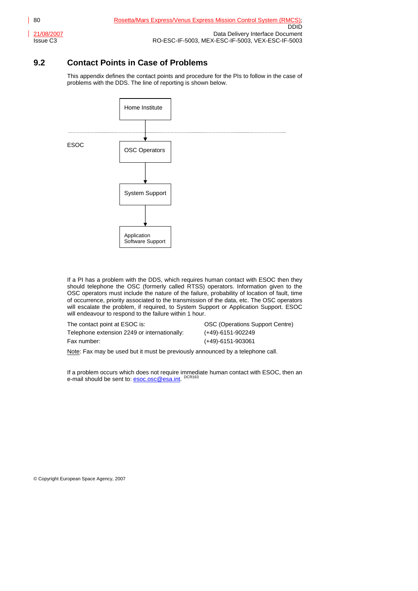



## **9.2 Contact Points in Case of Problems**

This appendix defines the contact points and procedure for the PIs to follow in the case of problems with the DDS. The line of reporting is shown below.



If a PI has a problem with the DDS, which requires human contact with ESOC then they should telephone the OSC (formerly called RTSS) operators. Information given to the OSC operators must include the nature of the failure, probability of location of fault, time of occurrence, priority associated to the transmission of the data, etc. The OSC operators will escalate the problem, if required, to System Support or Application Support. ESOC will endeavour to respond to the failure within 1 hour.

| The contact point at ESOC is:                | OSC (Operations Support Centre) |
|----------------------------------------------|---------------------------------|
| Telephone extension 2249 or internationally: | (+49)-6151-902249               |
| Fax number:                                  | $(+49)-6151-903061$             |

Note: Fax may be used but it must be previously announced by a telephone call.

If a problem occurs which does not require immediate human contact with ESOC, then an <br>a mail abould be cont to sooo goo@sso int. PCR163 e-mail should be sent to: **esoc.osc@esa.int**.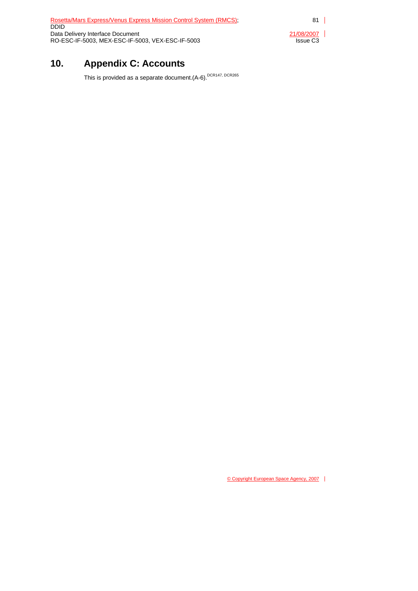Rosetta/Mars Express/Venus Express Mission Control System (RMCS); **DDID** Data Delivery Interface Document 21/08/2007 RO-ESC-IF-5003, MEX-ESC-IF-5003, VEX-ESC-IF-5003 Issue C3

# **10. Appendix C: Accounts**

This is provided as a separate document. $(A-6)$ .  $DCR147, DCR265$ 

© Copyright European Space Agency, 2007

81 |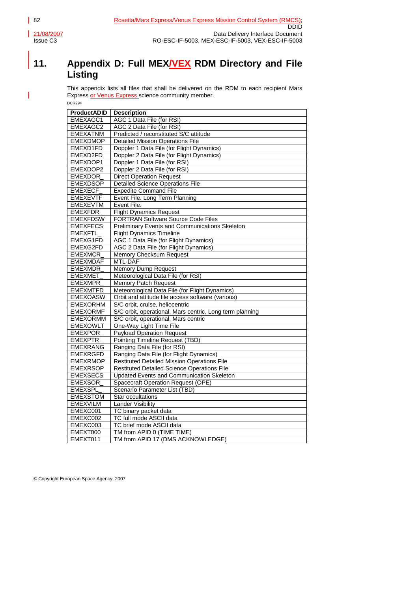# **11. Appendix D: Full MEX/VEX RDM Directory and File Listing**

This appendix lists all files that shall be delivered on the RDM to each recipient Mars Express or Venus Express science community member. DCR294

| <b>ProductADID</b> | <b>Description</b>                                       |
|--------------------|----------------------------------------------------------|
| EMEXAGC1           | AGC 1 Data File (for RSI)                                |
| EMEXAGC2           | AGC 2 Data File (for RSI)                                |
| <b>EMEXATNM</b>    | Predicted / reconstituted S/C attitude                   |
| <b>EMEXDMOP</b>    | <b>Detailed Mission Operations File</b>                  |
| EMEXD1FD           | Doppler 1 Data File (for Flight Dynamics)                |
| EMEXD2FD           | Doppler 2 Data File (for Flight Dynamics)                |
| EMEXDOP1           | Doppler 1 Data File (for RSI)                            |
| EMEXDOP2           | Doppler 2 Data File (for RSI)                            |
| <b>EMEXDOR</b>     | <b>Direct Operation Request</b>                          |
| <b>EMEXDSOP</b>    | <b>Detailed Science Operations File</b>                  |
| <b>EMEXECF</b>     | <b>Expedite Command File</b>                             |
| <b>EMEXEVTF</b>    | Event File. Long Term Planning                           |
| <b>EMEXEVTM</b>    | Event File.                                              |
| <b>EMEXFDR</b>     | <b>Flight Dynamics Request</b>                           |
| <b>EMEXFDSW</b>    | <b>FORTRAN Software Source Code Files</b>                |
| <b>EMEXFECS</b>    | Preliminary Events and Communications Skeleton           |
| <b>EMEXFTL</b>     | <b>Flight Dynamics Timeline</b>                          |
| EMEXG1FD           | AGC 1 Data File (for Flight Dynamics)                    |
| EMEXG2FD           | AGC 2 Data File (for Flight Dynamics)                    |
| <b>EMEXMCR</b>     | Memory Checksum Request                                  |
| <b>EMEXMDAF</b>    | MTL-DAF                                                  |
| <b>EMEXMDR</b>     | <b>Memory Dump Request</b>                               |
| <b>EMEXMET</b>     | Meteorological Data File (for RSI)                       |
| <b>EMEXMPR</b>     | <b>Memory Patch Request</b>                              |
| <b>EMEXMTFD</b>    | Meteorological Data File (for Flight Dynamics)           |
| <b>EMEXOASW</b>    | Orbit and attitude file access software (various)        |
| <b>EMEXORHM</b>    | S/C orbit, cruise, heliocentric                          |
| <b>EMEXORMF</b>    | S/C orbit, operational, Mars centric. Long term planning |
| <b>EMEXORMM</b>    | S/C orbit, operational, Mars centric                     |
| <b>EMEXOWLT</b>    | One-Way Light Time File                                  |
| EMEXPOR            | <b>Payload Operation Request</b>                         |
| EMEXPTR            | Pointing Timeline Request (TBD)                          |
| <b>EMEXRANG</b>    | Ranging Data File (for RSI)                              |
| EMEXRGFD           | Ranging Data File (for Flight Dynamics)                  |
| <b>EMEXRMOP</b>    | <b>Restituted Detailed Mission Operations File</b>       |
| <b>EMEXRSOP</b>    | <b>Restituted Detailed Science Operations File</b>       |
| <b>EMEXSECS</b>    | Updated Events and Communication Skeleton                |
| <b>EMEXSOR</b>     | Spacecraft Operation Request (OPE)                       |
| <b>EMEXSPL</b>     | Scenario Parameter List (TBD)                            |
| <b>EMEXSTOM</b>    | Star occultations                                        |
| <b>EMEXVILM</b>    | <b>Lander Visibility</b>                                 |
| EMEXC001           | TC binary packet data                                    |
| EMEXC002           | TC full mode ASCII data                                  |
| EMEXC003           | TC brief mode ASCII data                                 |
| EMEXT000           | TM from APID 0 (TIME TIME)                               |
| EMEXT011           | TM from APID 17 (DMS ACKNOWLEDGE)                        |

© Copyright European Space Agency, 2007

I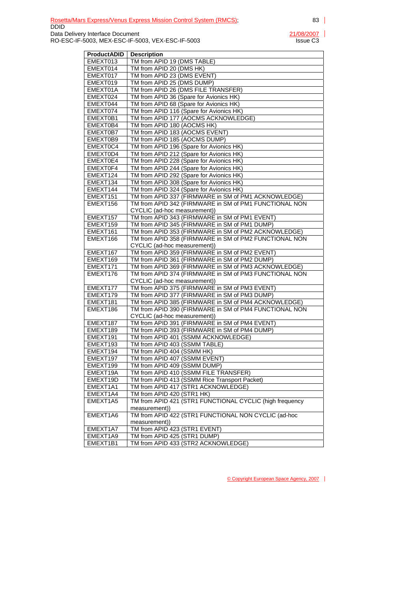RO-ESC-IF-5003, MEX-ESC-IF-5003, VEX-ESC-IF-5003 Issue C3

83

| <b>ProductADID</b> | <b>Description</b>                                                                     |
|--------------------|----------------------------------------------------------------------------------------|
| EMEXT013           | TM from APID 19 (DMS TABLE)                                                            |
| EMEXT014           | TM from APID 20 (DMS HK)                                                               |
| EMEXT017           | TM from APID 23 (DMS EVENT)                                                            |
| EMEXT019           | TM from APID 25 (DMS DUMP)                                                             |
| EMEXT01A           | TM from APID 26 (DMS FILE TRANSFER)                                                    |
| EMEXT024           | TM from APID 36 (Spare for Avionics HK)                                                |
| EMEXT044           | TM from APID 68 (Spare for Avionics HK)                                                |
| EMEXT074           | TM from APID 116 (Spare for Avionics HK)                                               |
| EMEXT0B1           | TM from APID 177 (AOCMS ACKNOWLEDGE)                                                   |
| EMEXT0B4           | TM from APID 180 (AOCMS HK)                                                            |
| EMEXT0B7           | TM from APID 183 (AOCMS EVENT)                                                         |
| EMEXT0B9           | TM from APID 185 (AOCMS DUMP)                                                          |
| EMEXT0C4           | TM from APID 196 (Spare for Avionics HK)                                               |
| EMEXT0D4           | TM from APID 212 (Spare for Avionics HK)                                               |
| EMEXT0E4           | TM from APID 228 (Spare for Avionics HK)                                               |
| EMEXT0F4           | TM from APID 244 (Spare for Avionics HK)                                               |
| EMEXT124           | TM from APID 292 (Spare for Avionics HK)                                               |
| EMEXT134           | TM from APID 308 (Spare for Avionics HK)                                               |
| EMEXT144           | TM from APID 324 (Spare for Avionics HK)                                               |
| EMEXT151           | TM from APID 337 (FIRMWARE in SM of PM1 ACKNOWLEDGE)                                   |
| EMEXT156           | TM from APID 342 (FIRMWARE in SM of PM1 FUNCTIONAL NON                                 |
|                    | CYCLIC (ad-hoc measurement))                                                           |
| EMEXT157           | TM from APID 343 (FIRMWARE in SM of PM1 EVENT)                                         |
| EMEXT159           | TM from APID 345 (FIRMWARE in SM of PM1 DUMP)                                          |
| EMEXT161           | TM from APID 353 (FIRMWARE in SM of PM2 ACKNOWLEDGE)                                   |
| EMEXT166           | TM from APID 358 (FIRMWARE in SM of PM2 FUNCTIONAL NON<br>CYCLIC (ad-hoc measurement)) |
| EMEXT167           | TM from APID 359 (FIRMWARE in SM of PM2 EVENT)                                         |
| EMEXT169           | TM from APID 361 (FIRMWARE in SM of PM2 DUMP)                                          |
| EMEXT171           | TM from APID 369 (FIRMWARE in SM of PM3 ACKNOWLEDGE)                                   |
| EMEXT176           | TM from APID 374 (FIRMWARE in SM of PM3 FUNCTIONAL NON                                 |
|                    | CYCLIC (ad-hoc measurement))                                                           |
| EMEXT177           | TM from APID 375 (FIRMWARE in SM of PM3 EVENT)                                         |
| EMEXT179           | TM from APID 377 (FIRMWARE in SM of PM3 DUMP)                                          |
| EMEXT181           | TM from APID 385 (FIRMWARE in SM of PM4 ACKNOWLEDGE)                                   |
| EMEXT186           | TM from APID 390 (FIRMWARE in SM of PM4 FUNCTIONAL NON                                 |
|                    | CYCLIC (ad-hoc measurement))                                                           |
| EMEXT187           | TM from APID 391 (FIRMWARE in SM of PM4 EVENT)                                         |
| EMEXT189           | TM from APID 393 (FIRMWARE in SM of PM4 DUMP)                                          |
| EMEXT191           | TM from APID 401 (SSMM ACKNOWLEDGE)                                                    |
| EMEXT193           | TM from APID 403 (SSMM TABLE)                                                          |
| EMEXT194           | TM from APID 404 (SSMM HK)                                                             |
| EMEXT197           | TM from APID 407 (SSMM EVENT)                                                          |
| EMEXT199           | TM from APID 409 (SSMM DUMP)                                                           |
| EMEXT19A           | TM from APID 410 (SSMM FILE TRANSFER)                                                  |
| EMEXT19D           | TM from APID 413 (SSMM Rice Transport Packet)                                          |
| EMEXT1A1           | TM from APID 417 (STR1 ACKNOWLEDGE)                                                    |
| EMEXT1A4           | TM from APID 420 (STR1 HK)                                                             |
| EMEXT1A5           | TM from APID 421 (STR1 FUNCTIONAL CYCLIC (high frequency                               |
| EMEXT1A6           | measurement))<br>TM from APID 422 (STR1 FUNCTIONAL NON CYCLIC (ad-hoc                  |
|                    | measurement))                                                                          |
| EMEXT1A7           | TM from APID 423 (STR1 EVENT)                                                          |
| EMEXT1A9           | TM from APID 425 (STR1 DUMP)                                                           |
| EMEXT1B1           | TM from APID 433 (STR2 ACKNOWLEDGE)                                                    |
|                    |                                                                                        |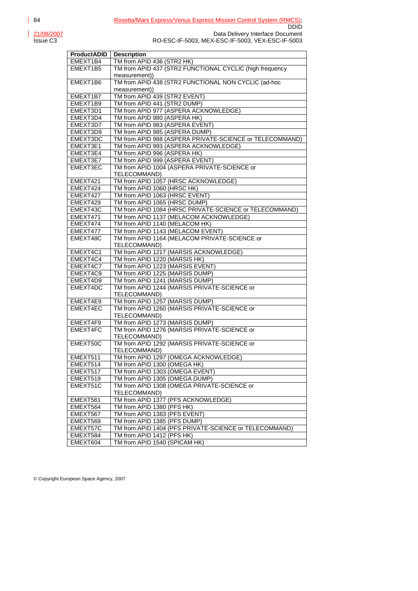84 Rosetta/Mars Express/Venus Express Mission Control System (RMCS); DDID

21/08/2007 Data Delivery Interface Document

Issue C3 RO-ESC-IF-5003, MEX-ESC-IF-5003, VEX-ESC-IF-5003

| <b>ProductADID</b>   | <b>Description</b>                                                      |
|----------------------|-------------------------------------------------------------------------|
| EMEXT1B4             | TM from APID 436 (STR2 HK)                                              |
| EMEXT1B5             | TM from APID 437 (STR2 FUNCTIONAL CYCLIC (high frequency                |
|                      | measurement))                                                           |
| EMEXT1B6             | TM from APID 438 (STR2 FUNCTIONAL NON CYCLIC (ad-hoc                    |
|                      | measurement))                                                           |
| EMEXT1B7             | TM from APID 439 (STR2 EVENT)                                           |
| EMEXT1B9             | TM from APID 441 (STR2 DUMP)                                            |
| EMEXT3D1             | TM from APID 977 (ASPERA ACKNOWLEDGE)                                   |
| EMEXT3D4             | TM from APID 980 (ASPERA HK)                                            |
| EMEXT3D7             | TM from APID 983 (ASPERA EVENT)                                         |
| EMEXT3D9             | TM from APID 985 (ASPERA DUMP)                                          |
| EMEXT3DC             | TM from APID 988 (ASPERA PRIVATE-SCIENCE or TELECOMMAND)                |
| EMEXT3E1             | TM from APID 993 (ASPERA ACKNOWLEDGE)                                   |
| EMEXT3E4             | TM from APID 996 (ASPERA HK)                                            |
| EMEXT3E7             | TM from APID 999 (ASPERA EVENT)                                         |
| EMEXT3EC             | TM from APID 1004 (ASPERA PRIVATE-SCIENCE or                            |
|                      | TELECOMMAND)                                                            |
| EMEXT421             | TM from APID 1057 (HRSC ACKNOWLEDGE)                                    |
| EMEXT424             | TM from APID 1060 (HRSC HK)                                             |
| EMEXT427             | TM from APID 1063 (HRSC EVENT)                                          |
| EMEXT429             | TM from APID 1065 (HRSC DUMP)                                           |
| EMEXT43C             | TM from APID 1084 (HRSC PRIVATE-SCIENCE or TELECOMMAND)                 |
| EMEXT471             | TM from APID 1137 (MELACOM ACKNOWLEDGE)                                 |
| EMEXT474             | TM from APID 1140 (MELACOM HK)                                          |
| EMEXT477             | TM from APID 1143 (MELACOM EVENT)                                       |
| EMEXT48C             | TM from APID 1164 (MELACOM PRIVATE-SCIENCE or                           |
|                      | TELECOMMAND)                                                            |
| EMEXT4C1             | TM from APID 1217 (MARSIS ACKNOWLEDGE)<br>TM from APID 1220 (MARSIS HK) |
| EMEXT4C4<br>EMEXT4C7 | TM from APID 1223 (MARSIS EVENT)                                        |
|                      | TM from APID 1225 (MARSIS DUMP)                                         |
| EMEXT4C9<br>EMEXT4D9 | TM from APID 1241 (MARSIS DUMP)                                         |
| EMEXT4DC             | TM from APID 1244 (MARSIS PRIVATE-SCIENCE or                            |
|                      | TELECOMMAND)                                                            |
| EMEXT4E9             | TM from APID 1257 (MARSIS DUMP)                                         |
| EMEXT4EC             | TM from APID 1260 (MARSIS PRIVATE-SCIENCE or                            |
|                      | TELECOMMAND)                                                            |
| EMEXT4F9             | TM from APID 1273 (MARSIS DUMP)                                         |
| EMEXT4FC             | TM from APID 1276 (MARSIS PRIVATE-SCIENCE or                            |
|                      | TELECOMMAND)                                                            |
| EMEXT50C             | TM from APID 1292 (MARSIS PRIVATE-SCIENCE or                            |
|                      | TELECOMMAND)                                                            |
| EMEXT511             | TM from APID 1297 (OMEGA ACKNOWLEDGE)                                   |
| EMEXT514             | TM from APID 1300 (OMEGA HK)                                            |
| EMEXT517             | TM from APID 1303 (OMEGA EVENT)                                         |
| EMEXT519             | TM from APID 1305 (OMEGA DUMP)                                          |
| EMEXT51C             | TM from APID 1308 (OMEGA PRIVATE-SCIENCE or                             |
|                      | TELECOMMAND)                                                            |
| EMEXT561             | TM from APID 1377 (PFS ACKNOWLEDGE)                                     |
| EMEXT564             | TM from APID 1380 (PFS HK)                                              |
| EMEXT567             | TM from APID 1383 (PFS EVENT)                                           |
| EMEXT569             | TM from APID 1385 (PFS DUMP)                                            |
| EMEXT57C             | TM from APID 1404 (PFS PRIVATE-SCIENCE or TELECOMMAND)                  |
| EMEXT584             | TM from APID 1412 (PFS HK)                                              |
| EMEXT604             | TM from APID 1540 (SPICAM HK)                                           |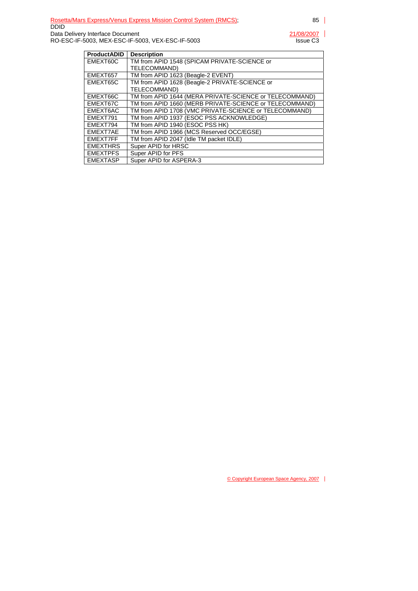RO-ESC-IF-5003, MEX-ESC-IF-5003, VEX-ESC-IF-5003 Issue C3

| <b>ProductADID</b> | <b>Description</b>                                      |
|--------------------|---------------------------------------------------------|
| EMEXT60C           | TM from APID 1548 (SPICAM PRIVATE-SCIENCE or            |
|                    | TELECOMMAND)                                            |
| EMEXT657           | TM from APID 1623 (Beagle-2 EVENT)                      |
| EMEXT65C           | TM from APID 1628 (Beagle-2 PRIVATE-SCIENCE or          |
|                    | <b>TELECOMMAND)</b>                                     |
| EMEXT66C           | TM from APID 1644 (MERA PRIVATE-SCIENCE or TELECOMMAND) |
| EMEXT67C           | TM from APID 1660 (MERB PRIVATE-SCIENCE or TELECOMMAND) |
| EMEXT6AC           | TM from APID 1708 (VMC PRIVATE-SCIENCE or TELECOMMAND)  |
| EMEXT791           | TM from APID 1937 (ESOC PSS ACKNOWLEDGE)                |
| EMEXT794           | TM from APID 1940 (ESOC PSS HK)                         |
| EMEXT7AE           | TM from APID 1966 (MCS Reserved OCC/EGSE)               |
| EMEXT7FF           | TM from APID 2047 (Idle TM packet IDLE)                 |
| <b>EMEXTHRS</b>    | Super APID for HRSC                                     |
| <b>EMEXTPFS</b>    | Super APID for PFS                                      |
| <b>EMEXTASP</b>    | Super APID for ASPERA-3                                 |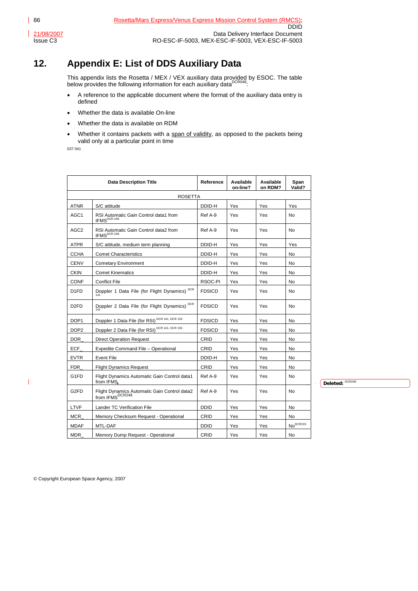# **12. Appendix E: List of DDS Auxiliary Data**

This appendix lists the Rosetta / MEX / VEX auxiliary data provided by ESOC. The table<br>below provides the following information for each auxiliary data<sup>DCR048</sup>:

- A reference to the applicable document where the format of the auxiliary data entry is defined
- Whether the data is available On-line
- Whether the data is available on RDM
- Whether it contains packets with a span of validity, as opposed to the packets being valid only at a particular point in time

037 041

|                               | <b>Data Description Title</b>                                               | Reference     | Available<br>on-line? | Available<br>on RDM? | Span<br>Valid?       |  |  |  |  |  |  |  |
|-------------------------------|-----------------------------------------------------------------------------|---------------|-----------------------|----------------------|----------------------|--|--|--|--|--|--|--|
| <b>ROSETTA</b>                |                                                                             |               |                       |                      |                      |  |  |  |  |  |  |  |
| ATNR                          | S/C attitude                                                                | DDID-H        | Yes                   | Yes                  | Yes                  |  |  |  |  |  |  |  |
| AGC <sub>1</sub>              | RSI Automatic Gain Control data1 from<br>IFMS <sup>DCR 248</sup>            | Ref A-9       | Yes                   | Yes                  | No.                  |  |  |  |  |  |  |  |
| AGC <sub>2</sub>              | RSI Automatic Gain Control data2 from<br>IFMS <sup>DCR 248</sup>            | Ref A-9       | Yes                   | Yes                  | No.                  |  |  |  |  |  |  |  |
| <b>ATPR</b>                   | S/C attitude, medium term planning                                          | DDID-H        | Yes                   | Yes                  | Yes                  |  |  |  |  |  |  |  |
| <b>CCHA</b>                   | <b>Comet Characteristics</b>                                                | DDID-H        | Yes                   | Yes                  | No                   |  |  |  |  |  |  |  |
| CENV                          | <b>Cometary Environment</b>                                                 | DDID-H        | Yes                   | Yes                  | No                   |  |  |  |  |  |  |  |
| <b>CKIN</b>                   | <b>Comet Kinematics</b>                                                     | DDID-H        | Yes                   | Yes                  | No                   |  |  |  |  |  |  |  |
| <b>CONF</b>                   | <b>Conflict File</b>                                                        | RSOC-PI       | Yes                   | Yes                  | No                   |  |  |  |  |  |  |  |
| D <sub>1</sub> FD             | Doppler 1 Data File (for Flight Dynamics) <sup>DCR</sup><br>141             | <b>FDSICD</b> | Yes                   | Yes                  | No                   |  |  |  |  |  |  |  |
| D <sub>2</sub> FD             | Doppler 2 Data File (for Flight Dynamics) <sup>DCR</sup>                    | <b>FDSICD</b> | Yes                   | Yes                  | N <sub>0</sub>       |  |  |  |  |  |  |  |
| DOP <sub>1</sub>              | Doppler 1 Data File (for RSI) <sup>DCR 141, DCR 153</sup>                   | <b>FDSICD</b> | Yes                   | Yes                  | No                   |  |  |  |  |  |  |  |
| DOP <sub>2</sub>              | Doppler 2 Data File (for RSI) <sup>DCR 141, DCR 153</sup>                   | <b>FDSICD</b> | Yes                   | Yes                  | No                   |  |  |  |  |  |  |  |
| <b>DOR</b>                    | <b>Direct Operation Request</b>                                             | CRID          | Yes                   | Yes                  | No                   |  |  |  |  |  |  |  |
| ECF                           | Expedite Command File - Operational                                         | <b>CRID</b>   | Yes                   | Yes                  | No                   |  |  |  |  |  |  |  |
| <b>EVTR</b>                   | <b>Event File</b>                                                           | DDID-H        | Yes                   | Yes                  | No                   |  |  |  |  |  |  |  |
| <b>FDR</b>                    | <b>Flight Dynamics Request</b>                                              | <b>CRID</b>   | Yes                   | Yes                  | No                   |  |  |  |  |  |  |  |
| G1FD                          | Flight Dynamics Automatic Gain Control data1<br>from IFMS.                  | Ref A-9       | Yes                   | Yes                  | No                   |  |  |  |  |  |  |  |
| G <sub>2</sub> F <sub>D</sub> | Flight Dynamics Automatic Gain Control data2<br>from IFMS <sup>DCR248</sup> | Ref A-9       | Yes                   | Yes                  | No                   |  |  |  |  |  |  |  |
| LTVF                          | Lander TC Verification File                                                 | <b>DDID</b>   | Yes                   | Yes                  | No                   |  |  |  |  |  |  |  |
| <b>MCR</b>                    | Memory Checksum Request - Operational                                       | CRID          | Yes                   | Yes                  | No                   |  |  |  |  |  |  |  |
| MDAF                          | MTL-DAF                                                                     | <b>DDID</b>   | Yes                   | Yes                  | No <sup>DCR219</sup> |  |  |  |  |  |  |  |
| MDR                           | Memory Dump Request - Operational                                           | <b>CRID</b>   | Yes                   | Yes                  | <b>No</b>            |  |  |  |  |  |  |  |

Deleted: DCR248

© Copyright European Space Agency, 2007

 $\overline{\phantom{a}}$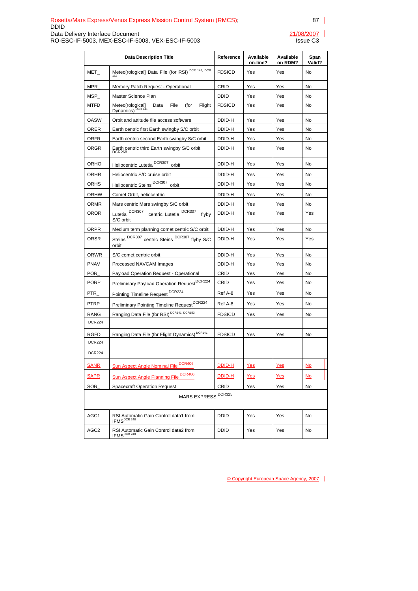#### Rosetta/Mars Express/Venus Express Mission Control System (RMCS); DDID Data Delivery Interface Document 21/08/2007

RO-ESC-IF-5003, MEX-ESC-IF-5003, VEX-ESC-IF-5003 Issue C3

|                  | <b>Data Description Title</b>                                                      | Reference     | Available<br>on-line? | Available<br>on RDM? | Span<br>Valid?            |
|------------------|------------------------------------------------------------------------------------|---------------|-----------------------|----------------------|---------------------------|
| MET              | Meteo[rological] Data File (for RSI) DCR 141, DCR                                  | <b>FDSICD</b> | Yes                   | Yes                  | No                        |
| <b>MPR</b>       | Memory Patch Request - Operational                                                 | <b>CRID</b>   | Yes                   | Yes                  | No                        |
| <b>MSP</b>       | Master Science Plan                                                                | DDID          | Yes                   | Yes                  | No                        |
| MTFD             | File<br>(for<br>Meteo[rological]<br>Dynamics) <sup>DCR 141</sup><br>Data<br>Flight | <b>FDSICD</b> | Yes                   | Yes                  | No                        |
| <b>OASW</b>      | Orbit and attitude file access software                                            | DDID-H        | Yes                   | Yes                  | No                        |
| <b>ORER</b>      | Earth centric first Earth swingby S/C orbit                                        | DDID-H        | Yes                   | Yes                  | No                        |
| ORFR             | Earth centric second Earth swingby S/C orbit                                       | DDID-H        | Yes                   | Yes                  | No                        |
| ORGR             | Earth centric third Earth swingby S/C orbit<br><b>DCR268</b>                       | DDID-H        | Yes                   | Yes                  | No                        |
| ORHO             | Heliocentric Lutetia <sup>DCR307</sup> orbit                                       | DDID-H        | Yes                   | Yes                  | No                        |
| <b>ORHR</b>      | Heliocentric S/C cruise orbit                                                      | DDID-H        | Yes                   | Yes                  | No                        |
| ORHS             | Heliocentric Steins DCR307 orbit                                                   | DDID-H        | Yes                   | Yes                  | No                        |
| <b>ORHW</b>      | Comet Orbit, heliocentric                                                          | DDID-H        | Yes                   | Yes                  | No                        |
| <b>ORMR</b>      | Mars centric Mars swingby S/C orbit                                                | DDID-H        | Yes                   | Yes                  | No                        |
| OROR             | Lutetia DCR307 centric Lutetia DCR307<br>flyby<br>S/C orbit                        | DDID-H        | Yes                   | Yes                  | Yes                       |
| <b>ORPR</b>      | Medium term planning comet centric S/C orbit                                       | DDID-H        | Yes                   | Yes                  | No                        |
| ORSR             | Steins DCR307 centric Steins DCR307 flyby S/C<br>orbit                             | DDID-H        | Yes                   | Yes                  | Yes                       |
| <b>ORWR</b>      | S/C comet centric orbit                                                            | DDID-H        | Yes                   | Yes                  | No.                       |
| <b>PNAV</b>      | Processed NAVCAM Images                                                            | DDID-H        | Yes                   | Yes                  | No                        |
| POR              | Payload Operation Request - Operational                                            | <b>CRID</b>   | Yes                   | Yes                  | No                        |
| <b>PORP</b>      | Preliminary Payload Operation Request <sup>DCR224</sup>                            | <b>CRID</b>   | Yes                   | Yes                  | No                        |
| PTR              | Pointing Timeline Request DCR224                                                   | Ref A-8       | Yes                   | Yes                  | No                        |
| <b>PTRP</b>      | Preliminary Pointing Timeline Request <sup>DCR224</sup>                            | Ref A-8       | Yes                   | Yes                  | No                        |
| RANG             | Ranging Data File (for RSI) <sup>DCR141, DCR153</sup>                              | <b>FDSICD</b> | Yes                   | Yes                  | No                        |
| <b>DCR224</b>    |                                                                                    |               |                       |                      |                           |
| RGFD             | Ranging Data File (for Flight Dynamics) <sup>DCR141</sup>                          | <b>FDSICD</b> | Yes                   | Yes                  | No                        |
| <b>DCR224</b>    |                                                                                    |               |                       |                      |                           |
| <b>DCR224</b>    |                                                                                    |               |                       |                      |                           |
| <b>SANR</b>      | Sun Aspect Angle Nominal File DCR406                                               | DDID-H        | Yes                   | Yes                  | $\underline{\mathsf{No}}$ |
| <b>SAPR</b>      | Sun Aspect Angle Planning File DCR406                                              | DDID-H        | <u>Yes</u>            | Yes                  | $\underline{\mathsf{No}}$ |
| SOR_             | <b>Spacecraft Operation Request</b>                                                | CRID          | Yes                   | Yes                  | No                        |
|                  | <b>MARS EXPRESS</b>                                                                | <b>DCR325</b> |                       |                      |                           |
|                  |                                                                                    |               |                       |                      |                           |
| AGC1             | RSI Automatic Gain Control data1 from<br>IFMS <sup>DCR 248</sup>                   | <b>DDID</b>   | Yes                   | Yes                  | No                        |
| AGC <sub>2</sub> | RSI Automatic Gain Control data2 from<br>IFMS <sup>DCR 248</sup>                   | DDID          | Yes                   | Yes                  | No                        |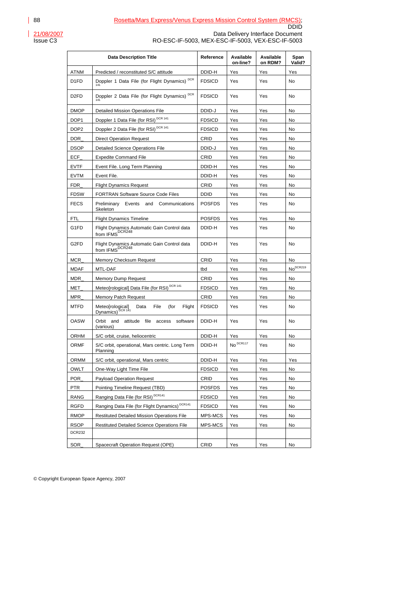# 88 Rosetta/Mars Express/Venus Express Mission Control System (RMCS);

DDID

21/08/2007 Data Delivery Interface Document Issue C3 RO-ESC-IF-5003, MEX-ESC-IF-5003, VEX-ESC-IF-5003

|                   | <b>Data Description Title</b>                                                      | Reference     | Available<br>on-line? | Available<br>on RDM? | Span<br>Valid?       |
|-------------------|------------------------------------------------------------------------------------|---------------|-----------------------|----------------------|----------------------|
| <b>ATNM</b>       | Predicted / reconstituted S/C attitude                                             | DDID-H        | Yes                   | Yes                  | Yes                  |
| D <sub>1</sub> FD | Doppler 1 Data File (for Flight Dynamics) <sup>DCR</sup>                           | <b>FDSICD</b> | Yes                   | Yes                  | No                   |
| D <sub>2</sub> FD | Doppler 2 Data File (for Flight Dynamics) <sup>DCR</sup>                           | <b>FDSICD</b> | Yes                   | Yes                  | No                   |
| <b>DMOP</b>       | Detailed Mission Operations File                                                   | DDID-J        | Yes                   | Yes                  | No                   |
| DOP <sub>1</sub>  | Doppler 1 Data File (for RSI) <sup>DCR 141</sup>                                   | <b>FDSICD</b> | Yes                   | Yes                  | No                   |
| DOP <sub>2</sub>  | Doppler 2 Data File (for RSI) <sup>DCR 141</sup>                                   | <b>FDSICD</b> | Yes                   | Yes                  | No                   |
| DOR.              | <b>Direct Operation Request</b>                                                    | <b>CRID</b>   | Yes                   | Yes                  | No                   |
| <b>DSOP</b>       | <b>Detailed Science Operations File</b>                                            | DDID-J        | Yes                   | Yes                  | No                   |
| ECF               | <b>Expedite Command File</b>                                                       | CRID          | Yes                   | Yes                  | No                   |
| EVTF              | Event File. Long Term Planning                                                     | DDID-H        | Yes                   | Yes                  | No                   |
| <b>EVTM</b>       | Event File.                                                                        | DDID-H        | Yes                   | Yes                  | No                   |
| FDR               | <b>Flight Dynamics Request</b>                                                     | CRID          | Yes                   | Yes                  | No                   |
| <b>FDSW</b>       | <b>FORTRAN Software Source Code Files</b>                                          | <b>DDID</b>   | Yes                   | Yes                  | No                   |
| <b>FECS</b>       | Preliminary<br>Events<br>and<br>Communications<br>Skeleton                         | <b>POSFDS</b> | Yes                   | Yes                  | No                   |
| <b>FTL</b>        | <b>Flight Dynamics Timeline</b>                                                    | <b>POSFDS</b> | Yes                   | Yes                  | No                   |
| G1FD              | Flight Dynamics Automatic Gain Control data<br>from IFMS <sup>DCR248</sup>         | DDID-H        | Yes                   | Yes                  | No                   |
| G2FD              | Flight Dynamics Automatic Gain Control data<br>from IFMS <sup>DCR248</sup>         | DDID-H        | Yes                   | Yes                  | No                   |
| MCR_              | <b>Memory Checksum Request</b>                                                     | <b>CRID</b>   | Yes                   | Yes                  | No                   |
| MDAF              | MTL-DAF                                                                            | tbd           | Yes                   | Yes                  | No <sup>DCR219</sup> |
| MDR               | <b>Memory Dump Request</b>                                                         | CRID          | Yes                   | Yes                  | No                   |
| MET               | Meteo[rological] Data File (for RSI) <sup>DCR 141</sup>                            | <b>FDSICD</b> | Yes                   | Yes                  | No                   |
| MPR               | <b>Memory Patch Request</b>                                                        | CRID          | Yes                   | Yes                  | No                   |
| MTFD              | Meteo[rological]<br>Dynamics) <sup>DCR 141</sup><br>File<br>(for<br>Flight<br>Data | <b>FDSICD</b> | Yes                   | Yes                  | No                   |
| <b>OASW</b>       | Orbit and<br>attitude<br>file<br>software<br>access<br>(various)                   | DDID-H        | Yes                   | Yes                  | No                   |
| ORHM              | S/C orbit, cruise, heliocentric                                                    | DDID-H        | Yes                   | Yes                  | No                   |
| <b>ORMF</b>       | S/C orbit, operational, Mars centric. Long Term<br>Planning                        | DDID-H        | No DCR117             | Yes                  | No                   |
| ORMM              | S/C orbit, operational, Mars centric                                               | DDID-H        | Yes                   | Yes                  | Yes                  |
| <b>OWLT</b>       | One-Way Light Time File                                                            | <b>FDSICD</b> | Yes                   | Yes                  | No                   |
| POR               | <b>Payload Operation Request</b>                                                   | CRID          | Yes                   | Yes                  | No                   |
| <b>PTR</b>        | Pointing Timeline Request (TBD)                                                    | <b>POSFDS</b> | Yes                   | Yes                  | No                   |
| RANG              | Ranging Data File (for RSI) <sup>DCR141</sup>                                      | <b>FDSICD</b> | Yes                   | Yes                  | No                   |
| <b>RGFD</b>       | Ranging Data File (for Flight Dynamics) <sup>DCR141</sup>                          | <b>FDSICD</b> | Yes                   | Yes                  | No                   |
| <b>RMOP</b>       | <b>Restituted Detailed Mission Operations File</b>                                 | MPS-MCS       | Yes                   | Yes                  | No                   |
| <b>RSOP</b>       | <b>Restituted Detailed Science Operations File</b>                                 | MPS-MCS       | Yes                   | Yes                  | No                   |
| <b>DCR232</b>     |                                                                                    |               |                       |                      |                      |
| SOR               | Spacecraft Operation Request (OPE)                                                 | CRID          | Yes                   | Yes                  | No                   |
|                   |                                                                                    |               |                       |                      |                      |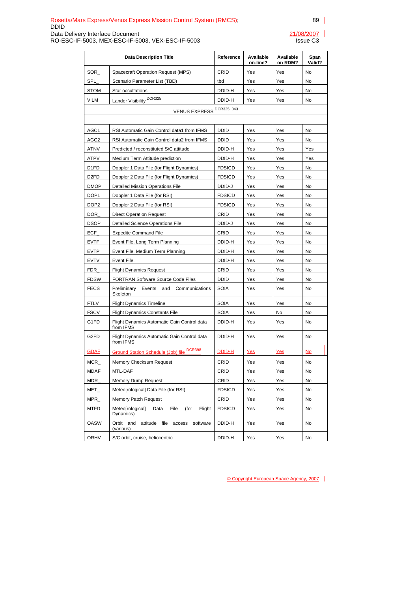#### Rosetta/Mars Express/Venus Express Mission Control System (RMCS); DDID Data Delivery Interface Document 21/08/2007

RO-ESC-IF-5003, MEX-ESC-IF-5003, VEX-ESC-IF-5003 Issue C3

89

|                   | <b>Data Description Title</b>                                    | Reference     | Available<br>on-line? | Available<br>on RDM? | Span<br>Valid? |
|-------------------|------------------------------------------------------------------|---------------|-----------------------|----------------------|----------------|
| SOR               | Spacecraft Operation Request (MPS)                               | <b>CRID</b>   | Yes                   | Yes                  | No             |
| SPL               | Scenario Parameter List (TBD)                                    | tbd           | Yes                   | Yes                  | No             |
| <b>STOM</b>       | Star occultations                                                | DDID-H        | Yes                   | Yes                  | No             |
| <b>VILM</b>       | Lander Visibility <sup>DCR325</sup>                              | DDID-H        | Yes                   | Yes                  | No             |
|                   | VENUS EXPRESS DCR325, 343                                        |               |                       |                      |                |
|                   |                                                                  |               |                       |                      |                |
| AGC1              | RSI Automatic Gain Control data1 from IFMS                       | <b>DDID</b>   | Yes                   | Yes                  | No             |
| AGC <sub>2</sub>  | RSI Automatic Gain Control data2 from IFMS                       | <b>DDID</b>   | Yes                   | Yes                  | No             |
| <b>ATNV</b>       | Predicted / reconstituted S/C attitude                           | DDID-H        | Yes                   | Yes                  | Yes            |
| ATPV              | Medium Term Attitude prediction                                  | DDID-H        | Yes                   | Yes                  | Yes            |
| D <sub>1FD</sub>  | Doppler 1 Data File (for Flight Dynamics)                        | <b>FDSICD</b> | Yes                   | Yes                  | No             |
| D <sub>2</sub> FD | Doppler 2 Data File (for Flight Dynamics)                        | <b>FDSICD</b> | Yes                   | Yes                  | No             |
| <b>DMOP</b>       | Detailed Mission Operations File                                 | DDID-J        | Yes                   | Yes                  | No             |
| DOP <sub>1</sub>  | Doppler 1 Data File (for RSI)                                    | <b>FDSICD</b> | Yes                   | Yes                  | No             |
| DOP <sub>2</sub>  | Doppler 2 Data File (for RSI)                                    | <b>FDSICD</b> | Yes                   | Yes                  | No             |
| DOR               | <b>Direct Operation Request</b>                                  | <b>CRID</b>   | Yes                   | Yes                  | No             |
| <b>DSOP</b>       | <b>Detailed Science Operations File</b>                          | DDID-J        | Yes                   | Yes                  | No             |
| <b>ECF</b>        | <b>Expedite Command File</b>                                     | CRID          | Yes                   | Yes                  | No             |
| <b>EVTF</b>       | Event File. Long Term Planning                                   | DDID-H        | Yes                   | Yes                  | No             |
| <b>EVTP</b>       | Event File. Medium Term Planning                                 | DDID-H        | Yes                   | Yes                  | No             |
| <b>EVTV</b>       | Event File.                                                      | DDID-H        | Yes                   | Yes                  | No             |
| FDR.              | <b>Flight Dynamics Request</b>                                   | CRID          | Yes                   | Yes                  | No             |
| <b>FDSW</b>       | <b>FORTRAN Software Source Code Files</b>                        | <b>DDID</b>   | Yes                   | Yes                  | No             |
| <b>FECS</b>       | Preliminary<br>Events<br>and<br>Communications<br>Skeleton       | <b>SOIA</b>   | Yes                   | Yes                  | No             |
| <b>FTLV</b>       | <b>Flight Dynamics Timeline</b>                                  | <b>SOIA</b>   | Yes                   | Yes                  | No             |
| <b>FSCV</b>       | <b>Flight Dynamics Constants File</b>                            | <b>SOIA</b>   | Yes                   | No                   | No             |
| G1FD              | Flight Dynamics Automatic Gain Control data<br>from IFMS         | DDID-H        | Yes                   | Yes                  | No             |
| G <sub>2</sub> FD | Flight Dynamics Automatic Gain Control data<br>from IFMS         | DDID-H        | Yes                   | Yes                  | No             |
| <b>GDAF</b>       | <b>Ground Station Schedule (Job) file DCR398</b>                 | DDID-H        | Yes                   | Yes                  | $No$           |
| <b>MCR</b>        | <b>Memory Checksum Request</b>                                   | <b>CRID</b>   | Yes                   | Yes                  | No             |
| MDAF              | MTL-DAF                                                          | CRID          | Yes                   | Yes                  | No             |
| MDR               | Memory Dump Request                                              | CRID          | Yes                   | Yes                  | No             |
| MET               | Meteo[rological] Data File (for RSI)                             | <b>FDSICD</b> | Yes                   | Yes                  | No             |
| MPR               | <b>Memory Patch Request</b>                                      | CRID          | Yes                   | Yes                  | No             |
| <b>MTFD</b>       | Meteo[rological]<br>File<br>Flight<br>Data<br>(for<br>Dynamics)  | <b>FDSICD</b> | Yes                   | Yes                  | No             |
| <b>OASW</b>       | Orbit and<br>attitude<br>file<br>software<br>access<br>(various) | DDID-H        | Yes                   | Yes                  | No             |
| <b>ORHV</b>       | S/C orbit, cruise, heliocentric                                  | DDID-H        | Yes                   | Yes                  | No             |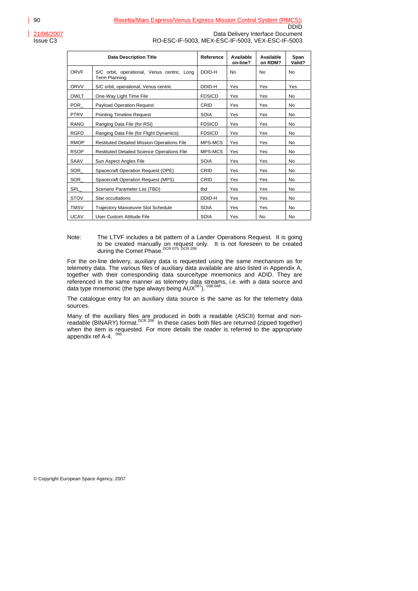#### 90 Rosetta/Mars Express/Venus Express Mission Control System (RMCS); DDID 21/08/2007 **Data Delivery Interface Document** Data Delivery Interface Document Issue C3 RO-ESC-IF-5003, MEX-ESC-IF-5003, VEX-ESC-IF-5003

|             | <b>Data Description Title</b>                                       | Reference     | Available<br>on-line? | Available<br>on RDM? | Span<br>Valid? |
|-------------|---------------------------------------------------------------------|---------------|-----------------------|----------------------|----------------|
| ORVF        | S/C orbit, operational, Venus centric. Long<br><b>Term Planning</b> | DDID-H        | No.                   | No                   | N <sub>0</sub> |
| <b>ORVV</b> | S/C orbit, operational, Venus centric                               | DDID-H        | Yes                   | Yes                  | Yes            |
| <b>OWLT</b> | One-Way Light Time File                                             | <b>FDSICD</b> | Yes                   | Yes                  | No             |
| <b>POR</b>  | <b>Payload Operation Request</b>                                    | <b>CRID</b>   | Yes                   | Yes                  | <b>No</b>      |
| <b>PTRV</b> | <b>Pointing Timeline Request</b>                                    | <b>SOIA</b>   | Yes                   | Yes                  | <b>No</b>      |
| <b>RANG</b> | Ranging Data File (for RSI)                                         | <b>FDSICD</b> | Yes                   | Yes                  | No             |
| <b>RGFD</b> | Ranging Data File (for Flight Dynamics)                             | <b>FDSICD</b> | Yes                   | Yes                  | N <sub>0</sub> |
| <b>RMOP</b> | <b>Restituted Detailed Mission Operations File</b>                  | MPS-MCS       | Yes                   | Yes                  | No             |
| <b>RSOP</b> | <b>Restituted Detailed Science Operations File</b>                  | MPS-MCS       | Yes                   | Yes                  | No             |
| SAAV        | Sun Aspect Angles File                                              | <b>SOIA</b>   | Yes                   | Yes                  | No             |
| SOR         | Spacecraft Operation Request (OPE)                                  | <b>CRID</b>   | Yes                   | Yes                  | No             |
| SOR         | Spacecraft Operation Request (MPS)                                  | <b>CRID</b>   | Yes                   | Yes                  | No             |
| SPL         | Scenario Parameter List (TBD)                                       | tbd           | Yes                   | Yes                  | <b>No</b>      |
| <b>STOV</b> | Star occultations                                                   | DDID-H        | Yes                   | Yes                  | No             |
| <b>TMSV</b> | <b>Trajectory Manoeuvre Slot Schedule</b>                           | <b>SOIA</b>   | Yes                   | Yes                  | No             |
| <b>UCAV</b> | User Custom Attitude File                                           | <b>SOIA</b>   | Yes                   | No                   | No             |

Note: The LTVF includes a bit pattern of a Lander Operations Request. It is going to be created manually on request only. It is not foreseen to be created<br>during the Comet Phase.<sup>DCR 075</sup> DCR 206

For the on-line delivery, auxiliary data is requested using the same mechanism as for telemetry data. The various files of auxiliary data available are also listed in Appendix A, together with their corresponding data source/type mnemonics and ADID. They are referenced in the same manner as telemetry data streams, i.e. with a data source and<br>data type mnemonic (the type always being AUX<sup>087</sup>). <sup>038 048</sup>

The catalogue entry for an auxiliary data source is the same as for the telemetry data sources.

Many of the auxiliary files are produced in both a readable (ASCII) format and non-<br>readable (BINARY) format.<sup>DCR 206</sup> In these cases both files are returned (zipped together) when the item is requested. For more details the reader is referred to the appropriate<br>appendix ref A-4. <sup>065</sup>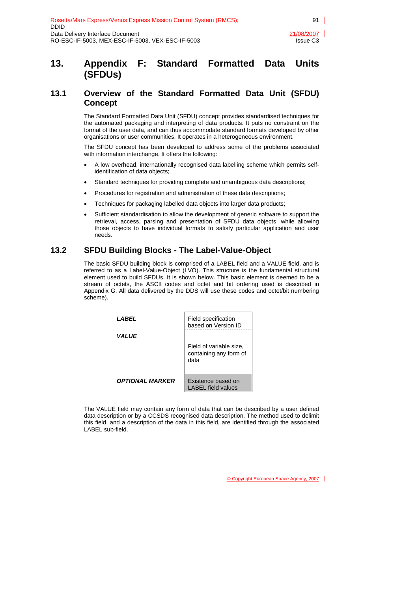# **13. Appendix F: Standard Formatted Data Units (SFDUs)**

# **13.1 Overview of the Standard Formatted Data Unit (SFDU) Concept**

The Standard Formatted Data Unit (SFDU) concept provides standardised techniques for the automated packaging and interpreting of data products. It puts no constraint on the format of the user data, and can thus accommodate standard formats developed by other organisations or user communities. It operates in a heterogeneous environment.

The SFDU concept has been developed to address some of the problems associated with information interchange. It offers the following:

- A low overhead, internationally recognised data labelling scheme which permits selfidentification of data objects;
- Standard techniques for providing complete and unambiguous data descriptions;
- Procedures for registration and administration of these data descriptions;
- Techniques for packaging labelled data objects into larger data products;
- Sufficient standardisation to allow the development of generic software to support the retrieval, access, parsing and presentation of SFDU data objects, while allowing those objects to have individual formats to satisfy particular application and user needs.

# **13.2 SFDU Building Blocks - The Label-Value-Object**

The basic SFDU building block is comprised of a LABEL field and a VALUE field, and is referred to as a Label-Value-Object (LVO). This structure is the fundamental structural element used to build SFDUs. It is shown below. This basic element is deemed to be a stream of octets, the ASCII codes and octet and bit ordering used is described in Appendix G. All data delivered by the DDS will use these codes and octet/bit numbering scheme).

| LABEL                  | Field specification<br>based on Version ID                |
|------------------------|-----------------------------------------------------------|
| <i><b>VALUE</b></i>    | Field of variable size.<br>containing any form of<br>data |
| <b>OPTIONAL MARKER</b> | Existence based on<br>LABEL field values                  |

The VALUE field may contain any form of data that can be described by a user defined data description or by a CCSDS recognised data description. The method used to delimit this field, and a description of the data in this field, are identified through the associated LABEL sub-field.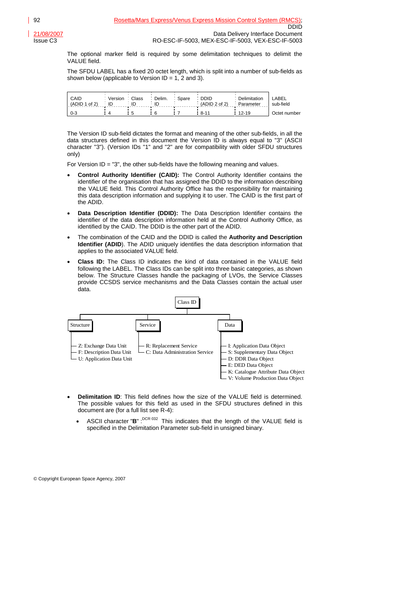The optional marker field is required by some delimitation techniques to delimit the VALUE field.

The SFDU LABEL has a fixed 20 octet length, which is split into a number of sub-fields as shown below (applicable to Version  $ID = 1$ , 2 and 3).

| CAID<br>(ADID 1 of 2) | Version<br>IC | Class | Delim. | Spare | DDID<br>(ADID 2 of 2) | Delimitation<br>Parameter | ABEL<br>sub-field |
|-----------------------|---------------|-------|--------|-------|-----------------------|---------------------------|-------------------|
| $0 - 3$               |               |       |        |       | 8-11                  | $12-19$                   | Octet number      |

The Version ID sub-field dictates the format and meaning of the other sub-fields, in all the data structures defined in this document the Version ID is always equal to "3" (ASCII character "3"). (Version IDs "1" and "2" are for compatibility with older SFDU structures only)

For Version  $ID = "3"$ , the other sub-fields have the following meaning and values.

- **Control Authority Identifier (CAID):** The Control Authority Identifier contains the identifier of the organisation that has assigned the DDID to the information describing the VALUE field. This Control Authority Office has the responsibility for maintaining this data description information and supplying it to user. The CAID is the first part of the ADID.
- **Data Description Identifier (DDID):** The Data Description Identifier contains the identifier of the data description information held at the Control Authority Office, as identified by the CAID. The DDID is the other part of the ADID.
- The combination of the CAID and the DDID is called the **Authority and Description Identifier (ADID**). The ADID uniquely identifies the data description information that applies to the associated VALUE field.
- **Class ID:** The Class ID indicates the kind of data contained in the VALUE field following the LABEL. The Class IDs can be split into three basic categories, as shown below. The Structure Classes handle the packaging of LVOs, the Service Classes provide CCSDS service mechanisms and the Data Classes contain the actual user data.



- **Delimitation ID**: This field defines how the size of the VALUE field is determined. The possible values for this field as used in the SFDU structures defined in this document are (for a full list see R-4):
	- ASCII character "**B**":<sup>DCR 032</sup> This indicates that the length of the VALUE field is specified in the Delimitation Parameter sub-field in unsigned binary.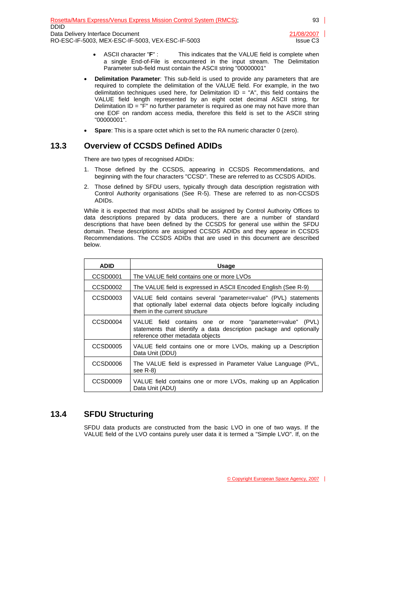- ASCII character "**F**" : This indicates that the VALUE field is complete when a single End-of-File is encountered in the input stream. The Delimitation Parameter sub-field must contain the ASCII string "00000001"
- **Delimitation Parameter**: This sub-field is used to provide any parameters that are required to complete the delimitation of the VALUE field. For example, in the two delimitation techniques used here, for Delimitation  $ID = "A"$ , this field contains the VALUE field length represented by an eight octet decimal ASCII string, for Delimitation  $ID = "F"$  no further parameter is required as one may not have more than one EOF on random access media, therefore this field is set to the ASCII string "00000001".
- **Spare**: This is a spare octet which is set to the RA numeric character 0 (zero).

# **13.3 Overview of CCSDS Defined ADIDs**

There are two types of recognised ADIDs:

- 1. Those defined by the CCSDS, appearing in CCSDS Recommendations, and beginning with the four characters "CCSD". These are referred to as CCSDS ADIDs.
- 2. Those defined by SFDU users, typically through data description registration with Control Authority organisations (See R-5). These are referred to as non-CCSDS ADIDs.

While it is expected that most ADIDs shall be assigned by Control Authority Offices to data descriptions prepared by data producers, there are a number of standard descriptions that have been defined by the CCSDS for general use within the SFDU domain. These descriptions are assigned CCSDS ADIDs and they appear in CCSDS Recommendations. The CCSDS ADIDs that are used in this document are described below.

| <b>ADID</b> | Usage                                                                                                                                                                      |
|-------------|----------------------------------------------------------------------------------------------------------------------------------------------------------------------------|
| CCSD0001    | The VALUE field contains one or more LVOs                                                                                                                                  |
| CCSD0002    | The VALUE field is expressed in ASCII Encoded English (See R-9)                                                                                                            |
| CCSD0003    | VALUE field contains several "parameter=value" (PVL) statements<br>that optionally label external data objects before logically including<br>them in the current structure |
| CCSD0004    | VALUE field contains one or more "parameter=value" (PVL)<br>statements that identify a data description package and optionally<br>reference other metadata objects         |
| CCSD0005    | VALUE field contains one or more LVOs, making up a Description<br>Data Unit (DDU)                                                                                          |
| CCSD0006    | The VALUE field is expressed in Parameter Value Language (PVL,<br>see $R-8$                                                                                                |
| CCSD0009    | VALUE field contains one or more LVOs, making up an Application<br>Data Unit (ADU)                                                                                         |

# **13.4 SFDU Structuring**

SFDU data products are constructed from the basic LVO in one of two ways. If the VALUE field of the LVO contains purely user data it is termed a "Simple LVO". If, on the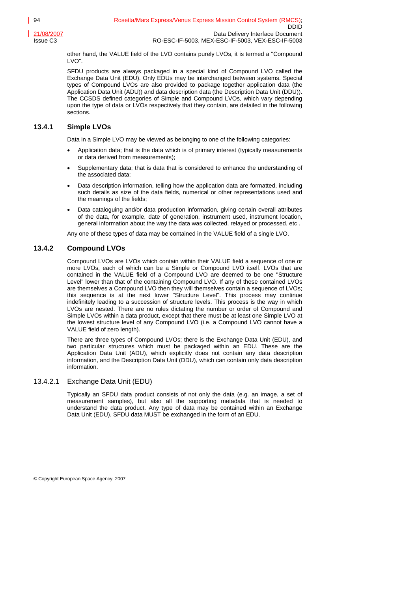other hand, the VALUE field of the LVO contains purely LVOs, it is termed a "Compound LVO".

SFDU products are always packaged in a special kind of Compound LVO called the Exchange Data Unit (EDU). Only EDUs may be interchanged between systems. Special types of Compound LVOs are also provided to package together application data (the Application Data Unit (ADU)) and data description data (the Description Data Unit (DDU)). The CCSDS defined categories of Simple and Compound LVOs, which vary depending upon the type of data or LVOs respectively that they contain, are detailed in the following sections.

# **13.4.1 Simple LVOs**

Data in a Simple LVO may be viewed as belonging to one of the following categories:

- Application data; that is the data which is of primary interest (typically measurements or data derived from measurements);
- Supplementary data; that is data that is considered to enhance the understanding of the associated data;
- Data description information, telling how the application data are formatted, including such details as size of the data fields, numerical or other representations used and the meanings of the fields;
- Data cataloguing and/or data production information, giving certain overall attributes of the data, for example, date of generation, instrument used, instrument location, general information about the way the data was collected, relayed or processed, etc .

Any one of these types of data may be contained in the VALUE field of a single LVO.

## **13.4.2 Compound LVOs**

Compound LVOs are LVOs which contain within their VALUE field a sequence of one or more LVOs, each of which can be a Simple or Compound LVO itself. LVOs that are contained in the VALUE field of a Compound LVO are deemed to be one "Structure Level" lower than that of the containing Compound LVO. If any of these contained LVOs are themselves a Compound LVO then they will themselves contain a sequence of LVOs; this sequence is at the next lower "Structure Level". This process may continue indefinitely leading to a succession of structure levels. This process is the way in which LVOs are nested. There are no rules dictating the number or order of Compound and Simple LVOs within a data product, except that there must be at least one Simple LVO at the lowest structure level of any Compound LVO (i.e. a Compound LVO cannot have a VALUE field of zero length).

There are three types of Compound LVOs; there is the Exchange Data Unit (EDU), and two particular structures which must be packaged within an EDU. These are the Application Data Unit (ADU), which explicitly does not contain any data description information, and the Description Data Unit (DDU), which can contain only data description information.

#### 13.4.2.1 Exchange Data Unit (EDU)

Typically an SFDU data product consists of not only the data (e.g. an image, a set of measurement samples), but also all the supporting metadata that is needed to understand the data product. Any type of data may be contained within an Exchange Data Unit (EDU). SFDU data MUST be exchanged in the form of an EDU.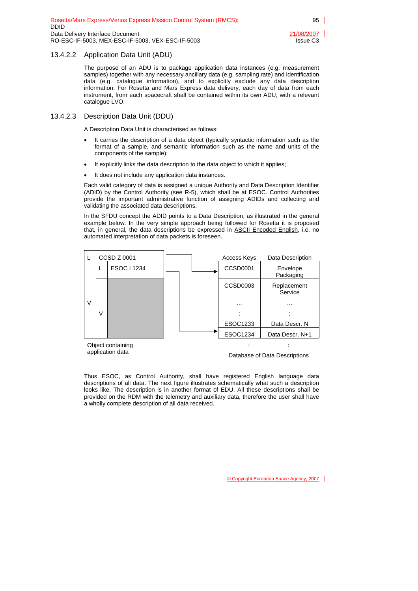### 13.4.2.2 Application Data Unit (ADU)

The purpose of an ADU is to package application data instances (e.g. measurement samples) together with any necessary ancillary data (e.g. sampling rate) and identification data (e.g. catalogue information), and to explicitly exclude any data description information. For Rosetta and Mars Express data delivery, each day of data from each instrument, from each spacecraft shall be contained within its own ADU, with a relevant catalogue LVO.

13.4.2.3 Description Data Unit (DDU)

A Description Data Unit is characterised as follows:

- It carries the description of a data object (typically syntactic information such as the format of a sample, and semantic information such as the name and units of the components of the sample);
- It explicitly links the data description to the data object to which it applies;
- It does not include any application data instances.

Each valid category of data is assigned a unique Authority and Data Description Identifier (ADID) by the Control Authority (see R-5), which shall be at ESOC. Control Authorities provide the important administrative function of assigning ADIDs and collecting and validating the associated data descriptions.

In the SFDU concept the ADID points to a Data Description, as illustrated in the general example below. In the very simple approach being followed for Rosetta it is proposed that, in general, the data descriptions be expressed in ASCII Encoded English, i.e. no automated interpretation of data packets is foreseen.

|                  |   | CCSD Z 0001       |  | <b>Access Keys</b> | Data Description              |
|------------------|---|-------------------|--|--------------------|-------------------------------|
|                  | L | ESOC   1234       |  | <b>CCSD0001</b>    | Envelope<br>Packaging         |
|                  |   |                   |  | CCSD0003           | Replacement<br>Service        |
| $\vee$           |   |                   |  | .                  | .                             |
|                  | V |                   |  |                    |                               |
|                  |   |                   |  | ESOC1233           | Data Descr. N                 |
|                  |   |                   |  | ESOC1234           | Data Descr. N+1               |
|                  |   | Object containing |  |                    |                               |
| application data |   |                   |  |                    | Detabase of Deta Desarintiana |

Database of Data Descriptions

Thus ESOC, as Control Authority, shall have registered English language data descriptions of all data. The next figure illustrates schematically what such a description looks like. The description is in another format of EDU. All these descriptions shall be provided on the RDM with the telemetry and auxiliary data, therefore the user shall have a wholly complete description of all data received.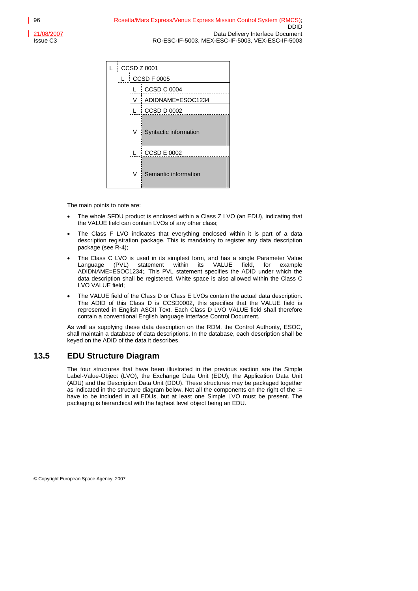

The main points to note are:

- The whole SFDU product is enclosed within a Class Z LVO (an EDU), indicating that the VALUE field can contain LVOs of any other class;
- The Class F LVO indicates that everything enclosed within it is part of a data description registration package. This is mandatory to register any data description package (see R-4);
- The Class C LVO is used in its simplest form, and has a single Parameter Value<br>Language (PVL) statement within its VALUE field. for example Language  $(PVL)$  statement within its VALUE field, ADIDNAME=ESOC1234;. This PVL statement specifies the ADID under which the data description shall be registered. White space is also allowed within the Class C LVO VALUE field;
- The VALUE field of the Class D or Class E LVOs contain the actual data description. The ADID of this Class D is CCSD0002, this specifies that the VALUE field is represented in English ASCII Text. Each Class D LVO VALUE field shall therefore contain a conventional English language Interface Control Document.

As well as supplying these data description on the RDM, the Control Authority, ESOC, shall maintain a database of data descriptions. In the database, each description shall be keyed on the ADID of the data it describes.

# **13.5 EDU Structure Diagram**

The four structures that have been illustrated in the previous section are the Simple Label-Value-Object (LVO), the Exchange Data Unit (EDU), the Application Data Unit (ADU) and the Description Data Unit (DDU). These structures may be packaged together as indicated in the structure diagram below. Not all the components on the right of the := have to be included in all EDUs, but at least one Simple LVO must be present. The packaging is hierarchical with the highest level object being an EDU.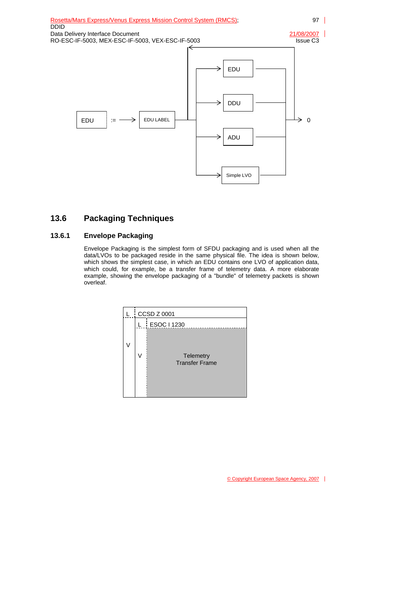

# **13.6 Packaging Techniques**

# **13.6.1 Envelope Packaging**

Envelope Packaging is the simplest form of SFDU packaging and is used when all the data/LVOs to be packaged reside in the same physical file. The idea is shown below, which shows the simplest case, in which an EDU contains one LVO of application data, which could, for example, be a transfer frame of telemetry data. A more elaborate example, showing the envelope packaging of a "bundle" of telemetry packets is shown overleaf.

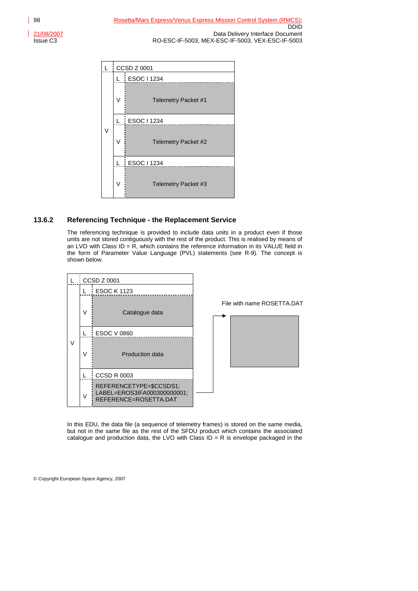

98 Rosetta/Mars Express/Venus Express Mission Control System (RMCS); DDID 21/08/2007 **Data Delivery Interface Document** Data Delivery Interface Document Issue C3 RO-ESC-IF-5003, MEX-ESC-IF-5003, VEX-ESC-IF-5003



## **13.6.2 Referencing Technique - the Replacement Service**

The referencing technique is provided to include data units in a product even if those units are not stored contiguously with the rest of the product. This is realised by means of an LVO with Class ID =  $\overline{R}$ , which contains the reference information in its VALUE field in the form of Parameter Value Language (PVL) statements (see R-9). The concept is shown below.



In this EDU, the data file (a sequence of telemetry frames) is stored on the same media, but not in the same file as the rest of the SFDU product which contains the associated catalogue and production data, the LVO with Class  $ID = R$  is envelope packaged in the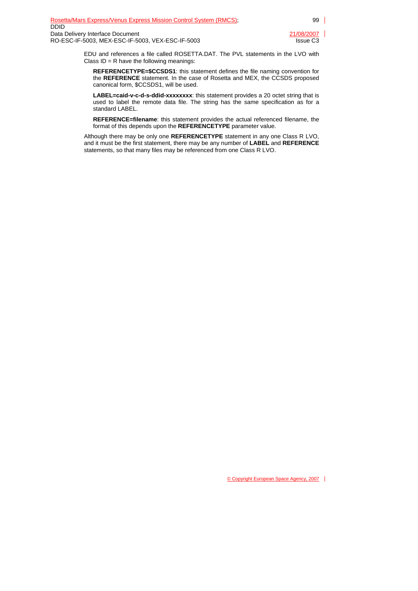99

EDU and references a file called ROSETTA.DAT. The PVL statements in the LVO with Class  $ID = R$  have the following meanings:

**REFERENCETYPE=\$CCSDS1**: this statement defines the file naming convention for the **REFERENCE** statement. In the case of Rosetta and MEX, the CCSDS proposed canonical form, \$CCSDS1, will be used.

**LABEL=caid-v-c-d-s-ddid-xxxxxxxx**: this statement provides a 20 octet string that is used to label the remote data file. The string has the same specification as for a standard LABEL.

**REFERENCE=filename**: this statement provides the actual referenced filename, the format of this depends upon the **REFERENCETYPE** parameter value.

Although there may be only one **REFERENCETYPE** statement in any one Class R LVO, and it must be the first statement, there may be any number of **LABEL** and **REFERENCE** statements, so that many files may be referenced from one Class R LVO.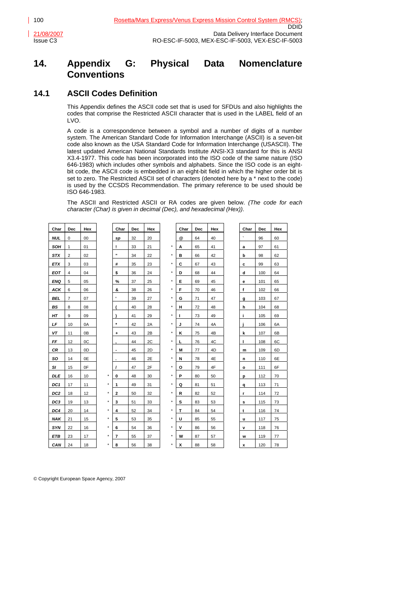

# **14. Appendix G: Physical Data Nomenclature Conventions**

# **14.1 ASCII Codes Definition**

┑

This Appendix defines the ASCII code set that is used for SFDUs and also highlights the codes that comprise the Restricted ASCII character that is used in the LABEL field of an LVO.

A code is a correspondence between a symbol and a number of digits of a number system. The American Standard Code for Information Interchange (ASCII) is a seven-bit code also known as the USA Standard Code for Information Interchange (USASCII). The latest updated American National Standards Institute ANSI-X3 standard for this is ANSI X3.4-1977. This code has been incorporated into the ISO code of the same nature (ISO 646-1983) which includes other symbols and alphabets. Since the ISO code is an eightbit code, the ASCII code is embedded in an eight-bit field in which the higher order bit is set to zero. The Restricted ASCII set of characters (denoted here by a \* next to the code) is used by the CCSDS Recommendation. The primary reference to be used should be ISO 646-1983.

The ASCII and Restricted ASCII or RA codes are given below. *(The code for each character (Char) is given in decimal (Dec), and hexadecimal (Hex))*.

| Char            | Dec            | Hex |         | Char           | Dec | Hex |          | Char         | Dec | Hex | Char                 | Dec | Hex |
|-----------------|----------------|-----|---------|----------------|-----|-----|----------|--------------|-----|-----|----------------------|-----|-----|
| <b>NUL</b>      | $\mathbf 0$    | 00  |         | sp             | 32  | 20  |          | $^{\circ}$   | 64  | 40  | $\ddot{\phantom{0}}$ | 96  | 60  |
| SOH             | $\mathbf{1}$   | 01  |         | Ţ              | 33  | 21  | $^\star$ | А            | 65  | 41  | a                    | 97  | 61  |
| STX             | $\overline{2}$ | 02  |         | Ħ              | 34  | 22  | $^\star$ | в            | 66  | 42  | b                    | 98  | 62  |
| <b>ETX</b>      | 3              | 03  |         | #              | 35  | 23  | $^\star$ | c            | 67  | 43  | c                    | 99  | 63  |
| <b>EOT</b>      | $\overline{4}$ | 04  |         | \$             | 36  | 24  | $\star$  | D            | 68  | 44  | d                    | 100 | 64  |
| <b>ENQ</b>      | 5              | 05  |         | %              | 37  | 25  | $^\star$ | Е            | 69  | 45  | e                    | 101 | 65  |
| ACK             | 6              | 06  |         | &              | 38  | 26  | $^\star$ | F            | 70  | 46  | f                    | 102 | 66  |
| <b>BEL</b>      | $\overline{7}$ | 07  |         | $\blacksquare$ | 39  | 27  | $^\star$ | G            | 71  | 47  | g                    | 103 | 67  |
| BS              | 8              | 08  |         |                | 40  | 28  | $^\star$ | н            | 72  | 48  | h                    | 104 | 68  |
| HТ              | 9              | 09  |         | ١              | 41  | 29  | $\star$  | L            | 73  | 49  | j.                   | 105 | 69  |
| LF              | 10             | 0A  |         | $\star$        | 42  | 2A  | $\star$  | J            | 74  | 4A  | j.                   | 106 | 6A  |
| VT              | 11             | 0B  |         | ٠              | 43  | 2B  | $\star$  | κ            | 75  | 4B  | k                    | 107 | 6B  |
| FF              | 12             | 0C  |         | $\cdot$        | 44  | 2C  | $\star$  | L            | 76  | 4C  | т                    | 108 | 6C  |
| CR              | 13             | 0D  |         | ۰              | 45  | 2D  | $\star$  | M            | 77  | 4D  | m                    | 109 | 6D  |
| so              | 14             | 0E  |         |                | 46  | 2E  | $\star$  | N            | 78  | 4E  | n                    | 110 | 6E  |
| SΙ              | 15             | 0F  |         | $\prime$       | 47  | 2F  | $^\star$ | $\circ$      | 79  | 4F  | $\mathbf{o}$         | 111 | 6F  |
| <b>DLE</b>      | 16             | 10  | $\star$ | 0              | 48  | 30  | $\star$  | P            | 80  | 50  | p                    | 112 | 70  |
| DC1             | 17             | 11  | $\star$ | 1              | 49  | 31  | $^\star$ | Q            | 81  | 51  | q                    | 113 | 71  |
| DC <sub>2</sub> | 18             | 12  | $\star$ | $\mathbf{2}$   | 50  | 32  | $^\star$ | R            | 82  | 52  | r                    | 114 | 72  |
| DC3             | 19             | 13  | ×       | 3              | 51  | 33  | $^\star$ | s            | 83  | 53  | s                    | 115 | 73  |
| DC4             | 20             | 14  | $\star$ | 4              | 52  | 34  | $^\star$ | T            | 84  | 54  | t                    | 116 | 74  |
| <b>NAK</b>      | 21             | 15  | ×       | 5              | 53  | 35  | $^\star$ | U            | 85  | 55  | u                    | 117 | 75  |
| SYN             | 22             | 16  | ×       | 6              | 54  | 36  | $\star$  | $\mathsf{v}$ | 86  | 56  | v                    | 118 | 76  |
| <b>ETB</b>      | 23             | 17  | $\star$ | $\overline{7}$ | 55  | 37  | $^\star$ | W            | 87  | 57  | W                    | 119 | 77  |
| CAN             | 24             | 18  | ×       | 8              | 56  | 38  | $\star$  | x            | 88  | 58  | x                    | 120 | 78  |

|         | Char       | Dec | H              |
|---------|------------|-----|----------------|
|         | $^{\circ}$ | 64  | 40             |
| $\star$ | Α          | 65  | 41             |
| $\star$ | в          | 66  | 42             |
| $\star$ | C          | 67  | 43             |
| $\star$ | D          | 68  | 44             |
| $\star$ | E          | 69  | 45             |
| $\star$ | F          | 70  | 46             |
| $\star$ | G          | 71  | 47             |
| $\star$ | Н          | 72  | 48             |
| $\star$ | ı          | 73  | 4S             |
| $\star$ | J          | 74  | 4/             |
| $\star$ | Κ          | 75  | 4E             |
| $\star$ | L          | 76  | 40             |
| $\star$ | M          | 77  | 4 <sub>L</sub> |
| $\star$ | N          | 78  | 4E             |
| $\star$ | o          | 79  | 4F             |
|         | P          | 80  | 5 <sub>C</sub> |
| $\star$ | Q          | 81  | 51             |
| $\star$ | R          | 82  | 52             |
| $\star$ | s          | 83  | 53             |
| $\star$ | T          | 84  | 54             |
| $\star$ | U          | 85  | 55             |
| *       | ٧          | 86  | 56             |
|         | W          | 87  | 57             |

| Char | Dec | Hex |
|------|-----|-----|
|      | 96  | 60  |
| a    | 97  | 61  |
| b    | 98  | 62  |
| c    | 99  | 63  |
| d    | 100 | 64  |
| е    | 101 | 65  |
| f    | 102 | 66  |
| g    | 103 | 67  |
| h    | 104 | 68  |
| i    | 105 | 69  |
| j    | 106 | 6A  |
| k    | 107 | 6В  |
| ı    | 108 | 6C  |
| m    | 109 | 6D  |
| n    | 110 | 6E  |
| o    | 111 | 6F  |
| р    | 112 | 70  |
| q    | 113 | 71  |
| r    | 114 | 72  |
| s    | 115 | 73  |
| t    | 116 | 74  |
| u    | 117 | 75  |
| v    | 118 | 76  |
| W    | 119 | 77  |
|      |     |     |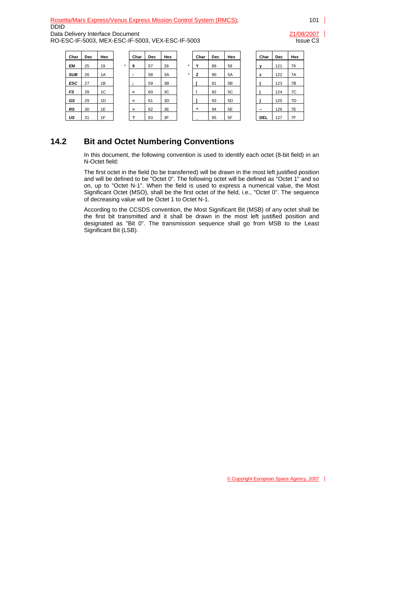#### Rosetta/Mars Express/Venus Express Mission Control System (RMCS); DDID Data Delivery Interface Document 21/08/2007

RO-ESC-IF-5003, MEX-ESC-IF-5003, VEX-ESC-IF-5003

| Char     | Dec    | Hex            |
|----------|--------|----------------|
| EМ       | 25     | 19             |
| SUB      | 26     | 1A             |
| ESC      | 27     | 1B             |
| FS       | 28     | 1C             |
| GS       | 29     | 1D             |
| RS       | 30     | 1E             |
| $\cdots$ | $\sim$ | $\overline{ }$ |



| Char      | Dec | Hex |
|-----------|-----|-----|
| Y         | 89  | 59  |
| z         | 90  | 5A  |
|           | 91  | 5B  |
|           | 92  | 5C  |
|           | 93  | 5D  |
| $\lambda$ | 94  | 5E  |
|           | 95  | 5F  |

| Char | <b>Dec</b> | Hex |
|------|------------|-----|
| y    | 121        | 79  |
| z    | 122        | 7A  |
|      | 123        | 7B  |
|      | 124        | 7C  |
|      | 125        | 7D  |
|      | 126        | 7E  |
| DEL  | 127        | 7F  |

# **14.2 Bit and Octet Numbering Conventions**

In this document, the following convention is used to identify each octet (8-bit field) in an N-Octet field:

The first octet in the field (to be transferred) will be drawn in the most left justified position and will be defined to be "Octet 0". The following octet will be defined as "Octet 1" and so on, up to "Octet N-1". When the field is used to express a numerical value, the Most Significant Octet (MSO), shall be the first octet of the field, i.e., "Octet 0". The sequence of decreasing value will be Octet 1 to Octet N-1.

According to the CCSDS convention, the Most Significant Bit (MSB) of any octet shall be the first bit transmitted and it shall be drawn in the most left justified position and designated as "Bit 0". The transmission sequence shall go from MSB to the Least Significant Bit (LSB).

101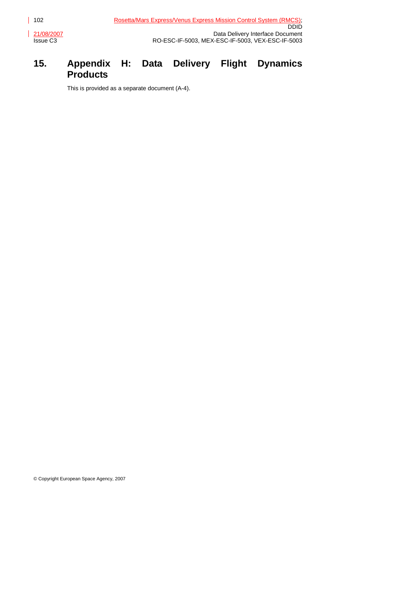# **15. Appendix H: Data Delivery Flight Dynamics Products**

This is provided as a separate document (A-4).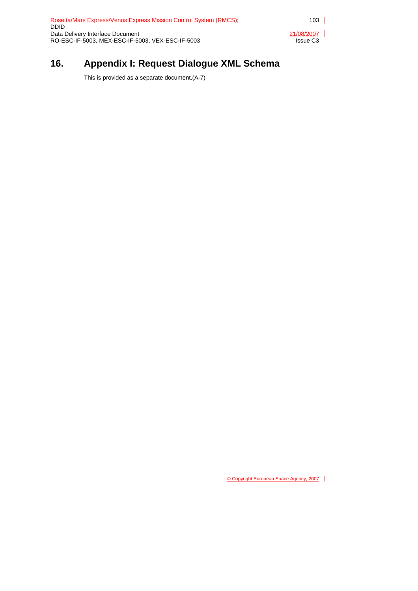# **16. Appendix I: Request Dialogue XML Schema**

This is provided as a separate document.(A-7)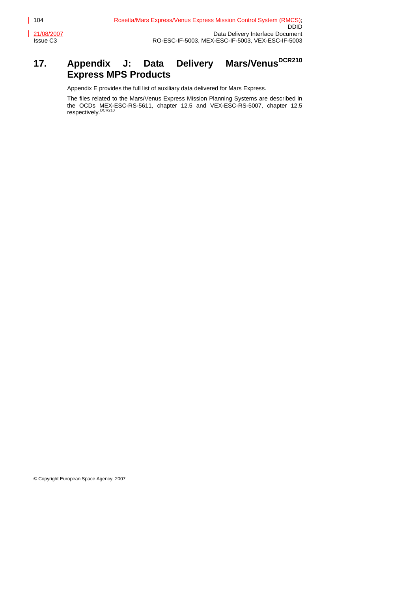# 17. Appendix J: Data Delivery Mars/Venus<sup>DCR210</sup> **Express MPS Products**

Appendix E provides the full list of auxiliary data delivered for Mars Express.

The files related to the Mars/Venus Express Mission Planning Systems are described in the OCDs MEX-ESC-RS-5611, chapter 12.5 and VEX-ESC-RS-5007, chapter 12.5<br>respectively.<sup>DCR210</sup>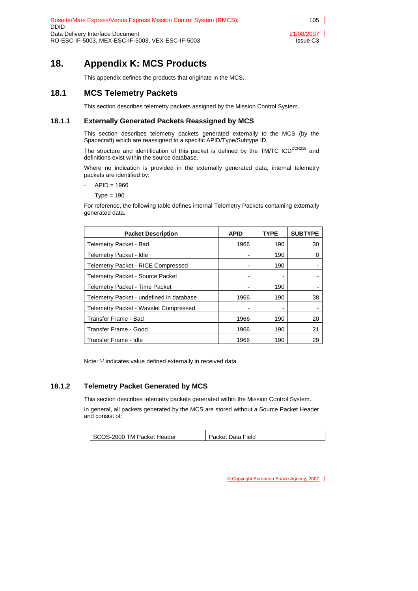# **18. Appendix K: MCS Products**

This appendix defines the products that originate in the MCS.

# **18.1 MCS Telemetry Packets**

This section describes telemetry packets assigned by the Mission Control System.

## **18.1.1 Externally Generated Packets Reassigned by MCS**

This section describes telemetry packets generated externally to the MCS (by the Spacecraft) which are reassigned to a specific APID/Type/Subtype ID.

The structure and identification of this packet is defined by the TM/TC  $ICD^{DCR218}$  and definitions exist within the source database.

Where no indication is provided in the externally generated data, internal telemetry packets are identified by:

- $APID = 1966$
- $-$  Type = 190

For reference, the following table defines internal Telemetry Packets containing externally generated data.

| <b>Packet Description</b>                 | <b>APID</b> | <b>TYPE</b> | <b>SUBTYPE</b> |
|-------------------------------------------|-------------|-------------|----------------|
| Telemetry Packet - Bad                    | 1966        | 190         | 30             |
| Telemetry Packet - Idle                   |             | 190         |                |
| <b>Telemetry Packet - RICE Compressed</b> |             | 190         |                |
| Telemetry Packet - Source Packet          |             | ۰           |                |
| Telemetry Packet - Time Packet            |             | 190         |                |
| Telemetry Packet - undefined in database  | 1966        | 190         | 38             |
| Telemetry Packet - Wavelet Compressed     |             |             |                |
| Transfer Frame - Bad                      | 1966        | 190         | 20             |
| Transfer Frame - Good                     | 1966        | 190         | 21             |
| Transfer Frame - Idle                     | 1966        | 190         | 29             |

Note: '-' indicates value defined externally in received data.

# **18.1.2 Telemetry Packet Generated by MCS**

This section describes telemetry packets generated within the Mission Control System.

In general, all packets generated by the MCS are stored without a Source Packet Header and consist of:

| SCOS-2000 TM Packet Header | I Packet Data Field |
|----------------------------|---------------------|
|----------------------------|---------------------|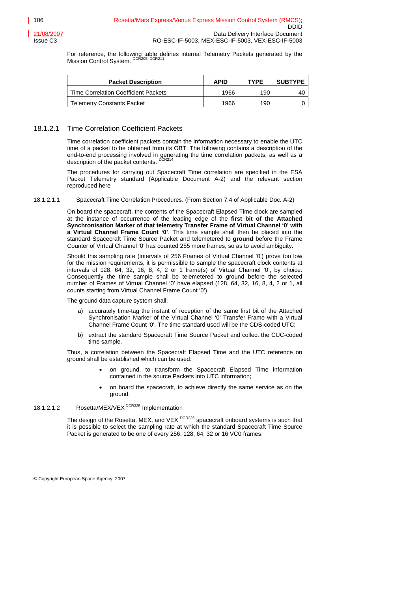

For reference, the following table defines internal Telemetry Packets generated by the<br>Mission Control System. <sup>DCR205, DCR211</sup>

| <b>Packet Description</b>            | <b>APID</b> | <b>TYPE</b> | <b>SUBTYPE</b> |
|--------------------------------------|-------------|-------------|----------------|
| Time Correlation Coefficient Packets | 1966        | 190         | 40             |
| <b>Telemetry Constants Packet</b>    | 1966        | 190         |                |

### 18.1.2.1 Time Correlation Coefficient Packets

Time correlation coefficient packets contain the information necessary to enable the UTC time of a packet to be obtained from its OBT. The following contains a description of the end-to-end processing involved in generating the time correlation packets, as well as a description of the packet contents. DCR214

The procedures for carrying out Spacecraft Time correlation are specified in the ESA Packet Telemetry standard (Applicable Document A-2) and the relevant section reproduced here

#### 18.1.2.1.1 Spacecraft Time Correlation Procedures. (From Section 7.4 of Applicable Doc. A-2)

On board the spacecraft, the contents of the Spacecraft Elapsed Time clock are sampled at the instance of occurrence of the leading edge of the **first bit of the Attached Synchronisation Marker of that telemetry Transfer Frame of Virtual Channel '0' with a Virtual Channel Frame Count '0'**. This time sample shall then be placed into the standard Spacecraft Time Source Packet and telemetered to **ground** before the Frame Counter of Virtual Channel '0' has counted 255 more frames, so as to avoid ambiguity.

Should this sampling rate (intervals of 256 Frames of Virtual Channel '0') prove too low for the mission requirements, it is permissible to sample the spacecraft clock contents at intervals of 128, 64, 32, 16, 8, 4, 2 or 1 frame(s) of Virtual Channel '0', by choice. Consequently the time sample shall be telemetered to ground before the selected number of Frames of Virtual Channel '0' have elapsed (128, 64, 32, 16, 8, 4, 2 or 1, all counts starting from Virtual Channel Frame Count '0').

The ground data capture system shall;

- a) accurately time-tag the instant of reception of the same first bit of the Attached Synchronisation Marker of the Virtual Channel '0' Transfer Frame with a Virtual Channel Frame Count '0'. The time standard used will be the CDS-coded UTC;
- b) extract the standard Spacecraft Time Source Packet and collect the CUC-coded time sample.

Thus, a correlation between the Spacecraft Elapsed Time and the UTC reference on ground shall be established which can be used:

- on ground, to transform the Spacecraft Elapsed Time information contained in the source Packets into UTC information;
- on board the spacecraft, to achieve directly the same service as on the ground.

## 18.1.2.1.2 Rosetta/MEX/VEX<sup>DCR325</sup> Implementation

The design of the Rosetta, MEX, and VEX  $DCR325$  spacecraft onboard systems is such that it is possible to select the sampling rate at which the standard Spacecraft Time Source Packet is generated to be one of every 256, 128, 64, 32 or 16 VC0 frames.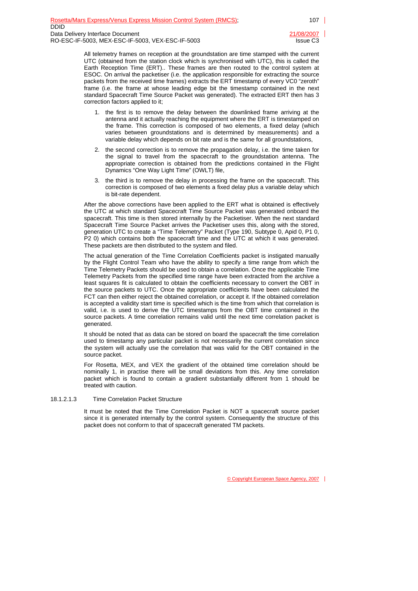All telemetry frames on reception at the groundstation are time stamped with the current UTC (obtained from the station clock which is synchronised with UTC), this is called the Earth Reception Time (ERT).. These frames are then routed to the control system at ESOC. On arrival the packetiser (i.e. the application responsible for extracting the source packets from the received time frames) extracts the ERT timestamp of every VC0 "zeroth" frame (i.e. the frame at whose leading edge bit the timestamp contained in the next standard Spacecraft Time Source Packet was generated). The extracted ERT then has 3 correction factors applied to it;

- 1. the first is to remove the delay between the downlinked frame arriving at the antenna and it actually reaching the equipment where the ERT is timestamped on the frame. This correction is composed of two elements, a fixed delay (which varies between groundstations and is determined by measurements) and a variable delay which depends on bit rate and is the same for all groundstations,
- 2. the second correction is to remove the propagation delay, i.e. the time taken for the signal to travel from the spacecraft to the groundstation antenna. The appropriate correction is obtained from the predictions contained in the Flight Dynamics "One Way Light Time" (OWLT) file,
- the third is to remove the delay in processing the frame on the spacecraft. This correction is composed of two elements a fixed delay plus a variable delay which is bit-rate dependent.

After the above corrections have been applied to the ERT what is obtained is effectively the UTC at which standard Spacecraft Time Source Packet was generated onboard the spacecraft. This time is then stored internally by the Packetiser. When the next standard Spacecraft Time Source Packet arrives the Packetiser uses this, along with the stored, generation UTC to create a "Time Telemetry" Packet (Type 190, Subtype 0, Apid 0, P1 0, P2 0) which contains both the spacecraft time and the UTC at which it was generated. These packets are then distributed to the system and filed.

The actual generation of the Time Correlation Coefficients packet is instigated manually by the Flight Control Team who have the ability to specify a time range from which the Time Telemetry Packets should be used to obtain a correlation. Once the applicable Time Telemetry Packets from the specified time range have been extracted from the archive a least squares fit is calculated to obtain the coefficients necessary to convert the OBT in the source packets to UTC. Once the appropriate coefficients have been calculated the FCT can then either reject the obtained correlation, or accept it. If the obtained correlation is accepted a validity start time is specified which is the time from which that correlation is valid, i.e. is used to derive the UTC timestamps from the OBT time contained in the source packets. A time correlation remains valid until the next time correlation packet is generated.

It should be noted that as data can be stored on board the spacecraft the time correlation used to timestamp any particular packet is not necessarily the current correlation since the system will actually use the correlation that was valid for the OBT contained in the source packet.

For Rosetta, MEX, and VEX the gradient of the obtained time correlation should be nominally 1, in practise there will be small deviations from this. Any time correlation packet which is found to contain a gradient substantially different from 1 should be treated with caution.

#### 18.1.2.1.3 Time Correlation Packet Structure

It must be noted that the Time Correlation Packet is NOT a spacecraft source packet since it is generated internally by the control system. Consequently the structure of this packet does not conform to that of spacecraft generated TM packets.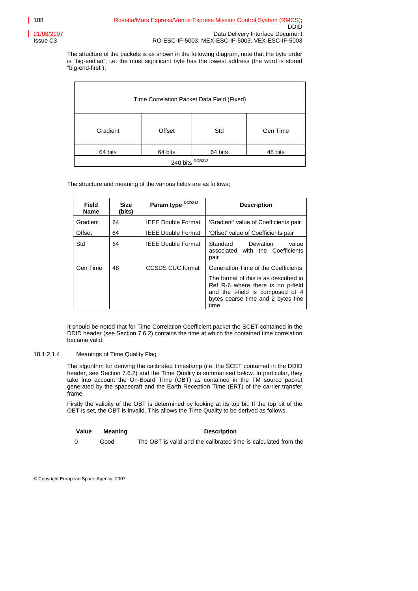



#### | 108 **Rosetta/Mars Express/Venus Express Mission Control System (RMC** DDID 21/08/2007 **Data Delivery Interface Document** Data Delivery Interface Document Issue C3 RO-ESC-IF-5003, MEX-ESC-IF-5003, VEX-ESC-IF-5003

The structure of the packets is as shown in the following diagram, note that the byte order is "big-endian", i.e. the most significant byte has the lowest address (the word is stored "big-end-first");

| Time Correlation Packet Data Field (Fixed) |         |         |         |  |  |  |  |
|--------------------------------------------|---------|---------|---------|--|--|--|--|
| Gradient<br>Offset<br>Gen Time<br>Std      |         |         |         |  |  |  |  |
| 64 bits                                    | 64 bits | 64 bits | 48 bits |  |  |  |  |
| $240$ bits $DCR212$                        |         |         |         |  |  |  |  |

The structure and meaning of the various fields are as follows;

| Field<br><b>Name</b> | <b>Size</b><br>(bits) | Param type DCR213         | <b>Description</b>                                                                                                                                                                                   |  |  |  |  |  |  |
|----------------------|-----------------------|---------------------------|------------------------------------------------------------------------------------------------------------------------------------------------------------------------------------------------------|--|--|--|--|--|--|
| Gradient             | 64                    | <b>IEEE Double Format</b> | 'Gradient' value of Coefficients pair                                                                                                                                                                |  |  |  |  |  |  |
| Offset               | 64                    | <b>IEEE Double Format</b> | 'Offset' value of Coefficients pair                                                                                                                                                                  |  |  |  |  |  |  |
| Std                  | 64                    | <b>IEEE Double Format</b> | Standard<br><b>Deviation</b><br>value<br>associated with the Coefficients<br>pair                                                                                                                    |  |  |  |  |  |  |
| Gen Time             | 48                    | CCSDS CUC format          | Generation Time of the Coefficients<br>The format of this is as described in<br>Ref R-6 where there is no p-field<br>and the t-field is composed of 4<br>bytes coarse time and 2 bytes fine<br>time. |  |  |  |  |  |  |

It should be noted that for Time Correlation Coefficient packet the SCET contained in the DDID header (see Section 7.6.2) contains the time at which the contained time correlation became valid.

#### 18.1.2.1.4 Meanings of Time Quality Flag

The algorithm for deriving the calibrated timestamp (i.e. the SCET contained in the DDID header, see Section 7.6.2) and the Time Quality is summarised below. In particular, they take into account the On-Board Time (OBT) as contained in the TM source packet generated by the spacecraft and the Earth Reception Time (ERT) of the carrier transfer frame.

Firstly the validity of the OBT is determined by looking at its top bit. If the top bit of the OBT is set, the OBT is invalid. This allows the Time Quality to be derived as follows.

| Value | Meaning | <b>Description</b>                                              |
|-------|---------|-----------------------------------------------------------------|
|       | Good    | The OBT is valid and the calibrated time is calculated from the |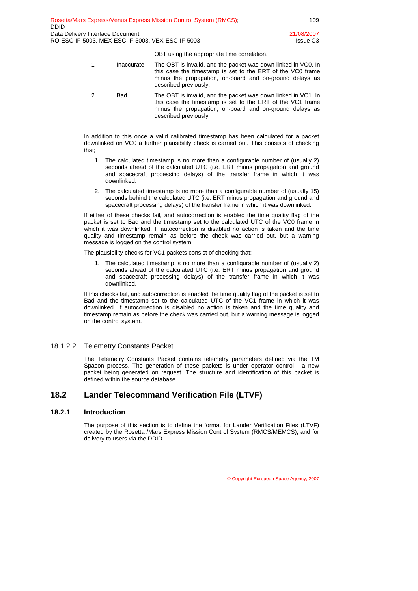OBT using the appropriate time correlation.

- 1 Inaccurate The OBT is invalid, and the packet was down linked in VC0. In this case the timestamp is set to the ERT of the VC0 frame minus the propagation, on-board and on-ground delays as described previously.
- 2 Bad The OBT is invalid, and the packet was down linked in VC1. In this case the timestamp is set to the ERT of the VC1 frame minus the propagation, on-board and on-ground delays as described previously

In addition to this once a valid calibrated timestamp has been calculated for a packet downlinked on VC0 a further plausibility check is carried out. This consists of checking that;

- 1. The calculated timestamp is no more than a configurable number of (usually 2) seconds ahead of the calculated UTC (i.e. ERT minus propagation and ground and spacecraft processing delays) of the transfer frame in which it was downlinked.
- 2. The calculated timestamp is no more than a configurable number of (usually 15) seconds behind the calculated UTC (i.e. ERT minus propagation and ground and spacecraft processing delays) of the transfer frame in which it was downlinked.

If either of these checks fail, and autocorrection is enabled the time quality flag of the packet is set to Bad and the timestamp set to the calculated UTC of the VC0 frame in which it was downlinked. If autocorrection is disabled no action is taken and the time quality and timestamp remain as before the check was carried out, but a warning message is logged on the control system.

The plausibility checks for VC1 packets consist of checking that;

1. The calculated timestamp is no more than a configurable number of (usually 2) seconds ahead of the calculated UTC (i.e. ERT minus propagation and ground and spacecraft processing delays) of the transfer frame in which it was downlinked.

If this checks fail, and autocorrection is enabled the time quality flag of the packet is set to Bad and the timestamp set to the calculated UTC of the VC1 frame in which it was downlinked. If autocorrection is disabled no action is taken and the time quality and timestamp remain as before the check was carried out, but a warning message is logged on the control system.

### 18.1.2.2 Telemetry Constants Packet

The Telemetry Constants Packet contains telemetry parameters defined via the TM Spacon process. The generation of these packets is under operator control - a new packet being generated on request. The structure and identification of this packet is defined within the source database.

# **18.2 Lander Telecommand Verification File (LTVF)**

# **18.2.1 Introduction**

The purpose of this section is to define the format for Lander Verification Files (LTVF) created by the Rosetta /Mars Express Mission Control System (RMCS/MEMCS), and for delivery to users via the DDID.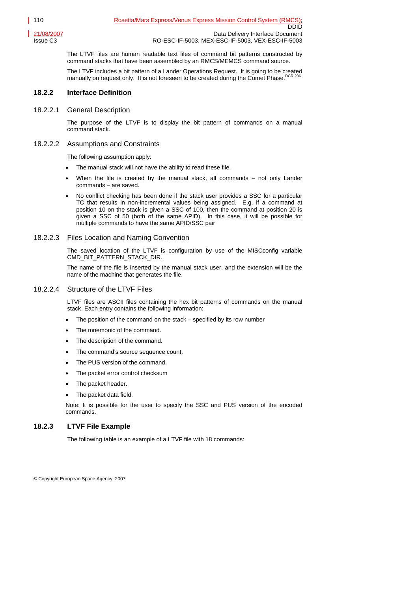The LTVF files are human readable text files of command bit patterns constructed by command stacks that have been assembled by an RMCS/MEMCS command source.

The LTVF includes a bit pattern of a Lander Operations Request. It is going to be created<br>manually on request only. It is not foreseen to be created during the Comet Phase.<sup>DCR 206</sup>

## **18.2.2 Interface Definition**

#### 18.2.2.1 General Description

The purpose of the LTVF is to display the bit pattern of commands on a manual command stack.

#### 18.2.2.2 Assumptions and Constraints

The following assumption apply:

- The manual stack will not have the ability to read these file.
- When the file is created by the manual stack, all commands not only Lander commands – are saved.
- No conflict checking has been done if the stack user provides a SSC for a particular TC that results in non-incremental values being assigned. E.g. if a command at position 10 on the stack is given a SSC of 100, then the command at position 20 is given a SSC of 50 (both of the same APID). In this case, it will be possible for multiple commands to have the same APID/SSC pair

#### 18.2.2.3 Files Location and Naming Convention

The saved location of the LTVF is configuration by use of the MISCconfig variable CMD\_BIT\_PATTERN\_STACK\_DIR.

The name of the file is inserted by the manual stack user, and the extension will be the name of the machine that generates the file.

#### 18.2.2.4 Structure of the LTVF Files

LTVF files are ASCII files containing the hex bit patterns of commands on the manual stack. Each entry contains the following information:

- The position of the command on the stack specified by its row number
- The mnemonic of the command
- The description of the command.
- The command's source sequence count.
- The PUS version of the command.
- The packet error control checksum
- The packet header.
- The packet data field.

Note: It is possible for the user to specify the SSC and PUS version of the encoded commands.

## **18.2.3 LTVF File Example**

The following table is an example of a LTVF file with 18 commands: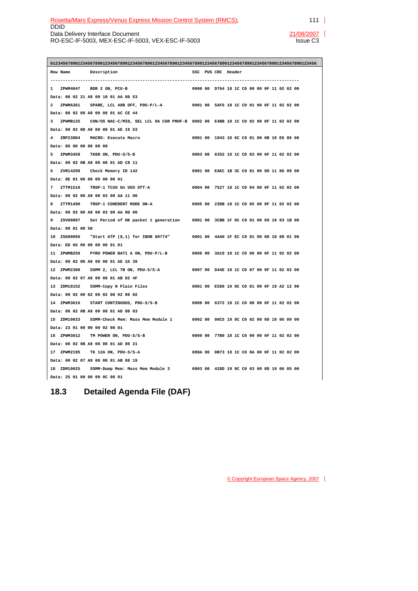#### Rosetta/Mars Express/Venus Express Mission Control System (RMCS); **DDID** Data Delivery Interface Document 21/08/2007 RO-ESC-IF-5003, MEX-ESC-IF-5003, VEX-ESC-IF-5003 Issue C3

| 01234567890123456789012345678901234567890123456789012345678901234567890123456789012345678901234567890123456 |  |  |  |                                            |  |  |  |  |  |
|-------------------------------------------------------------------------------------------------------------|--|--|--|--------------------------------------------|--|--|--|--|--|
| Row Name<br>Description                                                                                     |  |  |  | SSC PUS CRC Header                         |  |  |  |  |  |
|                                                                                                             |  |  |  |                                            |  |  |  |  |  |
| 1 ZPWM4047 BDR 2 ON, PCU-B                                                                                  |  |  |  | 0000 00 D764 18 1C C0 00 00 0F 11 02 02 00 |  |  |  |  |  |
| Data: 00 02 21 A9 00 10 01 AA 80 53                                                                         |  |  |  |                                            |  |  |  |  |  |
| 2 ZPWMA361 SPARE, LCL 48B OFF, PDU-P/L-A                                                                    |  |  |  | 0001 00 5AF6 18 1C C0 01 00 0F 11 02 02 00 |  |  |  |  |  |
| Data: 00 02 09 A9 00 08 01 AC CE 44                                                                         |  |  |  |                                            |  |  |  |  |  |
| 3 ZPWMB125 CON/OS NAC-C/MID, SEL LCL 9A CUR PROF-B 0002 00 E4BB 18 1C C0 02 00 0F 11 02 02 00               |  |  |  |                                            |  |  |  |  |  |
| Data: 00 02 0D A9 00 08 01 AE 19 53                                                                         |  |  |  |                                            |  |  |  |  |  |
| 4 ZRP230D4 MACRO: Execute Macro                                                                             |  |  |  | 0001 00 1043 1D 6C C0 01 00 0B 19 E6 86 00 |  |  |  |  |  |
| Data: 86 00 00 00 00 00                                                                                     |  |  |  |                                            |  |  |  |  |  |
| 5 ZPWM3458 TK8B ON, PDU-S/S-B                                                                               |  |  |  | 0003 00 6352 18 1C C0 03 00 0F 11 02 02 00 |  |  |  |  |  |
| Data: 00 02 0B A9 00 08 01 AD C8 11                                                                         |  |  |  |                                            |  |  |  |  |  |
| 6 ZVR14209 Check Memory ID 142                                                                              |  |  |  | 0001 00 EAEC 1B 3C C0 01 00 0D 11 06 09 00 |  |  |  |  |  |
| Data: 8E 01 00 00 00 00 00 01                                                                               |  |  |  |                                            |  |  |  |  |  |
| ZTTM1510<br>TRSP-1 TCXO On USO Off-A<br>7                                                                   |  |  |  | 0004 00 7527 18 1C C0 04 00 0F 11 02 02 00 |  |  |  |  |  |
| Data: 00 02 00 A9 00 03 00 AA 11 00                                                                         |  |  |  |                                            |  |  |  |  |  |
| <b>ZTTM1490</b><br>TRSP-1 COHERENT MODE ON-A<br>8                                                           |  |  |  | 0005 00 23DB 18 1C C0 05 00 OF 11 02 02 00 |  |  |  |  |  |
| Data: 00 02 00 A9 00 03 00 AA 0D 00                                                                         |  |  |  |                                            |  |  |  |  |  |
| 9 ZSV00007 Set Period of HK packet 1 generation 0001 00 3CBB 1F 9C C0 01 00 09 19 03 1B 00                  |  |  |  |                                            |  |  |  |  |  |
| Data: 00 01 00 50                                                                                           |  |  |  |                                            |  |  |  |  |  |
| 10 ZSG00056 "Start ATP (8,1) for IBOB 60774"                                                                |  |  |  | 0001 00 4AA0 1F EC C0 01 00 0D 10 08 01 00 |  |  |  |  |  |
| Data: ED 66 00 00 00 00 01 01                                                                               |  |  |  |                                            |  |  |  |  |  |
| 11 ZPWMB259 PYRO POWER BAT1 A ON, PDU-P/L-B                                                                 |  |  |  | 0006 00 3A19 18 1C C0 06 00 0F 11 02 02 00 |  |  |  |  |  |
| Data: 00 02 0D A9 00 08 01 AE 2A 39                                                                         |  |  |  |                                            |  |  |  |  |  |
| 12 ZPWM2300 SSMM 2, LCL 7B ON, PDU-S/S-A                                                                    |  |  |  | 0007 00 D44E 18 1C C0 07 00 0F 11 02 02 00 |  |  |  |  |  |
| Data: 00 02 07 A9 00 08 01 AB D2 4F                                                                         |  |  |  |                                            |  |  |  |  |  |
| 13 ZDM10152 SSMM-Copy N Plain Files                                                                         |  |  |  | 0001 00 E588 19 9C C0 01 00 0F 19 A2 12 00 |  |  |  |  |  |
| Data: 00 02 00 02 00 02 00 02 00 02                                                                         |  |  |  |                                            |  |  |  |  |  |
| 14 ZPWM3016 START CONTINUOUS, PDU-S/S-B                                                                     |  |  |  | 0008 00 6372 18 1C C0 08 00 0F 11 02 02 00 |  |  |  |  |  |
| Data: 00 02 0B A9 00 08 01 AD 80 03                                                                         |  |  |  |                                            |  |  |  |  |  |
| 15 ZDM10033 SSMM-Check Mem: Mass Mem Module 1                                                               |  |  |  | 0002 00 90C5 19 9C C0 02 00 0D 19 06 09 00 |  |  |  |  |  |
| Data: 23 01 00 00 00 02 00 01                                                                               |  |  |  |                                            |  |  |  |  |  |
| 16 ZPWM3012 TM POWER ON, PDU-S/S-B                                                                          |  |  |  | 0009 00 77B0 18 1C C0 09 00 0F 11 02 02 00 |  |  |  |  |  |
| Data: 00 02 0B A9 00 08 01 AD 80 21                                                                         |  |  |  |                                            |  |  |  |  |  |
| 17 ZPWM2195 TK 12A ON, PDU-S/S-A                                                                            |  |  |  | 000A 00 DB73 18 1C C0 0A 00 OF 11 02 02 00 |  |  |  |  |  |
| Data: 00 02 07 A9 00 08 01 AB 88 19                                                                         |  |  |  |                                            |  |  |  |  |  |
| SSMM-Dump Mem: Mass Mem Module 3 0003 00 428D 19 9C C0 03 00 0D 19 06 05 00<br>18 ZDM10025                  |  |  |  |                                            |  |  |  |  |  |
| Data: 25 01 00 00 00 0C 00 01                                                                               |  |  |  |                                            |  |  |  |  |  |

# **18.3 Detailed Agenda File (DAF)**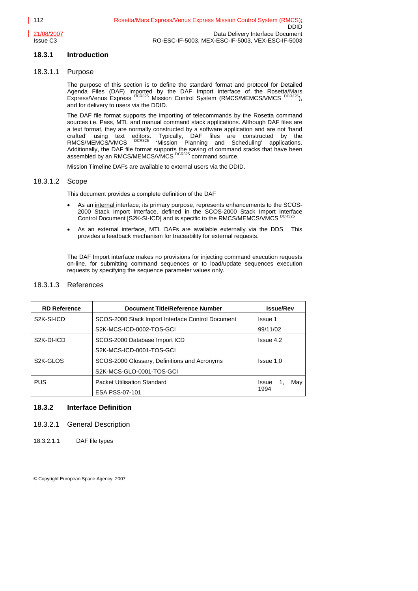## **18.3.1 Introduction**

#### 18.3.1.1 Purpose

The purpose of this section is to define the standard format and protocol for Detailed Agenda Files (DAF) imported by the DAF Import interface of the Rosetta/Mars<br>Express/Venus Express <sup>DCR325</sup> Mission Control System (RMCS/MEMCS/VMCS <sup>DCR325</sup>), and for delivery to users via the DDID.

The DAF file format supports the importing of telecommands by the Rosetta command sources i.e. Pass, MTL and manual command stack applications. Although DAF files are a text format, they are normally constructed by a software application and are not 'hand crafted' using text editors. Typically, DAF files are constructed by the<br>RMCS/MEMCS/VMCS <sup>DCR325</sup> 'Mission Planning and Scheduling' applications. Additionally, the DAF file format supports the saving of command stacks that have been<br>assembled by an RMCS/MEMCS/VMCS <sup>DCR325</sup> command source.

Mission Timeline DAFs are available to external users via the DDID.

### 18.3.1.2 Scope

This document provides a complete definition of the DAF

- As an internal interface, its primary purpose, represents enhancements to the SCOS-2000 Stack Import Interface, defined in the SCOS-2000 Stack Import Interface Control Document [S2K-SI-ICD] and is specific to the RMCS/MEMCS/VMCS DCR325
- As an external interface, MTL DAFs are available externally via the DDS. This provides a feedback mechanism for traceability for external requests.

The DAF Import interface makes no provisions for injecting command execution requests on-line, for submitting command sequences or to load/update sequences execution requests by specifying the sequence parameter values only.

| <b>RD Reference</b>     | <b>Document Title/Reference Number</b>            | <b>Issue/Rev</b>          |  |  |  |  |
|-------------------------|---------------------------------------------------|---------------------------|--|--|--|--|
| S <sub>2K</sub> -SI-ICD | SCOS-2000 Stack Import Interface Control Document | Issue 1                   |  |  |  |  |
|                         | S2K-MCS-ICD-0002-TOS-GCI                          | 99/11/02                  |  |  |  |  |
| S <sub>2</sub> K-DI-ICD | SCOS-2000 Database Import ICD                     | Issue 4.2                 |  |  |  |  |
|                         | S2K-MCS-ICD-0001-TOS-GCI                          |                           |  |  |  |  |
| S <sub>2</sub> K-GLOS   | SCOS-2000 Glossary, Definitions and Acronyms      | $l$ ssue 1.0              |  |  |  |  |
|                         | S2K-MCS-GLO-0001-TOS-GCI                          |                           |  |  |  |  |
| <b>PUS</b>              | <b>Packet Utilisation Standard</b>                | May<br><b>Issue</b><br>1. |  |  |  |  |
|                         | ESA PSS-07-101                                    | 1994                      |  |  |  |  |

## 18.3.1.3 References

# **18.3.2 Interface Definition**

18.3.2.1 General Description

18.3.2.1.1 DAF file types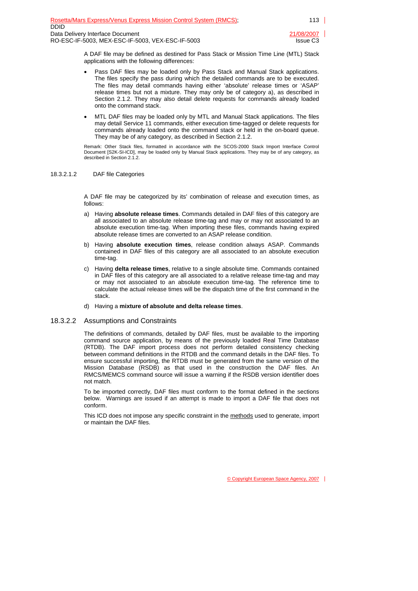113

A DAF file may be defined as destined for Pass Stack or Mission Time Line (MTL) Stack applications with the following differences:

- Pass DAF files may be loaded only by Pass Stack and Manual Stack applications. The files specify the pass during which the detailed commands are to be executed. The files may detail commands having either 'absolute' release times or 'ASAP' release times but not a mixture. They may only be of category a), as described in Section 2.1.2. They may also detail delete requests for commands already loaded onto the command stack.
- MTL DAF files may be loaded only by MTL and Manual Stack applications. The files may detail Service 11 commands, either execution time-tagged or delete requests for commands already loaded onto the command stack or held in the on-board queue. They may be of any category, as described in Section 2.1.2.

Remark: Other Stack files, formatted in accordance with the SCOS-2000 Stack Import Interface Control Document [S2K-SI-ICD], may be loaded only by Manual Stack applications. They may be of any category, as described in Section 2.1.2.

#### 18.3.2.1.2 DAF file Categories

A DAF file may be categorized by its' combination of release and execution times, as follows:

- a) Having **absolute release times**. Commands detailed in DAF files of this category are all associated to an absolute release time-tag and may or may not associated to an absolute execution time-tag. When importing these files, commands having expired absolute release times are converted to an ASAP release condition.
- b) Having **absolute execution times**, release condition always ASAP. Commands contained in DAF files of this category are all associated to an absolute execution time-tag.
- c) Having **delta release times**, relative to a single absolute time. Commands contained in DAF files of this category are all associated to a relative release time-tag and may or may not associated to an absolute execution time-tag. The reference time to calculate the actual release times will be the dispatch time of the first command in the stack.
- d) Having a **mixture of absolute and delta release times**.

#### 18.3.2.2 Assumptions and Constraints

The definitions of commands, detailed by DAF files, must be available to the importing command source application, by means of the previously loaded Real Time Database (RTDB). The DAF import process does not perform detailed consistency checking between command definitions in the RTDB and the command details in the DAF files. To ensure successful importing, the RTDB must be generated from the same version of the Mission Database (RSDB) as that used in the construction the DAF files. An RMCS/MEMCS command source will issue a warning if the RSDB version identifier does not match.

To be imported correctly, DAF files must conform to the format defined in the sections below. Warnings are issued if an attempt is made to import a DAF file that does not conform.

This ICD does not impose any specific constraint in the methods used to generate, import or maintain the DAF files.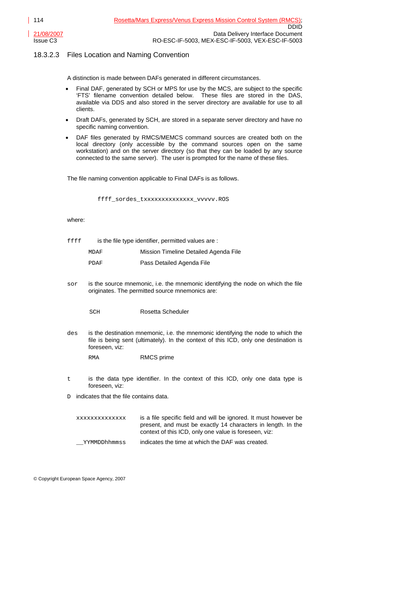

## 18.3.2.3 Files Location and Naming Convention

A distinction is made between DAFs generated in different circumstances.

- Final DAF, generated by SCH or MPS for use by the MCS, are subject to the specific 'FTS' filename convention detailed below. These files are stored in the DAS, available via DDS and also stored in the server directory are available for use to all clients.
- Draft DAFs, generated by SCH, are stored in a separate server directory and have no specific naming convention.
- DAF files generated by RMCS/MEMCS command sources are created both on the local directory (only accessible by the command sources open on the same workstation) and on the server directory (so that they can be loaded by any source connected to the same server). The user is prompted for the name of these files.

The file naming convention applicable to Final DAFs is as follows.

ffff\_sordes\_txxxxxxxxxxxxxx\_vvvvv.ROS

#### where:

| ffff                                                                                                                                                                                                                   | is the file type identifier, permitted values are :                                              |                                                                                                                                                                                           |  |
|------------------------------------------------------------------------------------------------------------------------------------------------------------------------------------------------------------------------|--------------------------------------------------------------------------------------------------|-------------------------------------------------------------------------------------------------------------------------------------------------------------------------------------------|--|
|                                                                                                                                                                                                                        | <b>MDAF</b>                                                                                      | Mission Timeline Detailed Agenda File                                                                                                                                                     |  |
|                                                                                                                                                                                                                        | PDAF                                                                                             | Pass Detailed Agenda File                                                                                                                                                                 |  |
| sor                                                                                                                                                                                                                    |                                                                                                  | is the source mnemonic, i.e. the mnemonic identifying the node on which the file<br>originates. The permitted source mnemonics are:                                                       |  |
|                                                                                                                                                                                                                        | SCH                                                                                              | Rosetta Scheduler                                                                                                                                                                         |  |
| is the destination mnemonic, i.e. the mnemonic identifying the node to which the<br>des<br>file is being sent (ultimately). In the context of this ICD, only one destination is<br>foreseen, viz:<br>RMCS prime<br>RMA |                                                                                                  |                                                                                                                                                                                           |  |
| t                                                                                                                                                                                                                      | is the data type identifier. In the context of this ICD, only one data type is<br>foreseen, viz: |                                                                                                                                                                                           |  |
| indicates that the file contains data.<br>D                                                                                                                                                                            |                                                                                                  |                                                                                                                                                                                           |  |
|                                                                                                                                                                                                                        | XXXXXXXXXXXXX                                                                                    | is a file specific field and will be ignored. It must however be<br>present, and must be exactly 14 characters in length. In the<br>context of this ICD, only one value is foreseen, viz: |  |

YYMMDDhhmmss indicates the time at which the DAF was created.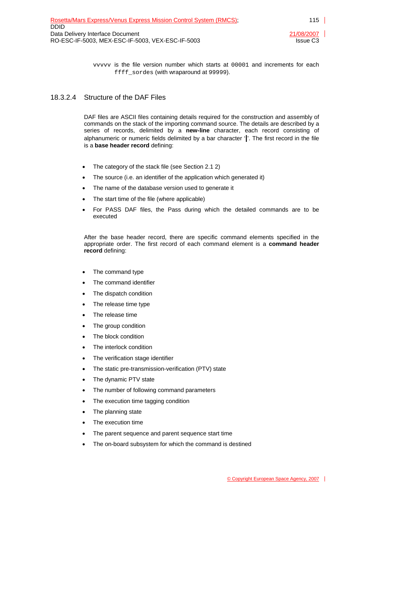vvvvv is the file version number which starts at 00001 and increments for each ffff\_sordes (with wraparound at 99999).

# 18.3.2.4 Structure of the DAF Files

DAF files are ASCII files containing details required for the construction and assembly of commands on the stack of the importing command source. The details are described by a series of records, delimited by a **new-line** character, each record consisting of alphanumeric or numeric fields delimited by a bar character '**|**'. The first record in the file is a **base header record** defining:

- The category of the stack file (see Section 2.1 2)
- The source (i.e. an identifier of the application which generated it)
- The name of the database version used to generate it
- The start time of the file (where applicable)
- For PASS DAF files, the Pass during which the detailed commands are to be executed

After the base header record, there are specific command elements specified in the appropriate order. The first record of each command element is a **command header record** defining:

- The command type
- The command identifier
- The dispatch condition
- The release time type
- The release time
- The group condition
- The block condition
- The interlock condition
- The verification stage identifier
- The static pre-transmission-verification (PTV) state
- The dynamic PTV state
- The number of following command parameters
- The execution time tagging condition
- The planning state
- The execution time
- The parent sequence and parent sequence start time
- The on-board subsystem for which the command is destined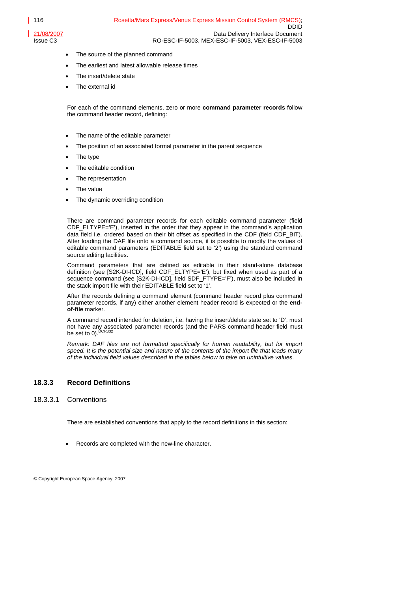- The source of the planned command
- The earliest and latest allowable release times
- The insert/delete state
- The external id

For each of the command elements, zero or more **command parameter records** follow the command header record, defining:

- The name of the editable parameter
- The position of an associated formal parameter in the parent sequence
- The type
- The editable condition
- The representation
- The value
- The dynamic overriding condition

There are command parameter records for each editable command parameter (field CDF\_ELTYPE='E'), inserted in the order that they appear in the command's application data field i.e. ordered based on their bit offset as specified in the CDF (field CDF\_BIT). After loading the DAF file onto a command source, it is possible to modify the values of editable command parameters (EDITABLE field set to '2') using the standard command source editing facilities.

Command parameters that are defined as editable in their stand-alone database definition (see [S2K-DI-ICD], field CDF\_ELTYPE='E'), but fixed when used as part of a sequence command (see [S2K-DI-ICD], field SDF\_FTYPE='F'), must also be included in the stack import file with their EDITABLE field set to '1'.

After the records defining a command element (command header record plus command parameter records, if any) either another element header record is expected or the **endof-file** marker.

A command record intended for deletion, i.e. having the insert/delete state set to 'D', must not have any associated parameter records (and the PARS command header field must<br>be set to 0).<sup>DCR332</sup>

*Remark: DAF files are not formatted specifically for human readability, but for import speed. It is the potential size and nature of the contents of the import file that leads many of the individual field values described in the tables below to take on unintuitive values.* 

## **18.3.3 Record Definitions**

#### 18.3.3.1 Conventions

There are established conventions that apply to the record definitions in this section:

Records are completed with the new-line character.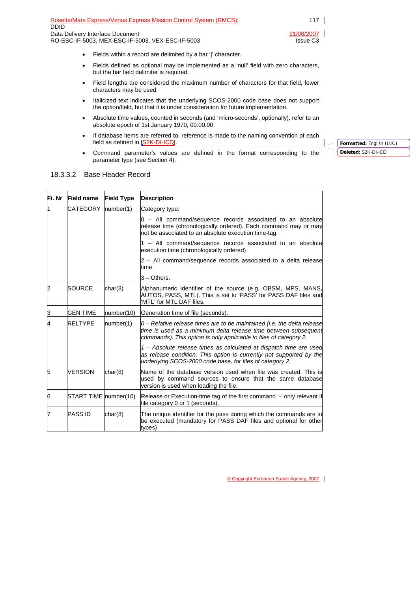- Fields within a record are delimited by a bar '|' character.
- Fields defined as optional may be implemented as a 'null' field with zero characters, but the bar field delimiter is required.
- Field lengths are considered the maximum number of characters for that field, fewer characters may be used.
- Italicized text indicates that the underlying SCOS-2000 code base does not support the option/field, but that it is under consideration for future implementation.
- Absolute time values, counted in seconds (and 'micro-seconds', optionally), refer to an absolute epoch of 1st January 1970, 00.00.00.
- If database items are referred to, reference is made to the naming convention of each field as defined in [S2K-DI-ICD]. **Formatted:** English (U.K.)
- Command parameter's values are defined in the format corresponding to the parameter type (see Section 4).

## 18.3.3.2 Base Header Record

| Fi. Nr | <b>Field name</b>     | <b>Field Type</b> | <b>Description</b>                                                                                                                                                                                              |
|--------|-----------------------|-------------------|-----------------------------------------------------------------------------------------------------------------------------------------------------------------------------------------------------------------|
|        | <b>CATEGORY</b>       | number(1)         | Category type:                                                                                                                                                                                                  |
|        |                       |                   | $0 -$ All command/sequence records associated to an absolute<br>release time (chronologically ordered). Each command may or may<br>not be associated to an absolute execution time-tag.                         |
|        |                       |                   | 1 - All command/sequence records associated to an absolute<br>execution time (chronologically ordered)                                                                                                          |
|        |                       |                   | 2 - All command/sequence records associated to a delta release<br>time                                                                                                                                          |
|        |                       |                   | 3 – Others.                                                                                                                                                                                                     |
| 2      | <b>SOURCE</b>         | char(8)           | Alphanumeric identifier of the source (e.g. OBSM, MPS, MANS,<br>AUTOS, PASS, MTL). This is set to 'PASS' for PASS DAF files and<br>'MTL' for MTL DAF files.                                                     |
| 3      | <b>GEN TIME</b>       | number(10)        | Generation time of file (seconds).                                                                                                                                                                              |
| 4      | <b>RELTYPE</b>        | number(1)         | 0 – Relative release times are to be maintained (i.e. the delta release<br>time is used as a minimum delta release time between subsequent<br>commands). This option is only applicable to files of category 2. |
|        |                       |                   | 1 – Absolute release times as calculated at dispatch time are used<br>as release condition. This option is currently not supported by the<br>underlying SCOS-2000 code base, for files of category 2.           |
| 5      | <b>VERSION</b>        | char(8)           | Name of the database version used when file was created. This is<br>used by command sources to ensure that the same database<br>version is used when loading the file.                                          |
| 6      | START TIME number(10) |                   | Release or Execution-time tag of the first command $-$ only relevant if<br>file category 0 or 1 (seconds).                                                                                                      |
| 7      | <b>PASS ID</b>        | char(8)           | The unique identifier for the pass during which the commands are to<br>be executed (mandatory for PASS DAF files and optional for other<br>types)                                                               |

**Deleted:** S2K-DI-ICD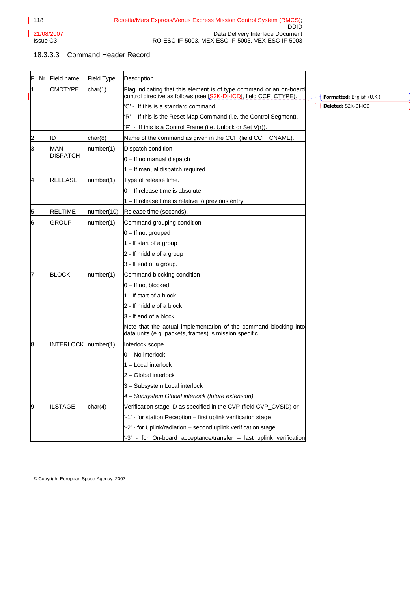#### 118 Rosetta/Mars Express/Venus Express Mission Control System (RMCS); DDID 21/08/2007 Data Delivery Interface Document Issue C3 RO-ESC-IF-5003, MEX-ESC-IF-5003, VEX-ESC-IF-5003

# 18.3.3.3 Command Header Record

|                | Fi. Nr Field name   | <b>Field Type</b> | Description                                                                                                                              |
|----------------|---------------------|-------------------|------------------------------------------------------------------------------------------------------------------------------------------|
| 1              | <b>CMDTYPE</b>      | char(1)           | Flag indicating that this element is of type command or an on-board<br>control directive as follows (see [S2K-DI-ICD], field CCF_CTYPE). |
|                |                     |                   | 'C' - If this is a standard command.                                                                                                     |
|                |                     |                   | 'R' - If this is the Reset Map Command (i.e. the Control Segment).                                                                       |
|                |                     |                   | $F' -$ If this is a Control Frame (i.e. Unlock or Set $V(r)$ ).                                                                          |
| $\overline{2}$ | ID                  | char(8)           | Name of the command as given in the CCF (field CCF_CNAME).                                                                               |
| 3              | MAN                 | number(1)         | Dispatch condition                                                                                                                       |
|                | <b>DISPATCH</b>     |                   | $0 -$ If no manual dispatch                                                                                                              |
|                |                     |                   | 1 - If manual dispatch required                                                                                                          |
| 4              | <b>RELEASE</b>      | number(1)         | Type of release time.                                                                                                                    |
|                |                     |                   | 0 – If release time is absolute                                                                                                          |
|                |                     |                   | 1 – If release time is relative to previous entry                                                                                        |
| 5              | <b>RELTIME</b>      | number(10)        | Release time (seconds).                                                                                                                  |
| 6              | GROUP               | number(1)         | Command grouping condition                                                                                                               |
|                |                     |                   | 0 - If not grouped                                                                                                                       |
|                |                     |                   | 1 - If start of a group                                                                                                                  |
|                |                     |                   | 2 - If middle of a group                                                                                                                 |
|                |                     |                   | 3 - If end of a group.                                                                                                                   |
| 7              | <b>BLOCK</b>        | number(1)         | Command blocking condition                                                                                                               |
|                |                     |                   | 0 – If not blocked                                                                                                                       |
|                |                     |                   | 1 - If start of a block                                                                                                                  |
|                |                     |                   | 2 - If middle of a block                                                                                                                 |
|                |                     |                   | 3 - If end of a block.                                                                                                                   |
|                |                     |                   | Note that the actual implementation of the command blocking into<br>data units (e.g. packets, frames) is mission specific.               |
| 8              | INTERLOCK number(1) |                   | Interlock scope                                                                                                                          |
|                |                     |                   | 0 – No interlock                                                                                                                         |
|                |                     |                   | 1 - Local interlock                                                                                                                      |
|                |                     |                   | 2 - Global interlock                                                                                                                     |
|                |                     |                   | 3 - Subsystem Local interlock                                                                                                            |
|                |                     |                   | 4 - Subsystem Global interlock (future extension).                                                                                       |
| 9              | <b>ILSTAGE</b>      | char(4)           | Verification stage ID as specified in the CVP (field CVP_CVSID) or                                                                       |
|                |                     |                   | '-1' - for station Reception - first uplink verification stage                                                                           |
|                |                     |                   | '-2' - for Uplink/radiation - second uplink verification stage                                                                           |
|                |                     |                   | -3' - for On-board acceptance/transfer - last uplink verification                                                                        |

**Formatted:** English (U.K.) **Deleted:** S2K-DI-ICD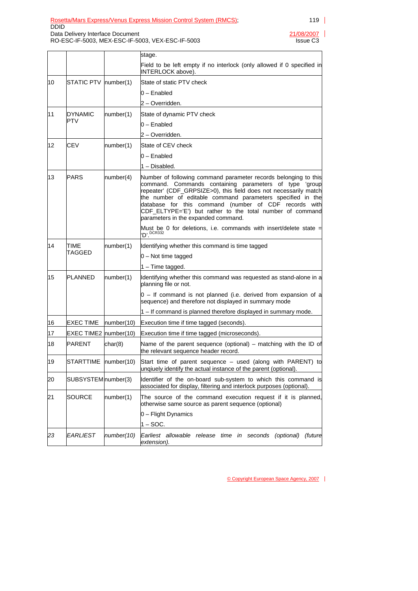RO-ESC-IF-5003, MEX-ESC-IF-5003, VEX-ESC-IF-5003 Issue C3

|    |                       |            | stage.                                                                                                                                                                                                                                                                                                                                                                                                                   |
|----|-----------------------|------------|--------------------------------------------------------------------------------------------------------------------------------------------------------------------------------------------------------------------------------------------------------------------------------------------------------------------------------------------------------------------------------------------------------------------------|
|    |                       |            | Field to be left empty if no interlock (only allowed if 0 specified in<br><b>INTERLOCK</b> above).                                                                                                                                                                                                                                                                                                                       |
| 10 | STATIC PTV number(1)  |            | State of static PTV check                                                                                                                                                                                                                                                                                                                                                                                                |
|    |                       |            | 0 – Enabled                                                                                                                                                                                                                                                                                                                                                                                                              |
|    |                       |            | 2 - Overridden.                                                                                                                                                                                                                                                                                                                                                                                                          |
| 11 | DYNAMIC               | number(1)  | State of dynamic PTV check                                                                                                                                                                                                                                                                                                                                                                                               |
|    | PTV                   |            | 0 – Enabled                                                                                                                                                                                                                                                                                                                                                                                                              |
|    |                       |            | 2 - Overridden.                                                                                                                                                                                                                                                                                                                                                                                                          |
| 12 | CEV                   | number(1)  | State of CEV check                                                                                                                                                                                                                                                                                                                                                                                                       |
|    |                       |            | 0 - Enabled                                                                                                                                                                                                                                                                                                                                                                                                              |
|    |                       |            | 1 – Disabled.                                                                                                                                                                                                                                                                                                                                                                                                            |
| 13 | <b>PARS</b>           | number(4)  | Number of following command parameter records belonging to this<br>command. Commands containing parameters of type 'group<br>repeater' (CDF_GRPSIZE>0), this field does not necessarily match<br>the number of editable command parameters specified in the<br>database for this command (number of CDF records with<br>CDF_ELTYPE='E') but rather to the total number of command<br>parameters in the expanded command. |
|    |                       |            | Must be 0 for deletions, i.e. commands with insert/delete state $=$<br>$D$ . DCR332                                                                                                                                                                                                                                                                                                                                      |
| 14 | TIME                  | number(1)  | Identifying whether this command is time tagged                                                                                                                                                                                                                                                                                                                                                                          |
|    | TAGGED                |            | $0 -$ Not time tagged                                                                                                                                                                                                                                                                                                                                                                                                    |
|    |                       |            | 1 - Time tagged.                                                                                                                                                                                                                                                                                                                                                                                                         |
| 15 | PLANNED               | number(1)  | Identifying whether this command was requested as stand-alone in a<br>planning file or not.                                                                                                                                                                                                                                                                                                                              |
|    |                       |            | $0 -$ If command is not planned (i.e. derived from expansion of a<br>sequence) and therefore not displayed in summary mode                                                                                                                                                                                                                                                                                               |
|    |                       |            | 1 - If command is planned therefore displayed in summary mode.                                                                                                                                                                                                                                                                                                                                                           |
| 16 | <b>EXEC TIME</b>      | number(10) | Execution time if time tagged (seconds).                                                                                                                                                                                                                                                                                                                                                                                 |
| 17 | EXEC TIME2 number(10) |            | Execution time if time tagged (microseconds).                                                                                                                                                                                                                                                                                                                                                                            |
| 18 | PARENT                | char(8)    | Name of the parent sequence (optional) - matching with the ID of<br>the relevant sequence header record.                                                                                                                                                                                                                                                                                                                 |
| 19 | STARTTIME number(10)  |            | Start time of parent sequence - used (along with PARENT) to<br>unqiuely identify the actual instance of the parent (optional).                                                                                                                                                                                                                                                                                           |
| 20 | SUBSYSTEM number(3)   |            | Identifier of the on-board sub-system to which this command is<br>associated for display, filtering and interlock purposes (optional).                                                                                                                                                                                                                                                                                   |
| 21 | SOURCE                | number(1)  | The source of the command execution request if it is planned,<br>otherwise same source as parent sequence (optional)                                                                                                                                                                                                                                                                                                     |
|    |                       |            | $0$ – Flight Dynamics                                                                                                                                                                                                                                                                                                                                                                                                    |
|    |                       |            | 1 – SOC.                                                                                                                                                                                                                                                                                                                                                                                                                 |
| 23 | <i>EARLIEST</i>       | number(10) | Earliest allowable release time in seconds (optional)<br>(future<br>extension).                                                                                                                                                                                                                                                                                                                                          |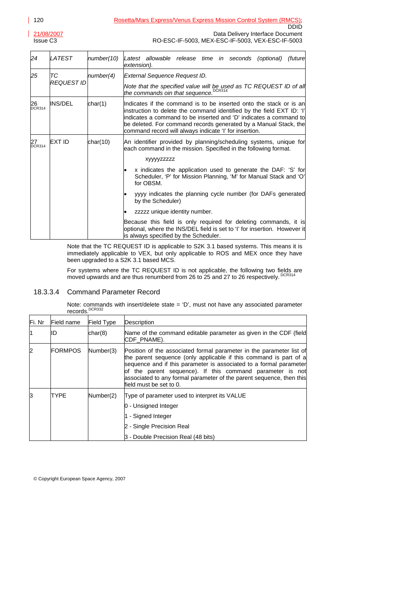## | 120 **Rosetta/Mars Express/Venus Express Mission Control System (RMCS)**; DDID

21/08/2007 Data Delivery Interface Document Issue C3 RO-ESC-IF-5003, MEX-ESC-IF-5003, VEX-ESC-IF-5003

| 24                  | LATEST                  | number(10) | Latest allowable release time in seconds (optional)<br><i>(future</i><br>lextension).                                                                                                                                                                                                                                                             |
|---------------------|-------------------------|------------|---------------------------------------------------------------------------------------------------------------------------------------------------------------------------------------------------------------------------------------------------------------------------------------------------------------------------------------------------|
| 25                  | ТC<br><b>REQUEST ID</b> | number(4)  | External Sequence Request ID.<br>Note that the specified value will be used as TC REQUEST ID of all<br>the commands oin that sequence. <sup>DCR314</sup>                                                                                                                                                                                          |
| 26<br><b>DCR314</b> | INS/DEL                 | char(1)    | lindicates if the command is to be inserted onto the stack or is an<br>linstruction to delete the command identified by the field EXT ID: 'I'<br>lindicates a command to be inserted and 'D' indicates a command to<br>be deleted. For command records generated by a Manual Stack, the<br>command record will always indicate 'I' for insertion. |
| 27<br>DCR314        | EXT ID                  | char(10)   | An identifier provided by planning/scheduling systems, unique for<br>each command in the mission. Specified in the following format.                                                                                                                                                                                                              |
|                     |                         |            | XYYYYZZZZZ                                                                                                                                                                                                                                                                                                                                        |
|                     |                         |            | x indicates the application used to generate the DAF: 'S' for<br>Scheduler, 'P' for Mission Planning, 'M' for Manual Stack and 'O'<br>for OBSM.                                                                                                                                                                                                   |
|                     |                         |            | yyyy indicates the planning cycle number (for DAFs generated<br>by the Scheduler)                                                                                                                                                                                                                                                                 |
|                     |                         |            | zzzzz unique identity number.                                                                                                                                                                                                                                                                                                                     |
|                     |                         |            | Because this field is only required for deleting commands, it is<br>optional, where the INS/DEL field is set to 'I' for insertion. However it<br>is always specified by the Scheduler.                                                                                                                                                            |

Note that the TC REQUEST ID is applicable to S2K 3.1 based systems. This means it is immediately applicable to VEX, but only applicable to ROS and MEX once they have been upgraded to a S2K 3.1 based MCS.

For systems where the TC REQUEST ID is not applicable, the following two fields are<br>moved upwards and are thus renumberd from 26 to 25 and 27 to 26 respectively. DCR314

## 18.3.3.4 Command Parameter Record

Note: commands with insert/delete state = 'D', must not have any associated parameter<br>records.<sup>DCR332</sup>

| Fi. Nr | Field name     | <b>Field Type</b> | Description                                                                                                                                                                                                                                                                                                                                                                     |
|--------|----------------|-------------------|---------------------------------------------------------------------------------------------------------------------------------------------------------------------------------------------------------------------------------------------------------------------------------------------------------------------------------------------------------------------------------|
|        |                | char(8)           | Name of the command editable parameter as given in the CDF (field<br>CDF PNAME).                                                                                                                                                                                                                                                                                                |
|        | <b>FORMPOS</b> | Number(3)         | Position of the associated formal parameter in the parameter list of<br>the parent sequence (only applicable if this command is part of a<br>sequence and if this parameter is associated to a formal parameter<br>of the parent sequence). If this command parameter is not<br>associated to any formal parameter of the parent sequence, then this<br>field must be set to 0. |
|        | TYPE           | Number(2)         | Type of parameter used to interpret its VALUE<br>0 - Unsigned Integer<br>l - Signed Integer<br>2 - Single Precision Real<br>3 - Double Precision Real (48 bits)                                                                                                                                                                                                                 |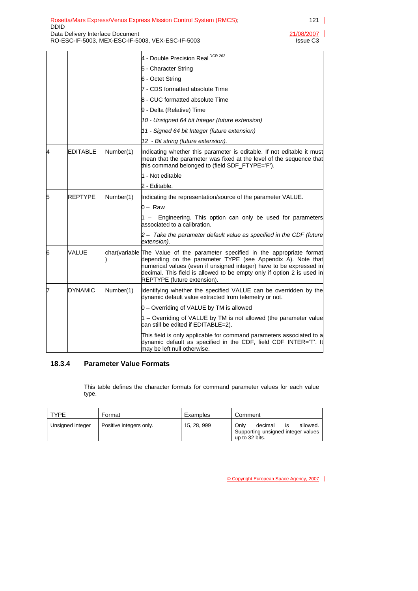RO-ESC-IF-5003, MEX-ESC-IF-5003, VEX-ESC-IF-5003 Issue C3

|   |                 |           | 4 - Double Precision Real <sup>DCR 263</sup>                                                                                                                                                                                                                                                                                |
|---|-----------------|-----------|-----------------------------------------------------------------------------------------------------------------------------------------------------------------------------------------------------------------------------------------------------------------------------------------------------------------------------|
|   |                 |           | 5 - Character String                                                                                                                                                                                                                                                                                                        |
|   |                 |           | 6 - Octet String                                                                                                                                                                                                                                                                                                            |
|   |                 |           | 7 - CDS formatted absolute Time                                                                                                                                                                                                                                                                                             |
|   |                 |           | 8 - CUC formatted absolute Time                                                                                                                                                                                                                                                                                             |
|   |                 |           | 9 - Delta (Relative) Time                                                                                                                                                                                                                                                                                                   |
|   |                 |           | 10 - Unsigned 64 bit Integer (future extension)                                                                                                                                                                                                                                                                             |
|   |                 |           | 11 - Signed 64 bit Integer (future extension)                                                                                                                                                                                                                                                                               |
|   |                 |           | 12 - Bit string (future extension).                                                                                                                                                                                                                                                                                         |
| 4 | <b>EDITABLE</b> | Number(1) | Indicating whether this parameter is editable. If not editable it must<br>mean that the parameter was fixed at the level of the sequence that<br>this command belonged to (field SDF_FTYPE='F').                                                                                                                            |
|   |                 |           | 1 - Not editable                                                                                                                                                                                                                                                                                                            |
|   |                 |           | 2 - Editable.                                                                                                                                                                                                                                                                                                               |
| 5 | <b>REPTYPE</b>  | Number(1) | Indicating the representation/source of the parameter VALUE.                                                                                                                                                                                                                                                                |
|   |                 |           | 0 – Raw                                                                                                                                                                                                                                                                                                                     |
|   |                 |           | Engineering. This option can only be used for parameters<br>associated to a calibration.                                                                                                                                                                                                                                    |
|   |                 |           | 2 - Take the parameter default value as specified in the CDF (future<br>extension).                                                                                                                                                                                                                                         |
| 6 | VALUE           |           | char(variable The Value of the parameter specified in the appropriate format<br>depending on the parameter TYPE (see Appendix A). Note that<br>numerical values (even if unsigned integer) have to be expressed in<br>decimal. This field is allowed to be empty only if option 2 is used in<br>REPTYPE (future extension). |
| 7 | <b>DYNAMIC</b>  | Number(1) | Identifying whether the specified VALUE can be overridden by the<br>dynamic default value extracted from telemetry or not.                                                                                                                                                                                                  |
|   |                 |           | 0 – Overriding of VALUE by TM is allowed                                                                                                                                                                                                                                                                                    |
|   |                 |           | 1 – Overriding of VALUE by TM is not allowed (the parameter value<br>can still be edited if EDITABLE=2).                                                                                                                                                                                                                    |
|   |                 |           | This field is only applicable for command parameters associated to a<br>dynamic default as specified in the CDF, field CDF_INTER='T'. It<br>may be left null otherwise.                                                                                                                                                     |

### **18.3.4 Parameter Value Formats**

This table defines the character formats for command parameter values for each value type.

| <b>TYPE</b>      | Format                  | Examples    | Comment                                                                             |
|------------------|-------------------------|-------------|-------------------------------------------------------------------------------------|
| Unsigned integer | Positive integers only. | 15, 28, 999 | Only<br>allowed.<br>decimal<br>Supporting unsigned integer values<br>up to 32 bits. |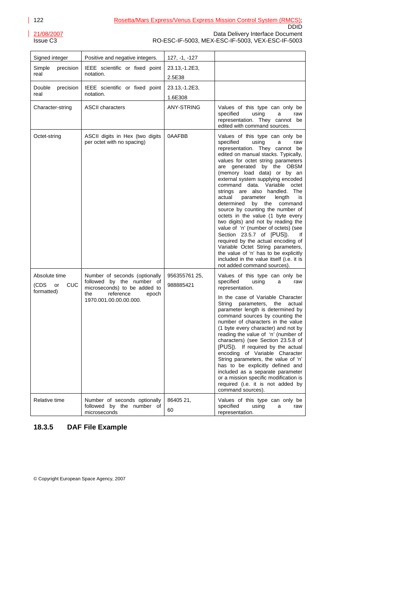1

| 18720<br>クエ<br>″ |
|------------------|
| Issue<br>ॎ≺      |

#### 122 Rosetta/Mars Express/Venus Express Mission Control System (RMCS); DDID 21/08/2007 Data Delivery Interface Document

Issue C3 RO-ESC-IF-5003, MEX-ESC-IF-5003, VEX-ESC-IF-5003

| Signed integer                                   | Positive and negative integers.                                                                                                                   | 127, -1, -127              |                                                                                                                                                                                                                                                                                                                                                                                                                                                                                                                                                                                                                                                                                                                                                                                                                           |
|--------------------------------------------------|---------------------------------------------------------------------------------------------------------------------------------------------------|----------------------------|---------------------------------------------------------------------------------------------------------------------------------------------------------------------------------------------------------------------------------------------------------------------------------------------------------------------------------------------------------------------------------------------------------------------------------------------------------------------------------------------------------------------------------------------------------------------------------------------------------------------------------------------------------------------------------------------------------------------------------------------------------------------------------------------------------------------------|
| Simple<br>precision<br>real                      | IEEE scientific or fixed point<br>notation.                                                                                                       | 23.13, -1.2E3,<br>2.5E38   |                                                                                                                                                                                                                                                                                                                                                                                                                                                                                                                                                                                                                                                                                                                                                                                                                           |
| Double<br>precision<br>real                      | IEEE scientific or fixed point<br>notation.                                                                                                       | 23.13, -1.2E3,<br>1.6E308  |                                                                                                                                                                                                                                                                                                                                                                                                                                                                                                                                                                                                                                                                                                                                                                                                                           |
| Character-string                                 | <b>ASCII characters</b>                                                                                                                           | <b>ANY-STRING</b>          | Values of this type can only be<br>specified<br>using<br>a<br>raw<br>representation. They cannot be<br>edited with command sources.                                                                                                                                                                                                                                                                                                                                                                                                                                                                                                                                                                                                                                                                                       |
| Octet-string                                     | ASCII digits in Hex (two digits<br>per octet with no spacing)                                                                                     | 0AAFBB                     | Values of this type can only be<br>specified<br>using<br>a<br>raw<br>representation. They cannot be<br>edited on manual stacks. Typically,<br>values for octet string parameters<br>are generated by the OBSM<br>(memory load data) or by an<br>external system supplying encoded<br>command data. Variable octet<br>strings are also handled. The<br>actual<br>parameter<br>length<br>is<br>determined<br>by<br>the<br>command<br>source by counting the number of<br>octets in the value (1 byte every<br>two digits) and not by reading the<br>value of 'n' (number of octets) (see<br>Section 23.5.7 of [PUS]).<br>-lf<br>required by the actual encoding of<br>Variable Octet String parameters,<br>the value of 'n' has to be explicitly<br>included in the value itself (i.e. it is<br>not added command sources). |
| Absolute time<br>(CDS<br>CUC<br>or<br>formatted) | Number of seconds (optionally<br>followed by the number of<br>microseconds) to be added to<br>reference<br>the<br>epoch<br>1970.001.00.00.00.000. | 956355761 25,<br>988885421 | Values of this type can only be<br>specified<br>using<br>raw<br>a<br>representation.<br>In the case of Variable Character<br>String<br>parameters,<br>the<br>actual<br>parameter length is determined by<br>command sources by counting the<br>number of characters in the value<br>(1 byte every character) and not by<br>reading the value of 'n' (number of<br>characters) (see Section 23.5.8 of<br>[PUS]). If required by the actual<br>encoding of Variable Character<br>String parameters, the value of 'n'<br>has to be explicitly defined and<br>included as a separate parameter<br>or a mission specific modification is<br>required (i.e. it is not added by<br>command sources).                                                                                                                             |
| Relative time                                    | Number of seconds optionally<br>followed by the number of<br>microseconds                                                                         | 86405 21,<br>60            | Values of this type can only be<br>specified<br>using<br>a<br>raw<br>representation.                                                                                                                                                                                                                                                                                                                                                                                                                                                                                                                                                                                                                                                                                                                                      |

## **18.3.5 DAF File Example**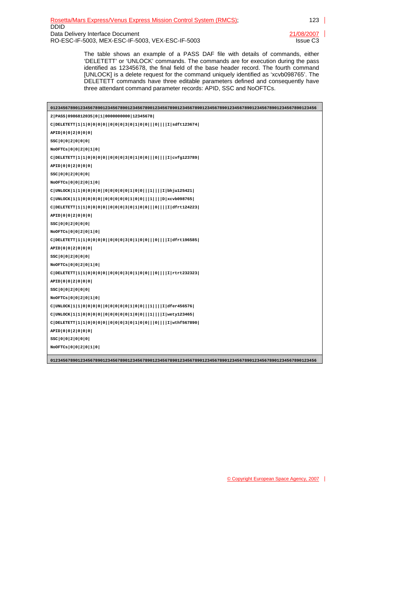Г

The table shows an example of a PASS DAF file with details of commands, either 'DELETETT' or 'UNLOCK' commands. The commands are for execution during the pass identified as 12345678, the final field of the base header record. The fourth command [UNLOCK] is a delete request for the command uniquely identified as 'xcvb098765'. The DELETETT commands have three editable parameters defined and consequently have three attendant command parameter records: APID, SSC and NoOFTCs.

| 01234567890123456789012345678901234567890123456789012345678901234567890123456789012345678901234567890123456 |  |
|-------------------------------------------------------------------------------------------------------------|--|
| 2   PASS   0986812035   0   1   0000000000   12345678                                                       |  |
| $C DELETETT 1 1 0 0 0 0 0 0 0 3 0 1 0 0  0  1 0  1 x sdft123674 $                                           |  |
| APID 0 0 2 0 0 0 0                                                                                          |  |
| ssc 0 0 2 0 0 0                                                                                             |  |
| NOOFTCs   0   0   2   0   1   0                                                                             |  |
| $C DELETETT 1 1 0 0 0 0 0 0 0 3 0 1 0 0   0     1 cvfg123789 $                                              |  |
| APID 0 0 2 0 0 0 0                                                                                          |  |
| ssc 0 0 2 0 0 0                                                                                             |  |
| NOOFTCs   0   0   2   0   1   0                                                                             |  |
| $C UNLOCK 1 1 0 0 0 0 0 0 0 0 0 1 0 0  1 1  1  1 b\hbox{hjul}25421 $                                        |  |
|                                                                                                             |  |
| $C DELETETT 1 1 0 0 0 0 0 0 0 3 0 1 0 0  0  1 0  1 1 dfrt124223 $                                           |  |
| APID 0 0 2 0 0 0 0                                                                                          |  |
| ssc 0 0 2 0 0 0                                                                                             |  |
| NOOFTCs   0   0   2   0   1   0                                                                             |  |
|                                                                                                             |  |
| APID 0 0 2 0 0 0 0                                                                                          |  |
| ssc 0 0 2 0 0 0                                                                                             |  |
| NOOFTCs   0   0   2   0   1   0                                                                             |  |
| $C DELETETT 1 1 0 0 0 0 0 0 0 3 0 1 0 0   0    1 1 rtrt232323 $                                             |  |
| APID 0 0 2 0 0 0 0                                                                                          |  |
| ssc 0 0 2 0 0 0                                                                                             |  |
| NOOFTCs   0   0   2   0   1   0                                                                             |  |
| $C UNLOCK 1 1 0 0 0 0 0 0 0 0 0 1 0 0  1  1  1 10fer456576 $                                                |  |
| $C UNLOCK 1 1 0 0 0 0 0 0 0 0 0 1 0 0  1  1  1  x wety123465 $                                              |  |
|                                                                                                             |  |
| APID 0 0 2 0 0 0 0                                                                                          |  |
| ssc 0 0 2 0 0 0                                                                                             |  |
| NOOFTCs   0   0   2   0   1   0                                                                             |  |
| 01234567890123456789012345678901234567890123456789012345678901234567890123456789012345678901234567890123456 |  |
|                                                                                                             |  |

© Copyright European Space Agency, 2007

٦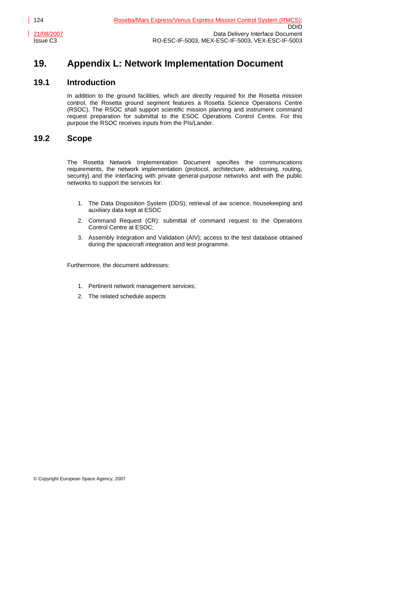

# **19. Appendix L: Network Implementation Document**

# **19.1 Introduction**

In addition to the ground facilities, which are directly required for the Rosetta mission control, the Rosetta ground segment features a Rosetta Science Operations Centre (RSOC). The RSOC shall support scientific mission planning and instrument command request preparation for submittal to the ESOC Operations Control Centre. For this purpose the RSOC receives inputs from the PIs/Lander.

## **19.2 Scope**

The Rosetta Network Implementation Document specifies the communications requirements, the network implementation (protocol, architecture, addressing, routing, security) and the interfacing with private general-purpose networks and with the public networks to support the services for:

- 1. The Data Disposition System (DDS); retrieval of aw science, housekeeping and auxiliary data kept at ESOC
- 2. Command Request (CR): submittal of command request to the Operations Control Centre at ESOC;
- 3. Assembly Integration and Validation (AIV); access to the test database obtained during the spacecraft integration and test programme.

Furthermore, the document addresses:

- 1. Pertinent network management services;
- 2. The related schedule aspects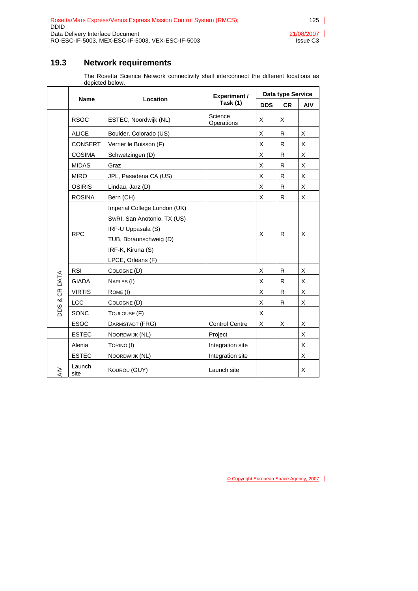# **19.3 Network requirements**

The Rosetta Science Network connectivity shall interconnect the different locations as depicted below.

|               |                |                                                                                                             | <b>Experiment /</b>   | Data type Service |           |            |
|---------------|----------------|-------------------------------------------------------------------------------------------------------------|-----------------------|-------------------|-----------|------------|
|               | <b>Name</b>    | Location                                                                                                    | <b>Task (1)</b>       | <b>DDS</b>        | <b>CR</b> | <b>AIV</b> |
|               | <b>RSOC</b>    | ESTEC, Noordwijk (NL)                                                                                       | Science<br>Operations | X                 | X         |            |
|               | <b>ALICE</b>   | Boulder, Colorado (US)                                                                                      |                       | X                 | R         | X          |
|               | <b>CONSERT</b> | Verrier le Buisson (F)                                                                                      |                       | X                 | R         | X          |
|               | <b>COSIMA</b>  | Schwetzingen (D)                                                                                            |                       | X                 | R         | X          |
|               | <b>MIDAS</b>   | Graz                                                                                                        |                       | X                 | R.        | X          |
|               | <b>MIRO</b>    | JPL, Pasadena CA (US)                                                                                       |                       | X                 | R         | X          |
|               | <b>OSIRIS</b>  | Lindau, Jarz (D)                                                                                            |                       | X                 | R         | X          |
|               | <b>ROSINA</b>  | Bern (CH)                                                                                                   |                       | X                 | R         | X          |
|               | <b>RPC</b>     | Imperial College London (UK)<br>SwRI, San Anotonio, TX (US)<br>IRF-U Uppasala (S)<br>TUB, Bbraunschweig (D) |                       | X                 | R         | X          |
|               |                | IRF-K, Kiruna (S)<br>LPCE, Orleans (F)                                                                      |                       |                   |           |            |
|               | <b>RSI</b>     | COLOGNE (D)                                                                                                 |                       | X                 | R         | X          |
| DDS & CR DATA | <b>GIADA</b>   | NAPLES (I)                                                                                                  |                       | X                 | R         | X          |
|               | <b>VIRTIS</b>  | ROME (I)                                                                                                    |                       | X                 | R         | X          |
|               | <b>LCC</b>     | COLOGNE (D)                                                                                                 |                       | Χ                 | R         | X          |
|               | <b>SONC</b>    | TOULOUSE (F)                                                                                                |                       | X                 |           |            |
|               | <b>ESOC</b>    | DARMSTADT (FRG)                                                                                             | <b>Control Centre</b> | X                 | X         | X          |
|               | <b>ESTEC</b>   | NOORDWIJK (NL)                                                                                              | Project               |                   |           | X          |
|               | Alenia         | TORINO (I)                                                                                                  | Integration site      |                   |           | X          |
|               | <b>ESTEC</b>   | NOORDWIJK (NL)                                                                                              | Integration site      |                   |           | X          |
| $\geqslant$   | Launch<br>site | KOUROU (GUY)                                                                                                | Launch site           |                   |           | X          |

125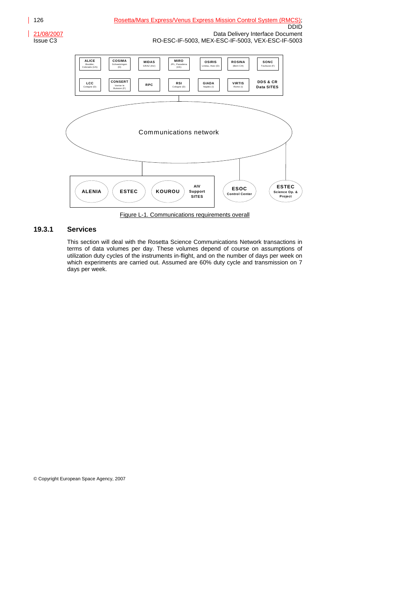| 126 **Rosetta/Mars Express/Venus Express Mission Control System (RMCS)**;

DDID

21/08/2007 Data Delivery Interface Document<br>Issue C3 RO-ESC-IF-5003, MEX-ESC-IF-5003, VEX-ESC-IF-5003 RO-ESC-IF-5003, MEX-ESC-IF-5003, VEX-ESC-IF-5003



Figure L-1. Communications requirements overall

#### **19.3.1 Services**

This section will deal with the Rosetta Science Communications Network transactions in terms of data volumes per day. These volumes depend of course on assumptions of utilization duty cycles of the instruments in-flight, and on the number of days per week on which experiments are carried out. Assumed are 60% duty cycle and transmission on 7 days per week.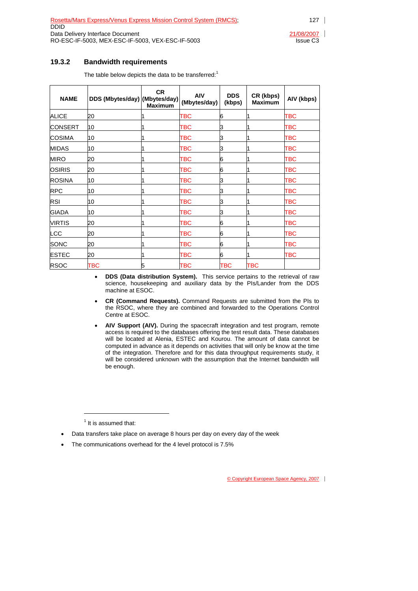### **19.3.2 Bandwidth requirements**

The table below depicts the data to be transferred: $1$ 

| <b>NAME</b>    | DDS (Mbytes/day) (Mbytes/day) | <b>CR</b><br><b>Maximum</b> | AIV<br>(Mbytes/day) | <b>DDS</b><br>(kbps) | CR (kbps)<br><b>Maximum</b> | AIV (kbps) |
|----------------|-------------------------------|-----------------------------|---------------------|----------------------|-----------------------------|------------|
| ALICE          | 20                            |                             | <b>TBC</b>          | 6                    |                             | TBC        |
| <b>CONSERT</b> | 10                            |                             | TBC                 | ß                    |                             | ТВС        |
| <b>COSIMA</b>  | 10                            |                             | TBC                 | ß                    |                             | TBC        |
| <b>MIDAS</b>   | 10                            |                             | <b>TBC</b>          | ß                    |                             | TBC        |
| <b>MIRO</b>    | 20                            |                             | <b>TBC</b>          | 6                    |                             | TBC        |
| <b>OSIRIS</b>  | 20                            |                             | <b>TBC</b>          | 6                    |                             | TBC        |
| <b>ROSINA</b>  | 10                            |                             | TBC                 | ß                    |                             | ТВС        |
| <b>RPC</b>     | 10                            |                             | <b>TBC</b>          | B                    |                             | TBC        |
| <b>RSI</b>     | 10                            |                             | <b>TBC</b>          | ß                    |                             | TBC        |
| <b>GIADA</b>   | 10                            |                             | TBC                 | З                    |                             | твс        |
| <b>VIRTIS</b>  | 20                            |                             | <b>TBC</b>          | 6                    |                             | TBC        |
| LCC            | 20                            |                             | <b>TBC</b>          | 6                    |                             | TBC        |
| SONC           | 20                            |                             | TBC                 | 6                    |                             | TBC        |
| <b>ESTEC</b>   | 20                            |                             | <b>TBC</b>          | 6                    |                             | TBC        |
| <b>RSOC</b>    | TBC                           | 5                           | TBC                 | TBC                  | TBC                         |            |

- **DDS (Data distribution System).** This service pertains to the retrieval of raw science, housekeeping and auxiliary data by the PIs/Lander from the DDS machine at ESOC.
- **CR (Command Requests).** Command Requests are submitted from the PIs to the RSOC, where they are combined and forwarded to the Operations Control Centre at ESOC.
- **AIV Support (AIV).** During the spacecraft integration and test program, remote access is required to the databases offering the test result data. These databases will be located at Alenia, ESTEC and Kourou. The amount of data cannot be computed in advance as it depends on activities that will only be know at the time of the integration. Therefore and for this data throughput requirements study, it will be considered unknown with the assumption that the Internet bandwidth will be enough.

 $<sup>1</sup>$  It is assumed that:</sup>

-

- Data transfers take place on average 8 hours per day on every day of the week
- The communications overhead for the 4 level protocol is 7.5%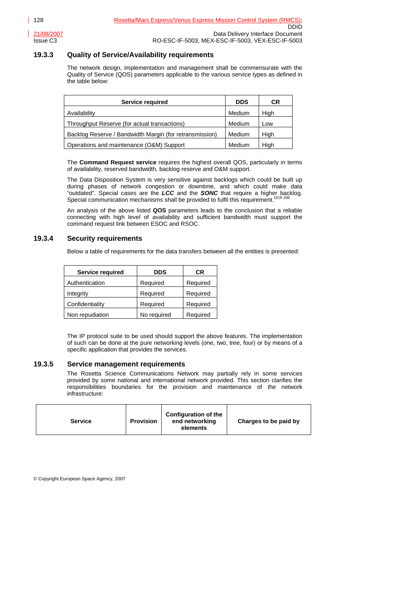#### **19.3.3 Quality of Service/Availability requirements**

The network design, implementation and management shall be commensurate with the Quality of Service (QOS) parameters applicable to the various service types as defined in the table below:

| Service required                                        | <b>DDS</b> | СR   |
|---------------------------------------------------------|------------|------|
| Availability                                            | Medium     | High |
| Throughput Reserve (for actual transactions)            | Medium     | Low  |
| Backlog Reserve / Bandwidth Margin (for retransmission) | Medium     | High |
| Operations and maintenance (O&M) Support                | Medium     | Hiah |

The **Command Request service** requires the highest overall QOS, particularly in terms of availability, reserved bandwidth, backlog reserve and O&M support.

The Data Disposition System is very sensitive against backlogs which could be built up during phases of network congestion or downtime, and which could make data "outdated". Special cases are the *LCC* and the *SONC* that require a higher backlog.<br>Special communication mechanisms shall be provided to fulfil this requirement.<sup>DCR 206</sup>

An analysis of the above listed **QOS** parameters leads to the conclusion that a reliable connecting with high level of availability and sufficient bandwidth must support the command request link between ESOC and RSOC.

#### **19.3.4 Security requirements**

Below a table of requirements for the data transfers between all the entities is presented:

| Service required | <b>DDS</b>  | <b>CR</b> |
|------------------|-------------|-----------|
| Authentication   | Required    | Required  |
| Integrity        | Required    | Required  |
| Confidentiality  | Required    | Required  |
| Non repudiation  | No required | Required  |

The IP protocol suite to be used should support the above features. The implementation of such can be done at the pure networking levels (one, two, tree, four) or by means of a specific application that provides the services.

#### **19.3.5 Service management requirements**

The Rosetta Science Communications Network may partially rely in some services provided by some national and international network provided. This section clarifies the responsibilities boundaries for the provision and maintenance of the network infrastructure:

| <b>Provision</b><br><b>Service</b> | <b>Configuration of the</b><br>end networking<br>elements | Charges to be paid by |
|------------------------------------|-----------------------------------------------------------|-----------------------|
|------------------------------------|-----------------------------------------------------------|-----------------------|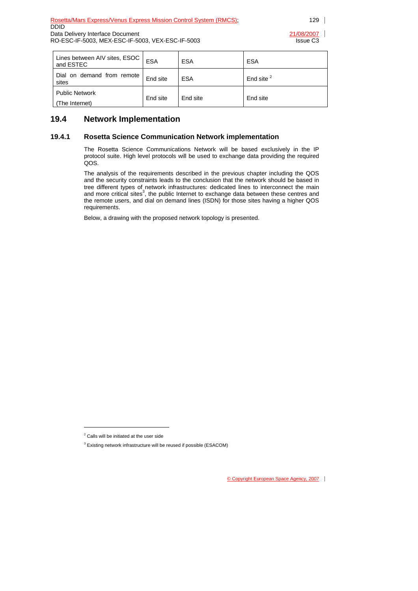#### Rosetta/Mars Express/Venus Express Mission Control System (RMCS); DDID Data Delivery Interface Document 21/08/2007

RO-ESC-IF-5003, MEX-ESC-IF-5003, VEX-ESC-IF-5003

| Lines between AIV sites, ESOC<br>and ESTEC | <b>ESA</b> | <b>ESA</b> | <b>ESA</b>            |
|--------------------------------------------|------------|------------|-----------------------|
| Dial on demand from remote<br>sites        | End site   | <b>ESA</b> | End site <sup>2</sup> |
| <b>Public Network</b><br>(The Internet)    | End site   | End site   | End site              |

# **19.4 Network Implementation**

#### **19.4.1 Rosetta Science Communication Network implementation**

The Rosetta Science Communications Network will be based exclusively in the IP protocol suite. High level protocols will be used to exchange data providing the required QOS.

The analysis of the requirements described in the previous chapter including the QOS and the security constraints leads to the conclusion that the network should be based in tree different types of network infrastructures: dedicated lines to interconnect the main and more critical sites<sup>3</sup>, the public Internet to exchange data between these centres and the remote users, and dial on demand lines (ISDN) for those sites having a higher QOS requirements.

Below, a drawing with the proposed network topology is presented.

-

 $2$  Calls will be initiated at the user side

<sup>&</sup>lt;sup>3</sup> Existing network infrastructure will be reused if possible (ESACOM)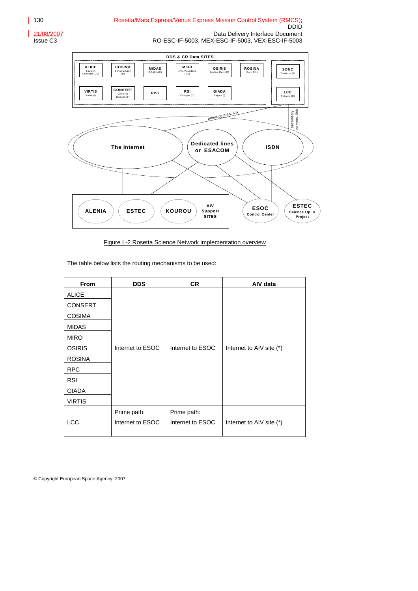#### | 130 Rosetta/Mars Express/Venus Express Mission Control System (RMCS);

DDID



21/08/2007 Data Delivery Interface Document<br>Issue C3 RO-ESC-IF-5003, MEX-ESC-IF-5003, VEX-ESC-IF-5003

Issue C3 RO-ESC-IF-5003, MEX-ESC-IF-5003, VEX-ESC-IF-5003



Figure L-2 Rosetta Science Network implementation overview

The table below lists the routing mechanisms to be used:

| From           | <b>DDS</b>       | <b>CR</b>        | AIV data                 |
|----------------|------------------|------------------|--------------------------|
| <b>ALICE</b>   |                  |                  |                          |
| <b>CONSERT</b> |                  |                  |                          |
| <b>COSIMA</b>  |                  |                  |                          |
| <b>MIDAS</b>   |                  |                  |                          |
| <b>MIRO</b>    |                  |                  |                          |
| <b>OSIRIS</b>  | Internet to ESOC | Internet to ESOC | Internet to AIV site (*) |
| <b>ROSINA</b>  |                  |                  |                          |
| <b>RPC</b>     |                  |                  |                          |
| RSI            |                  |                  |                          |
| <b>GIADA</b>   |                  |                  |                          |
| <b>VIRTIS</b>  |                  |                  |                          |
|                | Prime path:      | Prime path:      |                          |
| <b>LCC</b>     | Internet to ESOC | Internet to ESOC | Internet to AIV site (*) |
|                |                  |                  |                          |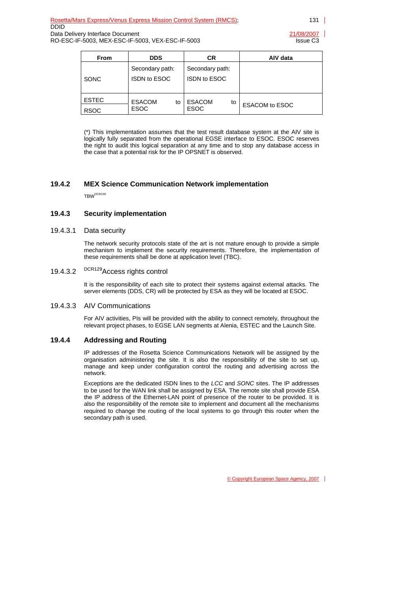131

| <b>From</b>                 | <b>DDS</b>                             | СR                                     | AIV data              |
|-----------------------------|----------------------------------------|----------------------------------------|-----------------------|
| <b>SONC</b>                 | Secondary path:<br><b>ISDN to ESOC</b> | Secondary path:<br><b>ISDN to ESOC</b> |                       |
| <b>ESTEC</b><br><b>RSOC</b> | <b>ESACOM</b><br>to<br><b>ESOC</b>     | <b>ESACOM</b><br>to<br><b>ESOC</b>     | <b>ESACOM to ESOC</b> |

(\*) This implementation assumes that the test result database system at the AIV site is logically fully separated from the operational EGSE interface to ESOC. ESOC reserves the right to audit this logical separation at any time and to stop any database access in the case that a potential risk for the IP OPSNET is observed.

### **19.4.2 MEX Science Communication Network implementation**

TBW<sup>DCR150</sup>

#### **19.4.3 Security implementation**

#### 19.4.3.1 Data security

The network security protocols state of the art is not mature enough to provide a simple mechanism to implement the security requirements. Therefore, the implementation of these requirements shall be done at application level (TBC).

# 19.4.3.2 DCR129 Access rights control

It is the responsibility of each site to protect their systems against external attacks. The server elements (DDS, CR) will be protected by ESA as they will be located at ESOC.

#### 19.4.3.3 AIV Communications

For AIV activities, PIs will be provided with the ability to connect remotely, throughout the relevant project phases, to EGSE LAN segments at Alenia, ESTEC and the Launch Site.

#### **19.4.4 Addressing and Routing**

IP addresses of the Rosetta Science Communications Network will be assigned by the organisation administering the site. It is also the responsibility of the site to set up, manage and keep under configuration control the routing and advertising across the network.

Exceptions are the dedicated ISDN lines to the *LCC* and *SONC* sites. The IP addresses to be used for the WAN link shall be assigned by ESA. The remote site shall provide ESA the IP address of the Ethernet-LAN point of presence of the router to be provided. It is also the responsibility of the remote site to implement and document all the mechanisms required to change the routing of the local systems to go through this router when the secondary path is used.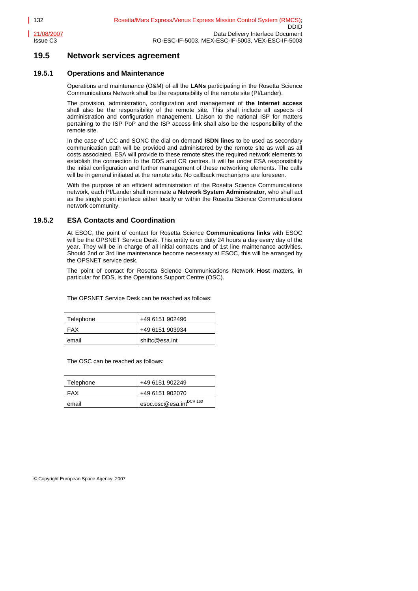# **19.5 Network services agreement**

#### **19.5.1 Operations and Maintenance**

Operations and maintenance (O&M) of all the **LANs** participating in the Rosetta Science Communications Network shall be the responsibility of the remote site (PI/Lander).

The provision, administration, configuration and management of **the Internet access** shall also be the responsibility of the remote site. This shall include all aspects of administration and configuration management. Liaison to the national ISP for matters pertaining to the ISP PoP and the ISP access link shall also be the responsibility of the remote site.

In the case of LCC and SONC the dial on demand **ISDN lines** to be used as secondary communication path will be provided and administered by the remote site as well as all costs associated. ESA will provide to these remote sites the required network elements to establish the connection to the DDS and CR centres. It will be under ESA responsibility the initial configuration and further management of these networking elements. The calls will be in general initiated at the remote site. No callback mechanisms are foreseen.

With the purpose of an efficient administration of the Rosetta Science Communications network, each PI/Lander shall nominate a **Network System Administrator**, who shall act as the single point interface either locally or within the Rosetta Science Communications network community.

#### **19.5.2 ESA Contacts and Coordination**

At ESOC, the point of contact for Rosetta Science **Communications links** with ESOC will be the OPSNET Service Desk. This entity is on duty 24 hours a day every day of the year. They will be in charge of all initial contacts and of 1st line maintenance activities. Should 2nd or 3rd line maintenance become necessary at ESOC, this will be arranged by the OPSNET service desk.

The point of contact for Rosetta Science Communications Network **Host** matters, in particular for DDS, is the Operations Support Centre (OSC).

The OPSNET Service Desk can be reached as follows:

| Telephone | +49 6151 902496 |  |
|-----------|-----------------|--|
| FAX       | +49 6151 903934 |  |
| email     | shiftc@esa.int  |  |

The OSC can be reached as follows:

| Telephone | +49 6151 902249                     |  |
|-----------|-------------------------------------|--|
| FAX       | +49 6151 902070                     |  |
| email     | esoc.osc@esa.int <sup>DCR 163</sup> |  |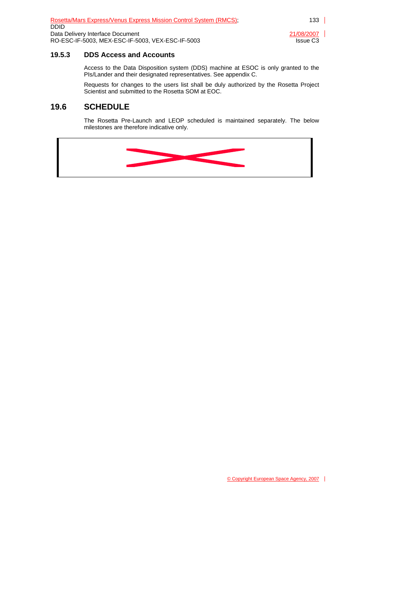#### **19.5.3 DDS Access and Accounts**

Access to the Data Disposition system (DDS) machine at ESOC is only granted to the PIs/Lander and their designated representatives. See appendix C.

Requests for changes to the users list shall be duly authorized by the Rosetta Project Scientist and submitted to the Rosetta SOM at EOC.

### **19.6 SCHEDULE**

The Rosetta Pre-Launch and LEOP scheduled is maintained separately. The below milestones are therefore indicative only.

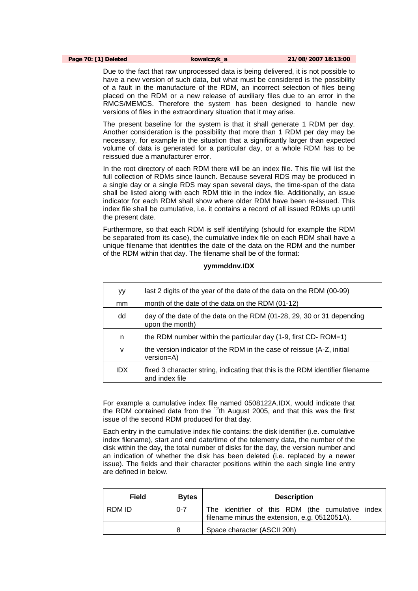Due to the fact that raw unprocessed data is being delivered, it is not possible to have a new version of such data, but what must be considered is the possibility of a fault in the manufacture of the RDM, an incorrect selection of files being placed on the RDM or a new release of auxiliary files due to an error in the RMCS/MEMCS. Therefore the system has been designed to handle new versions of files in the extraordinary situation that it may arise.

The present baseline for the system is that it shall generate 1 RDM per day. Another consideration is the possibility that more than 1 RDM per day may be necessary, for example in the situation that a significantly larger than expected volume of data is generated for a particular day, or a whole RDM has to be reissued due a manufacturer error.

In the root directory of each RDM there will be an index file. This file will list the full collection of RDMs since launch. Because several RDS may be produced in a single day or a single RDS may span several days, the time-span of the data shall be listed along with each RDM title in the index file. Additionally, an issue indicator for each RDM shall show where older RDM have been re-issued. This index file shall be cumulative, i.e. it contains a record of all issued RDMs up until the present date.

Furthermore, so that each RDM is self identifying (should for example the RDM be separated from its case), the cumulative index file on each RDM shall have a unique filename that identifies the date of the data on the RDM and the number of the RDM within that day. The filename shall be of the format:

| ۷V           | last 2 digits of the year of the date of the data on the RDM (00-99)                            |
|--------------|-------------------------------------------------------------------------------------------------|
| mm           | month of the date of the data on the RDM (01-12)                                                |
| dd           | day of the date of the data on the RDM (01-28, 29, 30 or 31 depending<br>upon the month)        |
| n            | the RDM number within the particular day (1-9, first CD-ROM=1)                                  |
| $\mathsf{V}$ | the version indicator of the RDM in the case of reissue (A-Z, initial<br>version=A)             |
| IDX.         | fixed 3 character string, indicating that this is the RDM identifier filename<br>and index file |

**yymmddnv.IDX** 

For example a cumulative index file named 0508122A.IDX, would indicate that the RDM contained data from the  $12$ <sup>th</sup> August 2005, and that this was the first issue of the second RDM produced for that day.

Each entry in the cumulative index file contains: the disk identifier (i.e. cumulative index filename), start and end date/time of the telemetry data, the number of the disk within the day, the total number of disks for the day, the version number and an indication of whether the disk has been deleted (i.e. replaced by a newer issue). The fields and their character positions within the each single line entry are defined in below.

| Field  | <b>Bytes</b> | <b>Description</b>                                                                                |  |
|--------|--------------|---------------------------------------------------------------------------------------------------|--|
| RDM ID | $0 - 7$      | The identifier of this RDM (the cumulative index<br>filename minus the extension, e.g. 0512051A). |  |
|        | 8            | Space character (ASCII 20h)                                                                       |  |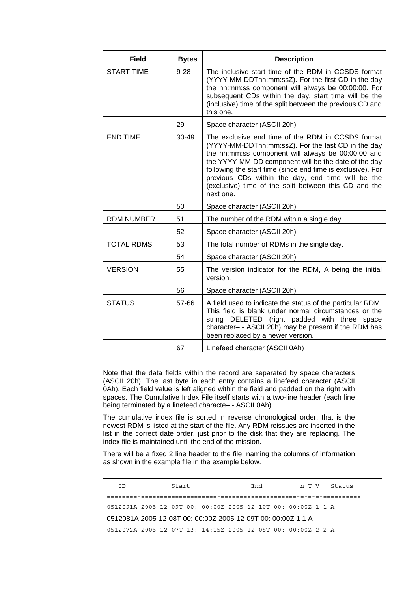| <b>Field</b>      | <b>Bytes</b> | <b>Description</b>                                                                                                                                                                                                                                                                                                                                                                                              |
|-------------------|--------------|-----------------------------------------------------------------------------------------------------------------------------------------------------------------------------------------------------------------------------------------------------------------------------------------------------------------------------------------------------------------------------------------------------------------|
| <b>START TIME</b> | $9 - 28$     | The inclusive start time of the RDM in CCSDS format<br>(YYYY-MM-DDThh:mm:ssZ). For the first CD in the day<br>the hh:mm:ss component will always be 00:00:00. For<br>subsequent CDs within the day, start time will be the<br>(inclusive) time of the split between the previous CD and<br>this one.                                                                                                            |
|                   | 29           | Space character (ASCII 20h)                                                                                                                                                                                                                                                                                                                                                                                     |
| <b>END TIME</b>   | $30 - 49$    | The exclusive end time of the RDM in CCSDS format<br>(YYYY-MM-DDThh:mm:ssZ). For the last CD in the day<br>the hh:mm:ss component will always be 00:00:00 and<br>the YYYY-MM-DD component will be the date of the day<br>following the start time (since end time is exclusive). For<br>previous CDs within the day, end time will be the<br>(exclusive) time of the split between this CD and the<br>next one. |
|                   | 50           | Space character (ASCII 20h)                                                                                                                                                                                                                                                                                                                                                                                     |
| <b>RDM NUMBER</b> | 51           | The number of the RDM within a single day.                                                                                                                                                                                                                                                                                                                                                                      |
|                   | 52           | Space character (ASCII 20h)                                                                                                                                                                                                                                                                                                                                                                                     |
| <b>TOTAL RDMS</b> | 53           | The total number of RDMs in the single day.                                                                                                                                                                                                                                                                                                                                                                     |
|                   | 54           | Space character (ASCII 20h)                                                                                                                                                                                                                                                                                                                                                                                     |
| <b>VERSION</b>    | 55           | The version indicator for the RDM, A being the initial<br>version.                                                                                                                                                                                                                                                                                                                                              |
|                   | 56           | Space character (ASCII 20h)                                                                                                                                                                                                                                                                                                                                                                                     |
| <b>STATUS</b>     | 57-66        | A field used to indicate the status of the particular RDM.<br>This field is blank under normal circumstances or the<br>string DELETED (right padded with three space<br>character- - ASCII 20h) may be present if the RDM has<br>been replaced by a newer version.                                                                                                                                              |
|                   | 67           | Linefeed character (ASCII 0Ah)                                                                                                                                                                                                                                                                                                                                                                                  |

Note that the data fields within the record are separated by space characters (ASCII 20h). The last byte in each entry contains a linefeed character (ASCII 0Ah). Each field value is left aligned within the field and padded on the right with spaces. The Cumulative Index File itself starts with a two-line header (each line being terminated by a linefeed characte– - ASCII 0Ah).

The cumulative index file is sorted in reverse chronological order, that is the newest RDM is listed at the start of the file. Any RDM reissues are inserted in the list in the correct date order, just prior to the disk that they are replacing. The index file is maintained until the end of the mission.

There will be a fixed 2 line header to the file, naming the columns of information as shown in the example file in the example below.

 ID Start End n T V Status ========-====================-====================-=-=-=-========== 0512091A 2005-12-09T 00: 00:00Z 2005-12-10T 00: 00:00Z 1 1 A 0512081A 2005-12-08T 00: 00:00Z 2005-12-09T 00: 00:00Z 1 1 A 0512072A 2005-12-07T 13: 14:15Z 2005-12-08T 00: 00:00Z 2 2 A